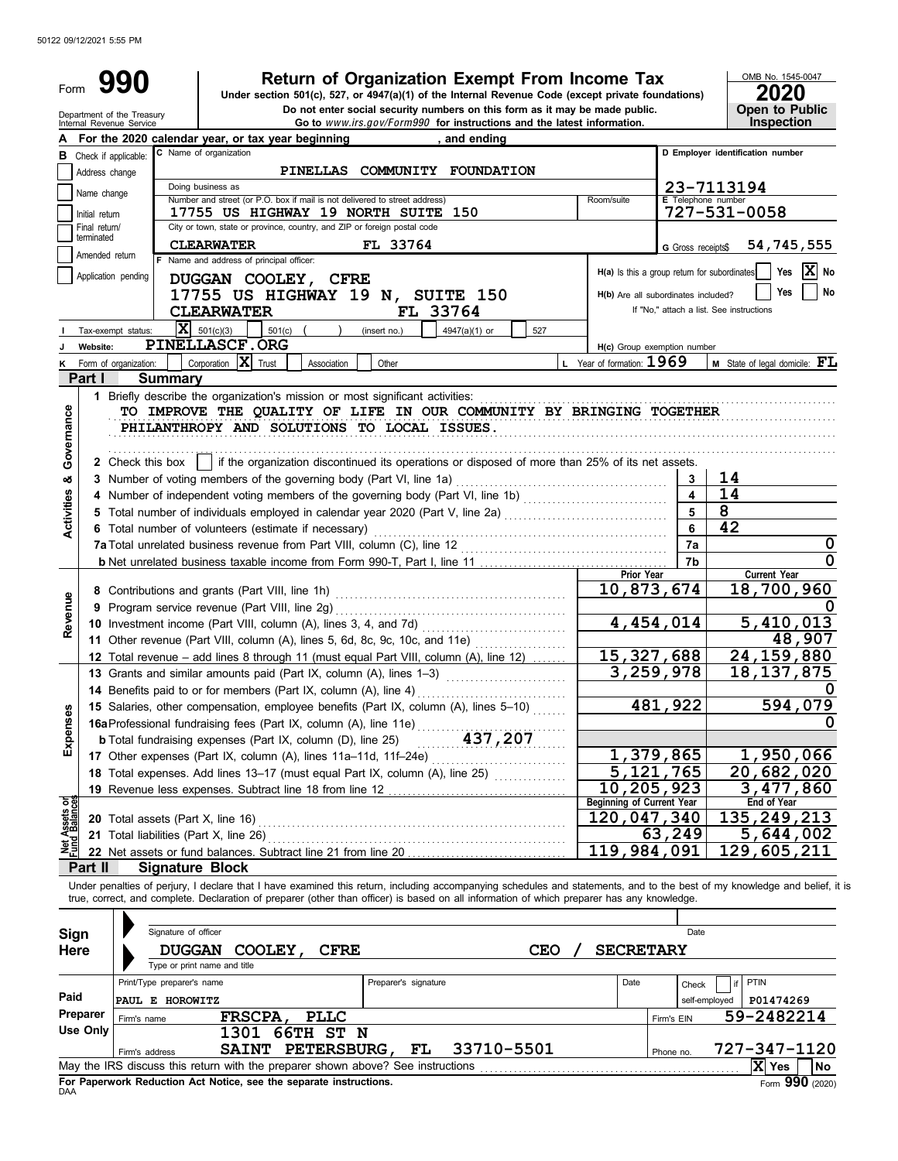| Form                                                   |                                      | 990                                    |                                                                                                                                                                      | <b>Return of Organization Exempt From Income Tax</b><br>Under section 501(c), 527, or 4947(a)(1) of the Internal Revenue Code (except private foundations)                 |            |                                                  |                         | OMB No. 1545-0047                               |
|--------------------------------------------------------|--------------------------------------|----------------------------------------|----------------------------------------------------------------------------------------------------------------------------------------------------------------------|----------------------------------------------------------------------------------------------------------------------------------------------------------------------------|------------|--------------------------------------------------|-------------------------|-------------------------------------------------|
| Department of the Treasury<br>Internal Revenue Service | 2020<br>Open to Public<br>Inspection |                                        |                                                                                                                                                                      |                                                                                                                                                                            |            |                                                  |                         |                                                 |
|                                                        |                                      |                                        | For the 2020 calendar year, or tax year beginning                                                                                                                    | Go to www.irs.gov/Form990 for instructions and the latest information.<br>, and ending                                                                                     |            |                                                  |                         |                                                 |
| в                                                      |                                      | Check if applicable:                   | C Name of organization                                                                                                                                               |                                                                                                                                                                            |            |                                                  |                         | D Employer identification number                |
|                                                        | Address change                       |                                        |                                                                                                                                                                      | PINELLAS COMMUNITY FOUNDATION                                                                                                                                              |            |                                                  |                         |                                                 |
|                                                        | Name change                          |                                        | Doing business as                                                                                                                                                    |                                                                                                                                                                            |            |                                                  |                         | 23-7113194                                      |
|                                                        | Initial return                       |                                        | Number and street (or P.O. box if mail is not delivered to street address)<br>17755 US HIGHWAY 19 NORTH SUITE 150                                                    |                                                                                                                                                                            |            | Room/suite                                       | E Telephone number      | 727-531-0058                                    |
|                                                        | Final return/                        |                                        | City or town, state or province, country, and ZIP or foreign postal code                                                                                             |                                                                                                                                                                            |            |                                                  |                         |                                                 |
|                                                        | terminated                           |                                        | <b>CLEARWATER</b>                                                                                                                                                    | FL 33764                                                                                                                                                                   |            |                                                  | G Gross receipts\$      | 54,745,555                                      |
|                                                        | Amended return                       |                                        | F Name and address of principal officer:                                                                                                                             |                                                                                                                                                                            |            |                                                  |                         |                                                 |
|                                                        |                                      | Application pending                    | DUGGAN COOLEY, CFRE                                                                                                                                                  |                                                                                                                                                                            |            | H(a) Is this a group return for subordinates     |                         | X No<br>Yes                                     |
|                                                        |                                      |                                        | 17755 US HIGHWAY 19 N, SUITE 150                                                                                                                                     |                                                                                                                                                                            |            | H(b) Are all subordinates included?              |                         | Yes<br>No                                       |
|                                                        |                                      |                                        | <b>CLEARWATER</b>                                                                                                                                                    | FL 33764                                                                                                                                                                   |            |                                                  |                         | If "No," attach a list. See instructions        |
|                                                        |                                      | Tax-exempt status:                     | $ \mathbf{X} $ 501(c)(3)<br>$501(c)$ (                                                                                                                               | 4947(a)(1) or<br>(insert no.)                                                                                                                                              | 527        |                                                  |                         |                                                 |
|                                                        | Website:                             |                                        | PINELLASCF.ORG                                                                                                                                                       |                                                                                                                                                                            |            | H(c) Group exemption number                      |                         |                                                 |
|                                                        |                                      | Form of organization:                  | Corporation X Trust<br>Association                                                                                                                                   | Other                                                                                                                                                                      |            | L Year of formation: $1969$                      |                         | <b>M</b> State of legal domicile: $\mathbf{FL}$ |
|                                                        | Part I                               | <b>Summary</b>                         |                                                                                                                                                                      |                                                                                                                                                                            |            |                                                  |                         |                                                 |
|                                                        |                                      |                                        | 1 Briefly describe the organization's mission or most significant activities:                                                                                        |                                                                                                                                                                            |            |                                                  |                         |                                                 |
| Governance                                             |                                      |                                        | PHILANTHROPY AND SOLUTIONS TO LOCAL ISSUES.                                                                                                                          | TO IMPROVE THE QUALITY OF LIFE IN OUR COMMUNITY BY BRINGING TOGETHER                                                                                                       |            |                                                  |                         |                                                 |
|                                                        |                                      |                                        |                                                                                                                                                                      |                                                                                                                                                                            |            |                                                  |                         |                                                 |
|                                                        |                                      | 2 Check this box                       |                                                                                                                                                                      | if the organization discontinued its operations or disposed of more than 25% of its net assets.                                                                            |            |                                                  |                         |                                                 |
| oð                                                     |                                      |                                        | 3 Number of voting members of the governing body (Part VI, line 1a)                                                                                                  |                                                                                                                                                                            |            |                                                  | 3                       | 14                                              |
|                                                        |                                      |                                        |                                                                                                                                                                      | 4 Number of independent voting members of the governing body (Part VI, line 1b) [[[[[[[[[[[[[[[[[[[[[[[[[[[[[[                                                             |            |                                                  | $\overline{\mathbf{4}}$ | 14                                              |
|                                                        |                                      |                                        |                                                                                                                                                                      |                                                                                                                                                                            |            |                                                  | 5                       | 8                                               |
| <b>Activities</b>                                      |                                      |                                        | 6 Total number of volunteers (estimate if necessary)                                                                                                                 |                                                                                                                                                                            |            |                                                  |                         | 42                                              |
|                                                        |                                      |                                        |                                                                                                                                                                      |                                                                                                                                                                            |            |                                                  | 7a                      | 0                                               |
|                                                        |                                      |                                        |                                                                                                                                                                      |                                                                                                                                                                            |            |                                                  | 7b                      | 0                                               |
|                                                        |                                      |                                        |                                                                                                                                                                      |                                                                                                                                                                            |            | Prior Year<br>10,873,674                         |                         | <b>Current Year</b><br>18,700,960               |
|                                                        |                                      |                                        |                                                                                                                                                                      |                                                                                                                                                                            |            |                                                  |                         |                                                 |
| Revenue                                                |                                      |                                        |                                                                                                                                                                      |                                                                                                                                                                            |            | 4,454,014                                        |                         | 5,410,013                                       |
|                                                        |                                      |                                        |                                                                                                                                                                      | 11 Other revenue (Part VIII, column (A), lines 5, 6d, 8c, 9c, 10c, and 11e)                                                                                                |            |                                                  |                         | 48,907                                          |
|                                                        |                                      |                                        |                                                                                                                                                                      | 12 Total revenue - add lines 8 through 11 (must equal Part VIII, column (A), line 12)                                                                                      |            | 15, 327, 688                                     |                         | 24, 159, 880                                    |
|                                                        |                                      |                                        | 13 Grants and similar amounts paid (Part IX, column (A), lines 1-3)                                                                                                  |                                                                                                                                                                            |            | 3,259,978                                        |                         | $\overline{18}$ , 137, 875                      |
|                                                        |                                      |                                        | 14 Benefits paid to or for members (Part IX, column (A), line 4)                                                                                                     |                                                                                                                                                                            |            |                                                  |                         |                                                 |
|                                                        |                                      |                                        |                                                                                                                                                                      | 15 Salaries, other compensation, employee benefits (Part IX, column (A), lines 5-10)                                                                                       |            |                                                  | 481,922                 | 594,079                                         |
| Expense                                                |                                      |                                        | 16a Professional fundraising fees (Part IX, column (A), line 11e)                                                                                                    |                                                                                                                                                                            |            |                                                  |                         | 0                                               |
|                                                        |                                      |                                        | <b>b</b> Total fundraising expenses (Part IX, column (D), line 25)                                                                                                   | 437,207                                                                                                                                                                    |            |                                                  |                         |                                                 |
|                                                        |                                      |                                        |                                                                                                                                                                      |                                                                                                                                                                            |            | 1,379,865                                        |                         | 1,950,066                                       |
|                                                        |                                      |                                        |                                                                                                                                                                      | 18 Total expenses. Add lines 13-17 (must equal Part IX, column (A), line 25)                                                                                               |            | 5, 121, 765                                      |                         | 20,682,020                                      |
|                                                        |                                      |                                        | 19 Revenue less expenses. Subtract line 18 from line 12                                                                                                              |                                                                                                                                                                            |            | 10, 205, 923<br><b>Beginning of Current Year</b> |                         | 3,477,860<br><b>End of Year</b>                 |
| Net Assets or<br>Fund Balances                         |                                      | 20 Total assets (Part X, line 16)      |                                                                                                                                                                      |                                                                                                                                                                            |            | 120,047,340                                      |                         | 135, 249, 213                                   |
|                                                        |                                      | 21 Total liabilities (Part X, line 26) |                                                                                                                                                                      |                                                                                                                                                                            |            |                                                  | 63,249                  | 5,644,002                                       |
|                                                        |                                      |                                        |                                                                                                                                                                      |                                                                                                                                                                            |            | 119,984,091                                      |                         | 129,605,211                                     |
|                                                        | Part II                              | <b>Signature Block</b>                 |                                                                                                                                                                      |                                                                                                                                                                            |            |                                                  |                         |                                                 |
|                                                        |                                      |                                        |                                                                                                                                                                      | Under penalties of perjury, I declare that I have examined this return, including accompanying schedules and statements, and to the best of my knowledge and belief, it is |            |                                                  |                         |                                                 |
|                                                        |                                      |                                        |                                                                                                                                                                      | true, correct, and complete. Declaration of preparer (other than officer) is based on all information of which preparer has any knowledge.                                 |            |                                                  |                         |                                                 |
|                                                        |                                      |                                        |                                                                                                                                                                      |                                                                                                                                                                            |            |                                                  |                         |                                                 |
| Sign                                                   |                                      | Signature of officer                   |                                                                                                                                                                      |                                                                                                                                                                            |            |                                                  | Date                    |                                                 |
| Here                                                   |                                      | <b>DUGGAN</b>                          | <b>CFRE</b><br><b>COOLEY,</b><br>Type or print name and title                                                                                                        |                                                                                                                                                                            | <b>CEO</b> | <b>SECRETARY</b>                                 |                         |                                                 |
|                                                        |                                      | Print/Type preparer's name             |                                                                                                                                                                      | Preparer's signature                                                                                                                                                       |            | Date                                             |                         | PTIN                                            |
| Paid                                                   |                                      | PAUL E HOROWITZ                        |                                                                                                                                                                      |                                                                                                                                                                            |            |                                                  | Check<br>self-employed  |                                                 |
|                                                        | Preparer                             |                                        | <b>PLLC</b><br><b>FRSCPA,</b>                                                                                                                                        |                                                                                                                                                                            |            |                                                  | Firm's EIN              | P01474269<br>59-2482214                         |
|                                                        | <b>Use Only</b>                      | Firm's name                            | 1301 66TH ST N                                                                                                                                                       |                                                                                                                                                                            |            |                                                  |                         |                                                 |
|                                                        |                                      | Firm's address                         | <b>SAINT</b><br><b>PETERSBURG,</b>                                                                                                                                   | 33710-5501<br>FL                                                                                                                                                           |            |                                                  | Phone no.               | 727-347-1120                                    |
|                                                        |                                      |                                        | May the IRS discuss this return with the preparer shown above? See instructions [11] May the IRS discuss this return with the preparer shown above? See instructions |                                                                                                                                                                            |            |                                                  |                         | $ \mathbf{X} $ Yes<br>No                        |

|          | Type of print hanne and the                                                     |                      |      |               |              |                  |
|----------|---------------------------------------------------------------------------------|----------------------|------|---------------|--------------|------------------|
|          | Print/Type preparer's name                                                      | Preparer's signature | Date | Check         | if PTIN      |                  |
| Paid     | <b>PAUL E HOROWITZ</b>                                                          |                      |      | self-emploved | P01474269    |                  |
| Preparer | FRSCPA,<br>PLLC<br>Firm's name                                                  |                      |      | Firm's EIN    | 59-2482214   |                  |
| Use Only | 66TH ST N<br>1301                                                               |                      |      |               |              |                  |
|          | SAINT PETERSBURG,<br>Firm's address                                             | 33710-5501<br>FL     |      | Phone no.     | 727-347-1120 |                  |
|          | May the IRS discuss this return with the preparer shown above? See instructions |                      |      |               | X Yes        | l No             |
| DAA      | For Paperwork Reduction Act Notice, see the separate instructions.              |                      |      |               |              | Form $990(2020)$ |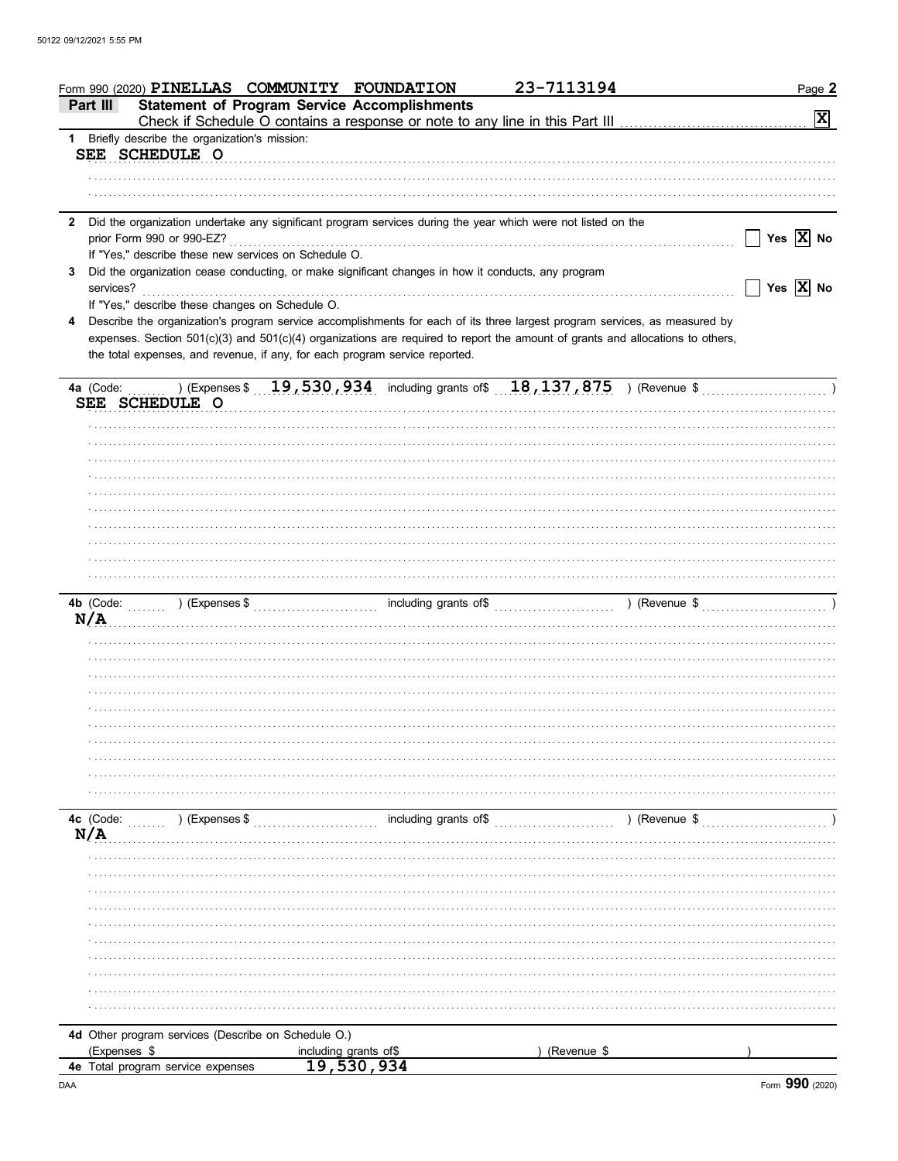|              | Form 990 (2020) PINELLAS COMMUNITY FOUNDATION<br><b>Statement of Program Service Accomplishments</b><br>Part III               | 23-7113194                          | Page 2                |
|--------------|--------------------------------------------------------------------------------------------------------------------------------|-------------------------------------|-----------------------|
|              | Check if Schedule O contains a response or note to any line in this Part III                                                   |                                     | $\vert x \vert$       |
|              | 1 Briefly describe the organization's mission:                                                                                 |                                     |                       |
|              | SEE SCHEDULE O                                                                                                                 |                                     |                       |
|              |                                                                                                                                |                                     |                       |
|              |                                                                                                                                |                                     |                       |
| $\mathbf{2}$ | Did the organization undertake any significant program services during the year which were not listed on the                   |                                     |                       |
|              | prior Form 990 or 990-EZ?                                                                                                      |                                     | Yes $\overline{X}$ No |
|              | If "Yes," describe these new services on Schedule O.                                                                           |                                     |                       |
| 3            | Did the organization cease conducting, or make significant changes in how it conducts, any program<br>services?                |                                     | Yes $\overline{X}$ No |
|              | If "Yes," describe these changes on Schedule O.                                                                                |                                     |                       |
| 4            | Describe the organization's program service accomplishments for each of its three largest program services, as measured by     |                                     |                       |
|              | expenses. Section 501(c)(3) and 501(c)(4) organizations are required to report the amount of grants and allocations to others, |                                     |                       |
|              | the total expenses, and revenue, if any, for each program service reported.                                                    |                                     |                       |
|              |                                                                                                                                |                                     |                       |
|              |                                                                                                                                |                                     |                       |
|              | SEE SCHEDULE O                                                                                                                 |                                     |                       |
|              |                                                                                                                                |                                     |                       |
|              |                                                                                                                                |                                     |                       |
|              |                                                                                                                                |                                     |                       |
|              |                                                                                                                                |                                     |                       |
|              |                                                                                                                                |                                     |                       |
|              |                                                                                                                                |                                     |                       |
|              |                                                                                                                                |                                     |                       |
|              |                                                                                                                                |                                     |                       |
|              |                                                                                                                                |                                     |                       |
|              |                                                                                                                                |                                     |                       |
|              | ) (Expenses $\frac{1}{2}$ (Revenue $\frac{1}{2}$ ) (Revenue $\frac{1}{2}$ ) (Revenue $\frac{1}{2}$ )<br>4b (Code:<br>N/A       |                                     |                       |
|              |                                                                                                                                |                                     |                       |
|              |                                                                                                                                |                                     |                       |
|              |                                                                                                                                |                                     |                       |
|              |                                                                                                                                |                                     |                       |
|              |                                                                                                                                |                                     |                       |
|              |                                                                                                                                |                                     |                       |
|              |                                                                                                                                |                                     |                       |
|              |                                                                                                                                |                                     |                       |
|              |                                                                                                                                |                                     |                       |
|              |                                                                                                                                |                                     |                       |
|              | 4c (Code:<br>) (Expenses \$                                                                                                    | including grants of \$ (Revenue \$) |                       |
|              | N/A                                                                                                                            |                                     |                       |
|              |                                                                                                                                |                                     |                       |
|              |                                                                                                                                |                                     |                       |
|              |                                                                                                                                |                                     |                       |
|              |                                                                                                                                |                                     |                       |
|              |                                                                                                                                |                                     |                       |
|              |                                                                                                                                |                                     |                       |
|              |                                                                                                                                |                                     |                       |
|              |                                                                                                                                |                                     |                       |
|              |                                                                                                                                |                                     |                       |
|              |                                                                                                                                |                                     |                       |
|              | 4d Other program services (Describe on Schedule O.)                                                                            |                                     |                       |
|              | (Expenses \$<br>including grants of\$                                                                                          | (Revenue \$                         |                       |
|              | 19,530,934<br>4e Total program service expenses                                                                                |                                     |                       |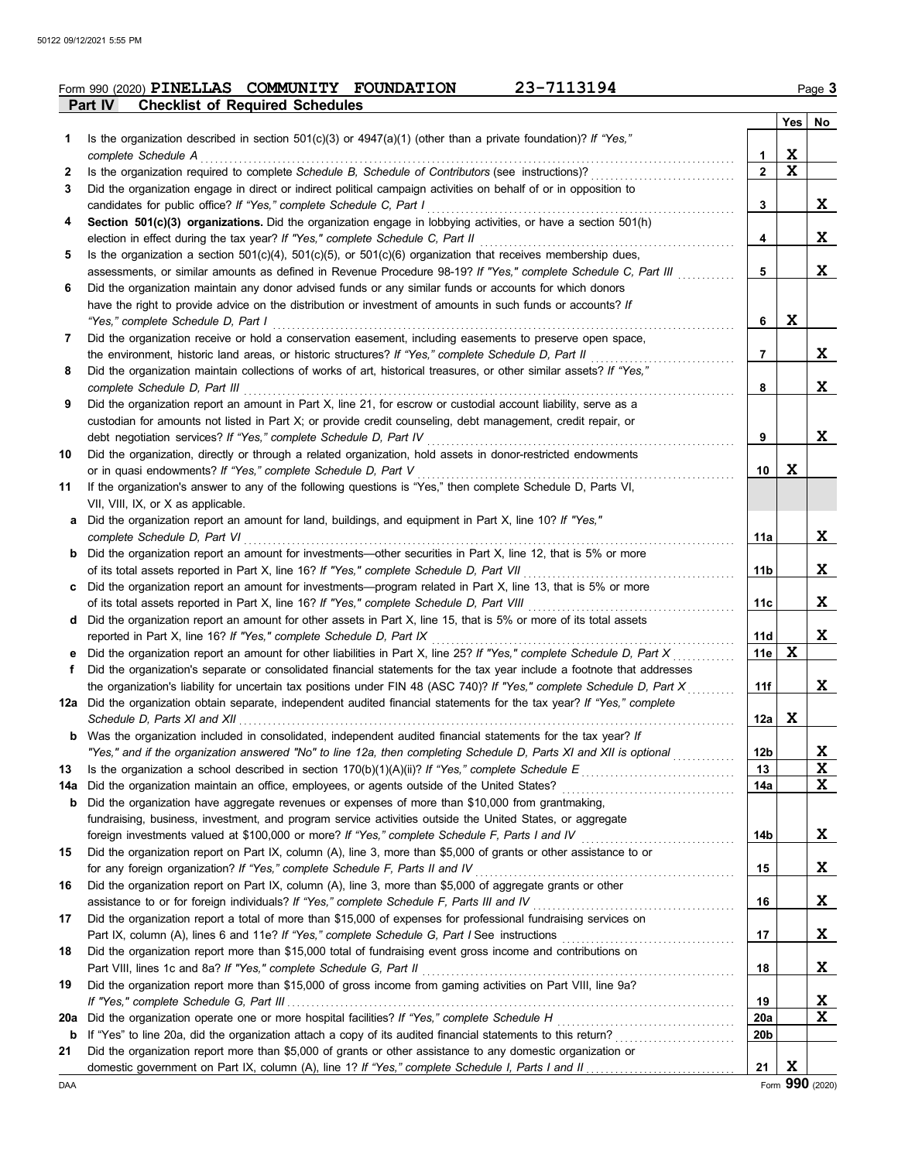|                |                                        | Form 990 (2020) PINELLAS COMMUNITY FOUNDATION | 23-7113194 | Paqe <b>3</b> |
|----------------|----------------------------------------|-----------------------------------------------|------------|---------------|
| <b>Part IV</b> | <b>Checklist of Required Schedules</b> |                                               |            |               |

|     |                                                                                                                                                                                                                           |              | <b>Yes</b>  | No           |
|-----|---------------------------------------------------------------------------------------------------------------------------------------------------------------------------------------------------------------------------|--------------|-------------|--------------|
| 1   | Is the organization described in section $501(c)(3)$ or $4947(a)(1)$ (other than a private foundation)? If "Yes,"                                                                                                         |              |             |              |
|     | complete Schedule A                                                                                                                                                                                                       | 1            | X           |              |
| 2   | Is the organization required to complete Schedule B, Schedule of Contributors (see instructions)?                                                                                                                         | $\mathbf{2}$ | X           |              |
| 3   | Did the organization engage in direct or indirect political campaign activities on behalf of or in opposition to                                                                                                          |              |             |              |
|     | candidates for public office? If "Yes," complete Schedule C, Part I                                                                                                                                                       | 3            |             | X            |
| 4   | Section 501(c)(3) organizations. Did the organization engage in lobbying activities, or have a section 501(h)                                                                                                             |              |             |              |
|     | election in effect during the tax year? If "Yes," complete Schedule C, Part II                                                                                                                                            | 4            |             | X            |
| 5   | Is the organization a section $501(c)(4)$ , $501(c)(5)$ , or $501(c)(6)$ organization that receives membership dues,                                                                                                      | 5            |             | X            |
| 6   | assessments, or similar amounts as defined in Revenue Procedure 98-19? If "Yes," complete Schedule C, Part III<br>Did the organization maintain any donor advised funds or any similar funds or accounts for which donors |              |             |              |
|     | have the right to provide advice on the distribution or investment of amounts in such funds or accounts? If                                                                                                               |              |             |              |
|     | "Yes," complete Schedule D, Part I                                                                                                                                                                                        | 6            | X           |              |
| 7   | Did the organization receive or hold a conservation easement, including easements to preserve open space,                                                                                                                 |              |             |              |
|     | the environment, historic land areas, or historic structures? If "Yes," complete Schedule D, Part II                                                                                                                      | 7            |             | x            |
| 8   | Did the organization maintain collections of works of art, historical treasures, or other similar assets? If "Yes,"                                                                                                       |              |             |              |
|     | complete Schedule D, Part III                                                                                                                                                                                             | 8            |             | X            |
| 9   | Did the organization report an amount in Part X, line 21, for escrow or custodial account liability, serve as a                                                                                                           |              |             |              |
|     | custodian for amounts not listed in Part X; or provide credit counseling, debt management, credit repair, or                                                                                                              |              |             |              |
|     | debt negotiation services? If "Yes," complete Schedule D, Part IV                                                                                                                                                         | 9            |             | X            |
| 10  | Did the organization, directly or through a related organization, hold assets in donor-restricted endowments                                                                                                              |              |             |              |
|     | or in quasi endowments? If "Yes," complete Schedule D, Part V                                                                                                                                                             | 10           | X           |              |
| 11  | If the organization's answer to any of the following questions is "Yes," then complete Schedule D, Parts VI,                                                                                                              |              |             |              |
|     | VII, VIII, IX, or X as applicable.                                                                                                                                                                                        |              |             |              |
| a   | Did the organization report an amount for land, buildings, and equipment in Part X, line 10? If "Yes,"                                                                                                                    |              |             |              |
|     | complete Schedule D, Part VI                                                                                                                                                                                              | 11a          |             | X            |
|     | <b>b</b> Did the organization report an amount for investments—other securities in Part X, line 12, that is 5% or more                                                                                                    |              |             |              |
|     | of its total assets reported in Part X, line 16? If "Yes," complete Schedule D, Part VII                                                                                                                                  | 11b          |             | X            |
|     | c Did the organization report an amount for investments—program related in Part X, line 13, that is 5% or more                                                                                                            |              |             |              |
|     | of its total assets reported in Part X, line 16? If "Yes," complete Schedule D, Part VIII                                                                                                                                 | 11c          |             | X            |
|     | d Did the organization report an amount for other assets in Part X, line 15, that is 5% or more of its total assets<br>reported in Part X, line 16? If "Yes," complete Schedule D, Part IX                                | 11d          |             | X            |
|     | e Did the organization report an amount for other liabilities in Part X, line 25? If "Yes," complete Schedule D, Part X                                                                                                   | 11e          | X           |              |
| f   | Did the organization's separate or consolidated financial statements for the tax year include a footnote that addresses                                                                                                   |              |             |              |
|     | the organization's liability for uncertain tax positions under FIN 48 (ASC 740)? If "Yes," complete Schedule D, Part X                                                                                                    | 11f          |             | X            |
|     | 12a Did the organization obtain separate, independent audited financial statements for the tax year? If "Yes," complete                                                                                                   |              |             |              |
|     | Schedule D, Parts XI and XII                                                                                                                                                                                              | 12a          | X           |              |
|     | <b>b</b> Was the organization included in consolidated, independent audited financial statements for the tax year? If                                                                                                     |              |             |              |
|     | "Yes," and if the organization answered "No" to line 12a, then completing Schedule D, Parts XI and XII is optional                                                                                                        | 12b          |             | <u>x</u>     |
| 13  |                                                                                                                                                                                                                           | 13           |             | $\mathbf{x}$ |
|     |                                                                                                                                                                                                                           | 14a          |             | X            |
|     | <b>b</b> Did the organization have aggregate revenues or expenses of more than \$10,000 from grantmaking,                                                                                                                 |              |             |              |
|     | fundraising, business, investment, and program service activities outside the United States, or aggregate                                                                                                                 |              |             |              |
|     | foreign investments valued at \$100,000 or more? If "Yes," complete Schedule F, Parts I and IV [[[[[[[[[[[[[[[                                                                                                            | 14b          |             | <u>x</u>     |
| 15  | Did the organization report on Part IX, column (A), line 3, more than \$5,000 of grants or other assistance to or                                                                                                         |              |             |              |
|     | for any foreign organization? If "Yes," complete Schedule F, Parts II and IV                                                                                                                                              | 15           |             | X            |
| 16  | Did the organization report on Part IX, column (A), line 3, more than \$5,000 of aggregate grants or other                                                                                                                |              |             |              |
|     | assistance to or for foreign individuals? If "Yes," complete Schedule F, Parts III and IV                                                                                                                                 | 16           |             | X            |
| 17  | Did the organization report a total of more than \$15,000 of expenses for professional fundraising services on                                                                                                            |              |             |              |
| 18  | Did the organization report more than \$15,000 total of fundraising event gross income and contributions on                                                                                                               | 17           |             | <u>x</u>     |
|     | Part VIII, lines 1c and 8a? If "Yes," complete Schedule G, Part II                                                                                                                                                        | 18           |             | X            |
| 19  | Did the organization report more than \$15,000 of gross income from gaming activities on Part VIII, line 9a?                                                                                                              |              |             |              |
|     |                                                                                                                                                                                                                           | 19           |             | X            |
| 20a | Did the organization operate one or more hospital facilities? If "Yes," complete Schedule H                                                                                                                               | <b>20a</b>   |             | X            |
| b   | If "Yes" to line 20a, did the organization attach a copy of its audited financial statements to this return?                                                                                                              | 20b          |             |              |
| 21  | Did the organization report more than \$5,000 of grants or other assistance to any domestic organization or                                                                                                               |              |             |              |
|     |                                                                                                                                                                                                                           | 21           | $\mathbf x$ |              |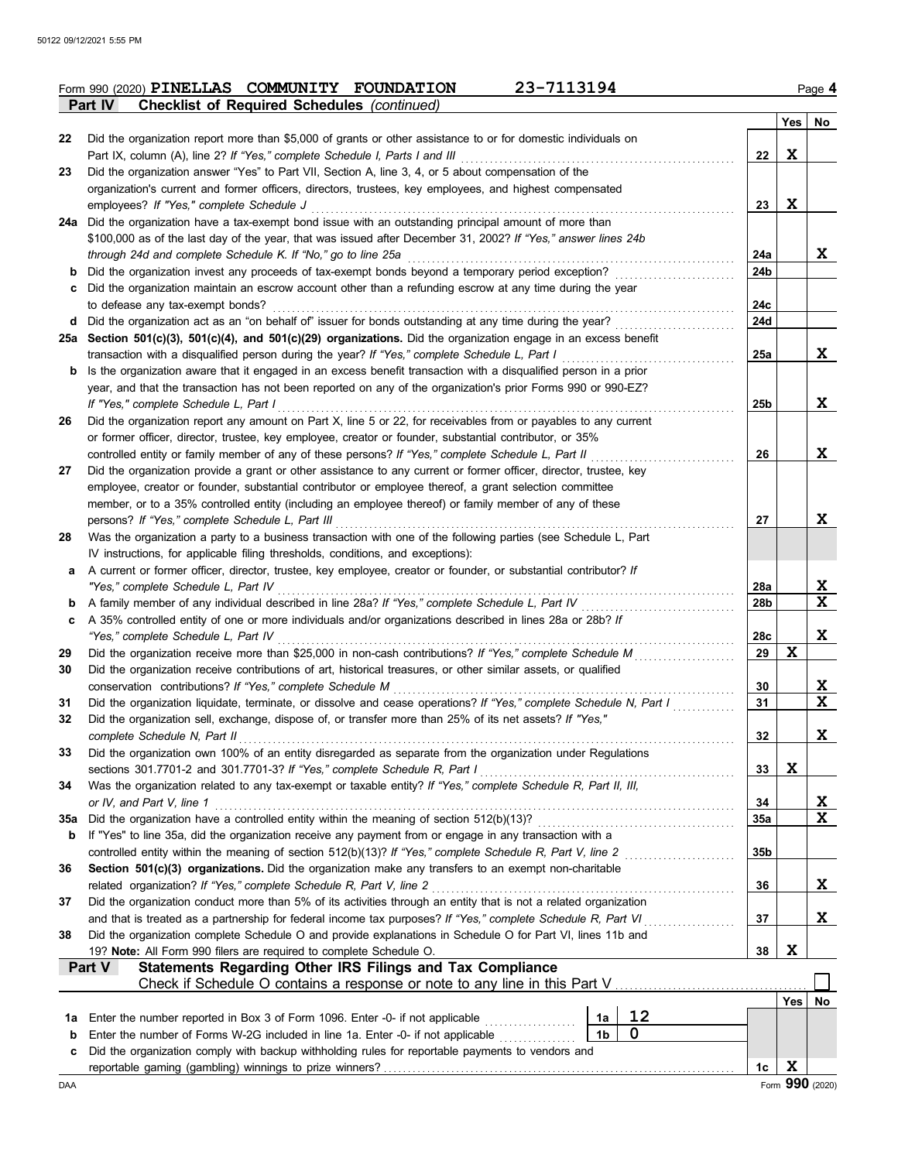|        | 23-7113194<br>Form 990 (2020) PINELLAS COMMUNITY FOUNDATION                                                                                                                                                          |                        |     | Page 4          |
|--------|----------------------------------------------------------------------------------------------------------------------------------------------------------------------------------------------------------------------|------------------------|-----|-----------------|
|        | <b>Checklist of Required Schedules (continued)</b><br>Part IV                                                                                                                                                        |                        |     |                 |
|        |                                                                                                                                                                                                                      |                        | Yes | No              |
| 22     | Did the organization report more than \$5,000 of grants or other assistance to or for domestic individuals on<br>Part IX, column (A), line 2? If "Yes," complete Schedule I, Parts I and III                         | 22                     | X   |                 |
| 23     | Did the organization answer "Yes" to Part VII, Section A, line 3, 4, or 5 about compensation of the                                                                                                                  |                        |     |                 |
|        | organization's current and former officers, directors, trustees, key employees, and highest compensated                                                                                                              |                        |     |                 |
|        | employees? If "Yes," complete Schedule J                                                                                                                                                                             | 23                     | X   |                 |
|        | 24a Did the organization have a tax-exempt bond issue with an outstanding principal amount of more than                                                                                                              |                        |     |                 |
|        | \$100,000 as of the last day of the year, that was issued after December 31, 2002? If "Yes," answer lines 24b                                                                                                        |                        |     |                 |
|        | through 24d and complete Schedule K. If "No," go to line 25a                                                                                                                                                         | 24a                    |     | X               |
| b      | Did the organization invest any proceeds of tax-exempt bonds beyond a temporary period exception?                                                                                                                    | 24b                    |     |                 |
| c      | Did the organization maintain an escrow account other than a refunding escrow at any time during the year                                                                                                            |                        |     |                 |
|        | to defease any tax-exempt bonds?                                                                                                                                                                                     | 24c                    |     |                 |
|        | d Did the organization act as an "on behalf of" issuer for bonds outstanding at any time during the year?                                                                                                            | 24d                    |     |                 |
|        | 25a Section 501(c)(3), 501(c)(4), and 501(c)(29) organizations. Did the organization engage in an excess benefit                                                                                                     |                        |     |                 |
| b      | transaction with a disqualified person during the year? If "Yes," complete Schedule L, Part I<br>Is the organization aware that it engaged in an excess benefit transaction with a disqualified person in a prior    | 25a                    |     | X               |
|        | year, and that the transaction has not been reported on any of the organization's prior Forms 990 or 990-EZ?                                                                                                         |                        |     |                 |
|        | If "Yes," complete Schedule L, Part I                                                                                                                                                                                | 25b                    |     | X               |
| 26     | Did the organization report any amount on Part X, line 5 or 22, for receivables from or payables to any current                                                                                                      |                        |     |                 |
|        | or former officer, director, trustee, key employee, creator or founder, substantial contributor, or 35%                                                                                                              |                        |     |                 |
|        | controlled entity or family member of any of these persons? If "Yes," complete Schedule L, Part II                                                                                                                   | 26                     |     | X               |
| 27     | Did the organization provide a grant or other assistance to any current or former officer, director, trustee, key                                                                                                    |                        |     |                 |
|        | employee, creator or founder, substantial contributor or employee thereof, a grant selection committee                                                                                                               |                        |     |                 |
|        | member, or to a 35% controlled entity (including an employee thereof) or family member of any of these                                                                                                               |                        |     |                 |
|        | persons? If "Yes," complete Schedule L, Part III                                                                                                                                                                     | 27                     |     | X               |
| 28     | Was the organization a party to a business transaction with one of the following parties (see Schedule L, Part                                                                                                       |                        |     |                 |
|        | IV instructions, for applicable filing thresholds, conditions, and exceptions):                                                                                                                                      |                        |     |                 |
| a      | A current or former officer, director, trustee, key employee, creator or founder, or substantial contributor? If                                                                                                     |                        |     |                 |
|        | "Yes," complete Schedule L, Part IV<br>.<br>A family member of any individual described in line 28a? If "Yes," complete Schedule L, Part IV                                                                          | 28a<br>28 <sub>b</sub> |     | <u>x</u><br>X   |
| b<br>c | A 35% controlled entity of one or more individuals and/or organizations described in lines 28a or 28b? If                                                                                                            |                        |     |                 |
|        | "Yes." complete Schedule L. Part IV                                                                                                                                                                                  | 28c                    |     | X               |
| 29     | Did the organization receive more than \$25,000 in non-cash contributions? If "Yes," complete Schedule M                                                                                                             | 29                     | X   |                 |
| 30     | Did the organization receive contributions of art, historical treasures, or other similar assets, or qualified                                                                                                       |                        |     |                 |
|        | conservation contributions? If "Yes," complete Schedule M                                                                                                                                                            | 30                     |     | X               |
| 31     | Did the organization liquidate, terminate, or dissolve and cease operations? If "Yes," complete Schedule N, Part I                                                                                                   | 31                     |     | $\mathbf{x}$    |
| 32     | Did the organization sell, exchange, dispose of, or transfer more than 25% of its net assets? If "Yes,"                                                                                                              |                        |     |                 |
|        | complete Schedule N. Part II                                                                                                                                                                                         | 32                     |     | x               |
| 33     | Did the organization own 100% of an entity disregarded as separate from the organization under Regulations                                                                                                           |                        |     |                 |
|        | sections 301.7701-2 and 301.7701-3? If "Yes," complete Schedule R, Part I                                                                                                                                            | 33                     | X   |                 |
| 34     | Was the organization related to any tax-exempt or taxable entity? If "Yes," complete Schedule R, Part II, III,                                                                                                       |                        |     |                 |
|        | or IV, and Part V, line 1                                                                                                                                                                                            | 34                     |     | <u>x</u>        |
| 35a    | Did the organization have a controlled entity within the meaning of section 512(b)(13)?                                                                                                                              | <b>35a</b>             |     | X               |
| b      | If "Yes" to line 35a, did the organization receive any payment from or engage in any transaction with a<br>controlled entity within the meaning of section 512(b)(13)? If "Yes," complete Schedule R, Part V, line 2 | 35 <sub>b</sub>        |     |                 |
| 36     | Section 501(c)(3) organizations. Did the organization make any transfers to an exempt non-charitable                                                                                                                 |                        |     |                 |
|        | related organization? If "Yes," complete Schedule R, Part V, line 2                                                                                                                                                  | 36                     |     | X               |
| 37     | Did the organization conduct more than 5% of its activities through an entity that is not a related organization                                                                                                     |                        |     |                 |
|        | and that is treated as a partnership for federal income tax purposes? If "Yes," complete Schedule R, Part VI<br>in a chuid ann an t-                                                                                 | 37                     |     | <u>x</u>        |
| 38     | Did the organization complete Schedule O and provide explanations in Schedule O for Part VI, lines 11b and                                                                                                           |                        |     |                 |
|        | 19? Note: All Form 990 filers are required to complete Schedule O.                                                                                                                                                   | 38                     | X   |                 |
|        | Statements Regarding Other IRS Filings and Tax Compliance<br>Part V                                                                                                                                                  |                        |     |                 |
|        | Check if Schedule O contains a response or note to any line in this Part V                                                                                                                                           |                        |     |                 |
|        |                                                                                                                                                                                                                      |                        | Yes | No              |
| 1а     | 12<br>Enter the number reported in Box 3 of Form 1096. Enter -0- if not applicable<br>1a                                                                                                                             |                        |     |                 |
| b      | 0<br>1 <sub>b</sub><br>Enter the number of Forms W-2G included in line 1a. Enter -0- if not applicable                                                                                                               |                        |     |                 |
| с      | Did the organization comply with backup withholding rules for reportable payments to vendors and                                                                                                                     |                        | X   |                 |
| DAA    |                                                                                                                                                                                                                      | 1c                     |     | Form 990 (2020) |
|        |                                                                                                                                                                                                                      |                        |     |                 |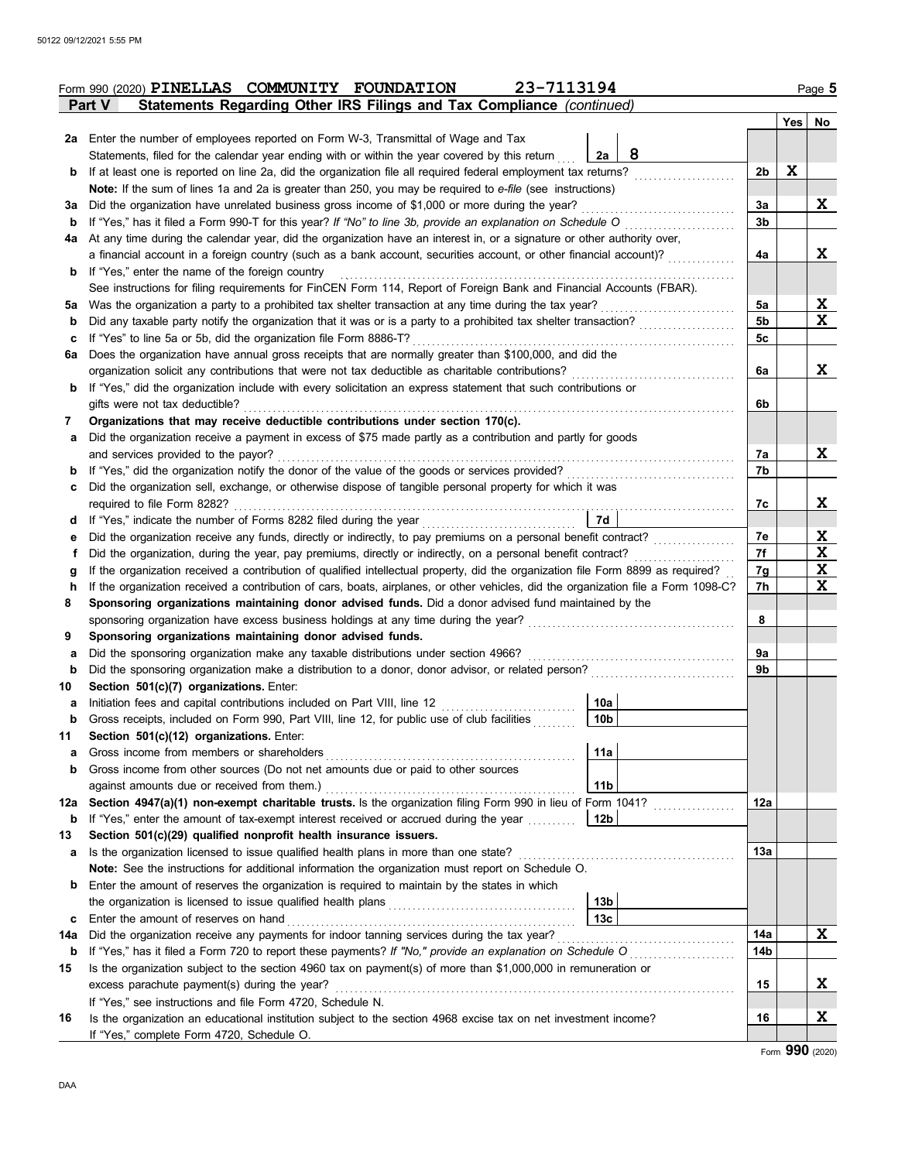|             | 23-7113194<br>Form 990 (2020) PINELLAS COMMUNITY FOUNDATION                                                                                     |                 |                |     | Page 5      |
|-------------|-------------------------------------------------------------------------------------------------------------------------------------------------|-----------------|----------------|-----|-------------|
|             | Statements Regarding Other IRS Filings and Tax Compliance (continued)<br>Part V                                                                 |                 |                |     |             |
|             |                                                                                                                                                 |                 |                | Yes | No          |
|             | 2a Enter the number of employees reported on Form W-3, Transmittal of Wage and Tax                                                              |                 |                |     |             |
|             | Statements, filed for the calendar year ending with or within the year covered by this return                                                   | 8<br>2a         |                |     |             |
| b           | If at least one is reported on line 2a, did the organization file all required federal employment tax returns?                                  |                 | 2b             | X   |             |
|             | Note: If the sum of lines 1a and 2a is greater than 250, you may be required to e-file (see instructions)                                       |                 |                |     |             |
| За          | Did the organization have unrelated business gross income of \$1,000 or more during the year?                                                   |                 | 3a             |     | X           |
| b           | If "Yes," has it filed a Form 990-T for this year? If "No" to line 3b, provide an explanation on Schedule O                                     |                 | 3b             |     |             |
| 4a          | At any time during the calendar year, did the organization have an interest in, or a signature or other authority over,                         |                 |                |     |             |
|             | a financial account in a foreign country (such as a bank account, securities account, or other financial account)?                              |                 | 4a             |     | X           |
| b           | If "Yes," enter the name of the foreign country                                                                                                 |                 |                |     |             |
|             | See instructions for filing requirements for FinCEN Form 114, Report of Foreign Bank and Financial Accounts (FBAR).                             |                 |                |     |             |
|             |                                                                                                                                                 |                 | 5a             |     | X           |
| b           |                                                                                                                                                 |                 | 5 <sub>b</sub> |     | X           |
| c           | If "Yes" to line 5a or 5b, did the organization file Form 8886-T?                                                                               |                 | 5c             |     |             |
| 6a          | Does the organization have annual gross receipts that are normally greater than \$100,000, and did the                                          |                 |                |     |             |
|             | organization solicit any contributions that were not tax deductible as charitable contributions?                                                |                 | 6a             |     | X           |
| b           | If "Yes," did the organization include with every solicitation an express statement that such contributions or                                  |                 |                |     |             |
|             | gifts were not tax deductible?                                                                                                                  |                 | 6b             |     |             |
| 7           | Organizations that may receive deductible contributions under section 170(c).                                                                   |                 |                |     |             |
| а           | Did the organization receive a payment in excess of \$75 made partly as a contribution and partly for goods                                     |                 |                |     |             |
|             | and services provided to the payor?                                                                                                             |                 | 7a             |     | X           |
|             | If "Yes," did the organization notify the donor of the value of the goods or services provided?                                                 |                 | 7b             |     |             |
| c           | Did the organization sell, exchange, or otherwise dispose of tangible personal property for which it was                                        |                 |                |     |             |
|             | required to file Form 8282?                                                                                                                     |                 | 7c             |     | X.          |
| d           | If "Yes," indicate the number of Forms 8282 filed during the year                                                                               | 7d              |                |     |             |
| е           | Did the organization receive any funds, directly or indirectly, to pay premiums on a personal benefit contract?                                 |                 | 7е             |     | <u>x</u>    |
| f           | Did the organization, during the year, pay premiums, directly or indirectly, on a personal benefit contract?                                    |                 | 7f             |     | X           |
| g           | If the organization received a contribution of qualified intellectual property, did the organization file Form 8899 as required?                |                 | 7g             |     | $\mathbf x$ |
| h           | If the organization received a contribution of cars, boats, airplanes, or other vehicles, did the organization file a Form 1098-C?              |                 | 7h             |     | X           |
| 8           | Sponsoring organizations maintaining donor advised funds. Did a donor advised fund maintained by the                                            |                 |                |     |             |
|             | sponsoring organization have excess business holdings at any time during the year?                                                              |                 | 8              |     |             |
| 9           | Sponsoring organizations maintaining donor advised funds.<br>Did the sponsoring organization make any taxable distributions under section 4966? |                 | 9a             |     |             |
| а<br>b      | Did the sponsoring organization make a distribution to a donor, donor advisor, or related person?                                               |                 | 9b             |     |             |
| 10          | Section 501(c)(7) organizations. Enter:                                                                                                         |                 |                |     |             |
| а           | Initiation fees and capital contributions included on Part VIII, line 12                                                                        | 10a             |                |     |             |
| $\mathbf b$ | Gross receipts, included on Form 990, Part VIII, line 12, for public use of club facilities                                                     | 10 <sub>b</sub> |                |     |             |
| 11          | Section 501(c)(12) organizations. Enter:                                                                                                        |                 |                |     |             |
| а           |                                                                                                                                                 | 11a             |                |     |             |
| b           | Gross income from other sources (Do not net amounts due or paid to other sources                                                                |                 |                |     |             |
|             | against amounts due or received from them.)                                                                                                     | 11 <sub>b</sub> |                |     |             |
| 12a         | Section 4947(a)(1) non-exempt charitable trusts. Is the organization filing Form 990 in lieu of Form 1041?                                      |                 | 12a            |     |             |
| b           | If "Yes," enter the amount of tax-exempt interest received or accrued during the year                                                           | 12b             |                |     |             |
| 13          | Section 501(c)(29) qualified nonprofit health insurance issuers.                                                                                |                 |                |     |             |
| а           | Is the organization licensed to issue qualified health plans in more than one state?                                                            |                 | 13a            |     |             |
|             | Note: See the instructions for additional information the organization must report on Schedule O.                                               |                 |                |     |             |
| b           | Enter the amount of reserves the organization is required to maintain by the states in which                                                    |                 |                |     |             |
|             |                                                                                                                                                 | 13 <sub>b</sub> |                |     |             |
| c           | Enter the amount of reserves on hand                                                                                                            | 13 <sub>c</sub> |                |     |             |
| 14a         | Did the organization receive any payments for indoor tanning services during the tax year?                                                      |                 | 14a            |     | X           |
| b           | If "Yes," has it filed a Form 720 to report these payments? If "No," provide an explanation on Schedule O                                       |                 | 14b            |     |             |
| 15          | Is the organization subject to the section 4960 tax on payment(s) of more than \$1,000,000 in remuneration or                                   |                 |                |     |             |
|             | excess parachute payment(s) during the year?                                                                                                    |                 | 15             |     | X           |
|             | If "Yes," see instructions and file Form 4720, Schedule N.                                                                                      |                 |                |     |             |
| 16          | Is the organization an educational institution subject to the section 4968 excise tax on net investment income?                                 |                 | 16             |     | <u>x</u>    |
|             | If "Yes," complete Form 4720, Schedule O.                                                                                                       |                 |                |     |             |

Form **990** (2020)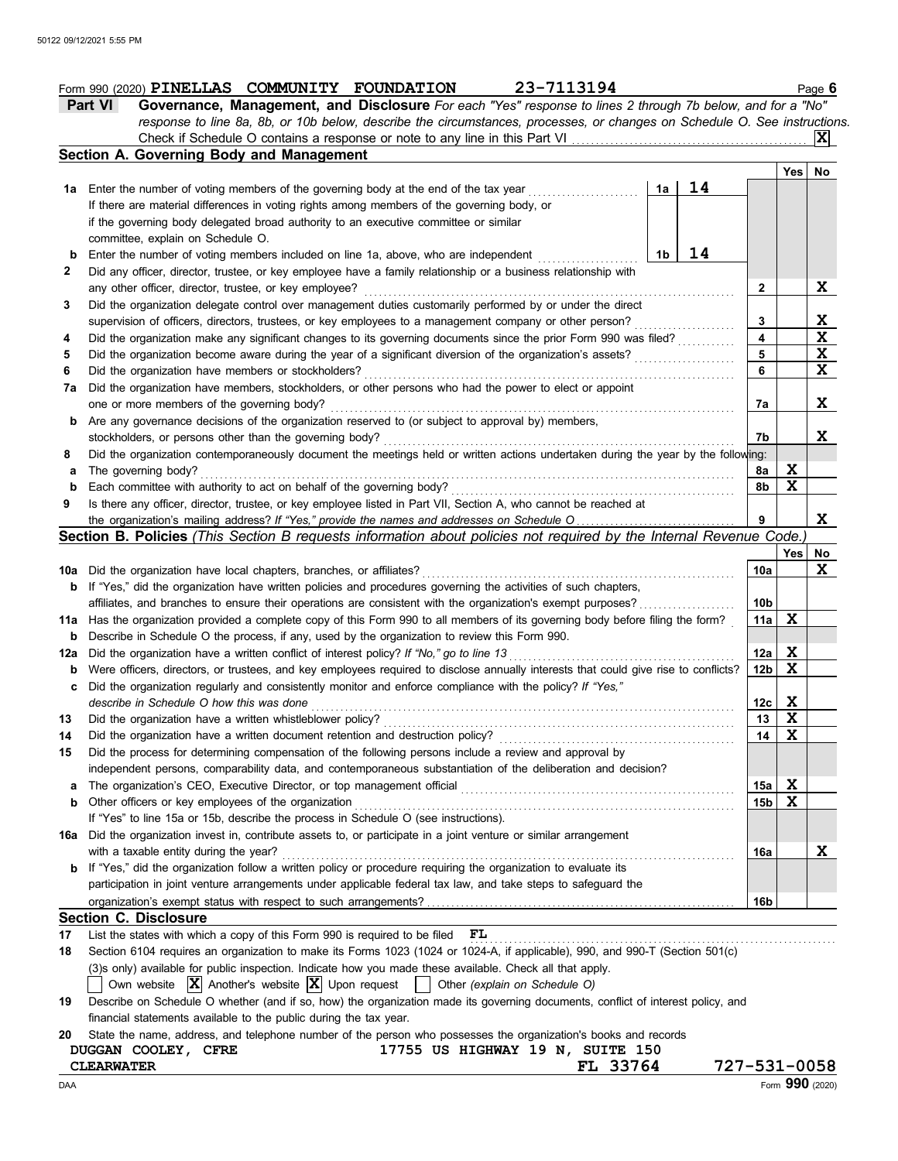|              | 23-7113194<br>Form 990 (2020) PINELLAS COMMUNITY FOUNDATION                                                                         |    |                 |             | Page 6      |
|--------------|-------------------------------------------------------------------------------------------------------------------------------------|----|-----------------|-------------|-------------|
|              | Part VI<br>Governance, Management, and Disclosure For each "Yes" response to lines 2 through 7b below, and for a "No"               |    |                 |             |             |
|              | response to line 8a, 8b, or 10b below, describe the circumstances, processes, or changes on Schedule O. See instructions.           |    |                 |             |             |
|              |                                                                                                                                     |    |                 |             | ΙXΙ         |
|              | Section A. Governing Body and Management                                                                                            |    |                 |             |             |
|              |                                                                                                                                     |    |                 | Yes         | No          |
|              | 1a Enter the number of voting members of the governing body at the end of the tax year<br>1a                                        | 14 |                 |             |             |
|              | If there are material differences in voting rights among members of the governing body, or                                          |    |                 |             |             |
|              | if the governing body delegated broad authority to an executive committee or similar                                                |    |                 |             |             |
|              | committee, explain on Schedule O.                                                                                                   |    |                 |             |             |
| b            | Enter the number of voting members included on line 1a, above, who are independent<br>1b                                            | 14 |                 |             |             |
| $\mathbf{2}$ | Did any officer, director, trustee, or key employee have a family relationship or a business relationship with                      |    |                 |             |             |
|              | any other officer, director, trustee, or key employee?                                                                              |    | $\mathbf{2}$    |             | X           |
| 3            | Did the organization delegate control over management duties customarily performed by or under the direct                           |    |                 |             |             |
|              | supervision of officers, directors, trustees, or key employees to a management company or other person?                             |    | 3               |             | X           |
| 4            | Did the organization make any significant changes to its governing documents since the prior Form 990 was filed?                    |    | 4               |             | $\mathbf x$ |
| 5            | Did the organization become aware during the year of a significant diversion of the organization's assets?                          |    | 5               |             | X           |
| 6            | Did the organization have members or stockholders?                                                                                  |    | 6               |             | X           |
| 7a           | Did the organization have members, stockholders, or other persons who had the power to elect or appoint                             |    |                 |             |             |
|              | one or more members of the governing body?                                                                                          |    | 7а              |             | X           |
| b            | Are any governance decisions of the organization reserved to (or subject to approval by) members,                                   |    |                 |             |             |
|              | stockholders, or persons other than the governing body?                                                                             |    | 7b              |             | X           |
| 8            | Did the organization contemporaneously document the meetings held or written actions undertaken during the year by the following:   |    |                 |             |             |
| а            | The governing body?                                                                                                                 |    | 8а              | X           |             |
| b            | Each committee with authority to act on behalf of the governing body?                                                               |    | 8b              | X           |             |
| 9            | Is there any officer, director, trustee, or key employee listed in Part VII, Section A, who cannot be reached at                    |    |                 |             |             |
|              |                                                                                                                                     |    | 9               |             | X           |
|              | Section B. Policies (This Section B requests information about policies not required by the Internal Revenue Code.)                 |    |                 |             |             |
|              |                                                                                                                                     |    |                 | Yes         | No          |
|              | 10a Did the organization have local chapters, branches, or affiliates?                                                              |    | 10a             |             | x           |
|              | <b>b</b> If "Yes," did the organization have written policies and procedures governing the activities of such chapters,             |    |                 |             |             |
|              | affiliates, and branches to ensure their operations are consistent with the organization's exempt purposes?                         |    | 10 <sub>b</sub> |             |             |
|              | 11a Has the organization provided a complete copy of this Form 990 to all members of its governing body before filing the form?     |    | 11a             | X           |             |
| b            | Describe in Schedule O the process, if any, used by the organization to review this Form 990.                                       |    |                 |             |             |
| 12a          | Did the organization have a written conflict of interest policy? If "No," go to line 13                                             |    | 12a             | <u>x</u>    |             |
| b            | Were officers, directors, or trustees, and key employees required to disclose annually interests that could give rise to conflicts? |    | 12 <sub>b</sub> | x           |             |
|              | Did the organization regularly and consistently monitor and enforce compliance with the policy? If "Yes,"                           |    |                 |             |             |
|              | describe in Schedule O how this was done                                                                                            |    | 12c             | X           |             |
| 13           | Did the organization have a written whistleblower policy?                                                                           |    | 13              | X           |             |
| 14           | Did the organization have a written document retention and destruction policy?                                                      |    | 14              | $\mathbf x$ |             |
| 15           | Did the process for determining compensation of the following persons include a review and approval by                              |    |                 |             |             |
|              | independent persons, comparability data, and contemporaneous substantiation of the deliberation and decision?                       |    |                 |             |             |
| а            |                                                                                                                                     |    | 15a             | X           |             |
| b            | Other officers or key employees of the organization                                                                                 |    | 15b             | X           |             |
|              | If "Yes" to line 15a or 15b, describe the process in Schedule O (see instructions).                                                 |    |                 |             |             |
| 16a          | Did the organization invest in, contribute assets to, or participate in a joint venture or similar arrangement                      |    |                 |             |             |
|              | with a taxable entity during the year?                                                                                              |    | 16a             |             | X           |
|              | If "Yes," did the organization follow a written policy or procedure requiring the organization to evaluate its                      |    |                 |             |             |
|              | participation in joint venture arrangements under applicable federal tax law, and take steps to safeguard the                       |    |                 |             |             |
|              |                                                                                                                                     |    | 16b             |             |             |
|              | <b>Section C. Disclosure</b>                                                                                                        |    |                 |             |             |
| 17           | List the states with which a copy of this Form 990 is required to be filed<br>FL                                                    |    |                 |             |             |
| 18           | Section 6104 requires an organization to make its Forms 1023 (1024 or 1024-A, if applicable), 990, and 990-T (Section 501(c)        |    |                 |             |             |
|              | (3)s only) available for public inspection. Indicate how you made these available. Check all that apply.                            |    |                 |             |             |
|              | Own website $ \mathbf{X} $ Another's website $ \mathbf{X} $ Upon request<br>$\sim$ 1<br>Other (explain on Schedule O)               |    |                 |             |             |
| 19           | Describe on Schedule O whether (and if so, how) the organization made its governing documents, conflict of interest policy, and     |    |                 |             |             |
|              | financial statements available to the public during the tax year.                                                                   |    |                 |             |             |
| 20           | State the name, address, and telephone number of the person who possesses the organization's books and records                      |    |                 |             |             |

| DUGGAN COOLEY, CFRE<br><b>CLEARWATER</b> | 17755 US HIGHWAY 19 N, SUITE 150<br>FL 33764 | 727-531-0058 |
|------------------------------------------|----------------------------------------------|--------------|
|                                          |                                              |              |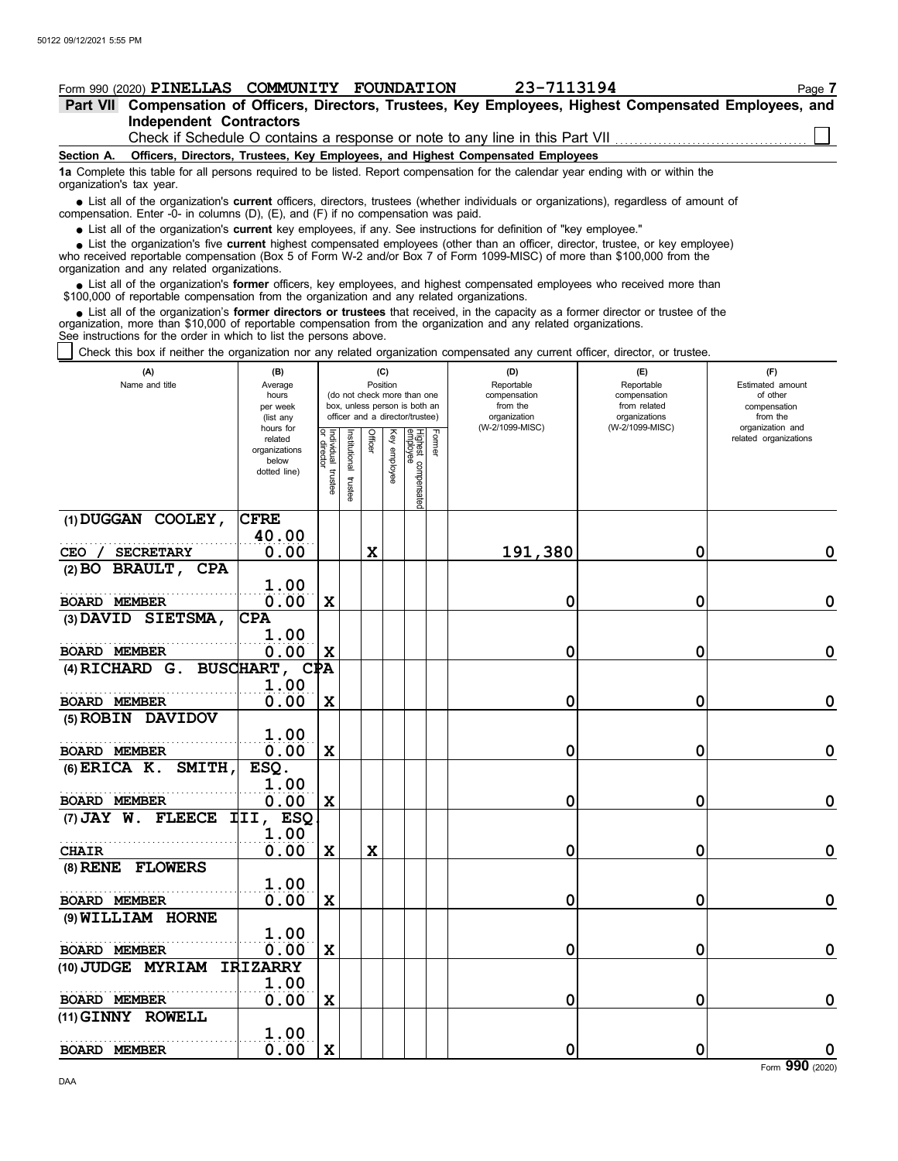| Form 990 (2020) PINELLAS COMMUNITY FOUNDATION                                                                                                                                                                                                                                                                                 |                        |                           |               |                |          |                                                              |        | 23-7113194                                                                      |                                                                              | Page 7                       |
|-------------------------------------------------------------------------------------------------------------------------------------------------------------------------------------------------------------------------------------------------------------------------------------------------------------------------------|------------------------|---------------------------|---------------|----------------|----------|--------------------------------------------------------------|--------|---------------------------------------------------------------------------------|------------------------------------------------------------------------------|------------------------------|
| Part VII Compensation of Officers, Directors, Trustees, Key Employees, Highest Compensated Employees, and                                                                                                                                                                                                                     |                        |                           |               |                |          |                                                              |        |                                                                                 |                                                                              |                              |
| <b>Independent Contractors</b>                                                                                                                                                                                                                                                                                                |                        |                           |               |                |          |                                                              |        |                                                                                 |                                                                              |                              |
|                                                                                                                                                                                                                                                                                                                               |                        |                           |               |                |          |                                                              |        |                                                                                 | Check if Schedule O contains a response or note to any line in this Part VII |                              |
| Section A.                                                                                                                                                                                                                                                                                                                    |                        |                           |               |                |          |                                                              |        | Officers, Directors, Trustees, Key Employees, and Highest Compensated Employees |                                                                              |                              |
| 1a Complete this table for all persons required to be listed. Report compensation for the calendar year ending with or within the<br>organization's tax year.                                                                                                                                                                 |                        |                           |               |                |          |                                                              |        |                                                                                 |                                                                              |                              |
| • List all of the organization's current officers, directors, trustees (whether individuals or organizations), regardless of amount of<br>compensation. Enter -0- in columns (D), (E), and (F) if no compensation was paid.                                                                                                   |                        |                           |               |                |          |                                                              |        |                                                                                 |                                                                              |                              |
| • List all of the organization's current key employees, if any. See instructions for definition of "key employee."                                                                                                                                                                                                            |                        |                           |               |                |          |                                                              |        |                                                                                 |                                                                              |                              |
| • List the organization's five current highest compensated employees (other than an officer, director, trustee, or key employee)<br>who received reportable compensation (Box 5 of Form W-2 and/or Box 7 of Form 1099-MISC) of more than \$100,000 from the<br>organization and any related organizations.                    |                        |                           |               |                |          |                                                              |        |                                                                                 |                                                                              |                              |
| • List all of the organization's former officers, key employees, and highest compensated employees who received more than<br>\$100,000 of reportable compensation from the organization and any related organizations.                                                                                                        |                        |                           |               |                |          |                                                              |        |                                                                                 |                                                                              |                              |
| • List all of the organization's former directors or trustees that received, in the capacity as a former director or trustee of the<br>organization, more than \$10,000 of reportable compensation from the organization and any related organizations.<br>See instructions for the order in which to list the persons above. |                        |                           |               |                |          |                                                              |        |                                                                                 |                                                                              |                              |
| Check this box if neither the organization nor any related organization compensated any current officer, director, or trustee.                                                                                                                                                                                                |                        |                           |               |                |          |                                                              |        |                                                                                 |                                                                              |                              |
| (A)                                                                                                                                                                                                                                                                                                                           | (B)                    |                           |               |                | (C)      |                                                              |        | (D)                                                                             | (E)                                                                          | (F)                          |
| Name and title                                                                                                                                                                                                                                                                                                                | Average                |                           |               |                | Position |                                                              |        | Reportable                                                                      | Reportable                                                                   | Estimated amount             |
|                                                                                                                                                                                                                                                                                                                               | hours<br>per week      |                           |               |                |          | (do not check more than one<br>box, unless person is both an |        | compensation<br>from the                                                        | compensation<br>from related                                                 | of other<br>compensation     |
|                                                                                                                                                                                                                                                                                                                               | (list any<br>hours for |                           |               |                |          | officer and a director/trustee)                              |        | organization<br>(W-2/1099-MISC)                                                 | organizations<br>(W-2/1099-MISC)                                             | from the<br>organization and |
|                                                                                                                                                                                                                                                                                                                               | related                |                           |               | <b>Officer</b> | Key      |                                                              | Former |                                                                                 |                                                                              | related organizations        |
|                                                                                                                                                                                                                                                                                                                               | organizations<br>below | Individual<br>dire<br>äor | Institutional |                |          |                                                              |        |                                                                                 |                                                                              |                              |
|                                                                                                                                                                                                                                                                                                                               | dotted line)           | trustee                   |               |                | enployee |                                                              |        |                                                                                 |                                                                              |                              |
|                                                                                                                                                                                                                                                                                                                               |                        |                           | trustee       |                |          | Highest compensated<br>employee                              |        |                                                                                 |                                                                              |                              |
|                                                                                                                                                                                                                                                                                                                               |                        |                           |               |                |          |                                                              |        |                                                                                 |                                                                              |                              |
| (1) DUGGAN COOLEY,                                                                                                                                                                                                                                                                                                            | <b>CFRE</b>            |                           |               |                |          |                                                              |        |                                                                                 |                                                                              |                              |
|                                                                                                                                                                                                                                                                                                                               | 40.00<br>0.00          |                           |               |                |          |                                                              |        |                                                                                 |                                                                              |                              |
| <b>SECRETARY</b><br>CEO<br>(2) BO BRAULT, CPA                                                                                                                                                                                                                                                                                 |                        |                           |               | X              |          |                                                              |        | 191,380                                                                         | 0                                                                            | 0                            |
|                                                                                                                                                                                                                                                                                                                               | 1.00                   |                           |               |                |          |                                                              |        |                                                                                 |                                                                              |                              |
| <b>BOARD MEMBER</b>                                                                                                                                                                                                                                                                                                           | 0.00                   | $\mathbf x$               |               |                |          |                                                              |        | 0                                                                               | 0                                                                            | 0                            |
| (3) DAVID SIETSMA,                                                                                                                                                                                                                                                                                                            | <b>CPA</b>             |                           |               |                |          |                                                              |        |                                                                                 |                                                                              |                              |
|                                                                                                                                                                                                                                                                                                                               | 1.00                   |                           |               |                |          |                                                              |        |                                                                                 |                                                                              |                              |
| <b>BOARD MEMBER</b>                                                                                                                                                                                                                                                                                                           | 0.00                   | X                         |               |                |          |                                                              |        | 0                                                                               | 0                                                                            | $\mathbf 0$                  |
| (4) RICHARD G. BUSCHART, CPA                                                                                                                                                                                                                                                                                                  |                        |                           |               |                |          |                                                              |        |                                                                                 |                                                                              |                              |
|                                                                                                                                                                                                                                                                                                                               | 1.00                   |                           |               |                |          |                                                              |        |                                                                                 |                                                                              |                              |
| <b>BOARD MEMBER</b>                                                                                                                                                                                                                                                                                                           | 0.00                   | X                         |               |                |          |                                                              |        | 0                                                                               | 0                                                                            | 0                            |
| (5) ROBIN DAVIDOV                                                                                                                                                                                                                                                                                                             |                        |                           |               |                |          |                                                              |        |                                                                                 |                                                                              |                              |
|                                                                                                                                                                                                                                                                                                                               | 1.00                   |                           |               |                |          |                                                              |        |                                                                                 |                                                                              |                              |
| <b>BOARD MEMBER</b>                                                                                                                                                                                                                                                                                                           | 0.00                   | X                         |               |                |          |                                                              |        | 0                                                                               | 0                                                                            | 0                            |
| (6) ERICA K. SMITH,                                                                                                                                                                                                                                                                                                           | ESQ.                   |                           |               |                |          |                                                              |        |                                                                                 |                                                                              |                              |
| <b>BOARD MEMBER</b>                                                                                                                                                                                                                                                                                                           | 1.00                   |                           |               |                |          |                                                              |        |                                                                                 |                                                                              |                              |
| (7) JAY W. FLEECE III, ESQ                                                                                                                                                                                                                                                                                                    | 0.00                   | X                         |               |                |          |                                                              |        | 0                                                                               | 0                                                                            | $\mathbf 0$                  |
|                                                                                                                                                                                                                                                                                                                               | 1.00                   |                           |               |                |          |                                                              |        |                                                                                 |                                                                              |                              |
| <b>CHAIR</b>                                                                                                                                                                                                                                                                                                                  | 0.00                   | X                         |               | X              |          |                                                              |        | 0                                                                               | 0                                                                            | 0                            |
| (8) RENE FLOWERS                                                                                                                                                                                                                                                                                                              |                        |                           |               |                |          |                                                              |        |                                                                                 |                                                                              |                              |
|                                                                                                                                                                                                                                                                                                                               | 1.00                   |                           |               |                |          |                                                              |        |                                                                                 |                                                                              |                              |
| <b>BOARD MEMBER</b>                                                                                                                                                                                                                                                                                                           | 0.00                   | X                         |               |                |          |                                                              |        | 0                                                                               | 0                                                                            | $\mathbf 0$                  |
| (9) WILLIAM HORNE                                                                                                                                                                                                                                                                                                             |                        |                           |               |                |          |                                                              |        |                                                                                 |                                                                              |                              |
|                                                                                                                                                                                                                                                                                                                               | 1.00                   |                           |               |                |          |                                                              |        |                                                                                 |                                                                              |                              |
| <b>BOARD MEMBER</b>                                                                                                                                                                                                                                                                                                           | 0.00                   | X                         |               |                |          |                                                              |        | 0                                                                               | 0                                                                            | $\mathbf 0$                  |
| (10) JUDGE MYRIAM                                                                                                                                                                                                                                                                                                             | <b>IRIZARRY</b>        |                           |               |                |          |                                                              |        |                                                                                 |                                                                              |                              |
|                                                                                                                                                                                                                                                                                                                               | 1.00                   |                           |               |                |          |                                                              |        |                                                                                 |                                                                              |                              |
| <b>BOARD MEMBER</b>                                                                                                                                                                                                                                                                                                           | 0.00                   | X                         |               |                |          |                                                              |        | 0                                                                               | 0                                                                            | $\mathbf 0$                  |
| (11) GINNY ROWELL                                                                                                                                                                                                                                                                                                             |                        |                           |               |                |          |                                                              |        |                                                                                 |                                                                              |                              |
|                                                                                                                                                                                                                                                                                                                               | 1.00                   |                           |               |                |          |                                                              |        |                                                                                 |                                                                              |                              |

**0.00 X 0 0 0**

**BOARD MEMBER**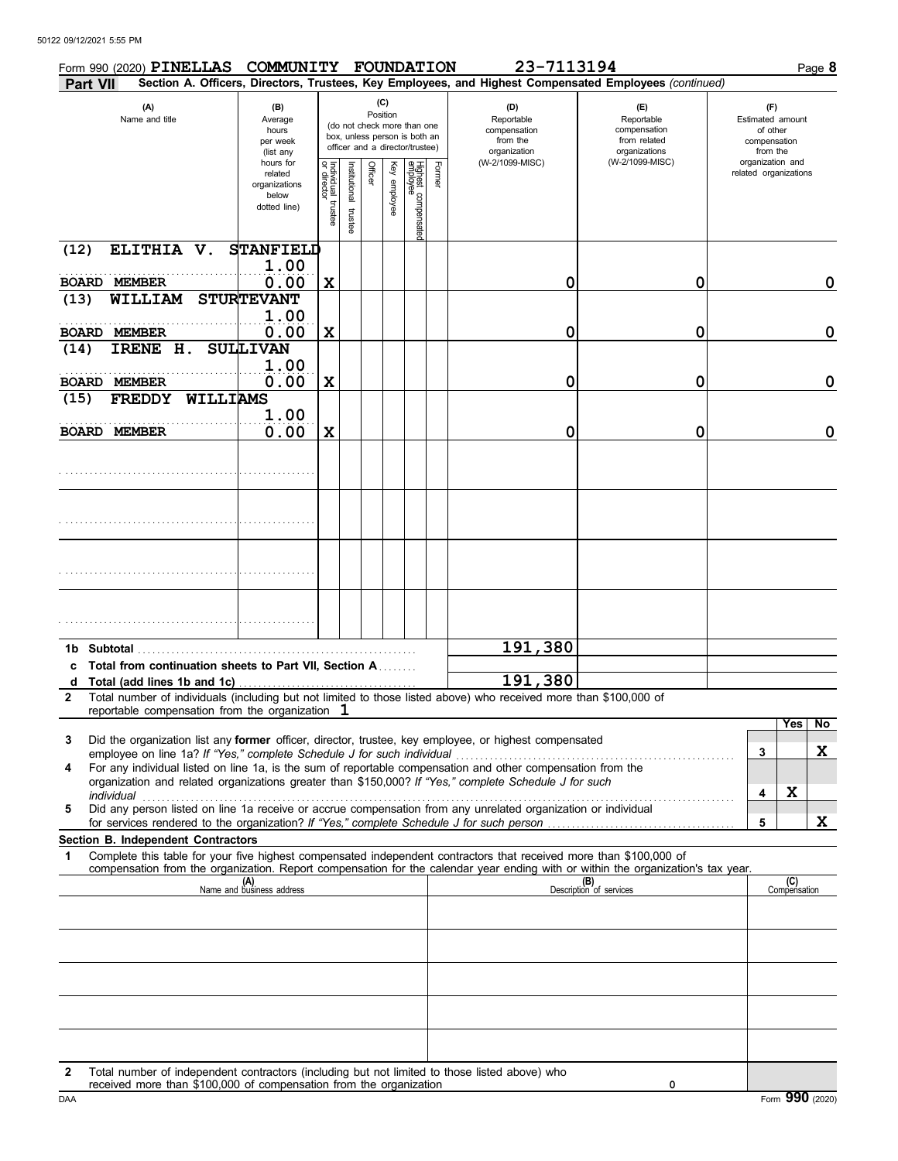|                             | Form 990 (2020) PINELLAS                                                               | COMMUNITY FOUNDATION                                           |                                      |                          |                 |              |                                                                                                 |        | 23-7113194                                                                                                                                                                                                           |                                                                                                                                  |                                                                 | Page 8   |
|-----------------------------|----------------------------------------------------------------------------------------|----------------------------------------------------------------|--------------------------------------|--------------------------|-----------------|--------------|-------------------------------------------------------------------------------------------------|--------|----------------------------------------------------------------------------------------------------------------------------------------------------------------------------------------------------------------------|----------------------------------------------------------------------------------------------------------------------------------|-----------------------------------------------------------------|----------|
| Part VII                    |                                                                                        |                                                                |                                      |                          |                 |              |                                                                                                 |        |                                                                                                                                                                                                                      | Section A. Officers, Directors, Trustees, Key Employees, and Highest Compensated Employees (continued)                           |                                                                 |          |
|                             | (A)<br>Name and title                                                                  | (B)<br>Average<br>hours<br>per week<br>(list any               |                                      |                          | (C)<br>Position |              | (do not check more than one<br>box, unless person is both an<br>officer and a director/trustee) |        | (D)<br>Reportable<br>compensation<br>from the<br>organization                                                                                                                                                        | (E)<br>Reportable<br>compensation<br>from related<br>organizations                                                               | (F)<br>Estimated amount<br>of other<br>compensation<br>from the |          |
|                             |                                                                                        | hours for<br>related<br>organizations<br>below<br>dotted line) | Individual<br>or director<br>trustee | Institutional<br>trustee | Officer         | Key employee | Highest compensatec<br>employee                                                                 | Former | (W-2/1099-MISC)                                                                                                                                                                                                      | (W-2/1099-MISC)                                                                                                                  | organization and<br>related organizations                       |          |
| (12)                        | ELITHIA V.                                                                             | <b>STANFIELD</b><br>1.00                                       |                                      |                          |                 |              |                                                                                                 |        |                                                                                                                                                                                                                      |                                                                                                                                  |                                                                 |          |
| <b>BOARD MEMBER</b><br>(13) | WILLIAM                                                                                | 0.00<br><b>STURTEVANT</b>                                      | X                                    |                          |                 |              |                                                                                                 |        | 0                                                                                                                                                                                                                    | 0                                                                                                                                |                                                                 | 0        |
| <b>BOARD MEMBER</b>         |                                                                                        | 1.00<br>0.00                                                   | X                                    |                          |                 |              |                                                                                                 |        | 0                                                                                                                                                                                                                    | 0                                                                                                                                |                                                                 | 0        |
| (14)                        | IRENE H.                                                                               | <b>SULLIVAN</b>                                                |                                      |                          |                 |              |                                                                                                 |        |                                                                                                                                                                                                                      |                                                                                                                                  |                                                                 |          |
| <b>BOARD MEMBER</b>         |                                                                                        | 1.00<br>0.00                                                   | X                                    |                          |                 |              |                                                                                                 |        | 0                                                                                                                                                                                                                    | 0                                                                                                                                |                                                                 | 0        |
| (15)                        | WILLIAMS<br><b>FREDDY</b>                                                              |                                                                |                                      |                          |                 |              |                                                                                                 |        |                                                                                                                                                                                                                      |                                                                                                                                  |                                                                 |          |
| <b>BOARD MEMBER</b>         |                                                                                        | 1.00<br>0.00                                                   | X                                    |                          |                 |              |                                                                                                 |        | 0                                                                                                                                                                                                                    | 0                                                                                                                                |                                                                 | 0        |
|                             |                                                                                        |                                                                |                                      |                          |                 |              |                                                                                                 |        |                                                                                                                                                                                                                      |                                                                                                                                  |                                                                 |          |
|                             |                                                                                        |                                                                |                                      |                          |                 |              |                                                                                                 |        |                                                                                                                                                                                                                      |                                                                                                                                  |                                                                 |          |
|                             |                                                                                        |                                                                |                                      |                          |                 |              |                                                                                                 |        |                                                                                                                                                                                                                      |                                                                                                                                  |                                                                 |          |
|                             |                                                                                        |                                                                |                                      |                          |                 |              |                                                                                                 |        |                                                                                                                                                                                                                      |                                                                                                                                  |                                                                 |          |
|                             | 1b Subtotal                                                                            |                                                                |                                      |                          |                 |              |                                                                                                 |        | 191,380                                                                                                                                                                                                              |                                                                                                                                  |                                                                 |          |
| c                           | Total from continuation sheets to Part VII, Section A<br>d Total (add lines 1b and 1c) |                                                                |                                      |                          |                 |              |                                                                                                 |        | 191,380                                                                                                                                                                                                              |                                                                                                                                  |                                                                 |          |
| $\mathbf{2}$                | reportable compensation from the organization $1$                                      |                                                                |                                      |                          |                 |              |                                                                                                 |        | Total number of individuals (including but not limited to those listed above) who received more than \$100,000 of                                                                                                    |                                                                                                                                  |                                                                 |          |
| 3                           |                                                                                        |                                                                |                                      |                          |                 |              |                                                                                                 |        | Did the organization list any former officer, director, trustee, key employee, or highest compensated                                                                                                                |                                                                                                                                  |                                                                 | Yes   No |
|                             | employee on line 1a? If "Yes," complete Schedule J for such individual                 |                                                                |                                      |                          |                 |              |                                                                                                 |        |                                                                                                                                                                                                                      |                                                                                                                                  | 3                                                               | X        |
| 4                           |                                                                                        |                                                                |                                      |                          |                 |              |                                                                                                 |        | For any individual listed on line 1a, is the sum of reportable compensation and other compensation from the<br>organization and related organizations greater than \$150,000? If "Yes," complete Schedule J for such |                                                                                                                                  |                                                                 |          |
| 5                           |                                                                                        |                                                                |                                      |                          |                 |              |                                                                                                 |        | Did any person listed on line 1a receive or accrue compensation from any unrelated organization or individual                                                                                                        |                                                                                                                                  | X<br>4                                                          |          |
|                             | Section B. Independent Contractors                                                     |                                                                |                                      |                          |                 |              |                                                                                                 |        |                                                                                                                                                                                                                      |                                                                                                                                  | 5                                                               | X        |
| 1                           |                                                                                        |                                                                |                                      |                          |                 |              |                                                                                                 |        | Complete this table for your five highest compensated independent contractors that received more than \$100,000 of                                                                                                   | compensation from the organization. Report compensation for the calendar year ending with or within the organization's tax year. |                                                                 |          |
|                             |                                                                                        | (A)<br>Name and business address                               |                                      |                          |                 |              |                                                                                                 |        |                                                                                                                                                                                                                      | (B)<br>Description of services                                                                                                   | (C)<br>Compensation                                             |          |
|                             |                                                                                        |                                                                |                                      |                          |                 |              |                                                                                                 |        |                                                                                                                                                                                                                      |                                                                                                                                  |                                                                 |          |
|                             |                                                                                        |                                                                |                                      |                          |                 |              |                                                                                                 |        |                                                                                                                                                                                                                      |                                                                                                                                  |                                                                 |          |
|                             |                                                                                        |                                                                |                                      |                          |                 |              |                                                                                                 |        |                                                                                                                                                                                                                      |                                                                                                                                  |                                                                 |          |
|                             |                                                                                        |                                                                |                                      |                          |                 |              |                                                                                                 |        |                                                                                                                                                                                                                      |                                                                                                                                  |                                                                 |          |
|                             |                                                                                        |                                                                |                                      |                          |                 |              |                                                                                                 |        |                                                                                                                                                                                                                      |                                                                                                                                  |                                                                 |          |
|                             |                                                                                        |                                                                |                                      |                          |                 |              |                                                                                                 |        | Total number of independent contractors (including but not limited to these listed above) who                                                                                                                        |                                                                                                                                  |                                                                 |          |

|     | Total number of independent contractors (including but not limited to those listed above) who |                 |
|-----|-----------------------------------------------------------------------------------------------|-----------------|
|     | received more than \$100,000 of compensation from the organization                            |                 |
| DAA |                                                                                               | Form 990 (2020) |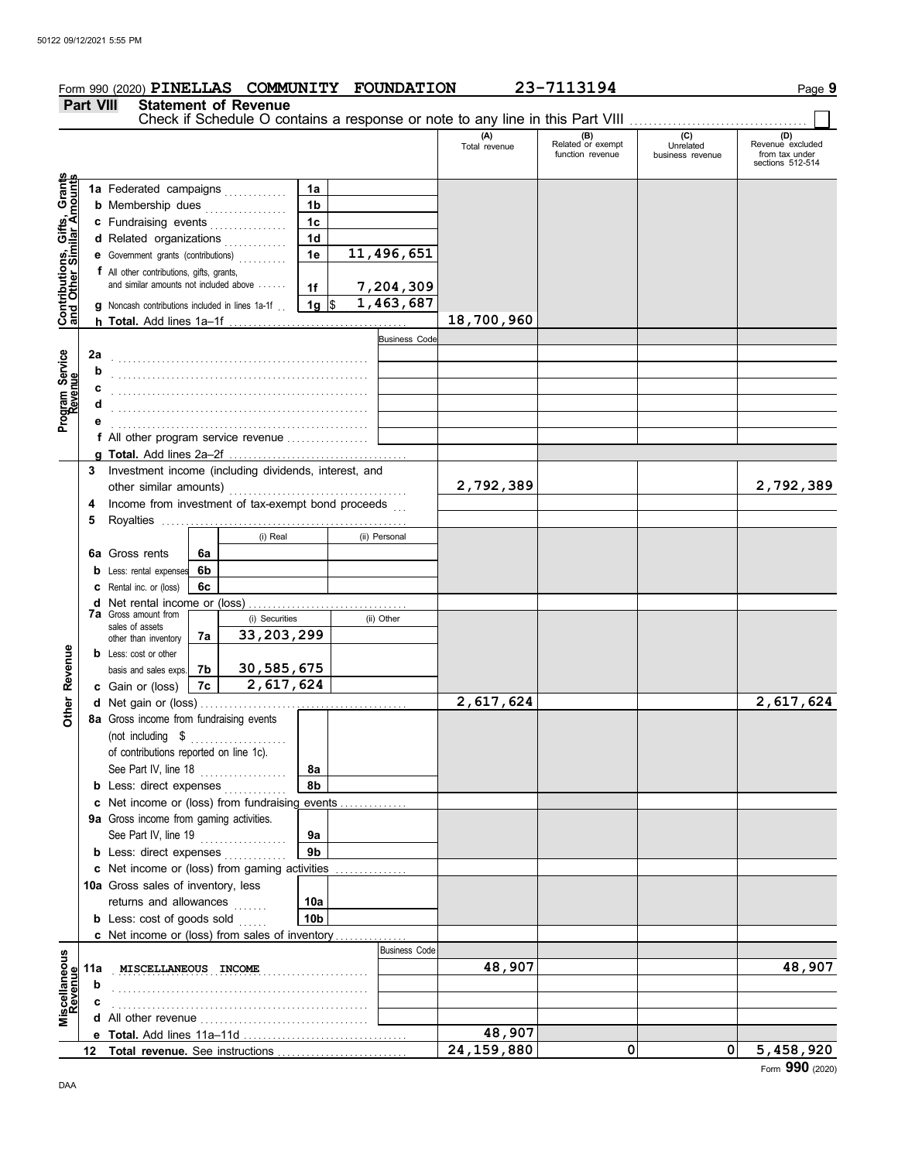|                                                                  |                                                    | Form 990 (2020) PINELLAS COMMUNITY FOUNDATION                                              |    |                             |                |                      |                      | 23-7113194                                   |                                                                               |                                                               | Page 9 |
|------------------------------------------------------------------|----------------------------------------------------|--------------------------------------------------------------------------------------------|----|-----------------------------|----------------|----------------------|----------------------|----------------------------------------------|-------------------------------------------------------------------------------|---------------------------------------------------------------|--------|
|                                                                  | <b>Part VIII</b>                                   |                                                                                            |    | <b>Statement of Revenue</b> |                |                      |                      |                                              |                                                                               |                                                               |        |
|                                                                  |                                                    |                                                                                            |    |                             |                |                      |                      |                                              | Check if Schedule O contains a response or note to any line in this Part VIII |                                                               |        |
|                                                                  |                                                    |                                                                                            |    |                             |                |                      | (A)<br>Total revenue | (B)<br>Related or exempt<br>function revenue | (C)<br>Unrelated<br>business revenue                                          | (D)<br>Revenue excluded<br>from tax under<br>sections 512-514 |        |
| <b>Contributions, Gifts, Grants</b><br>and Other Similar Amounts |                                                    | 1a Federated campaigns                                                                     |    |                             | 1a             |                      |                      |                                              |                                                                               |                                                               |        |
|                                                                  |                                                    | <b>b</b> Membership dues                                                                   |    |                             | 1 <sub>b</sub> |                      |                      |                                              |                                                                               |                                                               |        |
|                                                                  |                                                    | c Fundraising events                                                                       |    |                             | 1c             |                      |                      |                                              |                                                                               |                                                               |        |
|                                                                  |                                                    | d Related organizations                                                                    |    |                             | 1 <sub>d</sub> |                      |                      |                                              |                                                                               |                                                               |        |
|                                                                  |                                                    |                                                                                            |    | .                           | 1e             | 11,496,651           |                      |                                              |                                                                               |                                                               |        |
|                                                                  |                                                    | e Government grants (contributions)                                                        |    |                             |                |                      |                      |                                              |                                                                               |                                                               |        |
|                                                                  |                                                    | <b>f</b> All other contributions, gifts, grants,<br>and similar amounts not included above |    |                             |                | 7,204,309            |                      |                                              |                                                                               |                                                               |        |
|                                                                  |                                                    |                                                                                            |    |                             | 1f             |                      |                      |                                              |                                                                               |                                                               |        |
|                                                                  |                                                    | <b>g</b> Noncash contributions included in lines 1a-1f $\frac{1}{1}$ <b>1g</b> \$          |    |                             |                | 1,463,687            |                      |                                              |                                                                               |                                                               |        |
|                                                                  |                                                    |                                                                                            |    |                             |                |                      | 18,700,960           |                                              |                                                                               |                                                               |        |
|                                                                  |                                                    |                                                                                            |    |                             |                | <b>Business Code</b> |                      |                                              |                                                                               |                                                               |        |
| Program Service<br>Revenue                                       | 2a                                                 |                                                                                            |    |                             |                |                      |                      |                                              |                                                                               |                                                               |        |
|                                                                  |                                                    |                                                                                            |    |                             |                |                      |                      |                                              |                                                                               |                                                               |        |
|                                                                  |                                                    |                                                                                            |    |                             |                |                      |                      |                                              |                                                                               |                                                               |        |
|                                                                  |                                                    |                                                                                            |    |                             |                |                      |                      |                                              |                                                                               |                                                               |        |
|                                                                  |                                                    |                                                                                            |    |                             |                |                      |                      |                                              |                                                                               |                                                               |        |
|                                                                  |                                                    | <b>f</b> All other program service revenue $\ldots$                                        |    |                             |                |                      |                      |                                              |                                                                               |                                                               |        |
|                                                                  |                                                    |                                                                                            |    |                             |                |                      |                      |                                              |                                                                               |                                                               |        |
|                                                                  | 3                                                  | Investment income (including dividends, interest, and                                      |    |                             |                |                      |                      |                                              |                                                                               |                                                               |        |
|                                                                  | Income from investment of tax-exempt bond proceeds |                                                                                            |    |                             |                | 2,792,389            |                      |                                              | 2,792,389                                                                     |                                                               |        |
|                                                                  | 4                                                  |                                                                                            |    |                             |                |                      |                      |                                              |                                                                               |                                                               |        |
|                                                                  | 5                                                  |                                                                                            |    |                             |                |                      |                      |                                              |                                                                               |                                                               |        |
|                                                                  |                                                    |                                                                                            |    | (i) Real                    |                | (ii) Personal        |                      |                                              |                                                                               |                                                               |        |
|                                                                  |                                                    | <b>6a</b> Gross rents                                                                      | 6a |                             |                |                      |                      |                                              |                                                                               |                                                               |        |
|                                                                  |                                                    | <b>b</b> Less: rental expenses                                                             | 6b |                             |                |                      |                      |                                              |                                                                               |                                                               |        |
|                                                                  |                                                    | <b>C</b> Rental inc. or (loss)                                                             | 6c |                             |                |                      |                      |                                              |                                                                               |                                                               |        |
|                                                                  |                                                    |                                                                                            |    |                             |                |                      |                      |                                              |                                                                               |                                                               |        |
|                                                                  |                                                    | <b>7a</b> Gross amount from<br>(i) Securities<br>sales of assets                           |    |                             | (ii) Other     |                      |                      |                                              |                                                                               |                                                               |        |
|                                                                  |                                                    | other than inventory                                                                       | 7a | 33,203,299                  |                |                      |                      |                                              |                                                                               |                                                               |        |
| Revenue                                                          |                                                    | <b>b</b> Less: cost or other                                                               |    |                             |                |                      |                      |                                              |                                                                               |                                                               |        |
|                                                                  |                                                    | basis and sales exps.                                                                      | 7b | 30,585,675                  |                |                      |                      |                                              |                                                                               |                                                               |        |
|                                                                  |                                                    | c Gain or (loss)                                                                           | 7c | 2,617,624                   |                |                      |                      |                                              |                                                                               |                                                               |        |
| Other                                                            |                                                    |                                                                                            |    |                             |                |                      | 2,617,624            |                                              |                                                                               | 2,617,624                                                     |        |
|                                                                  |                                                    | 8a Gross income from fundraising events                                                    |    |                             |                |                      |                      |                                              |                                                                               |                                                               |        |
|                                                                  |                                                    | (not including $$$                                                                         |    |                             |                |                      |                      |                                              |                                                                               |                                                               |        |
|                                                                  |                                                    | of contributions reported on line 1c).                                                     |    |                             |                |                      |                      |                                              |                                                                               |                                                               |        |
|                                                                  |                                                    | See Part IV, line 18                                                                       |    |                             | 8a             |                      |                      |                                              |                                                                               |                                                               |        |
|                                                                  |                                                    | <b>b</b> Less: direct expenses                                                             |    |                             | 8b             |                      |                      |                                              |                                                                               |                                                               |        |
|                                                                  |                                                    | c Net income or (loss) from fundraising events                                             |    |                             |                |                      |                      |                                              |                                                                               |                                                               |        |
|                                                                  |                                                    | 9a Gross income from gaming activities.                                                    |    |                             |                |                      |                      |                                              |                                                                               |                                                               |        |
|                                                                  |                                                    | See Part IV, line 19                                                                       |    |                             | 9a             |                      |                      |                                              |                                                                               |                                                               |        |
|                                                                  |                                                    | <b>b</b> Less: direct expenses                                                             |    |                             | 9b             |                      |                      |                                              |                                                                               |                                                               |        |
|                                                                  |                                                    | c Net income or (loss) from gaming activities                                              |    |                             |                |                      |                      |                                              |                                                                               |                                                               |        |
|                                                                  |                                                    | 10a Gross sales of inventory, less                                                         |    |                             |                |                      |                      |                                              |                                                                               |                                                               |        |
|                                                                  |                                                    | returns and allowances                                                                     |    | 1.1.1.1.1.1                 | 10a            |                      |                      |                                              |                                                                               |                                                               |        |
|                                                                  |                                                    | <b>b</b> Less: $cost$ of goods sold $\ldots$                                               |    |                             | 10b            |                      |                      |                                              |                                                                               |                                                               |        |
|                                                                  |                                                    | c Net income or (loss) from sales of inventory                                             |    |                             |                |                      |                      |                                              |                                                                               |                                                               |        |
|                                                                  |                                                    |                                                                                            |    |                             |                | <b>Business Code</b> |                      |                                              |                                                                               |                                                               |        |
| iscellaneous<br>Revenue                                          | 11a                                                | MISCELLANEOUS INCOME                                                                       |    |                             |                |                      | 48,907               |                                              |                                                                               | 48,907                                                        |        |
|                                                                  | b                                                  |                                                                                            |    |                             |                |                      |                      |                                              |                                                                               |                                                               |        |
|                                                                  |                                                    |                                                                                            |    |                             |                |                      |                      |                                              |                                                                               |                                                               |        |
|                                                                  |                                                    |                                                                                            |    |                             |                |                      |                      |                                              |                                                                               |                                                               |        |

**48,907**

**24,159,880 0 0 5,458,920**

**e Total.** Add lines 11a–11d . . . . . . . . . . . . . . . . . . . . . . . . . . . . . . . . . . **Total revenue.** See instructions . . . . . . . . . . . . . . . . . . . . . . . . . . . **12**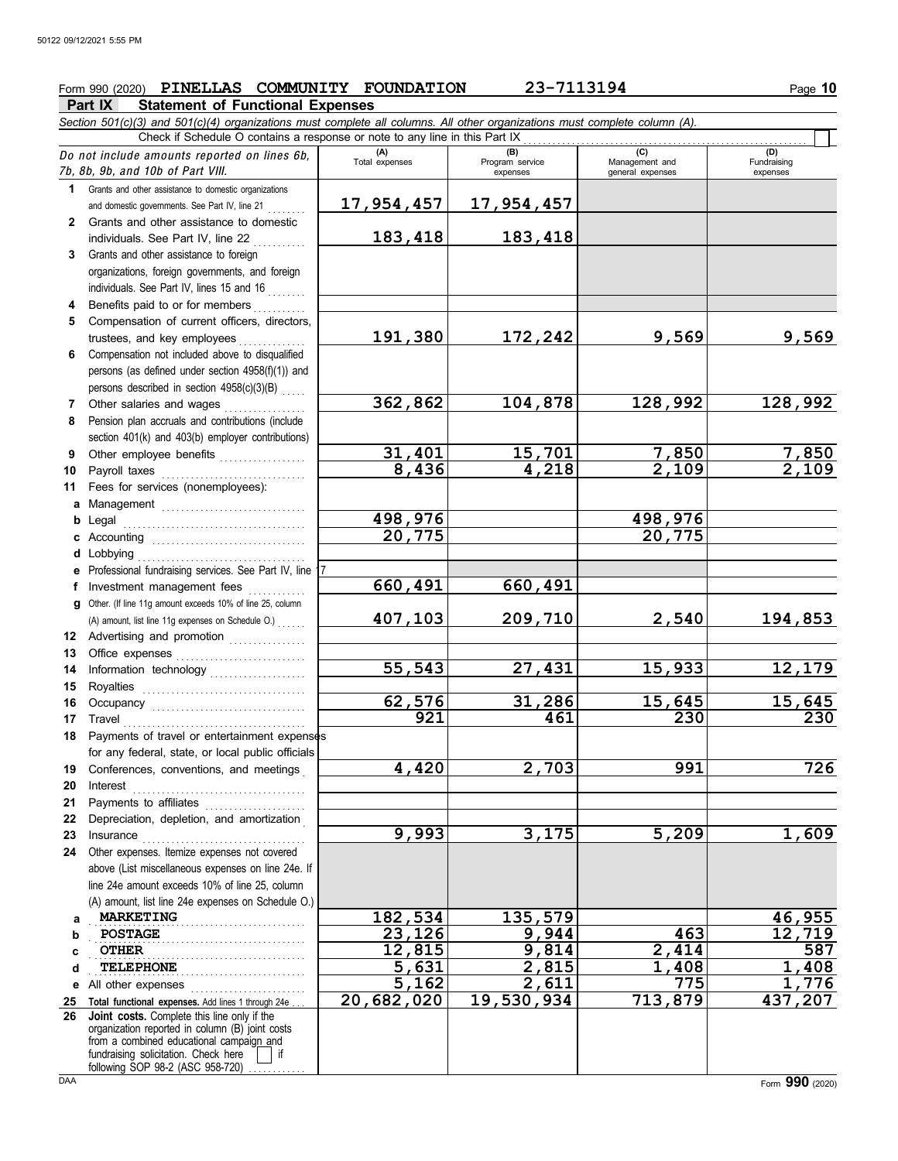# Form 990 (2020) PINELLAS COMMUNITY FOUNDATION 23-7113194 Page 10

## **Part IX Statement of Functional Expenses**

|              | Section 501(c)(3) and 501(c)(4) organizations must complete all columns. All other organizations must complete column (A).<br>Check if Schedule O contains a response or note to any line in this Part IX                                                                                                                                                                                                                                                                                                                                                                                                               |                       |                                    |                                           |                                |  |  |  |  |
|--------------|-------------------------------------------------------------------------------------------------------------------------------------------------------------------------------------------------------------------------------------------------------------------------------------------------------------------------------------------------------------------------------------------------------------------------------------------------------------------------------------------------------------------------------------------------------------------------------------------------------------------------|-----------------------|------------------------------------|-------------------------------------------|--------------------------------|--|--|--|--|
|              |                                                                                                                                                                                                                                                                                                                                                                                                                                                                                                                                                                                                                         |                       |                                    |                                           |                                |  |  |  |  |
|              | Do not include amounts reported on lines 6b,<br>7b, 8b, 9b, and 10b of Part VIII.                                                                                                                                                                                                                                                                                                                                                                                                                                                                                                                                       | (A)<br>Total expenses | (B)<br>Program service<br>expenses | (C)<br>Management and<br>general expenses | (D)<br>Fundraising<br>expenses |  |  |  |  |
| 1            | Grants and other assistance to domestic organizations                                                                                                                                                                                                                                                                                                                                                                                                                                                                                                                                                                   |                       |                                    |                                           |                                |  |  |  |  |
|              | and domestic governments. See Part IV, line 21                                                                                                                                                                                                                                                                                                                                                                                                                                                                                                                                                                          | 17,954,457            | <u>17,954,457</u>                  |                                           |                                |  |  |  |  |
| $\mathbf{2}$ | Grants and other assistance to domestic                                                                                                                                                                                                                                                                                                                                                                                                                                                                                                                                                                                 |                       |                                    |                                           |                                |  |  |  |  |
|              | individuals. See Part IV, line 22                                                                                                                                                                                                                                                                                                                                                                                                                                                                                                                                                                                       | 183,418               | 183,418                            |                                           |                                |  |  |  |  |
| 3            | Grants and other assistance to foreign                                                                                                                                                                                                                                                                                                                                                                                                                                                                                                                                                                                  |                       |                                    |                                           |                                |  |  |  |  |
|              | organizations, foreign governments, and foreign                                                                                                                                                                                                                                                                                                                                                                                                                                                                                                                                                                         |                       |                                    |                                           |                                |  |  |  |  |
|              | individuals. See Part IV, lines 15 and 16                                                                                                                                                                                                                                                                                                                                                                                                                                                                                                                                                                               |                       |                                    |                                           |                                |  |  |  |  |
| 4            | Benefits paid to or for members                                                                                                                                                                                                                                                                                                                                                                                                                                                                                                                                                                                         |                       |                                    |                                           |                                |  |  |  |  |
| 5            | Compensation of current officers, directors,                                                                                                                                                                                                                                                                                                                                                                                                                                                                                                                                                                            |                       |                                    |                                           |                                |  |  |  |  |
|              | trustees, and key employees                                                                                                                                                                                                                                                                                                                                                                                                                                                                                                                                                                                             | 191,380               | 172,242                            | 9,569                                     | 9,569                          |  |  |  |  |
| 6            | Compensation not included above to disqualified                                                                                                                                                                                                                                                                                                                                                                                                                                                                                                                                                                         |                       |                                    |                                           |                                |  |  |  |  |
|              | persons (as defined under section 4958(f)(1)) and                                                                                                                                                                                                                                                                                                                                                                                                                                                                                                                                                                       |                       |                                    |                                           |                                |  |  |  |  |
|              | persons described in section 4958(c)(3)(B)                                                                                                                                                                                                                                                                                                                                                                                                                                                                                                                                                                              |                       |                                    |                                           |                                |  |  |  |  |
| 7            | Other salaries and wages                                                                                                                                                                                                                                                                                                                                                                                                                                                                                                                                                                                                | 362,862               | 104,878                            | 128,992                                   | 128,992                        |  |  |  |  |
| 8            | Pension plan accruals and contributions (include                                                                                                                                                                                                                                                                                                                                                                                                                                                                                                                                                                        |                       |                                    |                                           |                                |  |  |  |  |
|              | section 401(k) and 403(b) employer contributions)                                                                                                                                                                                                                                                                                                                                                                                                                                                                                                                                                                       |                       |                                    |                                           |                                |  |  |  |  |
| 9            | Other employee benefits                                                                                                                                                                                                                                                                                                                                                                                                                                                                                                                                                                                                 | 31,401                | 15,701                             | 7,850                                     | <u>7,850</u>                   |  |  |  |  |
| 10           |                                                                                                                                                                                                                                                                                                                                                                                                                                                                                                                                                                                                                         | 8,436                 | 4,218                              | 2,109                                     | $\overline{2,109}$             |  |  |  |  |
| 11           | Fees for services (nonemployees):                                                                                                                                                                                                                                                                                                                                                                                                                                                                                                                                                                                       |                       |                                    |                                           |                                |  |  |  |  |
|              |                                                                                                                                                                                                                                                                                                                                                                                                                                                                                                                                                                                                                         |                       |                                    |                                           |                                |  |  |  |  |
|              |                                                                                                                                                                                                                                                                                                                                                                                                                                                                                                                                                                                                                         | 498,976               |                                    | 498,976                                   |                                |  |  |  |  |
|              |                                                                                                                                                                                                                                                                                                                                                                                                                                                                                                                                                                                                                         | 20,775                |                                    | 20,775                                    |                                |  |  |  |  |
|              | d Lobbying                                                                                                                                                                                                                                                                                                                                                                                                                                                                                                                                                                                                              |                       |                                    |                                           |                                |  |  |  |  |
|              | e Professional fundraising services. See Part IV, line                                                                                                                                                                                                                                                                                                                                                                                                                                                                                                                                                                  |                       |                                    |                                           |                                |  |  |  |  |
|              | f Investment management fees                                                                                                                                                                                                                                                                                                                                                                                                                                                                                                                                                                                            | 660,491               | 660,491                            |                                           |                                |  |  |  |  |
|              | g Other. (If line 11g amount exceeds 10% of line 25, column                                                                                                                                                                                                                                                                                                                                                                                                                                                                                                                                                             |                       |                                    |                                           |                                |  |  |  |  |
|              | (A) amount, list line 11g expenses on Schedule O.)                                                                                                                                                                                                                                                                                                                                                                                                                                                                                                                                                                      | 407,103               | 209,710                            | 2,540                                     | 194,853                        |  |  |  |  |
|              | 12 Advertising and promotion                                                                                                                                                                                                                                                                                                                                                                                                                                                                                                                                                                                            |                       |                                    |                                           |                                |  |  |  |  |
| 13           |                                                                                                                                                                                                                                                                                                                                                                                                                                                                                                                                                                                                                         |                       |                                    |                                           |                                |  |  |  |  |
| 14           | Information technology                                                                                                                                                                                                                                                                                                                                                                                                                                                                                                                                                                                                  | 55,543                | 27,431                             | 15,933                                    | 12,179                         |  |  |  |  |
| 15           |                                                                                                                                                                                                                                                                                                                                                                                                                                                                                                                                                                                                                         |                       |                                    |                                           |                                |  |  |  |  |
| 16           |                                                                                                                                                                                                                                                                                                                                                                                                                                                                                                                                                                                                                         | 62,576                | 31,286                             | 15,645                                    | 15,645                         |  |  |  |  |
| 17           | Travel                                                                                                                                                                                                                                                                                                                                                                                                                                                                                                                                                                                                                  | 921                   | 461                                | 230                                       | 230                            |  |  |  |  |
| 18           | Payments of travel or entertainment expenses                                                                                                                                                                                                                                                                                                                                                                                                                                                                                                                                                                            |                       |                                    |                                           |                                |  |  |  |  |
|              | for any federal, state, or local public officials                                                                                                                                                                                                                                                                                                                                                                                                                                                                                                                                                                       |                       |                                    |                                           |                                |  |  |  |  |
|              | 19 Conferences, conventions, and meetings                                                                                                                                                                                                                                                                                                                                                                                                                                                                                                                                                                               | 4,420                 | 2,703                              | 991                                       | 726                            |  |  |  |  |
| 20           | $\textbf{Interest} \quad \textcolor{red}{\overbrace{\text{max}}}\qquad \textcolor{red}{\overbrace{\text{max}}}\qquad \textcolor{red}{\overbrace{\text{max}}}\qquad \textcolor{red}{\overbrace{\text{max}}}\qquad \textcolor{red}{\overbrace{\text{max}}}\qquad \textcolor{red}{\overbrace{\text{max}}}\qquad \textcolor{red}{\overbrace{\text{max}}}\qquad \textcolor{red}{\overbrace{\text{max}}}\qquad \textcolor{red}{\overbrace{\text{max}}}\qquad \textcolor{red}{\overbrace{\text{max}}}\qquad \textcolor{red}{\overbrace{\text{max}}}\qquad \textcolor{red}{\overbrace{\text{max}}}\qquad \textcolor{red}{\over$ |                       |                                    |                                           |                                |  |  |  |  |
| 21           |                                                                                                                                                                                                                                                                                                                                                                                                                                                                                                                                                                                                                         |                       |                                    |                                           |                                |  |  |  |  |
| 22           | Depreciation, depletion, and amortization                                                                                                                                                                                                                                                                                                                                                                                                                                                                                                                                                                               |                       |                                    |                                           |                                |  |  |  |  |
| 23           | Insurance                                                                                                                                                                                                                                                                                                                                                                                                                                                                                                                                                                                                               | 9,993                 | 3,175                              | 5,209                                     | 1,609                          |  |  |  |  |
| 24           | Other expenses. Itemize expenses not covered                                                                                                                                                                                                                                                                                                                                                                                                                                                                                                                                                                            |                       |                                    |                                           |                                |  |  |  |  |
|              | above (List miscellaneous expenses on line 24e. If                                                                                                                                                                                                                                                                                                                                                                                                                                                                                                                                                                      |                       |                                    |                                           |                                |  |  |  |  |
|              | line 24e amount exceeds 10% of line 25, column                                                                                                                                                                                                                                                                                                                                                                                                                                                                                                                                                                          |                       |                                    |                                           |                                |  |  |  |  |
|              | (A) amount, list line 24e expenses on Schedule O.)                                                                                                                                                                                                                                                                                                                                                                                                                                                                                                                                                                      |                       |                                    |                                           |                                |  |  |  |  |
| a            | <b>MARKETING</b>                                                                                                                                                                                                                                                                                                                                                                                                                                                                                                                                                                                                        | 182,534               | 135,579                            |                                           | 46,955                         |  |  |  |  |
| b            | <b>POSTAGE</b>                                                                                                                                                                                                                                                                                                                                                                                                                                                                                                                                                                                                          | 23,126                | 9,944                              | 463                                       | 12,719                         |  |  |  |  |
| с            | <b>OTHER</b>                                                                                                                                                                                                                                                                                                                                                                                                                                                                                                                                                                                                            | 12,815                | 9,814                              | 2,414                                     | 587                            |  |  |  |  |
| d            | <b>TELEPHONE</b>                                                                                                                                                                                                                                                                                                                                                                                                                                                                                                                                                                                                        | 5,631                 | $\overline{2}$ , 815               | 1,408                                     | 1,408                          |  |  |  |  |
| е            | All other expenses                                                                                                                                                                                                                                                                                                                                                                                                                                                                                                                                                                                                      | 5,162                 | $\overline{2}$ , 611               | 775                                       | 776<br>1.                      |  |  |  |  |
| 25           | Total functional expenses. Add lines 1 through 24e                                                                                                                                                                                                                                                                                                                                                                                                                                                                                                                                                                      | 20,682,020            | 19,530,934                         | 713,879                                   | 437,207                        |  |  |  |  |
| 26           | Joint costs. Complete this line only if the<br>organization reported in column (B) joint costs<br>from a combined educational campaign and<br>fundraising solicitation. Check here<br>if<br>following SOP 98-2 (ASC 958-720)                                                                                                                                                                                                                                                                                                                                                                                            |                       |                                    |                                           |                                |  |  |  |  |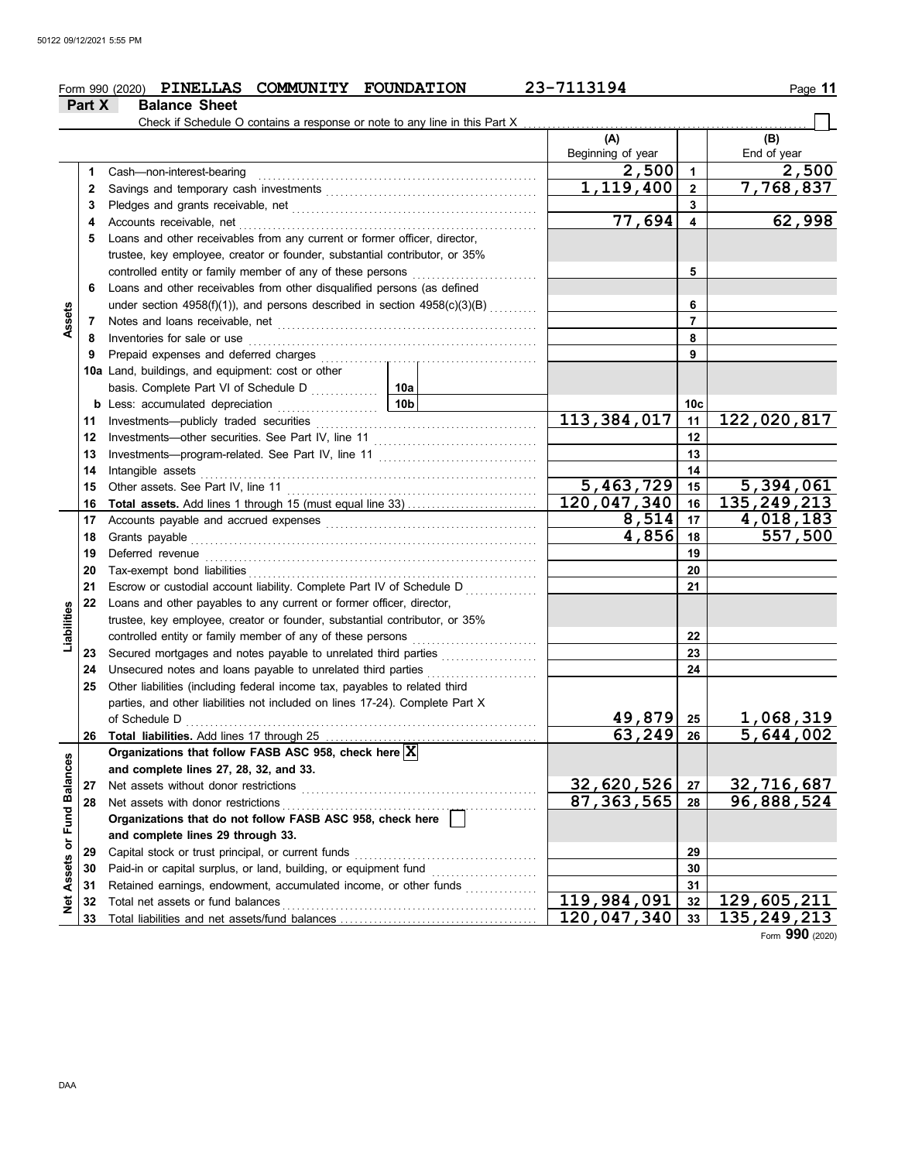#### Form 990 (2020) **PINELLAS COMMUNITY FOUNDATION** 23-7113194 Page 11 **PINELLAS COMMUNITY FOUNDATION 23-7113194**

|                            | Part X | <b>Balance Sheet</b>                                                                                                                                                                                                           |                 |                          |                         |                    |
|----------------------------|--------|--------------------------------------------------------------------------------------------------------------------------------------------------------------------------------------------------------------------------------|-----------------|--------------------------|-------------------------|--------------------|
|                            |        | Check if Schedule O contains a response or note to any line in this Part X                                                                                                                                                     |                 |                          |                         |                    |
|                            |        |                                                                                                                                                                                                                                |                 | (A)<br>Beginning of year |                         | (B)<br>End of year |
|                            | 1      | Cash-non-interest-bearing                                                                                                                                                                                                      |                 | 2,500                    | $\mathbf 1$             | 2,500              |
|                            | 2      |                                                                                                                                                                                                                                |                 | 1,119,400                | $\overline{2}$          | 7,768,837          |
|                            | 3      |                                                                                                                                                                                                                                |                 |                          | 3                       |                    |
|                            | 4      | Accounts receivable, net                                                                                                                                                                                                       |                 | 77,694                   | $\overline{\mathbf{4}}$ | 62,998             |
|                            | 5      | Loans and other receivables from any current or former officer, director,                                                                                                                                                      |                 |                          |                         |                    |
|                            |        | trustee, key employee, creator or founder, substantial contributor, or 35%                                                                                                                                                     |                 |                          |                         |                    |
|                            |        | controlled entity or family member of any of these persons                                                                                                                                                                     |                 |                          | 5                       |                    |
|                            | 6      | Loans and other receivables from other disqualified persons (as defined                                                                                                                                                        |                 |                          |                         |                    |
|                            |        | under section 4958(f)(1)), and persons described in section $4958(c)(3)(B)$                                                                                                                                                    |                 |                          | 6                       |                    |
| Assets                     | 7      |                                                                                                                                                                                                                                |                 | $\overline{7}$           |                         |                    |
|                            | 8      | Inventories for sale or use                                                                                                                                                                                                    |                 |                          | 8                       |                    |
|                            | 9      |                                                                                                                                                                                                                                |                 |                          | 9                       |                    |
|                            |        | 10a Land, buildings, and equipment: cost or other                                                                                                                                                                              |                 |                          |                         |                    |
|                            |        |                                                                                                                                                                                                                                |                 |                          |                         |                    |
|                            |        | <b>b</b> Less: accumulated depreciation                                                                                                                                                                                        | 10 <sub>b</sub> |                          | 10c                     |                    |
|                            | 11     |                                                                                                                                                                                                                                | 113, 384, 017   | 11                       | 122,020,817             |                    |
|                            | 12     |                                                                                                                                                                                                                                |                 | 12                       |                         |                    |
|                            | 13     |                                                                                                                                                                                                                                |                 | 13                       |                         |                    |
|                            | 14     | Intangible assets                                                                                                                                                                                                              |                 | 14                       |                         |                    |
|                            | 15     | Other assets. See Part IV, line 11                                                                                                                                                                                             |                 | 5,463,729                | 15                      | 5,394,061          |
|                            | 16     |                                                                                                                                                                                                                                |                 | 120,047,340              | 16                      | 135, 249, 213      |
|                            | 17     |                                                                                                                                                                                                                                |                 | 8,514                    | 17                      | 4,018,183          |
|                            | 18     | Grants payable                                                                                                                                                                                                                 |                 | 4,856                    | 18                      | 557,500            |
|                            | 19     | Deferred revenue <b>construction Deferred</b> revenue <b>construction construction construction construction construction construction construction construction construction construction construction const</b>              |                 | 19                       |                         |                    |
|                            | 20     | Tax-exempt bond liabilities [[11][11][12] Tax-exempt bond liabilities [[11][11] Tax-exempt bond liabilities [[11][11] Tax-exempt bond liabilities [[11][11] Tax-exempt and liabilities [[11][11] Tax-exempt and liabilities [[ |                 |                          | 20                      |                    |
|                            | 21     | Escrow or custodial account liability. Complete Part IV of Schedule D                                                                                                                                                          |                 |                          | 21                      |                    |
| Liabilities                | 22     | Loans and other payables to any current or former officer, director,                                                                                                                                                           |                 |                          |                         |                    |
|                            |        | trustee, key employee, creator or founder, substantial contributor, or 35%                                                                                                                                                     |                 |                          | 22                      |                    |
|                            | 23     | Secured mortgages and notes payable to unrelated third parties                                                                                                                                                                 |                 |                          | 23                      |                    |
|                            | 24     | Unsecured notes and loans payable to unrelated third parties                                                                                                                                                                   |                 |                          | 24                      |                    |
|                            | 25     | Other liabilities (including federal income tax, payables to related third                                                                                                                                                     | .               |                          |                         |                    |
|                            |        | parties, and other liabilities not included on lines 17-24). Complete Part X                                                                                                                                                   |                 |                          |                         |                    |
|                            |        |                                                                                                                                                                                                                                |                 | 49,879 25                |                         | 1,068,319          |
|                            | 26     | Total liabilities. Add lines 17 through 25                                                                                                                                                                                     |                 | 63,249                   | 26                      | 5,644,002          |
|                            |        | Organizations that follow FASB ASC 958, check here X                                                                                                                                                                           |                 |                          |                         |                    |
|                            |        | and complete lines 27, 28, 32, and 33.                                                                                                                                                                                         |                 |                          |                         |                    |
|                            | 27     | Net assets without donor restrictions                                                                                                                                                                                          |                 | 32,620,526               | 27                      | 32,716,687         |
|                            | 28     | Net assets with donor restrictions                                                                                                                                                                                             |                 | 87, 363, 565             | 28                      | 96,888,524         |
|                            |        | Organizations that do not follow FASB ASC 958, check here                                                                                                                                                                      |                 |                          |                         |                    |
|                            |        | and complete lines 29 through 33.                                                                                                                                                                                              |                 |                          |                         |                    |
|                            | 29     | Capital stock or trust principal, or current funds                                                                                                                                                                             |                 |                          | 29                      |                    |
|                            | 30     |                                                                                                                                                                                                                                |                 |                          | 30                      |                    |
|                            | 31     | Retained earnings, endowment, accumulated income, or other funds                                                                                                                                                               | .               |                          | 31                      |                    |
| Net Assets or Fund Balance | 32     | Total net assets or fund balances                                                                                                                                                                                              |                 | 119,984,091              | 32                      | 129,605,211        |
|                            | 33     |                                                                                                                                                                                                                                |                 | 120,047,340              | 33                      | 135, 249, 213      |

Form **990** (2020)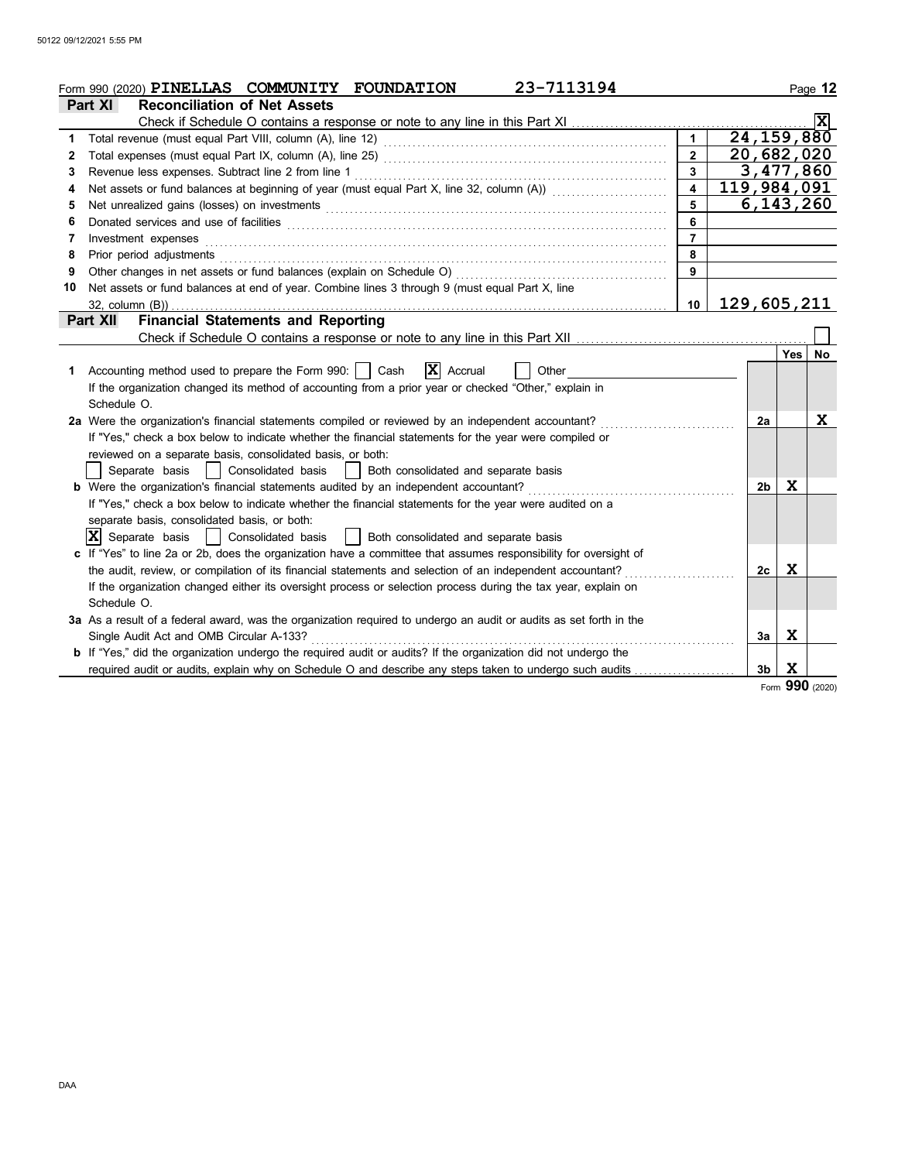|                      | 23-7113194<br>Form 990 (2020) PINELLAS COMMUNITY FOUNDATION                                                                                                                                                                          |                         |             |                |     | Page 12         |
|----------------------|--------------------------------------------------------------------------------------------------------------------------------------------------------------------------------------------------------------------------------------|-------------------------|-------------|----------------|-----|-----------------|
|                      | <b>Reconciliation of Net Assets</b><br>Part XI                                                                                                                                                                                       |                         |             |                |     |                 |
|                      | Check if Schedule O contains a response or note to any line in this Part XI                                                                                                                                                          |                         |             |                |     |                 |
| $\blacktriangleleft$ |                                                                                                                                                                                                                                      |                         |             | 24, 159, 880   |     |                 |
| 2                    |                                                                                                                                                                                                                                      | $\overline{2}$          |             | 20,682,020     |     |                 |
| 3                    |                                                                                                                                                                                                                                      | $\mathbf{3}$            |             | 3,477,860      |     |                 |
| 4                    | Net assets or fund balances at beginning of year (must equal Part X, line 32, column (A)) [[[[[[[[[[[[[[[[[[[                                                                                                                        | $\overline{\mathbf{4}}$ | 119,984,091 |                |     |                 |
| 5                    | Net unrealized gains (losses) on investments [11] manufactures in the state of the state of the state of the state of the state of the state of the state of the state of the state of the state of the state of the state of        | 5                       |             | 6,143,260      |     |                 |
| 6                    | Donated services and use of facilities <b>constant of the constant of the constant of the constant of the constant of the constant of the constant of the constant of the constant of the constant of the constant of the consta</b> | 6                       |             |                |     |                 |
| 7                    | Investment expenses                                                                                                                                                                                                                  | $\overline{7}$          |             |                |     |                 |
| 8                    | Prior period adjustments [11] production of the contract of the contract of the contract of the contract of the contract of the contract of the contract of the contract of the contract of the contract of the contract of th       | 8                       |             |                |     |                 |
| 9                    |                                                                                                                                                                                                                                      | 9                       |             |                |     |                 |
| 10                   | Net assets or fund balances at end of year. Combine lines 3 through 9 (must equal Part X, line                                                                                                                                       |                         |             |                |     |                 |
|                      | $32$ , column $(B)$ ).                                                                                                                                                                                                               | 10                      | 129,605,211 |                |     |                 |
|                      | <b>Financial Statements and Reporting</b><br><b>Part XII</b>                                                                                                                                                                         |                         |             |                |     |                 |
|                      |                                                                                                                                                                                                                                      |                         |             |                |     |                 |
|                      |                                                                                                                                                                                                                                      |                         |             |                | Yes | No.             |
| 1                    | Accounting method used to prepare the Form 990: $\vert$ Cash $\overline{X}$ Accrual<br>Other                                                                                                                                         |                         |             |                |     |                 |
|                      | If the organization changed its method of accounting from a prior year or checked "Other," explain in                                                                                                                                |                         |             |                |     |                 |
|                      | Schedule O.                                                                                                                                                                                                                          |                         |             |                |     |                 |
|                      | 2a Were the organization's financial statements compiled or reviewed by an independent accountant?                                                                                                                                   |                         |             | 2a             |     | X               |
|                      | If "Yes," check a box below to indicate whether the financial statements for the year were compiled or                                                                                                                               |                         |             |                |     |                 |
|                      | reviewed on a separate basis, consolidated basis, or both:                                                                                                                                                                           |                         |             |                |     |                 |
|                      | Both consolidated and separate basis<br>Separate basis<br>Consolidated basis                                                                                                                                                         |                         |             |                |     |                 |
|                      | b Were the organization's financial statements audited by an independent accountant?                                                                                                                                                 |                         |             | 2 <sub>b</sub> | x   |                 |
|                      | If "Yes," check a box below to indicate whether the financial statements for the year were audited on a                                                                                                                              |                         |             |                |     |                 |
|                      | separate basis, consolidated basis, or both:                                                                                                                                                                                         |                         |             |                |     |                 |
|                      | $ \mathbf{X} $ Separate basis<br>Both consolidated and separate basis<br>Consolidated basis                                                                                                                                          |                         |             |                |     |                 |
|                      | c If "Yes" to line 2a or 2b, does the organization have a committee that assumes responsibility for oversight of                                                                                                                     |                         |             |                |     |                 |
|                      | the audit, review, or compilation of its financial statements and selection of an independent accountant?                                                                                                                            |                         |             | 2c             | x   |                 |
|                      | If the organization changed either its oversight process or selection process during the tax year, explain on                                                                                                                        |                         |             |                |     |                 |
|                      | Schedule O.                                                                                                                                                                                                                          |                         |             |                |     |                 |
|                      | 3a As a result of a federal award, was the organization required to undergo an audit or audits as set forth in the                                                                                                                   |                         |             |                |     |                 |
|                      | Single Audit Act and OMB Circular A-133?                                                                                                                                                                                             |                         |             | 3a             | X   |                 |
|                      | <b>b</b> If "Yes," did the organization undergo the required audit or audits? If the organization did not undergo the                                                                                                                |                         |             |                |     |                 |
|                      |                                                                                                                                                                                                                                      |                         |             | 3 <sub>b</sub> | Χ   |                 |
|                      |                                                                                                                                                                                                                                      |                         |             |                |     | Form 990 (2020) |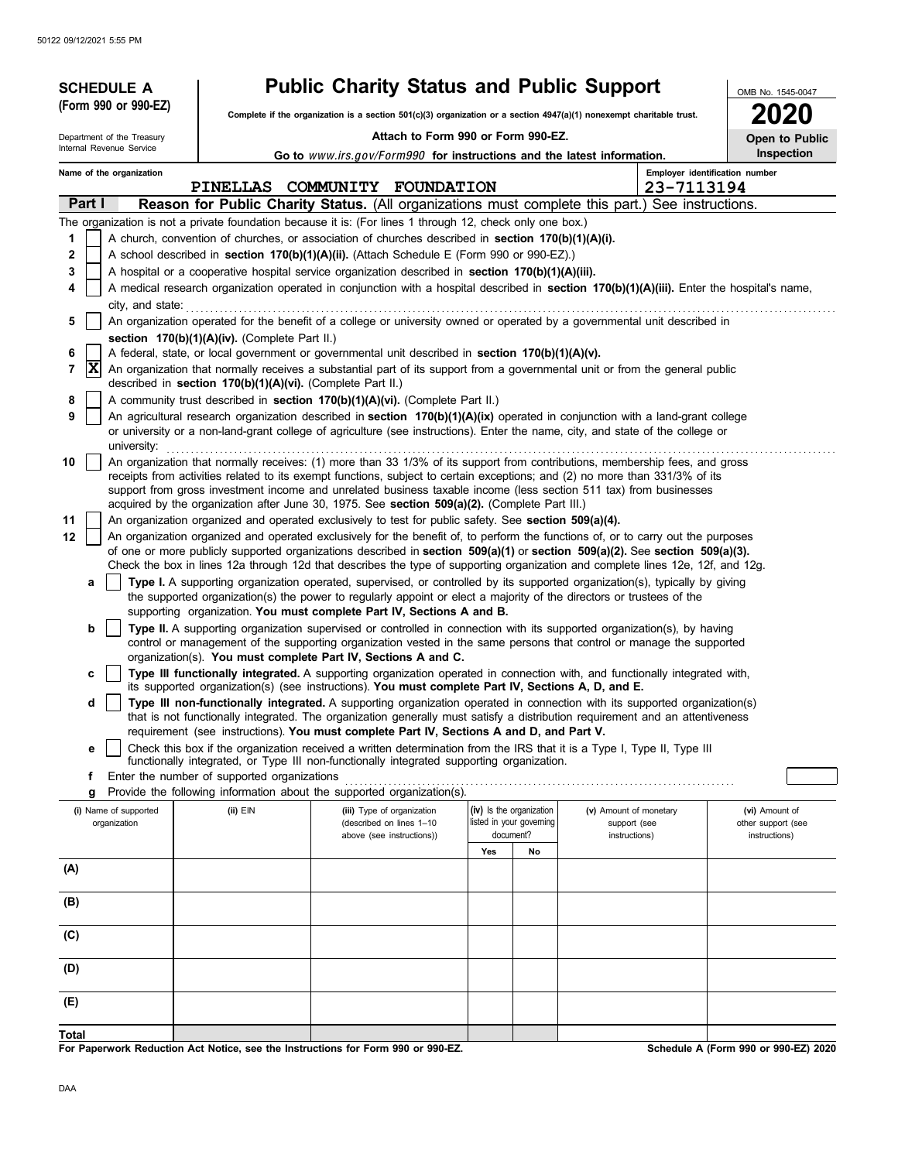| (Form 990 or 990-EZ)<br>2020<br>Complete if the organization is a section $501(c)(3)$ organization or a section $4947(a)(1)$ nonexempt charitable trust.<br>Attach to Form 990 or Form 990-EZ.<br>Department of the Treasury<br>Open to Public<br>Internal Revenue Service<br>Inspection<br>Go to www.irs.gov/Form990 for instructions and the latest information.<br>Employer identification number<br>Name of the organization<br>PINELLAS COMMUNITY<br><b>FOUNDATION</b><br>23-7113194<br>Part I<br>Reason for Public Charity Status. (All organizations must complete this part.) See instructions.<br>The organization is not a private foundation because it is: (For lines 1 through 12, check only one box.)<br>A church, convention of churches, or association of churches described in section 170(b)(1)(A)(i).<br>1<br>A school described in section 170(b)(1)(A)(ii). (Attach Schedule E (Form 990 or 990-EZ).)<br>2<br>A hospital or a cooperative hospital service organization described in section 170(b)(1)(A)(iii).<br>3<br>A medical research organization operated in conjunction with a hospital described in section 170(b)(1)(A)(iii). Enter the hospital's name,<br>4<br>city, and state:<br>An organization operated for the benefit of a college or university owned or operated by a governmental unit described in<br>5<br>section 170(b)(1)(A)(iv). (Complete Part II.)<br>A federal, state, or local government or governmental unit described in section 170(b)(1)(A)(v).<br>6<br>X<br>An organization that normally receives a substantial part of its support from a governmental unit or from the general public<br>7<br>described in section 170(b)(1)(A)(vi). (Complete Part II.)<br>A community trust described in section 170(b)(1)(A)(vi). (Complete Part II.)<br>8<br>9<br>An agricultural research organization described in section 170(b)(1)(A)(ix) operated in conjunction with a land-grant college<br>or university or a non-land-grant college of agriculture (see instructions). Enter the name, city, and state of the college or<br>university:<br>An organization that normally receives: (1) more than 33 1/3% of its support from contributions, membership fees, and gross<br>10<br>receipts from activities related to its exempt functions, subject to certain exceptions; and (2) no more than 331/3% of its<br>support from gross investment income and unrelated business taxable income (less section 511 tax) from businesses<br>acquired by the organization after June 30, 1975. See section 509(a)(2). (Complete Part III.)<br>11<br>An organization organized and operated exclusively to test for public safety. See section 509(a)(4).<br>An organization organized and operated exclusively for the benefit of, to perform the functions of, or to carry out the purposes<br>12<br>of one or more publicly supported organizations described in section 509(a)(1) or section 509(a)(2). See section 509(a)(3).<br>Check the box in lines 12a through 12d that describes the type of supporting organization and complete lines 12e, 12f, and 12g.<br>Type I. A supporting organization operated, supervised, or controlled by its supported organization(s), typically by giving<br>a |  |  | <b>SCHEDULE A</b> |  | <b>Public Charity Status and Public Support</b> |  |  |  |  | OMB No. 1545-0047 |  |  |  |  |
|------------------------------------------------------------------------------------------------------------------------------------------------------------------------------------------------------------------------------------------------------------------------------------------------------------------------------------------------------------------------------------------------------------------------------------------------------------------------------------------------------------------------------------------------------------------------------------------------------------------------------------------------------------------------------------------------------------------------------------------------------------------------------------------------------------------------------------------------------------------------------------------------------------------------------------------------------------------------------------------------------------------------------------------------------------------------------------------------------------------------------------------------------------------------------------------------------------------------------------------------------------------------------------------------------------------------------------------------------------------------------------------------------------------------------------------------------------------------------------------------------------------------------------------------------------------------------------------------------------------------------------------------------------------------------------------------------------------------------------------------------------------------------------------------------------------------------------------------------------------------------------------------------------------------------------------------------------------------------------------------------------------------------------------------------------------------------------------------------------------------------------------------------------------------------------------------------------------------------------------------------------------------------------------------------------------------------------------------------------------------------------------------------------------------------------------------------------------------------------------------------------------------------------------------------------------------------------------------------------------------------------------------------------------------------------------------------------------------------------------------------------------------------------------------------------------------------------------------------------------------------------------------------------------------------------------------------------------------------------------------------------------------------------------------------------------------------------------------------------------------------------------------------------------------------------------------------------------------------------------------------------|--|--|-------------------|--|-------------------------------------------------|--|--|--|--|-------------------|--|--|--|--|
|                                                                                                                                                                                                                                                                                                                                                                                                                                                                                                                                                                                                                                                                                                                                                                                                                                                                                                                                                                                                                                                                                                                                                                                                                                                                                                                                                                                                                                                                                                                                                                                                                                                                                                                                                                                                                                                                                                                                                                                                                                                                                                                                                                                                                                                                                                                                                                                                                                                                                                                                                                                                                                                                                                                                                                                                                                                                                                                                                                                                                                                                                                                                                                                                                                                            |  |  |                   |  |                                                 |  |  |  |  |                   |  |  |  |  |
|                                                                                                                                                                                                                                                                                                                                                                                                                                                                                                                                                                                                                                                                                                                                                                                                                                                                                                                                                                                                                                                                                                                                                                                                                                                                                                                                                                                                                                                                                                                                                                                                                                                                                                                                                                                                                                                                                                                                                                                                                                                                                                                                                                                                                                                                                                                                                                                                                                                                                                                                                                                                                                                                                                                                                                                                                                                                                                                                                                                                                                                                                                                                                                                                                                                            |  |  |                   |  |                                                 |  |  |  |  |                   |  |  |  |  |
|                                                                                                                                                                                                                                                                                                                                                                                                                                                                                                                                                                                                                                                                                                                                                                                                                                                                                                                                                                                                                                                                                                                                                                                                                                                                                                                                                                                                                                                                                                                                                                                                                                                                                                                                                                                                                                                                                                                                                                                                                                                                                                                                                                                                                                                                                                                                                                                                                                                                                                                                                                                                                                                                                                                                                                                                                                                                                                                                                                                                                                                                                                                                                                                                                                                            |  |  |                   |  |                                                 |  |  |  |  |                   |  |  |  |  |
|                                                                                                                                                                                                                                                                                                                                                                                                                                                                                                                                                                                                                                                                                                                                                                                                                                                                                                                                                                                                                                                                                                                                                                                                                                                                                                                                                                                                                                                                                                                                                                                                                                                                                                                                                                                                                                                                                                                                                                                                                                                                                                                                                                                                                                                                                                                                                                                                                                                                                                                                                                                                                                                                                                                                                                                                                                                                                                                                                                                                                                                                                                                                                                                                                                                            |  |  |                   |  |                                                 |  |  |  |  |                   |  |  |  |  |
|                                                                                                                                                                                                                                                                                                                                                                                                                                                                                                                                                                                                                                                                                                                                                                                                                                                                                                                                                                                                                                                                                                                                                                                                                                                                                                                                                                                                                                                                                                                                                                                                                                                                                                                                                                                                                                                                                                                                                                                                                                                                                                                                                                                                                                                                                                                                                                                                                                                                                                                                                                                                                                                                                                                                                                                                                                                                                                                                                                                                                                                                                                                                                                                                                                                            |  |  |                   |  |                                                 |  |  |  |  |                   |  |  |  |  |
|                                                                                                                                                                                                                                                                                                                                                                                                                                                                                                                                                                                                                                                                                                                                                                                                                                                                                                                                                                                                                                                                                                                                                                                                                                                                                                                                                                                                                                                                                                                                                                                                                                                                                                                                                                                                                                                                                                                                                                                                                                                                                                                                                                                                                                                                                                                                                                                                                                                                                                                                                                                                                                                                                                                                                                                                                                                                                                                                                                                                                                                                                                                                                                                                                                                            |  |  |                   |  |                                                 |  |  |  |  |                   |  |  |  |  |
|                                                                                                                                                                                                                                                                                                                                                                                                                                                                                                                                                                                                                                                                                                                                                                                                                                                                                                                                                                                                                                                                                                                                                                                                                                                                                                                                                                                                                                                                                                                                                                                                                                                                                                                                                                                                                                                                                                                                                                                                                                                                                                                                                                                                                                                                                                                                                                                                                                                                                                                                                                                                                                                                                                                                                                                                                                                                                                                                                                                                                                                                                                                                                                                                                                                            |  |  |                   |  |                                                 |  |  |  |  |                   |  |  |  |  |
|                                                                                                                                                                                                                                                                                                                                                                                                                                                                                                                                                                                                                                                                                                                                                                                                                                                                                                                                                                                                                                                                                                                                                                                                                                                                                                                                                                                                                                                                                                                                                                                                                                                                                                                                                                                                                                                                                                                                                                                                                                                                                                                                                                                                                                                                                                                                                                                                                                                                                                                                                                                                                                                                                                                                                                                                                                                                                                                                                                                                                                                                                                                                                                                                                                                            |  |  |                   |  |                                                 |  |  |  |  |                   |  |  |  |  |
|                                                                                                                                                                                                                                                                                                                                                                                                                                                                                                                                                                                                                                                                                                                                                                                                                                                                                                                                                                                                                                                                                                                                                                                                                                                                                                                                                                                                                                                                                                                                                                                                                                                                                                                                                                                                                                                                                                                                                                                                                                                                                                                                                                                                                                                                                                                                                                                                                                                                                                                                                                                                                                                                                                                                                                                                                                                                                                                                                                                                                                                                                                                                                                                                                                                            |  |  |                   |  |                                                 |  |  |  |  |                   |  |  |  |  |
|                                                                                                                                                                                                                                                                                                                                                                                                                                                                                                                                                                                                                                                                                                                                                                                                                                                                                                                                                                                                                                                                                                                                                                                                                                                                                                                                                                                                                                                                                                                                                                                                                                                                                                                                                                                                                                                                                                                                                                                                                                                                                                                                                                                                                                                                                                                                                                                                                                                                                                                                                                                                                                                                                                                                                                                                                                                                                                                                                                                                                                                                                                                                                                                                                                                            |  |  |                   |  |                                                 |  |  |  |  |                   |  |  |  |  |
|                                                                                                                                                                                                                                                                                                                                                                                                                                                                                                                                                                                                                                                                                                                                                                                                                                                                                                                                                                                                                                                                                                                                                                                                                                                                                                                                                                                                                                                                                                                                                                                                                                                                                                                                                                                                                                                                                                                                                                                                                                                                                                                                                                                                                                                                                                                                                                                                                                                                                                                                                                                                                                                                                                                                                                                                                                                                                                                                                                                                                                                                                                                                                                                                                                                            |  |  |                   |  |                                                 |  |  |  |  |                   |  |  |  |  |
|                                                                                                                                                                                                                                                                                                                                                                                                                                                                                                                                                                                                                                                                                                                                                                                                                                                                                                                                                                                                                                                                                                                                                                                                                                                                                                                                                                                                                                                                                                                                                                                                                                                                                                                                                                                                                                                                                                                                                                                                                                                                                                                                                                                                                                                                                                                                                                                                                                                                                                                                                                                                                                                                                                                                                                                                                                                                                                                                                                                                                                                                                                                                                                                                                                                            |  |  |                   |  |                                                 |  |  |  |  |                   |  |  |  |  |
|                                                                                                                                                                                                                                                                                                                                                                                                                                                                                                                                                                                                                                                                                                                                                                                                                                                                                                                                                                                                                                                                                                                                                                                                                                                                                                                                                                                                                                                                                                                                                                                                                                                                                                                                                                                                                                                                                                                                                                                                                                                                                                                                                                                                                                                                                                                                                                                                                                                                                                                                                                                                                                                                                                                                                                                                                                                                                                                                                                                                                                                                                                                                                                                                                                                            |  |  |                   |  |                                                 |  |  |  |  |                   |  |  |  |  |
|                                                                                                                                                                                                                                                                                                                                                                                                                                                                                                                                                                                                                                                                                                                                                                                                                                                                                                                                                                                                                                                                                                                                                                                                                                                                                                                                                                                                                                                                                                                                                                                                                                                                                                                                                                                                                                                                                                                                                                                                                                                                                                                                                                                                                                                                                                                                                                                                                                                                                                                                                                                                                                                                                                                                                                                                                                                                                                                                                                                                                                                                                                                                                                                                                                                            |  |  |                   |  |                                                 |  |  |  |  |                   |  |  |  |  |
|                                                                                                                                                                                                                                                                                                                                                                                                                                                                                                                                                                                                                                                                                                                                                                                                                                                                                                                                                                                                                                                                                                                                                                                                                                                                                                                                                                                                                                                                                                                                                                                                                                                                                                                                                                                                                                                                                                                                                                                                                                                                                                                                                                                                                                                                                                                                                                                                                                                                                                                                                                                                                                                                                                                                                                                                                                                                                                                                                                                                                                                                                                                                                                                                                                                            |  |  |                   |  |                                                 |  |  |  |  |                   |  |  |  |  |
|                                                                                                                                                                                                                                                                                                                                                                                                                                                                                                                                                                                                                                                                                                                                                                                                                                                                                                                                                                                                                                                                                                                                                                                                                                                                                                                                                                                                                                                                                                                                                                                                                                                                                                                                                                                                                                                                                                                                                                                                                                                                                                                                                                                                                                                                                                                                                                                                                                                                                                                                                                                                                                                                                                                                                                                                                                                                                                                                                                                                                                                                                                                                                                                                                                                            |  |  |                   |  |                                                 |  |  |  |  |                   |  |  |  |  |
|                                                                                                                                                                                                                                                                                                                                                                                                                                                                                                                                                                                                                                                                                                                                                                                                                                                                                                                                                                                                                                                                                                                                                                                                                                                                                                                                                                                                                                                                                                                                                                                                                                                                                                                                                                                                                                                                                                                                                                                                                                                                                                                                                                                                                                                                                                                                                                                                                                                                                                                                                                                                                                                                                                                                                                                                                                                                                                                                                                                                                                                                                                                                                                                                                                                            |  |  |                   |  |                                                 |  |  |  |  |                   |  |  |  |  |
|                                                                                                                                                                                                                                                                                                                                                                                                                                                                                                                                                                                                                                                                                                                                                                                                                                                                                                                                                                                                                                                                                                                                                                                                                                                                                                                                                                                                                                                                                                                                                                                                                                                                                                                                                                                                                                                                                                                                                                                                                                                                                                                                                                                                                                                                                                                                                                                                                                                                                                                                                                                                                                                                                                                                                                                                                                                                                                                                                                                                                                                                                                                                                                                                                                                            |  |  |                   |  |                                                 |  |  |  |  |                   |  |  |  |  |
|                                                                                                                                                                                                                                                                                                                                                                                                                                                                                                                                                                                                                                                                                                                                                                                                                                                                                                                                                                                                                                                                                                                                                                                                                                                                                                                                                                                                                                                                                                                                                                                                                                                                                                                                                                                                                                                                                                                                                                                                                                                                                                                                                                                                                                                                                                                                                                                                                                                                                                                                                                                                                                                                                                                                                                                                                                                                                                                                                                                                                                                                                                                                                                                                                                                            |  |  |                   |  |                                                 |  |  |  |  |                   |  |  |  |  |
|                                                                                                                                                                                                                                                                                                                                                                                                                                                                                                                                                                                                                                                                                                                                                                                                                                                                                                                                                                                                                                                                                                                                                                                                                                                                                                                                                                                                                                                                                                                                                                                                                                                                                                                                                                                                                                                                                                                                                                                                                                                                                                                                                                                                                                                                                                                                                                                                                                                                                                                                                                                                                                                                                                                                                                                                                                                                                                                                                                                                                                                                                                                                                                                                                                                            |  |  |                   |  |                                                 |  |  |  |  |                   |  |  |  |  |
|                                                                                                                                                                                                                                                                                                                                                                                                                                                                                                                                                                                                                                                                                                                                                                                                                                                                                                                                                                                                                                                                                                                                                                                                                                                                                                                                                                                                                                                                                                                                                                                                                                                                                                                                                                                                                                                                                                                                                                                                                                                                                                                                                                                                                                                                                                                                                                                                                                                                                                                                                                                                                                                                                                                                                                                                                                                                                                                                                                                                                                                                                                                                                                                                                                                            |  |  |                   |  |                                                 |  |  |  |  |                   |  |  |  |  |
|                                                                                                                                                                                                                                                                                                                                                                                                                                                                                                                                                                                                                                                                                                                                                                                                                                                                                                                                                                                                                                                                                                                                                                                                                                                                                                                                                                                                                                                                                                                                                                                                                                                                                                                                                                                                                                                                                                                                                                                                                                                                                                                                                                                                                                                                                                                                                                                                                                                                                                                                                                                                                                                                                                                                                                                                                                                                                                                                                                                                                                                                                                                                                                                                                                                            |  |  |                   |  |                                                 |  |  |  |  |                   |  |  |  |  |
| the supported organization(s) the power to regularly appoint or elect a majority of the directors or trustees of the<br>supporting organization. You must complete Part IV, Sections A and B.                                                                                                                                                                                                                                                                                                                                                                                                                                                                                                                                                                                                                                                                                                                                                                                                                                                                                                                                                                                                                                                                                                                                                                                                                                                                                                                                                                                                                                                                                                                                                                                                                                                                                                                                                                                                                                                                                                                                                                                                                                                                                                                                                                                                                                                                                                                                                                                                                                                                                                                                                                                                                                                                                                                                                                                                                                                                                                                                                                                                                                                              |  |  |                   |  |                                                 |  |  |  |  |                   |  |  |  |  |
| b<br>Type II. A supporting organization supervised or controlled in connection with its supported organization(s), by having                                                                                                                                                                                                                                                                                                                                                                                                                                                                                                                                                                                                                                                                                                                                                                                                                                                                                                                                                                                                                                                                                                                                                                                                                                                                                                                                                                                                                                                                                                                                                                                                                                                                                                                                                                                                                                                                                                                                                                                                                                                                                                                                                                                                                                                                                                                                                                                                                                                                                                                                                                                                                                                                                                                                                                                                                                                                                                                                                                                                                                                                                                                               |  |  |                   |  |                                                 |  |  |  |  |                   |  |  |  |  |
| control or management of the supporting organization vested in the same persons that control or manage the supported                                                                                                                                                                                                                                                                                                                                                                                                                                                                                                                                                                                                                                                                                                                                                                                                                                                                                                                                                                                                                                                                                                                                                                                                                                                                                                                                                                                                                                                                                                                                                                                                                                                                                                                                                                                                                                                                                                                                                                                                                                                                                                                                                                                                                                                                                                                                                                                                                                                                                                                                                                                                                                                                                                                                                                                                                                                                                                                                                                                                                                                                                                                                       |  |  |                   |  |                                                 |  |  |  |  |                   |  |  |  |  |
| organization(s). You must complete Part IV, Sections A and C.                                                                                                                                                                                                                                                                                                                                                                                                                                                                                                                                                                                                                                                                                                                                                                                                                                                                                                                                                                                                                                                                                                                                                                                                                                                                                                                                                                                                                                                                                                                                                                                                                                                                                                                                                                                                                                                                                                                                                                                                                                                                                                                                                                                                                                                                                                                                                                                                                                                                                                                                                                                                                                                                                                                                                                                                                                                                                                                                                                                                                                                                                                                                                                                              |  |  |                   |  |                                                 |  |  |  |  |                   |  |  |  |  |
| Type III functionally integrated. A supporting organization operated in connection with, and functionally integrated with,<br>c<br>its supported organization(s) (see instructions). You must complete Part IV, Sections A, D, and E.                                                                                                                                                                                                                                                                                                                                                                                                                                                                                                                                                                                                                                                                                                                                                                                                                                                                                                                                                                                                                                                                                                                                                                                                                                                                                                                                                                                                                                                                                                                                                                                                                                                                                                                                                                                                                                                                                                                                                                                                                                                                                                                                                                                                                                                                                                                                                                                                                                                                                                                                                                                                                                                                                                                                                                                                                                                                                                                                                                                                                      |  |  |                   |  |                                                 |  |  |  |  |                   |  |  |  |  |
| Type III non-functionally integrated. A supporting organization operated in connection with its supported organization(s)<br>d                                                                                                                                                                                                                                                                                                                                                                                                                                                                                                                                                                                                                                                                                                                                                                                                                                                                                                                                                                                                                                                                                                                                                                                                                                                                                                                                                                                                                                                                                                                                                                                                                                                                                                                                                                                                                                                                                                                                                                                                                                                                                                                                                                                                                                                                                                                                                                                                                                                                                                                                                                                                                                                                                                                                                                                                                                                                                                                                                                                                                                                                                                                             |  |  |                   |  |                                                 |  |  |  |  |                   |  |  |  |  |
| that is not functionally integrated. The organization generally must satisfy a distribution requirement and an attentiveness                                                                                                                                                                                                                                                                                                                                                                                                                                                                                                                                                                                                                                                                                                                                                                                                                                                                                                                                                                                                                                                                                                                                                                                                                                                                                                                                                                                                                                                                                                                                                                                                                                                                                                                                                                                                                                                                                                                                                                                                                                                                                                                                                                                                                                                                                                                                                                                                                                                                                                                                                                                                                                                                                                                                                                                                                                                                                                                                                                                                                                                                                                                               |  |  |                   |  |                                                 |  |  |  |  |                   |  |  |  |  |
| requirement (see instructions). You must complete Part IV, Sections A and D, and Part V.                                                                                                                                                                                                                                                                                                                                                                                                                                                                                                                                                                                                                                                                                                                                                                                                                                                                                                                                                                                                                                                                                                                                                                                                                                                                                                                                                                                                                                                                                                                                                                                                                                                                                                                                                                                                                                                                                                                                                                                                                                                                                                                                                                                                                                                                                                                                                                                                                                                                                                                                                                                                                                                                                                                                                                                                                                                                                                                                                                                                                                                                                                                                                                   |  |  |                   |  |                                                 |  |  |  |  |                   |  |  |  |  |
| Check this box if the organization received a written determination from the IRS that it is a Type I. Type II, Type III<br>е<br>functionally integrated, or Type III non-functionally integrated supporting organization.                                                                                                                                                                                                                                                                                                                                                                                                                                                                                                                                                                                                                                                                                                                                                                                                                                                                                                                                                                                                                                                                                                                                                                                                                                                                                                                                                                                                                                                                                                                                                                                                                                                                                                                                                                                                                                                                                                                                                                                                                                                                                                                                                                                                                                                                                                                                                                                                                                                                                                                                                                                                                                                                                                                                                                                                                                                                                                                                                                                                                                  |  |  |                   |  |                                                 |  |  |  |  |                   |  |  |  |  |
| Enter the number of supported organizations<br>f                                                                                                                                                                                                                                                                                                                                                                                                                                                                                                                                                                                                                                                                                                                                                                                                                                                                                                                                                                                                                                                                                                                                                                                                                                                                                                                                                                                                                                                                                                                                                                                                                                                                                                                                                                                                                                                                                                                                                                                                                                                                                                                                                                                                                                                                                                                                                                                                                                                                                                                                                                                                                                                                                                                                                                                                                                                                                                                                                                                                                                                                                                                                                                                                           |  |  |                   |  |                                                 |  |  |  |  |                   |  |  |  |  |
| Provide the following information about the supported organization(s).<br>g                                                                                                                                                                                                                                                                                                                                                                                                                                                                                                                                                                                                                                                                                                                                                                                                                                                                                                                                                                                                                                                                                                                                                                                                                                                                                                                                                                                                                                                                                                                                                                                                                                                                                                                                                                                                                                                                                                                                                                                                                                                                                                                                                                                                                                                                                                                                                                                                                                                                                                                                                                                                                                                                                                                                                                                                                                                                                                                                                                                                                                                                                                                                                                                |  |  |                   |  |                                                 |  |  |  |  |                   |  |  |  |  |
| (iv) Is the organization<br>$(ii)$ EIN<br>(iii) Type of organization<br>(v) Amount of monetary<br>(i) Name of supported<br>(vi) Amount of<br>listed in your governing<br>organization<br>other support (see<br>(described on lines 1-10<br>support (see<br>document?<br>above (see instructions))<br>instructions)<br>instructions)                                                                                                                                                                                                                                                                                                                                                                                                                                                                                                                                                                                                                                                                                                                                                                                                                                                                                                                                                                                                                                                                                                                                                                                                                                                                                                                                                                                                                                                                                                                                                                                                                                                                                                                                                                                                                                                                                                                                                                                                                                                                                                                                                                                                                                                                                                                                                                                                                                                                                                                                                                                                                                                                                                                                                                                                                                                                                                                        |  |  |                   |  |                                                 |  |  |  |  |                   |  |  |  |  |
| Yes<br>No                                                                                                                                                                                                                                                                                                                                                                                                                                                                                                                                                                                                                                                                                                                                                                                                                                                                                                                                                                                                                                                                                                                                                                                                                                                                                                                                                                                                                                                                                                                                                                                                                                                                                                                                                                                                                                                                                                                                                                                                                                                                                                                                                                                                                                                                                                                                                                                                                                                                                                                                                                                                                                                                                                                                                                                                                                                                                                                                                                                                                                                                                                                                                                                                                                                  |  |  |                   |  |                                                 |  |  |  |  |                   |  |  |  |  |
| (A)                                                                                                                                                                                                                                                                                                                                                                                                                                                                                                                                                                                                                                                                                                                                                                                                                                                                                                                                                                                                                                                                                                                                                                                                                                                                                                                                                                                                                                                                                                                                                                                                                                                                                                                                                                                                                                                                                                                                                                                                                                                                                                                                                                                                                                                                                                                                                                                                                                                                                                                                                                                                                                                                                                                                                                                                                                                                                                                                                                                                                                                                                                                                                                                                                                                        |  |  |                   |  |                                                 |  |  |  |  |                   |  |  |  |  |
| (B)                                                                                                                                                                                                                                                                                                                                                                                                                                                                                                                                                                                                                                                                                                                                                                                                                                                                                                                                                                                                                                                                                                                                                                                                                                                                                                                                                                                                                                                                                                                                                                                                                                                                                                                                                                                                                                                                                                                                                                                                                                                                                                                                                                                                                                                                                                                                                                                                                                                                                                                                                                                                                                                                                                                                                                                                                                                                                                                                                                                                                                                                                                                                                                                                                                                        |  |  |                   |  |                                                 |  |  |  |  |                   |  |  |  |  |
| (C)                                                                                                                                                                                                                                                                                                                                                                                                                                                                                                                                                                                                                                                                                                                                                                                                                                                                                                                                                                                                                                                                                                                                                                                                                                                                                                                                                                                                                                                                                                                                                                                                                                                                                                                                                                                                                                                                                                                                                                                                                                                                                                                                                                                                                                                                                                                                                                                                                                                                                                                                                                                                                                                                                                                                                                                                                                                                                                                                                                                                                                                                                                                                                                                                                                                        |  |  |                   |  |                                                 |  |  |  |  |                   |  |  |  |  |
| (D)                                                                                                                                                                                                                                                                                                                                                                                                                                                                                                                                                                                                                                                                                                                                                                                                                                                                                                                                                                                                                                                                                                                                                                                                                                                                                                                                                                                                                                                                                                                                                                                                                                                                                                                                                                                                                                                                                                                                                                                                                                                                                                                                                                                                                                                                                                                                                                                                                                                                                                                                                                                                                                                                                                                                                                                                                                                                                                                                                                                                                                                                                                                                                                                                                                                        |  |  |                   |  |                                                 |  |  |  |  |                   |  |  |  |  |
| (E)                                                                                                                                                                                                                                                                                                                                                                                                                                                                                                                                                                                                                                                                                                                                                                                                                                                                                                                                                                                                                                                                                                                                                                                                                                                                                                                                                                                                                                                                                                                                                                                                                                                                                                                                                                                                                                                                                                                                                                                                                                                                                                                                                                                                                                                                                                                                                                                                                                                                                                                                                                                                                                                                                                                                                                                                                                                                                                                                                                                                                                                                                                                                                                                                                                                        |  |  |                   |  |                                                 |  |  |  |  |                   |  |  |  |  |
| Total                                                                                                                                                                                                                                                                                                                                                                                                                                                                                                                                                                                                                                                                                                                                                                                                                                                                                                                                                                                                                                                                                                                                                                                                                                                                                                                                                                                                                                                                                                                                                                                                                                                                                                                                                                                                                                                                                                                                                                                                                                                                                                                                                                                                                                                                                                                                                                                                                                                                                                                                                                                                                                                                                                                                                                                                                                                                                                                                                                                                                                                                                                                                                                                                                                                      |  |  |                   |  |                                                 |  |  |  |  |                   |  |  |  |  |

**For Paperwork Reduction Act Notice, see the Instructions for Form 990 or 990-EZ.**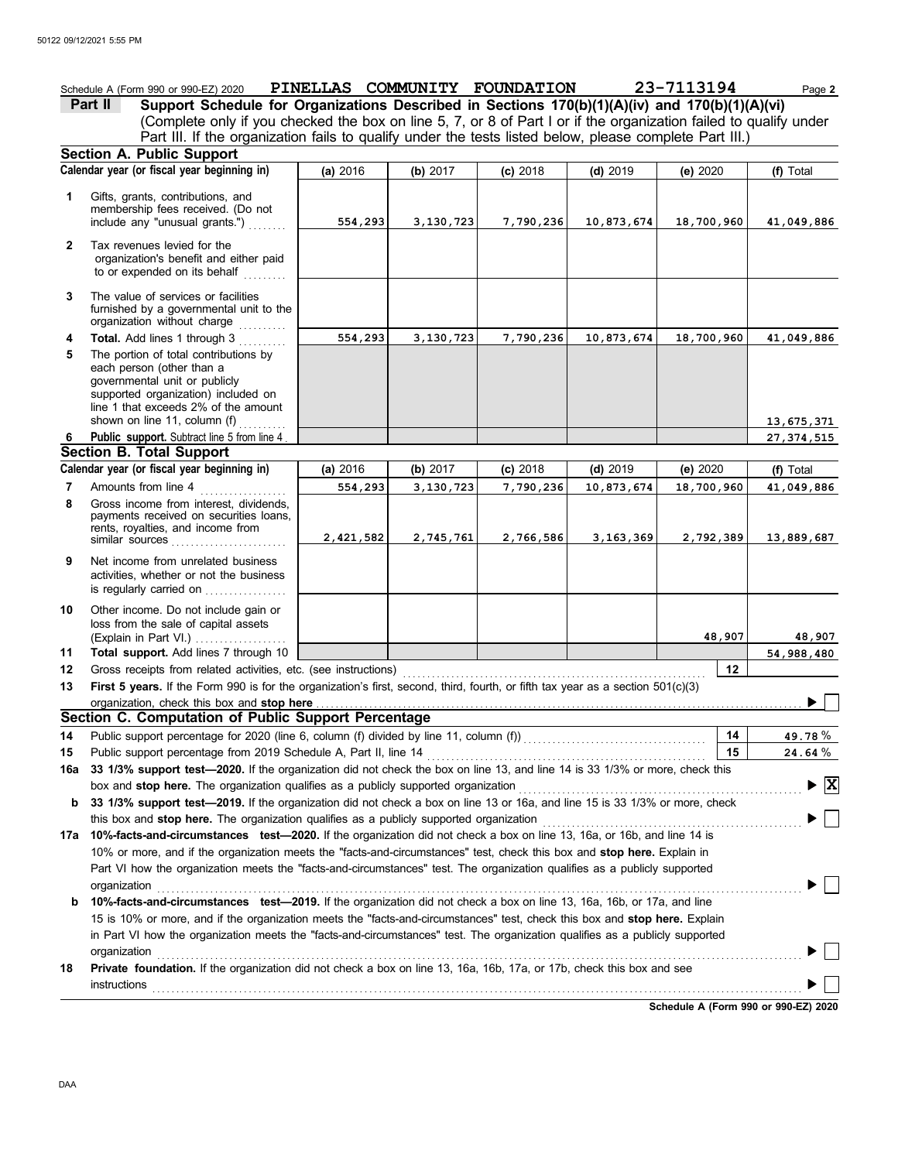|              | Schedule A (Form 990 or 990-EZ) 2020                                                                                                                                                                                 | PINELLAS COMMUNITY FOUNDATION |             |            |            | 23-7113194                           | Page 2                             |
|--------------|----------------------------------------------------------------------------------------------------------------------------------------------------------------------------------------------------------------------|-------------------------------|-------------|------------|------------|--------------------------------------|------------------------------------|
|              | Support Schedule for Organizations Described in Sections 170(b)(1)(A)(iv) and 170(b)(1)(A)(vi)<br>Part II                                                                                                            |                               |             |            |            |                                      |                                    |
|              | (Complete only if you checked the box on line 5, 7, or 8 of Part I or if the organization failed to qualify under                                                                                                    |                               |             |            |            |                                      |                                    |
|              | Part III. If the organization fails to qualify under the tests listed below, please complete Part III.)                                                                                                              |                               |             |            |            |                                      |                                    |
|              | Section A. Public Support                                                                                                                                                                                            |                               |             |            |            |                                      |                                    |
|              | Calendar year (or fiscal year beginning in)                                                                                                                                                                          | (a) 2016                      | (b) 2017    | (c) 2018   | $(d)$ 2019 | (e) $2020$                           | (f) Total                          |
| 1            | Gifts, grants, contributions, and<br>membership fees received. (Do not<br>include any "unusual grants.")                                                                                                             | 554,293                       | 3,130,723   | 7,790,236  | 10,873,674 | 18,700,960                           | 41,049,886                         |
| $\mathbf{2}$ | Tax revenues levied for the<br>organization's benefit and either paid<br>to or expended on its behalf<br>.                                                                                                           |                               |             |            |            |                                      |                                    |
| 3            | The value of services or facilities<br>furnished by a governmental unit to the<br>organization without charge                                                                                                        |                               |             |            |            |                                      |                                    |
| 4            | Total. Add lines 1 through 3                                                                                                                                                                                         | 554,293                       | 3,130,723   | 7,790,236  | 10,873,674 | 18,700,960                           | 41,049,886                         |
| 5            | The portion of total contributions by<br>each person (other than a<br>governmental unit or publicly<br>supported organization) included on<br>line 1 that exceeds 2% of the amount<br>shown on line 11, column $(f)$ |                               |             |            |            |                                      | 13,675,371                         |
| 6.           | Public support. Subtract line 5 from line 4.                                                                                                                                                                         |                               |             |            |            |                                      | 27, 374, 515                       |
|              | <b>Section B. Total Support</b>                                                                                                                                                                                      |                               |             |            |            |                                      |                                    |
|              | Calendar year (or fiscal year beginning in)                                                                                                                                                                          | (a) $2016$                    | (b) 2017    | $(c)$ 2018 | (d) $2019$ | (e) 2020                             | (f) Total                          |
| 7            | Amounts from line 4                                                                                                                                                                                                  | 554,293                       | 3, 130, 723 | 7,790,236  | 10,873,674 | 18,700,960                           | 41,049,886                         |
| 8            | Gross income from interest, dividends,<br>payments received on securities loans,<br>rents, royalties, and income from<br>similar sources                                                                             | 2,421,582                     | 2,745,761   | 2,766,586  | 3,163,369  | 2,792,389                            | 13,889,687                         |
| 9            | Net income from unrelated business<br>activities, whether or not the business<br>is regularly carried on                                                                                                             |                               |             |            |            |                                      |                                    |
| 10           | Other income. Do not include gain or<br>loss from the sale of capital assets<br>(Explain in Part VI.)                                                                                                                |                               |             |            |            | 48,907                               | 48,907                             |
| 11           | Total support. Add lines 7 through 10                                                                                                                                                                                |                               |             |            |            |                                      | 54,988,480                         |
| 12           | Gross receipts from related activities, etc. (see instructions)                                                                                                                                                      |                               |             |            |            | 12                                   |                                    |
| 13           | First 5 years. If the Form 990 is for the organization's first, second, third, fourth, or fifth tax year as a section 501(c)(3)                                                                                      |                               |             |            |            |                                      |                                    |
|              | organization, check this box and stop here<br>Section C. Computation of Public Support Percentage                                                                                                                    |                               |             |            |            |                                      |                                    |
|              |                                                                                                                                                                                                                      |                               |             |            |            |                                      | 49.78%                             |
| 14           | Public support percentage for 2020 (line 6, column (f) divided by line 11, column (f) [[[[[[[[[[[[[[[[[[[[[[[<br>Public support percentage from 2019 Schedule A, Part II, line 14                                    |                               |             |            |            | 14<br>15                             | 24.64 %                            |
| 15<br>16a    | 33 1/3% support test-2020. If the organization did not check the box on line 13, and line 14 is 33 1/3% or more, check this                                                                                          |                               |             |            |            |                                      |                                    |
|              | box and stop here. The organization qualifies as a publicly supported organization                                                                                                                                   |                               |             |            |            |                                      | $\blacktriangleright$ $\mathbf{X}$ |
| b            | 33 1/3% support test-2019. If the organization did not check a box on line 13 or 16a, and line 15 is 33 1/3% or more, check                                                                                          |                               |             |            |            |                                      |                                    |
|              | this box and stop here. The organization qualifies as a publicly supported organization                                                                                                                              |                               |             |            |            |                                      |                                    |
|              | 17a 10%-facts-and-circumstances test-2020. If the organization did not check a box on line 13, 16a, or 16b, and line 14 is                                                                                           |                               |             |            |            |                                      |                                    |
|              | 10% or more, and if the organization meets the "facts-and-circumstances" test, check this box and stop here. Explain in                                                                                              |                               |             |            |            |                                      |                                    |
|              | Part VI how the organization meets the "facts-and-circumstances" test. The organization qualifies as a publicly supported<br>organization                                                                            |                               |             |            |            |                                      |                                    |
| b            | 10%-facts-and-circumstances test-2019. If the organization did not check a box on line 13, 16a, 16b, or 17a, and line                                                                                                |                               |             |            |            |                                      |                                    |
|              | 15 is 10% or more, and if the organization meets the "facts-and-circumstances" test, check this box and stop here. Explain                                                                                           |                               |             |            |            |                                      |                                    |
|              | in Part VI how the organization meets the "facts-and-circumstances" test. The organization qualifies as a publicly supported                                                                                         |                               |             |            |            |                                      |                                    |
|              | organization                                                                                                                                                                                                         |                               |             |            |            |                                      |                                    |
| 18           | Private foundation. If the organization did not check a box on line 13, 16a, 16b, 17a, or 17b, check this box and see                                                                                                |                               |             |            |            |                                      |                                    |
|              | instructions                                                                                                                                                                                                         |                               |             |            |            |                                      |                                    |
|              |                                                                                                                                                                                                                      |                               |             |            |            | Schodule A (Form 000 or 000 EZ) 2020 |                                    |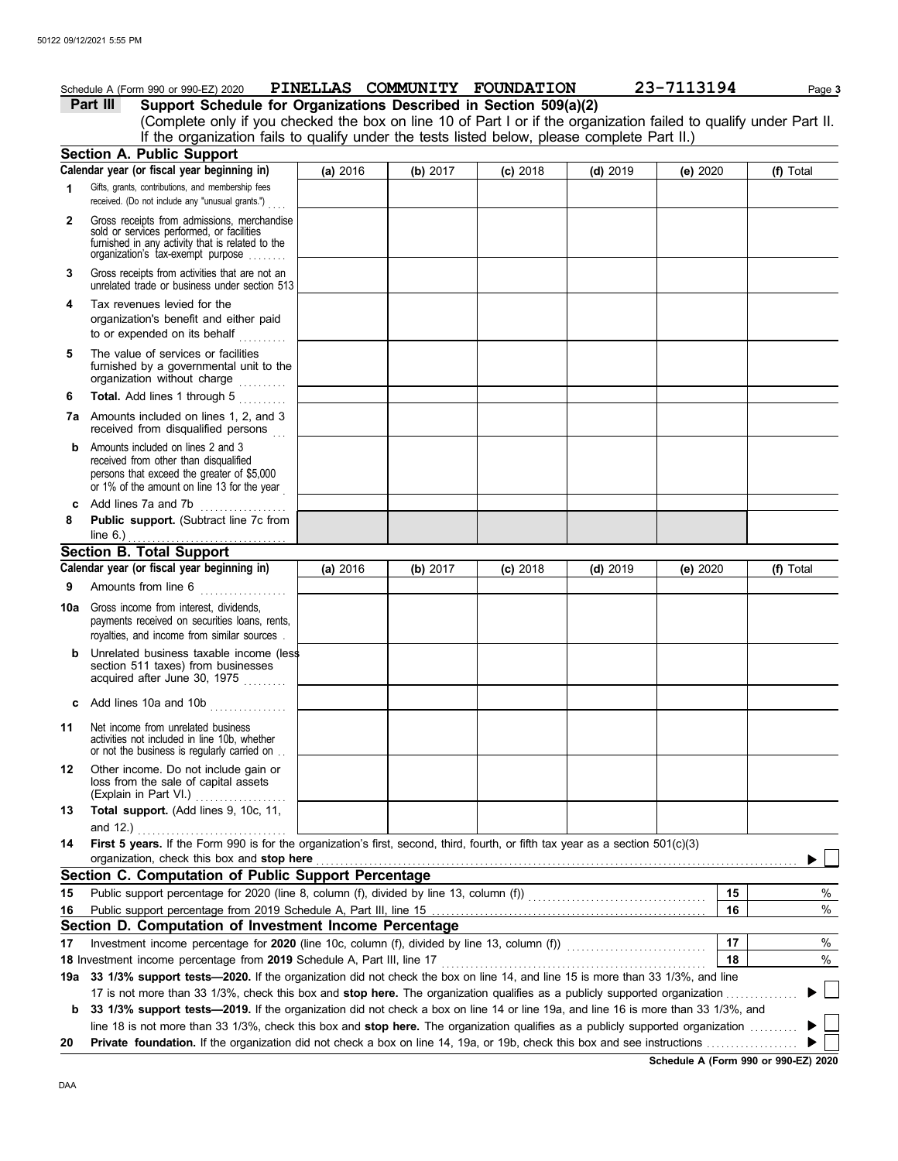|     | Schedule A (Form 990 or 990-EZ) 2020                                                                                                                                              |          |          | PINELLAS COMMUNITY FOUNDATION |            | 23-7113194 | Page 3    |
|-----|-----------------------------------------------------------------------------------------------------------------------------------------------------------------------------------|----------|----------|-------------------------------|------------|------------|-----------|
|     | Support Schedule for Organizations Described in Section 509(a)(2)<br>Part III                                                                                                     |          |          |                               |            |            |           |
|     | (Complete only if you checked the box on line 10 of Part I or if the organization failed to qualify under Part II.                                                                |          |          |                               |            |            |           |
|     | If the organization fails to qualify under the tests listed below, please complete Part II.)                                                                                      |          |          |                               |            |            |           |
|     | <b>Section A. Public Support</b>                                                                                                                                                  |          |          |                               |            |            |           |
|     | Calendar year (or fiscal year beginning in)                                                                                                                                       | (a) 2016 | (b) 2017 | $(c)$ 2018                    | $(d)$ 2019 | (e) 2020   | (f) Total |
| 1   | Gifts, grants, contributions, and membership fees<br>received. (Do not include any "unusual grants.")                                                                             |          |          |                               |            |            |           |
| 2   | Gross receipts from admissions, merchandise<br>sold or services performed, or facilities<br>furnished in any activity that is related to the<br>organization's tax-exempt purpose |          |          |                               |            |            |           |
| 3   | Gross receipts from activities that are not an<br>unrelated trade or business under section 513                                                                                   |          |          |                               |            |            |           |
| 4   | Tax revenues levied for the<br>organization's benefit and either paid<br>to or expended on its behalf                                                                             |          |          |                               |            |            |           |
| 5   | The value of services or facilities<br>furnished by a governmental unit to the<br>organization without charge                                                                     |          |          |                               |            |            |           |
| 6   | Total. Add lines 1 through 5                                                                                                                                                      |          |          |                               |            |            |           |
|     | 7a Amounts included on lines 1, 2, and 3<br>received from disqualified persons                                                                                                    |          |          |                               |            |            |           |
| b   | Amounts included on lines 2 and 3<br>received from other than disqualified<br>persons that exceed the greater of \$5,000<br>or 1% of the amount on line 13 for the year           |          |          |                               |            |            |           |
|     | c Add lines 7a and 7b<br>.                                                                                                                                                        |          |          |                               |            |            |           |
| 8   | Public support. (Subtract line 7c from<br>line 6.)                                                                                                                                |          |          |                               |            |            |           |
|     | <b>Section B. Total Support</b>                                                                                                                                                   |          |          |                               |            |            |           |
|     | Calendar year (or fiscal year beginning in)                                                                                                                                       | (a) 2016 | (b) 2017 | $(c)$ 2018                    | $(d)$ 2019 | (e) $2020$ | (f) Total |
| 9   | Amounts from line 6                                                                                                                                                               |          |          |                               |            |            |           |
|     | <b>10a</b> Gross income from interest, dividends,<br>payments received on securities loans, rents,<br>royalties, and income from similar sources.                                 |          |          |                               |            |            |           |
| b   | Unrelated business taxable income (less<br>section 511 taxes) from businesses<br>acquired after June 30, 1975                                                                     |          |          |                               |            |            |           |
|     | c Add lines 10a and 10b $\ldots$                                                                                                                                                  |          |          |                               |            |            |           |
| 11  | Net income from unrelated business<br>activities not included in line 10b, whether<br>or not the business is regularly carried on                                                 |          |          |                               |            |            |           |
| 12  | Other income. Do not include gain or<br>loss from the sale of capital assets<br>(Explain in Part VI.)                                                                             |          |          |                               |            |            |           |
| 13  | Total support. (Add lines 9, 10c, 11,                                                                                                                                             |          |          |                               |            |            |           |
| 14  | and 12.) $\ldots$ $\ldots$ $\ldots$ $\ldots$<br>First 5 years. If the Form 990 is for the organization's first, second, third, fourth, or fifth tax year as a section 501(c)(3)   |          |          |                               |            |            |           |
|     | organization, check this box and stop here                                                                                                                                        |          |          |                               |            |            |           |
|     | Section C. Computation of Public Support Percentage                                                                                                                               |          |          |                               |            |            |           |
| 15  |                                                                                                                                                                                   |          |          |                               |            | 15         | %         |
| 16  |                                                                                                                                                                                   |          |          |                               |            | 16         | %         |
|     | Section D. Computation of Investment Income Percentage                                                                                                                            |          |          |                               |            |            |           |
| 17  | Investment income percentage for 2020 (line 10c, column (f), divided by line 13, column (f)) [[[[[[[[[[[[[[[[                                                                     |          |          |                               |            | 17         | %         |
|     |                                                                                                                                                                                   |          |          |                               |            | 18         | $\%$      |
| 19a | 33 1/3% support tests-2020. If the organization did not check the box on line 14, and line 15 is more than 33 1/3%, and line                                                      |          |          |                               |            |            |           |
|     | 17 is not more than 33 1/3%, check this box and stop here. The organization qualifies as a publicly supported organization                                                        |          |          |                               |            |            |           |
| b   | 33 1/3% support tests-2019. If the organization did not check a box on line 14 or line 19a, and line 16 is more than 33 1/3%, and                                                 |          |          |                               |            |            |           |
|     | line 18 is not more than 33 1/3%, check this box and stop here. The organization qualifies as a publicly supported organization $\ldots$                                          |          |          |                               |            |            |           |
| 20  |                                                                                                                                                                                   |          |          |                               |            |            |           |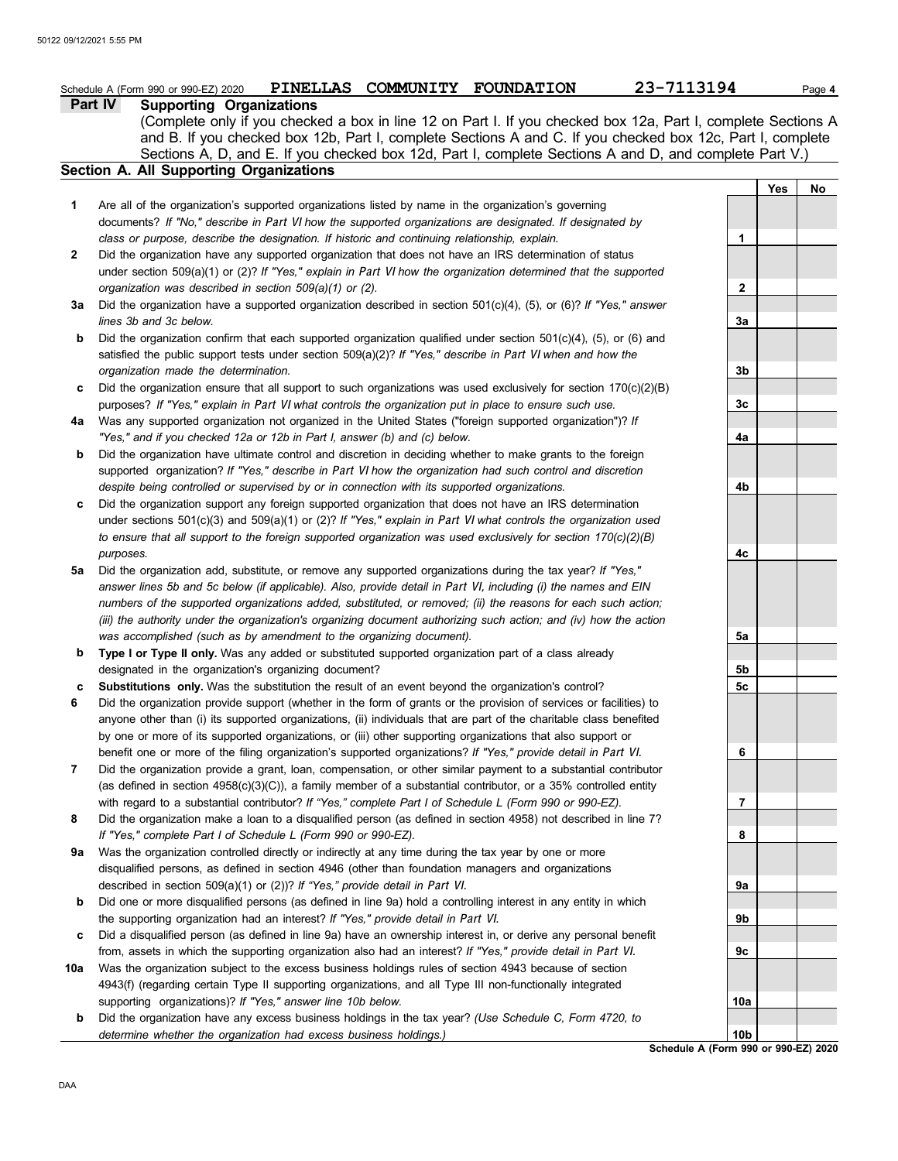|     | PINELLAS COMMUNITY FOUNDATION<br>Schedule A (Form 990 or 990-EZ) 2020                                                                                                                                | 23-7113194                           |     | Page 4 |
|-----|------------------------------------------------------------------------------------------------------------------------------------------------------------------------------------------------------|--------------------------------------|-----|--------|
|     | Part IV<br><b>Supporting Organizations</b>                                                                                                                                                           |                                      |     |        |
|     | (Complete only if you checked a box in line 12 on Part I. If you checked box 12a, Part I, complete Sections A                                                                                        |                                      |     |        |
|     | and B. If you checked box 12b, Part I, complete Sections A and C. If you checked box 12c, Part I, complete                                                                                           |                                      |     |        |
|     | Sections A, D, and E. If you checked box 12d, Part I, complete Sections A and D, and complete Part V.)                                                                                               |                                      |     |        |
|     | Section A. All Supporting Organizations                                                                                                                                                              |                                      |     |        |
|     |                                                                                                                                                                                                      |                                      | Yes | No     |
| 1   | Are all of the organization's supported organizations listed by name in the organization's governing                                                                                                 |                                      |     |        |
|     | documents? If "No," describe in Part VI how the supported organizations are designated. If designated by                                                                                             |                                      |     |        |
|     | class or purpose, describe the designation. If historic and continuing relationship, explain.                                                                                                        | 1                                    |     |        |
| 2   | Did the organization have any supported organization that does not have an IRS determination of status                                                                                               |                                      |     |        |
|     | under section 509(a)(1) or (2)? If "Yes," explain in Part VI how the organization determined that the supported                                                                                      |                                      |     |        |
|     | organization was described in section 509(a)(1) or (2).                                                                                                                                              | 2                                    |     |        |
| За  | Did the organization have a supported organization described in section $501(c)(4)$ , (5), or (6)? If "Yes," answer                                                                                  |                                      |     |        |
|     | lines 3b and 3c below.                                                                                                                                                                               | За                                   |     |        |
| b   | Did the organization confirm that each supported organization qualified under section $501(c)(4)$ , (5), or (6) and                                                                                  |                                      |     |        |
|     | satisfied the public support tests under section 509(a)(2)? If "Yes," describe in Part VI when and how the                                                                                           |                                      |     |        |
|     | organization made the determination.                                                                                                                                                                 | 3b                                   |     |        |
| c   | Did the organization ensure that all support to such organizations was used exclusively for section 170(c)(2)(B)                                                                                     |                                      |     |        |
|     | purposes? If "Yes," explain in Part VI what controls the organization put in place to ensure such use.                                                                                               | 3c                                   |     |        |
| 4a  | Was any supported organization not organized in the United States ("foreign supported organization")? If                                                                                             |                                      |     |        |
|     | "Yes," and if you checked 12a or 12b in Part I, answer (b) and (c) below.                                                                                                                            | 4a                                   |     |        |
| b   | Did the organization have ultimate control and discretion in deciding whether to make grants to the foreign                                                                                          |                                      |     |        |
|     | supported organization? If "Yes," describe in Part VI how the organization had such control and discretion                                                                                           |                                      |     |        |
|     | despite being controlled or supervised by or in connection with its supported organizations.                                                                                                         | 4b                                   |     |        |
| c   | Did the organization support any foreign supported organization that does not have an IRS determination                                                                                              |                                      |     |        |
|     | under sections $501(c)(3)$ and $509(a)(1)$ or (2)? If "Yes," explain in Part VI what controls the organization used                                                                                  |                                      |     |        |
|     | to ensure that all support to the foreign supported organization was used exclusively for section $170(c)(2)(B)$                                                                                     |                                      |     |        |
|     | purposes.                                                                                                                                                                                            | 4c                                   |     |        |
| 5a  | Did the organization add, substitute, or remove any supported organizations during the tax year? If "Yes,"                                                                                           |                                      |     |        |
|     | answer lines 5b and 5c below (if applicable). Also, provide detail in Part VI, including (i) the names and EIN                                                                                       |                                      |     |        |
|     | numbers of the supported organizations added, substituted, or removed; (ii) the reasons for each such action;                                                                                        |                                      |     |        |
|     | (iii) the authority under the organization's organizing document authorizing such action; and (iv) how the action                                                                                    |                                      |     |        |
|     | was accomplished (such as by amendment to the organizing document).                                                                                                                                  | 5a                                   |     |        |
| b   | Type I or Type II only. Was any added or substituted supported organization part of a class already                                                                                                  |                                      |     |        |
|     | designated in the organization's organizing document?                                                                                                                                                | 5b                                   |     |        |
| c   | Substitutions only. Was the substitution the result of an event beyond the organization's control?                                                                                                   | 5c                                   |     |        |
| 6   | Did the organization provide support (whether in the form of grants or the provision of services or facilities) to                                                                                   |                                      |     |        |
|     | anyone other than (i) its supported organizations, (ii) individuals that are part of the charitable class benefited                                                                                  |                                      |     |        |
|     | by one or more of its supported organizations, or (iii) other supporting organizations that also support or                                                                                          |                                      |     |        |
|     | benefit one or more of the filing organization's supported organizations? If "Yes," provide detail in Part VI.                                                                                       | 6                                    |     |        |
| 7   | Did the organization provide a grant, loan, compensation, or other similar payment to a substantial contributor                                                                                      |                                      |     |        |
|     | (as defined in section $4958(c)(3)(C)$ ), a family member of a substantial contributor, or a 35% controlled entity                                                                                   |                                      |     |        |
|     | with regard to a substantial contributor? If "Yes," complete Part I of Schedule L (Form 990 or 990-EZ).                                                                                              | 7                                    |     |        |
| 8   | Did the organization make a loan to a disqualified person (as defined in section 4958) not described in line 7?<br>If "Yes," complete Part I of Schedule L (Form 990 or 990-EZ).                     | 8                                    |     |        |
| 9a  | Was the organization controlled directly or indirectly at any time during the tax year by one or more                                                                                                |                                      |     |        |
|     | disqualified persons, as defined in section 4946 (other than foundation managers and organizations                                                                                                   |                                      |     |        |
|     | described in section 509(a)(1) or (2))? If "Yes," provide detail in Part VI.                                                                                                                         | 9а                                   |     |        |
| b   |                                                                                                                                                                                                      |                                      |     |        |
|     | Did one or more disqualified persons (as defined in line 9a) hold a controlling interest in any entity in which<br>the supporting organization had an interest? If "Yes," provide detail in Part VI. | 9b                                   |     |        |
|     | Did a disqualified person (as defined in line 9a) have an ownership interest in, or derive any personal benefit                                                                                      |                                      |     |        |
| c   | from, assets in which the supporting organization also had an interest? If "Yes," provide detail in Part VI.                                                                                         | 9с                                   |     |        |
| 10a | Was the organization subject to the excess business holdings rules of section 4943 because of section                                                                                                |                                      |     |        |
|     | 4943(f) (regarding certain Type II supporting organizations, and all Type III non-functionally integrated                                                                                            |                                      |     |        |
|     | supporting organizations)? If "Yes," answer line 10b below.                                                                                                                                          | 10a                                  |     |        |
| b   | Did the organization have any excess business holdings in the tax year? (Use Schedule C, Form 4720, to                                                                                               |                                      |     |        |
|     | determine whether the organization had excess business holdings.)                                                                                                                                    | 10b                                  |     |        |
|     |                                                                                                                                                                                                      | Schedule A (Form 990 or 990-EZ) 2020 |     |        |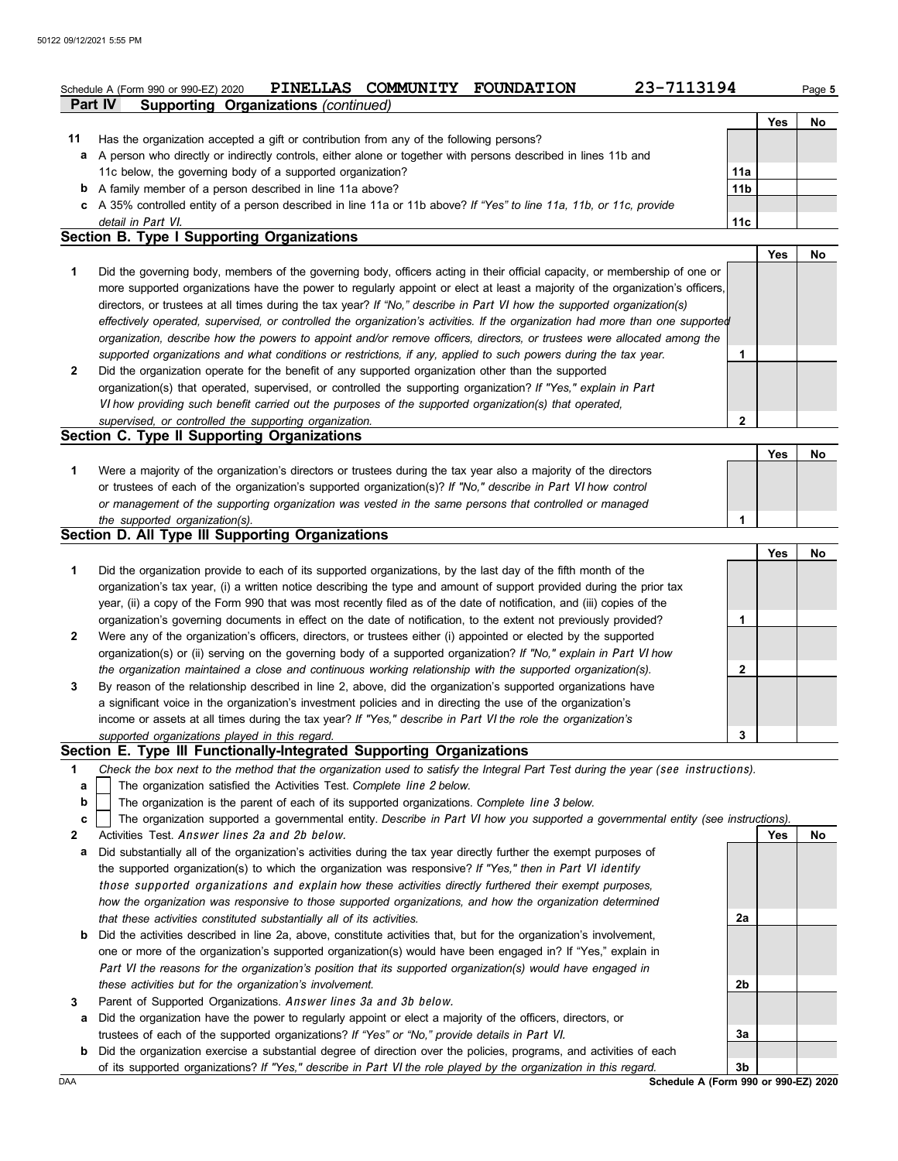|              | 23-7113194<br>PINELLAS COMMUNITY FOUNDATION<br>Schedule A (Form 990 or 990-EZ) 2020                                               |                 |     | Page 5 |
|--------------|-----------------------------------------------------------------------------------------------------------------------------------|-----------------|-----|--------|
|              | <b>Supporting Organizations (continued)</b><br>Part IV                                                                            |                 | Yes | No     |
| 11           | Has the organization accepted a gift or contribution from any of the following persons?                                           |                 |     |        |
| а            | A person who directly or indirectly controls, either alone or together with persons described in lines 11b and                    |                 |     |        |
|              | 11c below, the governing body of a supported organization?                                                                        | 11a             |     |        |
|              | <b>b</b> A family member of a person described in line 11a above?                                                                 | 11 <sub>b</sub> |     |        |
|              | c A 35% controlled entity of a person described in line 11a or 11b above? If "Yes" to line 11a, 11b, or 11c, provide              |                 |     |        |
|              | detail in Part VI.                                                                                                                | 11c             |     |        |
|              | <b>Section B. Type I Supporting Organizations</b>                                                                                 |                 |     |        |
|              |                                                                                                                                   |                 | Yes | No     |
| 1            | Did the governing body, members of the governing body, officers acting in their official capacity, or membership of one or        |                 |     |        |
|              | more supported organizations have the power to regularly appoint or elect at least a majority of the organization's officers,     |                 |     |        |
|              | directors, or trustees at all times during the tax year? If "No," describe in Part VI how the supported organization(s)           |                 |     |        |
|              | effectively operated, supervised, or controlled the organization's activities. If the organization had more than one supported    |                 |     |        |
|              | organization, describe how the powers to appoint and/or remove officers, directors, or trustees were allocated among the          |                 |     |        |
|              | supported organizations and what conditions or restrictions, if any, applied to such powers during the tax year.                  | 1               |     |        |
| $\mathbf{2}$ | Did the organization operate for the benefit of any supported organization other than the supported                               |                 |     |        |
|              | organization(s) that operated, supervised, or controlled the supporting organization? If "Yes," explain in Part                   |                 |     |        |
|              | VI how providing such benefit carried out the purposes of the supported organization(s) that operated,                            |                 |     |        |
|              | supervised, or controlled the supporting organization.                                                                            | $\mathbf{2}$    |     |        |
|              | Section C. Type II Supporting Organizations                                                                                       |                 |     |        |
|              |                                                                                                                                   |                 | Yes | No     |
| 1            | Were a majority of the organization's directors or trustees during the tax year also a majority of the directors                  |                 |     |        |
|              | or trustees of each of the organization's supported organization(s)? If "No," describe in Part VI how control                     |                 |     |        |
|              | or management of the supporting organization was vested in the same persons that controlled or managed                            |                 |     |        |
|              | the supported organization(s).                                                                                                    | 1               |     |        |
|              | Section D. All Type III Supporting Organizations                                                                                  |                 |     |        |
|              |                                                                                                                                   |                 | Yes | No     |
| 1            | Did the organization provide to each of its supported organizations, by the last day of the fifth month of the                    |                 |     |        |
|              | organization's tax year, (i) a written notice describing the type and amount of support provided during the prior tax             |                 |     |        |
|              | year, (ii) a copy of the Form 990 that was most recently filed as of the date of notification, and (iii) copies of the            |                 |     |        |
|              | organization's governing documents in effect on the date of notification, to the extent not previously provided?                  | 1               |     |        |
| $\mathbf{2}$ | Were any of the organization's officers, directors, or trustees either (i) appointed or elected by the supported                  |                 |     |        |
|              | organization(s) or (ii) serving on the governing body of a supported organization? If "No," explain in Part VI how                |                 |     |        |
|              | the organization maintained a close and continuous working relationship with the supported organization(s).                       | 2               |     |        |
| 3            | By reason of the relationship described in line 2, above, did the organization's supported organizations have                     |                 |     |        |
|              | a significant voice in the organization's investment policies and in directing the use of the organization's                      |                 |     |        |
|              | income or assets at all times during the tax year? If "Yes," describe in Part VI the role the organization's                      |                 |     |        |
|              | supported organizations played in this regard.                                                                                    | 3               |     |        |
|              | Section E. Type III Functionally-Integrated Supporting Organizations                                                              |                 |     |        |
| 1            | Check the box next to the method that the organization used to satisfy the Integral Part Test during the year (see instructions). |                 |     |        |
| а            | The organization satisfied the Activities Test. Complete line 2 below.                                                            |                 |     |        |
| b            | The organization is the parent of each of its supported organizations. Complete line 3 below.                                     |                 |     |        |
| c            | The organization supported a governmental entity. Describe in Part VI how you supported a governmental entity (see instructions). |                 |     |        |
| $\mathbf{2}$ | Activities Test. Answer lines 2a and 2b below.                                                                                    |                 | Yes | No     |
| а            | Did substantially all of the organization's activities during the tax year directly further the exempt purposes of                |                 |     |        |
|              | the supported organization(s) to which the organization was responsive? If "Yes," then in Part VI identify                        |                 |     |        |
|              | those supported organizations and explain how these activities directly furthered their exempt purposes,                          |                 |     |        |
|              | how the organization was responsive to those supported organizations, and how the organization determined                         |                 |     |        |
|              | that these activities constituted substantially all of its activities.                                                            | 2a              |     |        |
| b            | Did the activities described in line 2a, above, constitute activities that, but for the organization's involvement,               |                 |     |        |
|              | one or more of the organization's supported organization(s) would have been engaged in? If "Yes," explain in                      |                 |     |        |
|              | Part VI the reasons for the organization's position that its supported organization(s) would have engaged in                      |                 |     |        |
|              | these activities but for the organization's involvement.                                                                          | 2b              |     |        |
| 3            | Parent of Supported Organizations. Answer lines 3a and 3b below.                                                                  |                 |     |        |
| a            | Did the organization have the power to regularly appoint or elect a majority of the officers, directors, or                       |                 |     |        |
|              | trustees of each of the supported organizations? If "Yes" or "No," provide details in Part VI.                                    | За              |     |        |
|              | <b>b</b> Did the organization exercise a substantial degree of direction over the policies, programs, and activities of each      |                 |     |        |

of its supported organizations? *If "Yes," describe in* Part VI *the role played by the organization in this regard.* **3b**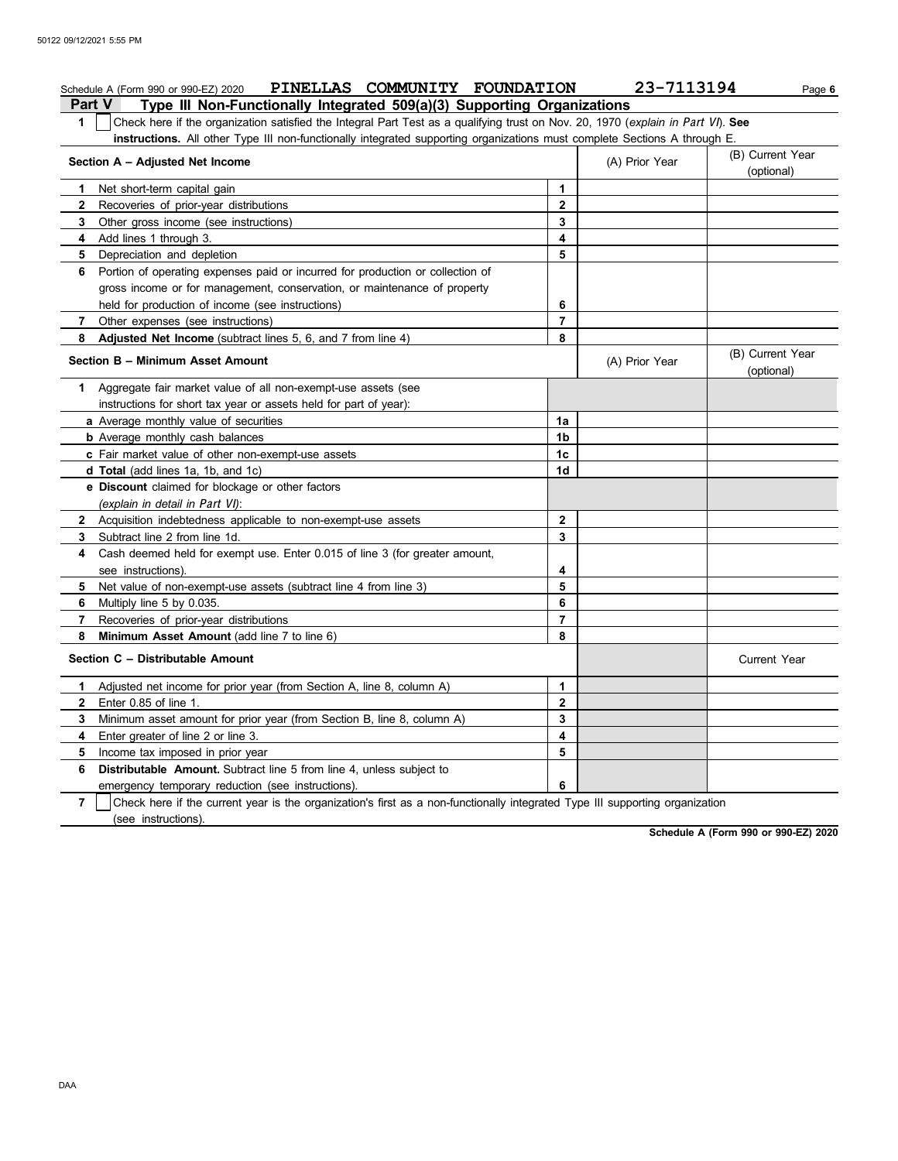|                | Schedule A (Form 990 or 990-EZ) 2020 PINELLAS COMMUNITY FOUNDATION                                                               |                | 23-7113194     | Page 6                         |  |  |  |
|----------------|----------------------------------------------------------------------------------------------------------------------------------|----------------|----------------|--------------------------------|--|--|--|
| Part V         | Type III Non-Functionally Integrated 509(a)(3) Supporting Organizations                                                          |                |                |                                |  |  |  |
| $\mathbf{1}$   | Check here if the organization satisfied the Integral Part Test as a qualifying trust on Nov. 20, 1970 (explain in Part VI). See |                |                |                                |  |  |  |
|                | instructions. All other Type III non-functionally integrated supporting organizations must complete Sections A through E.        |                |                |                                |  |  |  |
|                | Section A - Adjusted Net Income                                                                                                  |                | (A) Prior Year | (B) Current Year<br>(optional) |  |  |  |
| $\mathbf 1$    | Net short-term capital gain                                                                                                      | $\mathbf{1}$   |                |                                |  |  |  |
| $\mathbf{2}$   | Recoveries of prior-year distributions                                                                                           | $\mathbf 2$    |                |                                |  |  |  |
| 3              | Other gross income (see instructions)                                                                                            | 3              |                |                                |  |  |  |
| 4              | Add lines 1 through 3.                                                                                                           | 4              |                |                                |  |  |  |
| 5              | Depreciation and depletion                                                                                                       | 5              |                |                                |  |  |  |
| 6              | Portion of operating expenses paid or incurred for production or collection of                                                   |                |                |                                |  |  |  |
|                | gross income or for management, conservation, or maintenance of property                                                         |                |                |                                |  |  |  |
|                | held for production of income (see instructions)                                                                                 | 6              |                |                                |  |  |  |
| $\overline{7}$ | Other expenses (see instructions)                                                                                                | $\overline{7}$ |                |                                |  |  |  |
| 8              | Adjusted Net Income (subtract lines 5, 6, and 7 from line 4)                                                                     | 8              |                |                                |  |  |  |
|                | Section B - Minimum Asset Amount<br>(A) Prior Year                                                                               |                |                |                                |  |  |  |
| 1.             | Aggregate fair market value of all non-exempt-use assets (see                                                                    |                |                |                                |  |  |  |
|                | instructions for short tax year or assets held for part of year):                                                                |                |                |                                |  |  |  |
|                | a Average monthly value of securities                                                                                            | 1a             |                |                                |  |  |  |
|                | <b>b</b> Average monthly cash balances                                                                                           | 1 <sub>b</sub> |                |                                |  |  |  |
|                | c Fair market value of other non-exempt-use assets                                                                               |                |                |                                |  |  |  |
|                | <b>d Total</b> (add lines 1a, 1b, and 1c)                                                                                        | 1d             |                |                                |  |  |  |
|                | e Discount claimed for blockage or other factors<br>(explain in detail in Part VI):                                              |                |                |                                |  |  |  |
|                | 2 Acquisition indebtedness applicable to non-exempt-use assets                                                                   | $\mathbf{2}$   |                |                                |  |  |  |
| 3              | Subtract line 2 from line 1d.                                                                                                    | 3              |                |                                |  |  |  |
| 4              | Cash deemed held for exempt use. Enter 0.015 of line 3 (for greater amount,                                                      |                |                |                                |  |  |  |
|                | see instructions).                                                                                                               | 4              |                |                                |  |  |  |
| 5              | Net value of non-exempt-use assets (subtract line 4 from line 3)                                                                 | 5              |                |                                |  |  |  |
| 6              | Multiply line 5 by 0.035.                                                                                                        | 6              |                |                                |  |  |  |
| 7              | Recoveries of prior-year distributions                                                                                           | $\overline{7}$ |                |                                |  |  |  |
| 8              | Minimum Asset Amount (add line 7 to line 6)                                                                                      | 8              |                |                                |  |  |  |
|                | Section C - Distributable Amount                                                                                                 |                |                | <b>Current Year</b>            |  |  |  |
| 1              | Adjusted net income for prior year (from Section A, line 8, column A)                                                            | 1              |                |                                |  |  |  |
| $\mathbf{2}$   | Enter 0.85 of line 1.                                                                                                            | $\mathbf{2}$   |                |                                |  |  |  |
| 3              | Minimum asset amount for prior year (from Section B, line 8, column A)                                                           | 3              |                |                                |  |  |  |
| 4              | Enter greater of line 2 or line 3.                                                                                               | 4              |                |                                |  |  |  |
| 5              | Income tax imposed in prior year                                                                                                 | 5              |                |                                |  |  |  |
| 6              | <b>Distributable Amount.</b> Subtract line 5 from line 4, unless subject to                                                      |                |                |                                |  |  |  |
|                | emergency temporary reduction (see instructions).                                                                                | 6              |                |                                |  |  |  |
| $\overline{7}$ | Check here if the current year is the organization's first as a non-functionally integrated Type III supporting organization     |                |                |                                |  |  |  |
|                | (see instructions).                                                                                                              |                |                |                                |  |  |  |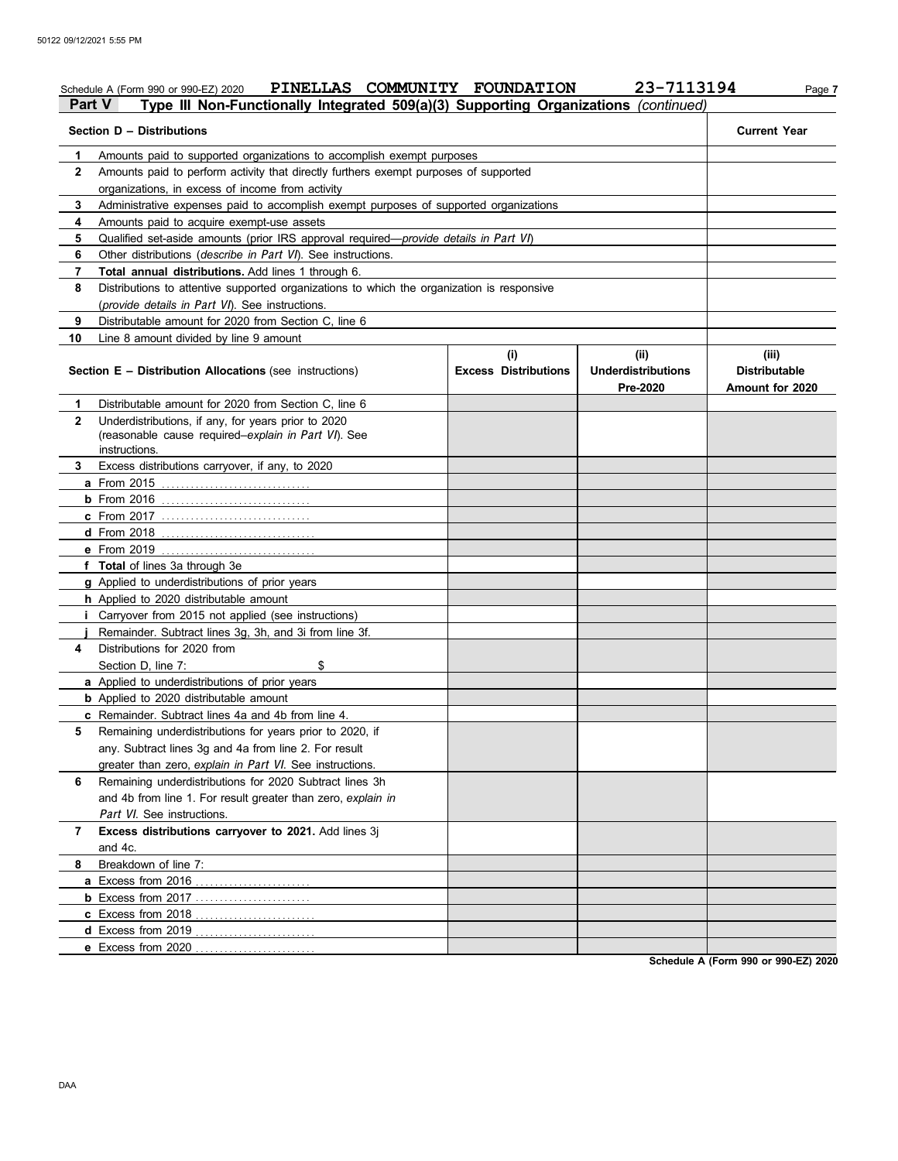## Schedule A (Form 990 or 990-EZ) 2020 PINELLAS COMMUNITY FOUNDATION 23-7113194 Page 7 **Part V Type III Non-Functionally Integrated 509(a)(3) Supporting Organizations** *(continued)*

|              | Section D - Distributions                                                                                                   |                                    |                                               | <b>Current Year</b>                              |
|--------------|-----------------------------------------------------------------------------------------------------------------------------|------------------------------------|-----------------------------------------------|--------------------------------------------------|
| 1.           | Amounts paid to supported organizations to accomplish exempt purposes                                                       |                                    |                                               |                                                  |
| 2            | Amounts paid to perform activity that directly furthers exempt purposes of supported                                        |                                    |                                               |                                                  |
|              | organizations, in excess of income from activity                                                                            |                                    |                                               |                                                  |
| 3            | Administrative expenses paid to accomplish exempt purposes of supported organizations                                       |                                    |                                               |                                                  |
| 4            | Amounts paid to acquire exempt-use assets                                                                                   |                                    |                                               |                                                  |
| 5            | Qualified set-aside amounts (prior IRS approval required—provide details in Part VI)                                        |                                    |                                               |                                                  |
| 6            | Other distributions (describe in Part VI). See instructions.                                                                |                                    |                                               |                                                  |
| 7            | <b>Total annual distributions.</b> Add lines 1 through 6.                                                                   |                                    |                                               |                                                  |
| 8            | Distributions to attentive supported organizations to which the organization is responsive                                  |                                    |                                               |                                                  |
|              | (provide details in Part VI). See instructions.                                                                             |                                    |                                               |                                                  |
| 9            | Distributable amount for 2020 from Section C, line 6                                                                        |                                    |                                               |                                                  |
| 10           | Line 8 amount divided by line 9 amount                                                                                      |                                    |                                               |                                                  |
|              | <b>Section E - Distribution Allocations (see instructions)</b>                                                              | (i)<br><b>Excess Distributions</b> | (ii)<br><b>Underdistributions</b><br>Pre-2020 | (iii)<br><b>Distributable</b><br>Amount for 2020 |
| 1.           | Distributable amount for 2020 from Section C, line 6                                                                        |                                    |                                               |                                                  |
| $\mathbf{2}$ | Underdistributions, if any, for years prior to 2020<br>(reasonable cause required-explain in Part VI). See<br>instructions. |                                    |                                               |                                                  |
| 3            | Excess distributions carryover, if any, to 2020                                                                             |                                    |                                               |                                                  |
|              | <b>a</b> From 2015                                                                                                          |                                    |                                               |                                                  |
|              | $b$ From 2016                                                                                                               |                                    |                                               |                                                  |
|              | <b>c</b> From 2017                                                                                                          |                                    |                                               |                                                  |
|              |                                                                                                                             |                                    |                                               |                                                  |
|              |                                                                                                                             |                                    |                                               |                                                  |
|              | f Total of lines 3a through 3e                                                                                              |                                    |                                               |                                                  |
|              | <b>g</b> Applied to underdistributions of prior years                                                                       |                                    |                                               |                                                  |
|              | h Applied to 2020 distributable amount                                                                                      |                                    |                                               |                                                  |
|              | <i>i</i> Carryover from 2015 not applied (see instructions)                                                                 |                                    |                                               |                                                  |
|              | Remainder. Subtract lines 3g, 3h, and 3i from line 3f.                                                                      |                                    |                                               |                                                  |
| 4            | Distributions for 2020 from                                                                                                 |                                    |                                               |                                                  |
|              | Section D, line 7:<br>\$                                                                                                    |                                    |                                               |                                                  |
|              | a Applied to underdistributions of prior years                                                                              |                                    |                                               |                                                  |
|              | <b>b</b> Applied to 2020 distributable amount                                                                               |                                    |                                               |                                                  |
|              | c Remainder. Subtract lines 4a and 4b from line 4.                                                                          |                                    |                                               |                                                  |
| 5            | Remaining underdistributions for years prior to 2020, if                                                                    |                                    |                                               |                                                  |
|              | any. Subtract lines 3g and 4a from line 2. For result                                                                       |                                    |                                               |                                                  |
|              | greater than zero, explain in Part VI. See instructions.                                                                    |                                    |                                               |                                                  |
| 6            | Remaining underdistributions for 2020 Subtract lines 3h                                                                     |                                    |                                               |                                                  |
|              | and 4b from line 1. For result greater than zero, explain in                                                                |                                    |                                               |                                                  |
|              | Part VI. See instructions.                                                                                                  |                                    |                                               |                                                  |
| 7            | Excess distributions carryover to 2021. Add lines 3j<br>and 4c.                                                             |                                    |                                               |                                                  |
| 8            | Breakdown of line 7:                                                                                                        |                                    |                                               |                                                  |
|              | a Excess from 2016                                                                                                          |                                    |                                               |                                                  |
|              | <b>b</b> Excess from 2017                                                                                                   |                                    |                                               |                                                  |
|              | c Excess from 2018                                                                                                          |                                    |                                               |                                                  |
|              |                                                                                                                             |                                    |                                               |                                                  |
|              | e Excess from 2020                                                                                                          |                                    |                                               |                                                  |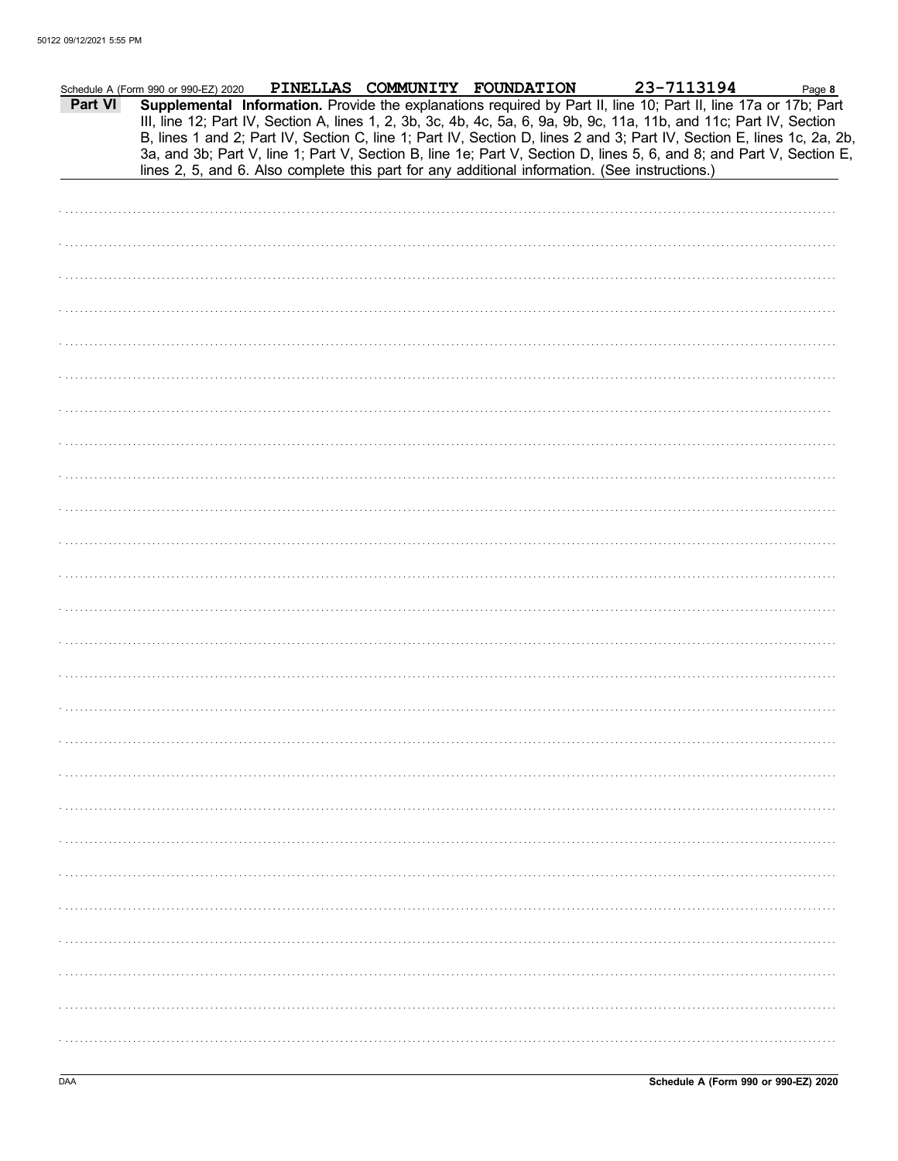| Part VI | Schedule A (Form 990 or 990-EZ) 2020                                                           |  | PINELLAS COMMUNITY FOUNDATION | 23-7113194<br>Supplemental Information. Provide the explanations required by Part II, line 10; Part II, line 17a or 17b; Part<br>III, line 12; Part IV, Section A, lines 1, 2, 3b, 3c, 4b, 4c, 5a, 6, 9a, 9b, 9c, 11a, 11b, and 11c; Part IV, Section | Page 8<br>B, lines 1 and 2; Part IV, Section C, line 1; Part IV, Section D, lines 2 and 3; Part IV, Section E, lines 1c, 2a, 2b,<br>3a, and 3b; Part V, line 1; Part V, Section B, line 1e; Part V, Section D, lines 5, 6, and 8; and Part V, Section E, |
|---------|------------------------------------------------------------------------------------------------|--|-------------------------------|-------------------------------------------------------------------------------------------------------------------------------------------------------------------------------------------------------------------------------------------------------|----------------------------------------------------------------------------------------------------------------------------------------------------------------------------------------------------------------------------------------------------------|
|         | lines 2, 5, and 6. Also complete this part for any additional information. (See instructions.) |  |                               |                                                                                                                                                                                                                                                       |                                                                                                                                                                                                                                                          |
|         |                                                                                                |  |                               |                                                                                                                                                                                                                                                       |                                                                                                                                                                                                                                                          |
|         |                                                                                                |  |                               |                                                                                                                                                                                                                                                       |                                                                                                                                                                                                                                                          |
|         |                                                                                                |  |                               |                                                                                                                                                                                                                                                       |                                                                                                                                                                                                                                                          |
|         |                                                                                                |  |                               |                                                                                                                                                                                                                                                       |                                                                                                                                                                                                                                                          |
|         |                                                                                                |  |                               |                                                                                                                                                                                                                                                       |                                                                                                                                                                                                                                                          |
|         |                                                                                                |  |                               |                                                                                                                                                                                                                                                       |                                                                                                                                                                                                                                                          |
|         |                                                                                                |  |                               |                                                                                                                                                                                                                                                       |                                                                                                                                                                                                                                                          |
|         |                                                                                                |  |                               |                                                                                                                                                                                                                                                       |                                                                                                                                                                                                                                                          |
|         |                                                                                                |  |                               |                                                                                                                                                                                                                                                       |                                                                                                                                                                                                                                                          |
|         |                                                                                                |  |                               |                                                                                                                                                                                                                                                       |                                                                                                                                                                                                                                                          |
|         |                                                                                                |  |                               |                                                                                                                                                                                                                                                       |                                                                                                                                                                                                                                                          |
|         |                                                                                                |  |                               |                                                                                                                                                                                                                                                       |                                                                                                                                                                                                                                                          |
|         |                                                                                                |  |                               |                                                                                                                                                                                                                                                       |                                                                                                                                                                                                                                                          |
|         |                                                                                                |  |                               |                                                                                                                                                                                                                                                       |                                                                                                                                                                                                                                                          |
|         |                                                                                                |  |                               |                                                                                                                                                                                                                                                       |                                                                                                                                                                                                                                                          |
|         |                                                                                                |  |                               |                                                                                                                                                                                                                                                       |                                                                                                                                                                                                                                                          |
|         |                                                                                                |  |                               |                                                                                                                                                                                                                                                       |                                                                                                                                                                                                                                                          |
|         |                                                                                                |  |                               |                                                                                                                                                                                                                                                       |                                                                                                                                                                                                                                                          |
|         |                                                                                                |  |                               |                                                                                                                                                                                                                                                       |                                                                                                                                                                                                                                                          |
|         |                                                                                                |  |                               |                                                                                                                                                                                                                                                       |                                                                                                                                                                                                                                                          |
|         |                                                                                                |  |                               |                                                                                                                                                                                                                                                       |                                                                                                                                                                                                                                                          |
|         |                                                                                                |  |                               |                                                                                                                                                                                                                                                       |                                                                                                                                                                                                                                                          |
|         |                                                                                                |  |                               |                                                                                                                                                                                                                                                       |                                                                                                                                                                                                                                                          |
|         |                                                                                                |  |                               |                                                                                                                                                                                                                                                       |                                                                                                                                                                                                                                                          |
|         |                                                                                                |  |                               |                                                                                                                                                                                                                                                       |                                                                                                                                                                                                                                                          |
|         |                                                                                                |  |                               |                                                                                                                                                                                                                                                       |                                                                                                                                                                                                                                                          |
|         |                                                                                                |  |                               |                                                                                                                                                                                                                                                       |                                                                                                                                                                                                                                                          |
|         |                                                                                                |  |                               |                                                                                                                                                                                                                                                       |                                                                                                                                                                                                                                                          |
|         |                                                                                                |  |                               |                                                                                                                                                                                                                                                       |                                                                                                                                                                                                                                                          |
|         |                                                                                                |  |                               |                                                                                                                                                                                                                                                       |                                                                                                                                                                                                                                                          |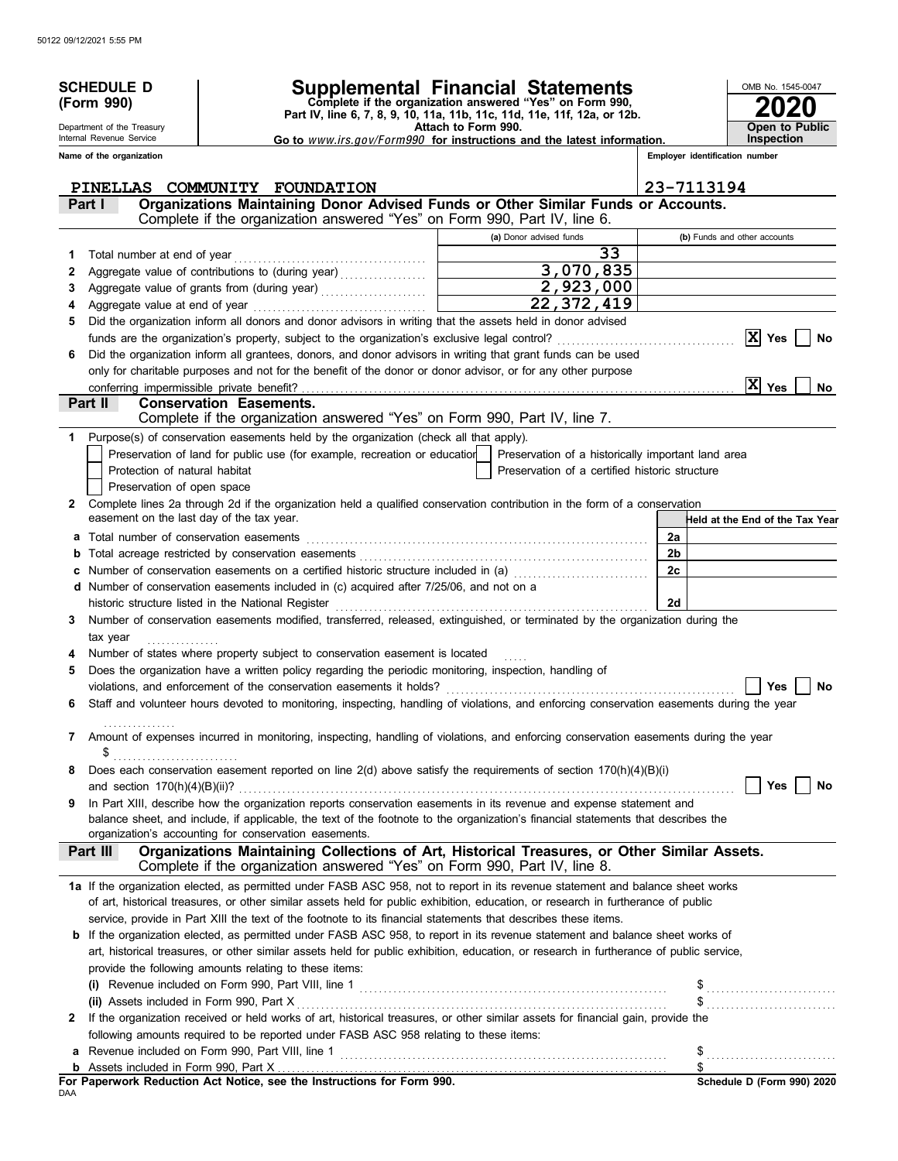|              | <b>SCHEDULE D</b>                                      |                                                                                                                                                                                                                                                                      | Supplemental Financial Statements                                                             |                                | OMB No. 1545-0047                                          |  |  |
|--------------|--------------------------------------------------------|----------------------------------------------------------------------------------------------------------------------------------------------------------------------------------------------------------------------------------------------------------------------|-----------------------------------------------------------------------------------------------|--------------------------------|------------------------------------------------------------|--|--|
|              | (Form 990)                                             |                                                                                                                                                                                                                                                                      | Complete if the organization answered "Yes" on Form 990,                                      |                                |                                                            |  |  |
|              |                                                        |                                                                                                                                                                                                                                                                      | Part IV, line 6, 7, 8, 9, 10, 11a, 11b, 11c, 11d, 11e, 11f, 12a, or 12b.                      |                                |                                                            |  |  |
|              | Department of the Treasury<br>Internal Revenue Service |                                                                                                                                                                                                                                                                      | Attach to Form 990.<br>Go to www.irs.gov/Form990 for instructions and the latest information. |                                | <b>Open to Public</b><br>Inspection                        |  |  |
|              | Name of the organization                               |                                                                                                                                                                                                                                                                      |                                                                                               | Employer identification number |                                                            |  |  |
|              |                                                        |                                                                                                                                                                                                                                                                      |                                                                                               |                                |                                                            |  |  |
|              | Part I                                                 | PINELLAS COMMUNITY FOUNDATION<br>Organizations Maintaining Donor Advised Funds or Other Similar Funds or Accounts.                                                                                                                                                   |                                                                                               | 23-7113194                     |                                                            |  |  |
|              |                                                        | Complete if the organization answered "Yes" on Form 990, Part IV, line 6.                                                                                                                                                                                            |                                                                                               |                                |                                                            |  |  |
|              |                                                        |                                                                                                                                                                                                                                                                      | (a) Donor advised funds                                                                       | (b) Funds and other accounts   |                                                            |  |  |
| 1            |                                                        |                                                                                                                                                                                                                                                                      | 33                                                                                            |                                |                                                            |  |  |
| 2            |                                                        |                                                                                                                                                                                                                                                                      | 3,070,835                                                                                     |                                |                                                            |  |  |
| 3            |                                                        |                                                                                                                                                                                                                                                                      | 2,923,000                                                                                     |                                |                                                            |  |  |
| 4            |                                                        |                                                                                                                                                                                                                                                                      | 22, 372, 419<br><b>Contract Contract Contract</b>                                             |                                |                                                            |  |  |
| 5            |                                                        | Did the organization inform all donors and donor advisors in writing that the assets held in donor advised                                                                                                                                                           |                                                                                               |                                |                                                            |  |  |
|              |                                                        | Did the organization inform all grantees, donors, and donor advisors in writing that grant funds can be used                                                                                                                                                         |                                                                                               |                                | $ X $ Yes<br>No                                            |  |  |
|              |                                                        | only for charitable purposes and not for the benefit of the donor or donor advisor, or for any other purpose                                                                                                                                                         |                                                                                               |                                |                                                            |  |  |
|              |                                                        |                                                                                                                                                                                                                                                                      |                                                                                               |                                | $ X $ Yes<br>No                                            |  |  |
|              | Part II                                                | <b>Conservation Easements.</b>                                                                                                                                                                                                                                       |                                                                                               |                                |                                                            |  |  |
|              |                                                        | Complete if the organization answered "Yes" on Form 990, Part IV, line 7.                                                                                                                                                                                            |                                                                                               |                                |                                                            |  |  |
| 1.           |                                                        | Purpose(s) of conservation easements held by the organization (check all that apply).                                                                                                                                                                                |                                                                                               |                                |                                                            |  |  |
|              |                                                        | Preservation of land for public use (for example, recreation or education                                                                                                                                                                                            | Preservation of a historically important land area                                            |                                |                                                            |  |  |
|              | Protection of natural habitat                          |                                                                                                                                                                                                                                                                      | Preservation of a certified historic structure                                                |                                |                                                            |  |  |
|              | Preservation of open space                             |                                                                                                                                                                                                                                                                      |                                                                                               |                                |                                                            |  |  |
| $\mathbf{2}$ | easement on the last day of the tax year.              | Complete lines 2a through 2d if the organization held a qualified conservation contribution in the form of a conservation                                                                                                                                            |                                                                                               |                                | Held at the End of the Tax Year                            |  |  |
| a            |                                                        |                                                                                                                                                                                                                                                                      |                                                                                               | 2a                             |                                                            |  |  |
|              |                                                        |                                                                                                                                                                                                                                                                      |                                                                                               | 2b                             |                                                            |  |  |
| c            |                                                        | Number of conservation easements on a certified historic structure included in (a)                                                                                                                                                                                   |                                                                                               | 2c                             |                                                            |  |  |
|              |                                                        | d Number of conservation easements included in (c) acquired after 7/25/06, and not on a                                                                                                                                                                              |                                                                                               |                                |                                                            |  |  |
|              |                                                        |                                                                                                                                                                                                                                                                      |                                                                                               | 2d                             |                                                            |  |  |
| 3            |                                                        | Number of conservation easements modified, transferred, released, extinguished, or terminated by the organization during the                                                                                                                                         |                                                                                               |                                |                                                            |  |  |
|              | tax year                                               |                                                                                                                                                                                                                                                                      |                                                                                               |                                |                                                            |  |  |
| 4            |                                                        | Number of states where property subject to conservation easement is located                                                                                                                                                                                          |                                                                                               |                                |                                                            |  |  |
| 5            |                                                        | Does the organization have a written policy regarding the periodic monitoring, inspection, handling of<br>violations, and enforcement of the conservation easements it holds?                                                                                        |                                                                                               |                                | Yes<br>No                                                  |  |  |
|              |                                                        | Staff and volunteer hours devoted to monitoring, inspecting, handling of violations, and enforcing conservation easements during the year                                                                                                                            |                                                                                               |                                |                                                            |  |  |
|              |                                                        |                                                                                                                                                                                                                                                                      |                                                                                               |                                |                                                            |  |  |
| 7            |                                                        | Amount of expenses incurred in monitoring, inspecting, handling of violations, and enforcing conservation easements during the year                                                                                                                                  |                                                                                               |                                |                                                            |  |  |
|              | \$                                                     |                                                                                                                                                                                                                                                                      |                                                                                               |                                |                                                            |  |  |
| 8            |                                                        | Does each conservation easement reported on line $2(d)$ above satisfy the requirements of section $170(h)(4)(B)(i)$                                                                                                                                                  |                                                                                               |                                |                                                            |  |  |
|              |                                                        | In Part XIII, describe how the organization reports conservation easements in its revenue and expense statement and                                                                                                                                                  |                                                                                               |                                | Yes<br>No                                                  |  |  |
| 9            |                                                        | balance sheet, and include, if applicable, the text of the footnote to the organization's financial statements that describes the                                                                                                                                    |                                                                                               |                                |                                                            |  |  |
|              |                                                        | organization's accounting for conservation easements.                                                                                                                                                                                                                |                                                                                               |                                |                                                            |  |  |
|              | Part III                                               | Organizations Maintaining Collections of Art, Historical Treasures, or Other Similar Assets.<br>Complete if the organization answered "Yes" on Form 990, Part IV, line 8.                                                                                            |                                                                                               |                                |                                                            |  |  |
|              |                                                        |                                                                                                                                                                                                                                                                      |                                                                                               |                                |                                                            |  |  |
|              |                                                        | 1a If the organization elected, as permitted under FASB ASC 958, not to report in its revenue statement and balance sheet works<br>of art, historical treasures, or other similar assets held for public exhibition, education, or research in furtherance of public |                                                                                               |                                |                                                            |  |  |
|              |                                                        | service, provide in Part XIII the text of the footnote to its financial statements that describes these items.                                                                                                                                                       |                                                                                               |                                |                                                            |  |  |
|              |                                                        | <b>b</b> If the organization elected, as permitted under FASB ASC 958, to report in its revenue statement and balance sheet works of                                                                                                                                 |                                                                                               |                                |                                                            |  |  |
|              |                                                        | art, historical treasures, or other similar assets held for public exhibition, education, or research in furtherance of public service,                                                                                                                              |                                                                                               |                                |                                                            |  |  |
|              |                                                        | provide the following amounts relating to these items:                                                                                                                                                                                                               |                                                                                               |                                |                                                            |  |  |
|              |                                                        |                                                                                                                                                                                                                                                                      |                                                                                               |                                | \$                                                         |  |  |
|              | (ii) Assets included in Form 990, Part X               |                                                                                                                                                                                                                                                                      |                                                                                               |                                | $\frac{1}{2}$                                              |  |  |
| 2            |                                                        | If the organization received or held works of art, historical treasures, or other similar assets for financial gain, provide the                                                                                                                                     |                                                                                               |                                |                                                            |  |  |
|              |                                                        | following amounts required to be reported under FASB ASC 958 relating to these items:                                                                                                                                                                                |                                                                                               |                                |                                                            |  |  |
|              |                                                        |                                                                                                                                                                                                                                                                      |                                                                                               |                                | $\$\ldots\ldots\ldots\ldots\ldots\ldots\ldots\ldots\ldots$ |  |  |
|              |                                                        | For Paperwork Reduction Act Notice, see the Instructions for Form 990.                                                                                                                                                                                               |                                                                                               |                                | Schedule D (Form 990) 2020                                 |  |  |
| DAA          |                                                        |                                                                                                                                                                                                                                                                      |                                                                                               |                                |                                                            |  |  |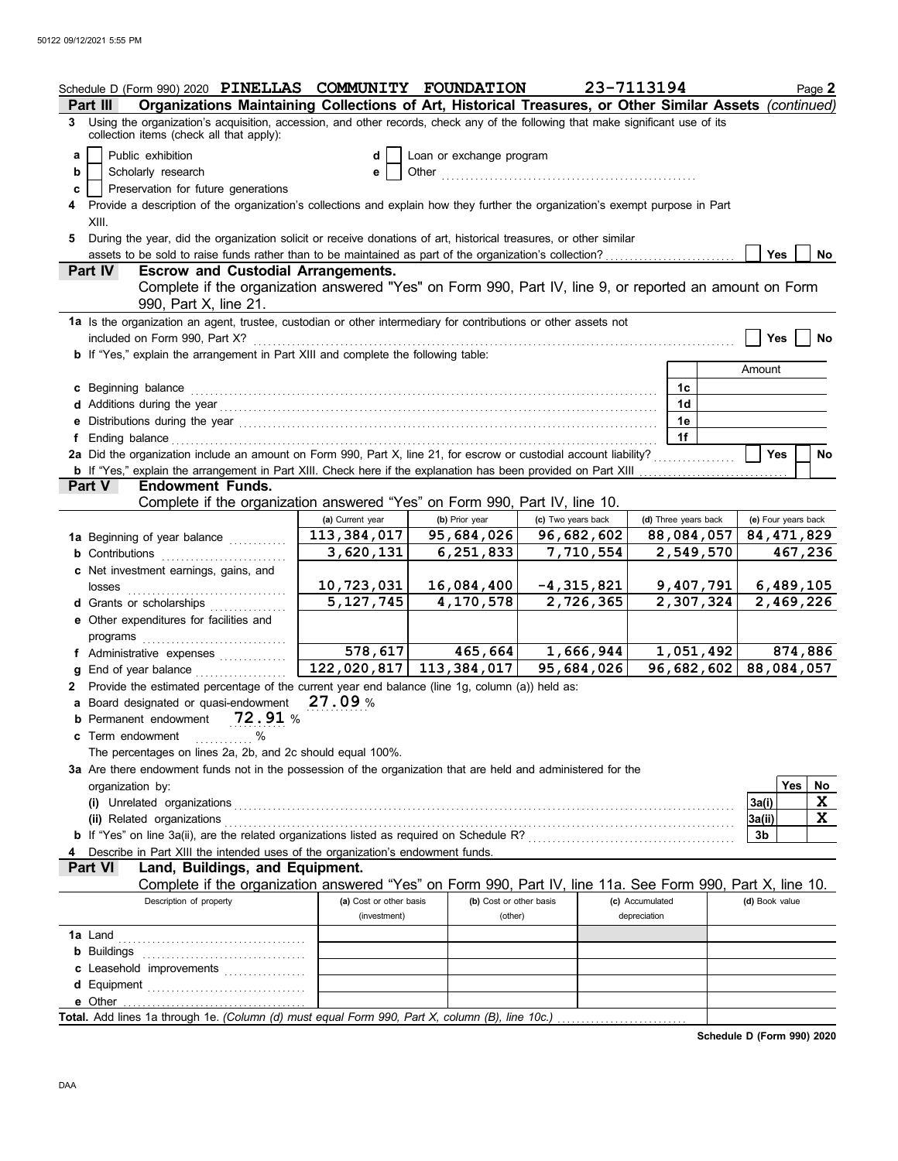|    | Schedule D (Form 990) 2020 PINELLAS COMMUNITY FOUNDATION                                                                                                                                                                       |                           |                          |                    | 23-7113194      |                      |                     |     | Page 2  |
|----|--------------------------------------------------------------------------------------------------------------------------------------------------------------------------------------------------------------------------------|---------------------------|--------------------------|--------------------|-----------------|----------------------|---------------------|-----|---------|
|    | Organizations Maintaining Collections of Art, Historical Treasures, or Other Similar Assets (continued)<br>Part III                                                                                                            |                           |                          |                    |                 |                      |                     |     |         |
|    | 3 Using the organization's acquisition, accession, and other records, check any of the following that make significant use of its<br>collection items (check all that apply):                                                  |                           |                          |                    |                 |                      |                     |     |         |
| a  | Public exhibition                                                                                                                                                                                                              | d                         | Loan or exchange program |                    |                 |                      |                     |     |         |
| b  | Scholarly research                                                                                                                                                                                                             | е                         |                          |                    |                 |                      |                     |     |         |
| c  | Preservation for future generations                                                                                                                                                                                            |                           |                          |                    |                 |                      |                     |     |         |
|    | Provide a description of the organization's collections and explain how they further the organization's exempt purpose in Part                                                                                                 |                           |                          |                    |                 |                      |                     |     |         |
|    | XIII.                                                                                                                                                                                                                          |                           |                          |                    |                 |                      |                     |     |         |
| 5. | During the year, did the organization solicit or receive donations of art, historical treasures, or other similar                                                                                                              |                           |                          |                    |                 |                      |                     |     |         |
|    | assets to be sold to raise funds rather than to be maintained as part of the organization's collection?                                                                                                                        |                           |                          |                    |                 |                      | <b>Yes</b>          |     | No      |
|    | Part IV<br><b>Escrow and Custodial Arrangements.</b>                                                                                                                                                                           |                           |                          |                    |                 |                      |                     |     |         |
|    | Complete if the organization answered "Yes" on Form 990, Part IV, line 9, or reported an amount on Form                                                                                                                        |                           |                          |                    |                 |                      |                     |     |         |
|    | 990, Part X, line 21.                                                                                                                                                                                                          |                           |                          |                    |                 |                      |                     |     |         |
|    | 1a Is the organization an agent, trustee, custodian or other intermediary for contributions or other assets not                                                                                                                |                           |                          |                    |                 |                      |                     |     |         |
|    | included on Form 990, Part X?                                                                                                                                                                                                  |                           |                          |                    |                 |                      | Yes                 |     | No      |
|    | b If "Yes," explain the arrangement in Part XIII and complete the following table:                                                                                                                                             |                           |                          |                    |                 |                      |                     |     |         |
|    |                                                                                                                                                                                                                                |                           |                          |                    |                 |                      | Amount              |     |         |
|    | c Beginning balance                                                                                                                                                                                                            |                           |                          |                    |                 | 1c                   |                     |     |         |
|    |                                                                                                                                                                                                                                |                           |                          |                    |                 | 1 <sub>d</sub>       |                     |     |         |
|    | e Distributions during the year manufactured and contact the year manufactured with the state of the state of the state of the state of the state of the state of the state of the state of the state of the state of the stat |                           |                          |                    |                 | 1е                   |                     |     |         |
|    | f Ending balance <b>Finding</b> balance <b>Figure 2014</b>                                                                                                                                                                     |                           |                          |                    |                 | 1f                   |                     |     |         |
|    | 2a Did the organization include an amount on Form 990, Part X, line 21, for escrow or custodial account liability?                                                                                                             |                           |                          |                    |                 |                      | <b>Yes</b>          |     | No      |
|    |                                                                                                                                                                                                                                |                           |                          |                    |                 |                      |                     |     |         |
|    | <b>Endowment Funds.</b><br><b>Part V</b>                                                                                                                                                                                       |                           |                          |                    |                 |                      |                     |     |         |
|    | Complete if the organization answered "Yes" on Form 990, Part IV, line 10.                                                                                                                                                     |                           |                          |                    |                 |                      |                     |     |         |
|    |                                                                                                                                                                                                                                | (a) Current year          | (b) Prior year           | (c) Two years back |                 | (d) Three years back | (e) Four years back |     |         |
|    | 1a Beginning of year balance                                                                                                                                                                                                   | 113, 384, 017             | 95,684,026               | 96,682,602         |                 | 88,084,057           | 84, 471, 829        |     |         |
|    | <b>b</b> Contributions <b>contributions</b>                                                                                                                                                                                    | 3,620,131                 | 6,251,833                | 7,710,554          |                 | 2,549,570            |                     |     | 467,236 |
|    | <b>c</b> Net investment earnings, gains, and                                                                                                                                                                                   |                           |                          |                    |                 |                      |                     |     |         |
|    |                                                                                                                                                                                                                                | 10,723,031                | 16,084,400               | $-4,315,821$       |                 | 9,407,791            | 6,489,105           |     |         |
|    | d Grants or scholarships                                                                                                                                                                                                       | $\overline{5}$ , 127, 745 | 4,170,578                | 2,726,365          |                 | 2,307,324            | 2,469,226           |     |         |
|    | e Other expenditures for facilities and                                                                                                                                                                                        |                           |                          |                    |                 |                      |                     |     |         |
|    | programs                                                                                                                                                                                                                       |                           |                          |                    |                 |                      |                     |     |         |
|    | f Administrative expenses                                                                                                                                                                                                      | 578,617                   | 465,664                  | 1,666,944          |                 | 1,051,492            |                     |     | 874,886 |
|    | g End of year balance                                                                                                                                                                                                          | 122,020,817               | 113, 384, 017            | 95,684,026         |                 | 96,682,602           | 88,084,057          |     |         |
|    | 2 Provide the estimated percentage of the current year end balance (line 1g, column (a)) held as:                                                                                                                              |                           |                          |                    |                 |                      |                     |     |         |
|    | a Board designated or quasi-endowment                                                                                                                                                                                          | 27.09%                    |                          |                    |                 |                      |                     |     |         |
|    | b Permanent endowment 72.91 %                                                                                                                                                                                                  |                           |                          |                    |                 |                      |                     |     |         |
|    | %<br>c Term endowment                                                                                                                                                                                                          |                           |                          |                    |                 |                      |                     |     |         |
|    | The percentages on lines 2a, 2b, and 2c should equal 100%.                                                                                                                                                                     |                           |                          |                    |                 |                      |                     |     |         |
|    | 3a Are there endowment funds not in the possession of the organization that are held and administered for the                                                                                                                  |                           |                          |                    |                 |                      |                     |     |         |
|    | organization by:                                                                                                                                                                                                               |                           |                          |                    |                 |                      |                     | Yes | No      |
|    | (i) Unrelated organizations                                                                                                                                                                                                    |                           |                          |                    |                 |                      | 3a(i)               |     | X       |
|    | (ii) Related organizations                                                                                                                                                                                                     |                           |                          |                    |                 |                      | 3a(ii)              |     | X       |
|    |                                                                                                                                                                                                                                |                           |                          |                    |                 |                      | 3b                  |     |         |
|    | Describe in Part XIII the intended uses of the organization's endowment funds.                                                                                                                                                 |                           |                          |                    |                 |                      |                     |     |         |
|    | Land, Buildings, and Equipment.<br><b>Part VI</b>                                                                                                                                                                              |                           |                          |                    |                 |                      |                     |     |         |
|    | Complete if the organization answered "Yes" on Form 990, Part IV, line 11a. See Form 990, Part X, line 10.                                                                                                                     |                           |                          |                    |                 |                      |                     |     |         |
|    | Description of property                                                                                                                                                                                                        | (a) Cost or other basis   | (b) Cost or other basis  |                    | (c) Accumulated |                      | (d) Book value      |     |         |
|    |                                                                                                                                                                                                                                | (investment)              | (other)                  |                    | depreciation    |                      |                     |     |         |
|    |                                                                                                                                                                                                                                |                           |                          |                    |                 |                      |                     |     |         |
|    |                                                                                                                                                                                                                                |                           |                          |                    |                 |                      |                     |     |         |
|    | c Leasehold improvements                                                                                                                                                                                                       |                           |                          |                    |                 |                      |                     |     |         |
|    |                                                                                                                                                                                                                                |                           |                          |                    |                 |                      |                     |     |         |
|    | e Other                                                                                                                                                                                                                        |                           |                          |                    |                 |                      |                     |     |         |
|    |                                                                                                                                                                                                                                |                           |                          |                    |                 |                      |                     |     |         |

**Schedule D (Form 990) 2020**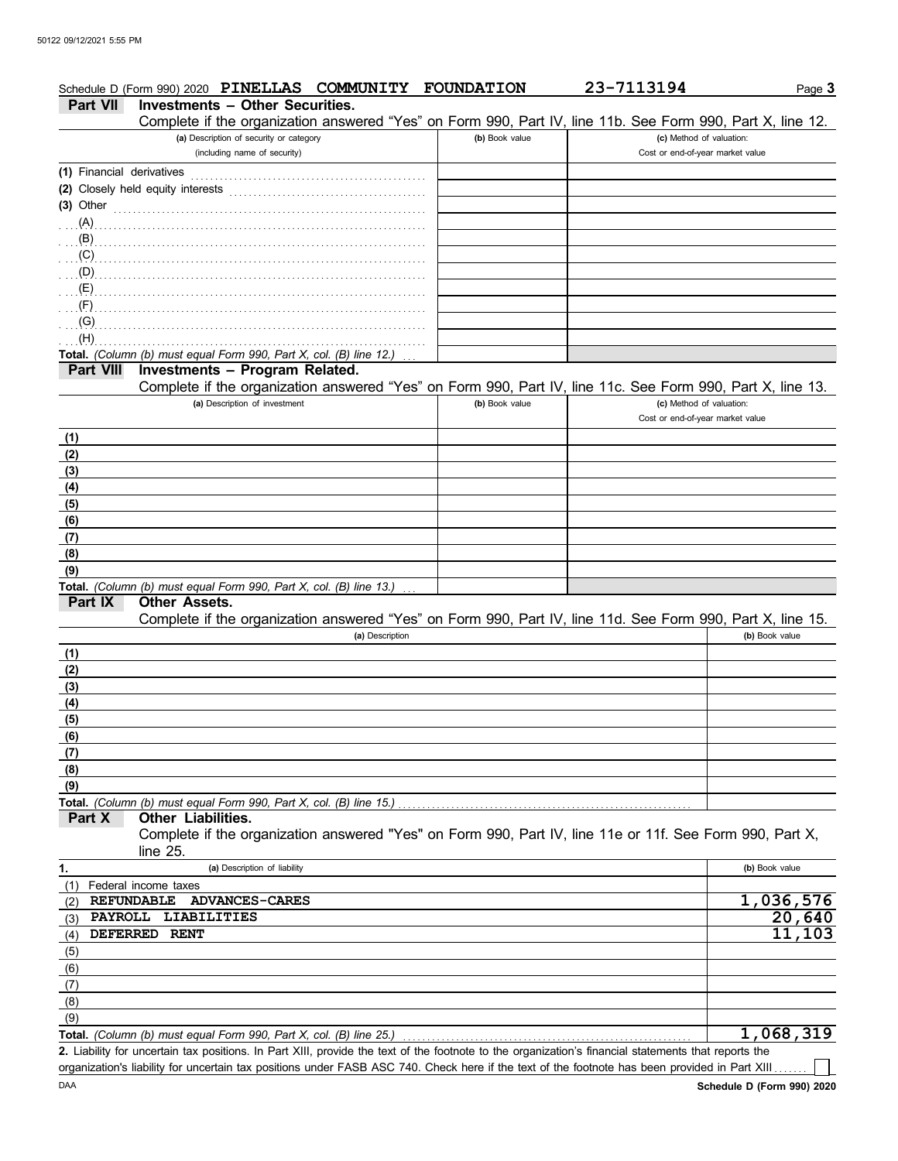|                           | Schedule D (Form 990) 2020 PINELLAS COMMUNITY                                                                                                        | <b>FOUNDATION</b> | 23-7113194                       | Page 3         |
|---------------------------|------------------------------------------------------------------------------------------------------------------------------------------------------|-------------------|----------------------------------|----------------|
| <b>Part VII</b>           | <b>Investments - Other Securities.</b><br>Complete if the organization answered "Yes" on Form 990, Part IV, line 11b. See Form 990, Part X, line 12. |                   |                                  |                |
|                           | (a) Description of security or category                                                                                                              | (b) Book value    | (c) Method of valuation:         |                |
|                           | (including name of security)                                                                                                                         |                   | Cost or end-of-year market value |                |
| (1) Financial derivatives |                                                                                                                                                      |                   |                                  |                |
|                           | (2) Closely held equity interests                                                                                                                    |                   |                                  |                |
| $(3)$ Other               |                                                                                                                                                      |                   |                                  |                |
| (A)                       |                                                                                                                                                      |                   |                                  |                |
| (B)                       |                                                                                                                                                      |                   |                                  |                |
| (C)                       |                                                                                                                                                      |                   |                                  |                |
| (0, 0)                    |                                                                                                                                                      |                   |                                  |                |
| (E)                       |                                                                                                                                                      |                   |                                  |                |
| (F)                       |                                                                                                                                                      |                   |                                  |                |
| (G)<br>(H)                |                                                                                                                                                      |                   |                                  |                |
|                           | Total. (Column (b) must equal Form 990, Part X, col. (B) line 12.)                                                                                   |                   |                                  |                |
| <b>Part VIII</b>          | Investments - Program Related.                                                                                                                       |                   |                                  |                |
|                           | Complete if the organization answered "Yes" on Form 990, Part IV, line 11c. See Form 990, Part X, line 13.                                           |                   |                                  |                |
|                           | (a) Description of investment                                                                                                                        | (b) Book value    | (c) Method of valuation:         |                |
|                           |                                                                                                                                                      |                   | Cost or end-of-year market value |                |
| (1)                       |                                                                                                                                                      |                   |                                  |                |
| (2)                       |                                                                                                                                                      |                   |                                  |                |
| (3)                       |                                                                                                                                                      |                   |                                  |                |
| (4)                       |                                                                                                                                                      |                   |                                  |                |
| (5)                       |                                                                                                                                                      |                   |                                  |                |
| (6)                       |                                                                                                                                                      |                   |                                  |                |
| (7)                       |                                                                                                                                                      |                   |                                  |                |
| (8)                       |                                                                                                                                                      |                   |                                  |                |
| (9)                       |                                                                                                                                                      |                   |                                  |                |
|                           | Total. (Column (b) must equal Form 990, Part X, col. (B) line 13.)                                                                                   |                   |                                  |                |
| Part IX                   | <b>Other Assets.</b>                                                                                                                                 |                   |                                  |                |
|                           | Complete if the organization answered "Yes" on Form 990, Part IV, line 11d. See Form 990, Part X, line 15.                                           |                   |                                  |                |
|                           | (a) Description                                                                                                                                      |                   |                                  | (b) Book value |
| (1)                       |                                                                                                                                                      |                   |                                  |                |
| (2)                       |                                                                                                                                                      |                   |                                  |                |
| (3)                       |                                                                                                                                                      |                   |                                  |                |
| (4)                       |                                                                                                                                                      |                   |                                  |                |
| (5)                       |                                                                                                                                                      |                   |                                  |                |
| (6)                       |                                                                                                                                                      |                   |                                  |                |
| (7)                       |                                                                                                                                                      |                   |                                  |                |
| (8)                       |                                                                                                                                                      |                   |                                  |                |
| (9)                       |                                                                                                                                                      |                   |                                  |                |
|                           | Total. (Column (b) must equal Form 990, Part X, col. (B) line 15.)                                                                                   |                   |                                  |                |
| Part X                    | <b>Other Liabilities.</b>                                                                                                                            |                   |                                  |                |
|                           | Complete if the organization answered "Yes" on Form 990, Part IV, line 11e or 11f. See Form 990, Part X,                                             |                   |                                  |                |
|                           | line $25$ .                                                                                                                                          |                   |                                  |                |
| 1.                        | (a) Description of liability                                                                                                                         |                   |                                  | (b) Book value |
| (1)                       | Federal income taxes                                                                                                                                 |                   |                                  |                |
| (2)                       | <b>REFUNDABLE</b><br><b>ADVANCES-CARES</b>                                                                                                           |                   |                                  | 1,036,576      |
| <b>PAYROLL</b><br>(3)     | LIABILITIES                                                                                                                                          |                   |                                  | 20,640         |
| <b>DEFERRED</b><br>(4)    | <b>RENT</b>                                                                                                                                          |                   |                                  | 11,103         |
| (5)                       |                                                                                                                                                      |                   |                                  |                |
| (6)                       |                                                                                                                                                      |                   |                                  |                |
| (7)                       |                                                                                                                                                      |                   |                                  |                |
| (8)                       |                                                                                                                                                      |                   |                                  |                |
| (9)                       |                                                                                                                                                      |                   |                                  |                |
|                           | Total. (Column (b) must equal Form 990, Part X, col. (B) line 25.)                                                                                   |                   |                                  | 1,068,319      |

DAA Liability for uncertain tax positions. In Part XIII, provide the text of the footnote to the organization's financial statements that reports the **2.** organization's liability for uncertain tax positions under FASB ASC 740. Check here if the text of the footnote has been provided in Part XIII.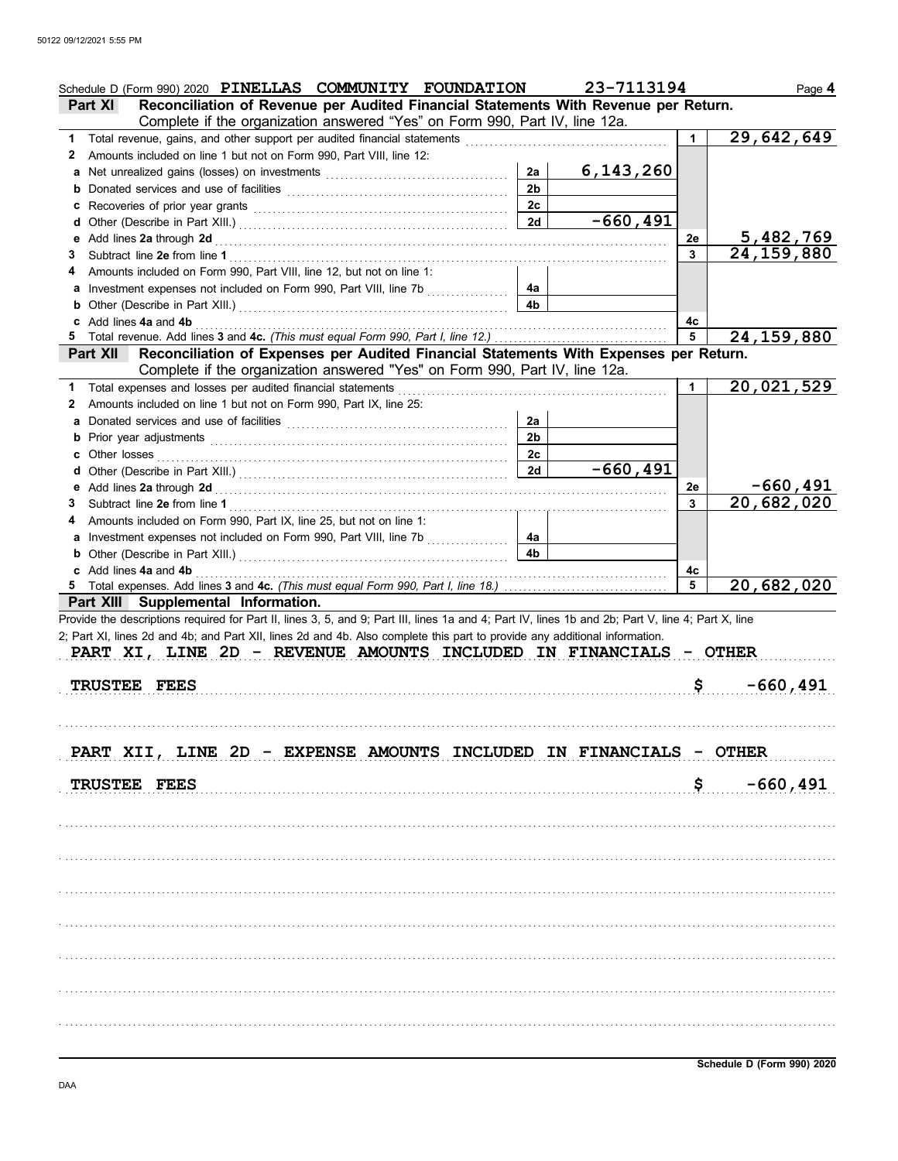| Schedule D (Form 990) 2020 PINELLAS COMMUNITY FOUNDATION                                                                                                                                                                                             |                | 23-7113194  |              | Page 4                     |
|------------------------------------------------------------------------------------------------------------------------------------------------------------------------------------------------------------------------------------------------------|----------------|-------------|--------------|----------------------------|
| Reconciliation of Revenue per Audited Financial Statements With Revenue per Return.<br><b>Part XI</b>                                                                                                                                                |                |             |              |                            |
| Complete if the organization answered "Yes" on Form 990, Part IV, line 12a.                                                                                                                                                                          |                |             |              |                            |
| Total revenue, gains, and other support per audited financial statements<br>1.                                                                                                                                                                       |                |             | 1            | 29,642,649                 |
| Amounts included on line 1 but not on Form 990, Part VIII, line 12:<br>2                                                                                                                                                                             |                |             |              |                            |
|                                                                                                                                                                                                                                                      | 2a             | 6,143,260   |              |                            |
| <b>b</b> Donated services and use of facilities <b>constants</b> and the service of the service of facilities <b>by the service of the service of the service of service of the service of the service of the service of <math>\mathbf{S}</math></b> | 2 <sub>b</sub> |             |              |                            |
|                                                                                                                                                                                                                                                      | 2c             |             |              |                            |
|                                                                                                                                                                                                                                                      | 2d             | $-660, 491$ |              | 5,482,769                  |
|                                                                                                                                                                                                                                                      |                |             | 2е<br>3      | 24, 159, 880               |
| 3                                                                                                                                                                                                                                                    |                |             |              |                            |
| Amounts included on Form 990, Part VIII, line 12, but not on line 1:<br>a Investment expenses not included on Form 990, Part VIII, line 7b [                                                                                                         | 4a             |             |              |                            |
|                                                                                                                                                                                                                                                      | 4b             |             |              |                            |
| c Add lines 4a and 4b                                                                                                                                                                                                                                |                |             | 4c           |                            |
| 5.                                                                                                                                                                                                                                                   |                |             | 5            | 24, 159, 880               |
| Part XII Reconciliation of Expenses per Audited Financial Statements With Expenses per Return.                                                                                                                                                       |                |             |              |                            |
| Complete if the organization answered "Yes" on Form 990, Part IV, line 12a.                                                                                                                                                                          |                |             |              |                            |
| Total expenses and losses per audited financial statements<br>1                                                                                                                                                                                      |                |             | $\mathbf{1}$ | 20,021,529                 |
| Amounts included on line 1 but not on Form 990, Part IX, line 25:<br>2                                                                                                                                                                               |                |             |              |                            |
|                                                                                                                                                                                                                                                      | 2a             |             |              |                            |
|                                                                                                                                                                                                                                                      | 2 <sub>b</sub> |             |              |                            |
| c Other losses                                                                                                                                                                                                                                       | 2c             |             |              |                            |
|                                                                                                                                                                                                                                                      | 2d             | $-660, 491$ |              |                            |
|                                                                                                                                                                                                                                                      |                |             | 2е           | -660,491                   |
| 3                                                                                                                                                                                                                                                    |                |             | 3            | $\overline{20}$ , 682, 020 |
| Amounts included on Form 990, Part IX, line 25, but not on line 1:<br>4                                                                                                                                                                              |                |             |              |                            |
| a Investment expenses not included on Form 990, Part VIII, line 7b                                                                                                                                                                                   | 4a             |             |              |                            |
|                                                                                                                                                                                                                                                      | 4b             |             |              |                            |
|                                                                                                                                                                                                                                                      |                |             | 4с           |                            |
| c Add lines 4a and 4b                                                                                                                                                                                                                                |                |             |              |                            |
|                                                                                                                                                                                                                                                      |                |             | 5            | 20,682,020                 |
| Part XIII Supplemental Information.                                                                                                                                                                                                                  |                |             |              |                            |
| Provide the descriptions required for Part II, lines 3, 5, and 9; Part III, lines 1a and 4; Part IV, lines 1b and 2b; Part V, line 4; Part X, line                                                                                                   |                |             |              |                            |
| 2; Part XI, lines 2d and 4b; and Part XII, lines 2d and 4b. Also complete this part to provide any additional information.                                                                                                                           |                |             |              |                            |
| PART XI, LINE 2D - REVENUE AMOUNTS INCLUDED IN FINANCIALS - OTHER                                                                                                                                                                                    |                |             |              |                            |
|                                                                                                                                                                                                                                                      |                |             |              |                            |
| TRUSTEE FEES                                                                                                                                                                                                                                         |                |             | \$           | $-660, 491$                |
|                                                                                                                                                                                                                                                      |                |             |              |                            |
|                                                                                                                                                                                                                                                      |                |             |              |                            |
|                                                                                                                                                                                                                                                      |                |             |              |                            |
| PART XII, LINE 2D - EXPENSE AMOUNTS INCLUDED IN FINANCIALS - OTHER                                                                                                                                                                                   |                |             |              |                            |
|                                                                                                                                                                                                                                                      |                |             |              |                            |
| TRUSTEE FEES                                                                                                                                                                                                                                         |                |             | \$.          | $-660, 491$                |
|                                                                                                                                                                                                                                                      |                |             |              |                            |
|                                                                                                                                                                                                                                                      |                |             |              |                            |
|                                                                                                                                                                                                                                                      |                |             |              |                            |
|                                                                                                                                                                                                                                                      |                |             |              |                            |
|                                                                                                                                                                                                                                                      |                |             |              |                            |
|                                                                                                                                                                                                                                                      |                |             |              |                            |
|                                                                                                                                                                                                                                                      |                |             |              |                            |
|                                                                                                                                                                                                                                                      |                |             |              |                            |
|                                                                                                                                                                                                                                                      |                |             |              |                            |
|                                                                                                                                                                                                                                                      |                |             |              |                            |
|                                                                                                                                                                                                                                                      |                |             |              |                            |
|                                                                                                                                                                                                                                                      |                |             |              |                            |
|                                                                                                                                                                                                                                                      |                |             |              |                            |
|                                                                                                                                                                                                                                                      |                |             |              |                            |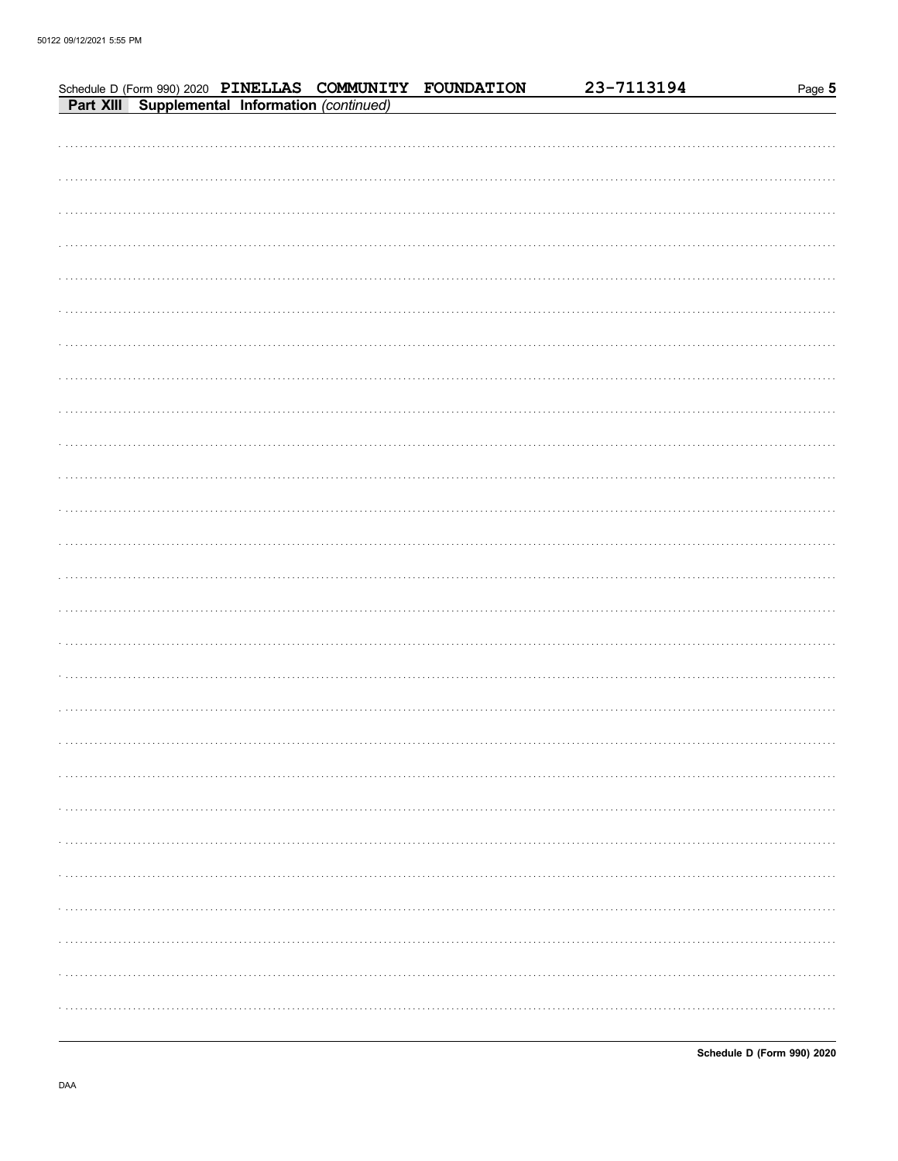|  |  | Schedule D (Form 990) 2020 PINELLAS COMMUNITY FOUNDATION<br>Part XIII Supplemental Information (continued) | 23-7113194 | Page 5 |
|--|--|------------------------------------------------------------------------------------------------------------|------------|--------|
|  |  |                                                                                                            |            |        |
|  |  |                                                                                                            |            |        |
|  |  |                                                                                                            |            |        |
|  |  |                                                                                                            |            |        |
|  |  |                                                                                                            |            |        |
|  |  |                                                                                                            |            |        |
|  |  |                                                                                                            |            |        |
|  |  |                                                                                                            |            |        |
|  |  |                                                                                                            |            |        |
|  |  |                                                                                                            |            |        |
|  |  |                                                                                                            |            |        |
|  |  |                                                                                                            |            |        |
|  |  |                                                                                                            |            |        |
|  |  |                                                                                                            |            |        |
|  |  |                                                                                                            |            |        |
|  |  |                                                                                                            |            |        |
|  |  |                                                                                                            |            |        |
|  |  |                                                                                                            |            |        |
|  |  |                                                                                                            |            |        |
|  |  |                                                                                                            |            |        |
|  |  |                                                                                                            |            |        |
|  |  |                                                                                                            |            |        |
|  |  |                                                                                                            |            |        |
|  |  |                                                                                                            |            |        |
|  |  |                                                                                                            |            |        |
|  |  |                                                                                                            |            |        |
|  |  |                                                                                                            |            |        |
|  |  |                                                                                                            |            |        |
|  |  |                                                                                                            |            |        |
|  |  |                                                                                                            |            | .      |
|  |  |                                                                                                            |            |        |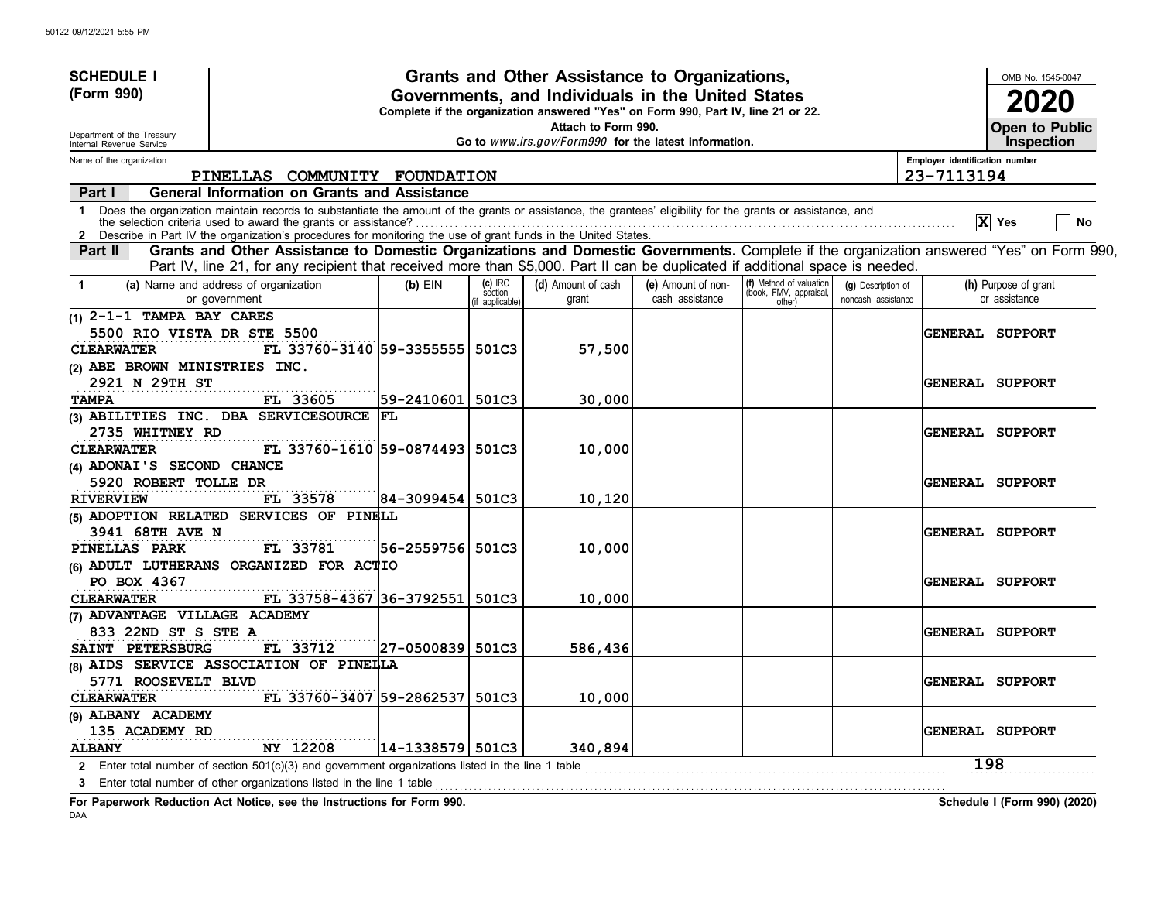| <b>SCHEDULE I</b>                                      |                                                                                                                                                                                                                                                                             |                        |                                       | Grants and Other Assistance to Organizations,                                                                                         |                                       |                                                             |                                          |                                | OMB No. 1545-0047                     |
|--------------------------------------------------------|-----------------------------------------------------------------------------------------------------------------------------------------------------------------------------------------------------------------------------------------------------------------------------|------------------------|---------------------------------------|---------------------------------------------------------------------------------------------------------------------------------------|---------------------------------------|-------------------------------------------------------------|------------------------------------------|--------------------------------|---------------------------------------|
| (Form 990)                                             |                                                                                                                                                                                                                                                                             |                        |                                       | Governments, and Individuals in the United States<br>Complete if the organization answered "Yes" on Form 990, Part IV, line 21 or 22. |                                       |                                                             |                                          |                                | 2020                                  |
| Department of the Treasury<br>Internal Revenue Service |                                                                                                                                                                                                                                                                             |                        |                                       | Attach to Form 990.<br>Go to www.irs.gov/Form990 for the latest information.                                                          |                                       |                                                             |                                          |                                | Open to Public<br><b>Inspection</b>   |
| Name of the organization                               |                                                                                                                                                                                                                                                                             |                        |                                       |                                                                                                                                       |                                       |                                                             |                                          | Employer identification number |                                       |
|                                                        | PINELLAS COMMUNITY FOUNDATION                                                                                                                                                                                                                                               |                        |                                       |                                                                                                                                       |                                       |                                                             |                                          | 23-7113194                     |                                       |
| Part I                                                 | <b>General Information on Grants and Assistance</b>                                                                                                                                                                                                                         |                        |                                       |                                                                                                                                       |                                       |                                                             |                                          |                                |                                       |
| $\mathbf 1$<br>$\mathbf{2}$                            | Does the organization maintain records to substantiate the amount of the grants or assistance, the grantees' eligibility for the grants or assistance, and<br>Describe in Part IV the organization's procedures for monitoring the use of grant funds in the United States. |                        |                                       |                                                                                                                                       |                                       |                                                             |                                          |                                | $\mathbf{X}$ Yes<br>No                |
| Part II                                                | Grants and Other Assistance to Domestic Organizations and Domestic Governments. Complete if the organization answered "Yes" on Form 990,<br>Part IV, line 21, for any recipient that received more than \$5,000. Part II can be duplicated if additional space is needed.   |                        |                                       |                                                                                                                                       |                                       |                                                             |                                          |                                |                                       |
| $\mathbf{1}$                                           | (a) Name and address of organization<br>or government                                                                                                                                                                                                                       | $(b)$ EIN              | $(c)$ IRC<br>section<br>f applicable) | (d) Amount of cash<br>grant                                                                                                           | (e) Amount of non-<br>cash assistance | (f) Method of valuation<br>(book, FMV, appraisal,<br>other) | (g) Description of<br>noncash assistance |                                | (h) Purpose of grant<br>or assistance |
| $(1)$ 2-1-1 TAMPA BAY CARES                            |                                                                                                                                                                                                                                                                             |                        |                                       |                                                                                                                                       |                                       |                                                             |                                          |                                |                                       |
| 5500 RIO VISTA DR STE 5500                             |                                                                                                                                                                                                                                                                             |                        |                                       |                                                                                                                                       |                                       |                                                             |                                          |                                | <b>GENERAL SUPPORT</b>                |
| <b>CLEARWATER</b>                                      | FL 33760-3140 59-33555555 501C3                                                                                                                                                                                                                                             |                        |                                       | 57,500                                                                                                                                |                                       |                                                             |                                          |                                |                                       |
| (2) ABE BROWN MINISTRIES INC.                          |                                                                                                                                                                                                                                                                             |                        |                                       |                                                                                                                                       |                                       |                                                             |                                          |                                |                                       |
| 2921 N 29TH ST<br><b>TAMPA</b>                         | FL 33605                                                                                                                                                                                                                                                                    | 59-2410601             | 501C3                                 | 30,000                                                                                                                                |                                       |                                                             |                                          |                                | <b>GENERAL SUPPORT</b>                |
|                                                        | (3) ABILITIES INC. DBA SERVICESOURCE                                                                                                                                                                                                                                        | <b>FL</b>              |                                       |                                                                                                                                       |                                       |                                                             |                                          |                                |                                       |
| 2735 WHITNEY RD                                        |                                                                                                                                                                                                                                                                             |                        |                                       |                                                                                                                                       |                                       |                                                             |                                          |                                | <b>GENERAL SUPPORT</b>                |
| <b>CLEARWATER</b>                                      | FL 33760-1610 59-0874493 501C3                                                                                                                                                                                                                                              |                        |                                       | 10,000                                                                                                                                |                                       |                                                             |                                          |                                |                                       |
| (4) ADONAI'S SECOND CHANCE                             |                                                                                                                                                                                                                                                                             |                        |                                       |                                                                                                                                       |                                       |                                                             |                                          |                                |                                       |
| 5920 ROBERT TOLLE DR                                   |                                                                                                                                                                                                                                                                             |                        |                                       |                                                                                                                                       |                                       |                                                             |                                          |                                | <b>GENERAL SUPPORT</b>                |
| <b>RIVERVIEW</b>                                       | FL 33578                                                                                                                                                                                                                                                                    | 84-3099454             | 501C3                                 | 10,120                                                                                                                                |                                       |                                                             |                                          |                                |                                       |
|                                                        | (5) ADOPTION RELATED SERVICES OF PINELL                                                                                                                                                                                                                                     |                        |                                       |                                                                                                                                       |                                       |                                                             |                                          |                                |                                       |
| 3941 68TH AVE N                                        |                                                                                                                                                                                                                                                                             |                        |                                       |                                                                                                                                       |                                       |                                                             |                                          |                                | <b>GENERAL SUPPORT</b>                |
| PINELLAS PARK                                          | FL 33781                                                                                                                                                                                                                                                                    | 56-2559756  501C3      |                                       | 10,000                                                                                                                                |                                       |                                                             |                                          |                                |                                       |
| PO BOX 4367                                            | (6) ADULT LUTHERANS ORGANIZED FOR ACTIO                                                                                                                                                                                                                                     |                        |                                       |                                                                                                                                       |                                       |                                                             |                                          |                                |                                       |
| <b>CLEARWATER</b>                                      | FL 33758-4367 36-3792551                                                                                                                                                                                                                                                    |                        | 501C3                                 | 10,000                                                                                                                                |                                       |                                                             |                                          |                                | <b>GENERAL SUPPORT</b>                |
| (7) ADVANTAGE VILLAGE ACADEMY                          |                                                                                                                                                                                                                                                                             |                        |                                       |                                                                                                                                       |                                       |                                                             |                                          |                                |                                       |
| 833 22ND ST S STE A                                    |                                                                                                                                                                                                                                                                             |                        |                                       |                                                                                                                                       |                                       |                                                             |                                          |                                | GENERAL SUPPORT                       |
| SAINT PETERSBURG                                       | FL 33712                                                                                                                                                                                                                                                                    | 27-0500839 501C3       |                                       | 586,436                                                                                                                               |                                       |                                                             |                                          |                                |                                       |
|                                                        | (8) AIDS SERVICE ASSOCIATION OF PINELLA                                                                                                                                                                                                                                     |                        |                                       |                                                                                                                                       |                                       |                                                             |                                          |                                |                                       |
| 5771 ROOSEVELT BLVD                                    |                                                                                                                                                                                                                                                                             |                        |                                       |                                                                                                                                       |                                       |                                                             |                                          |                                | <b>GENERAL SUPPORT</b>                |
| <b>CLEARWATER</b>                                      | FL 33760-3407 59-2862537                                                                                                                                                                                                                                                    |                        | 501C3                                 | 10,000                                                                                                                                |                                       |                                                             |                                          |                                |                                       |
| (9) ALBANY ACADEMY                                     |                                                                                                                                                                                                                                                                             |                        |                                       |                                                                                                                                       |                                       |                                                             |                                          |                                |                                       |
| 135 ACADEMY RD                                         |                                                                                                                                                                                                                                                                             |                        |                                       |                                                                                                                                       |                                       |                                                             |                                          |                                | GENERAL SUPPORT                       |
| <b>ALBANY</b>                                          | NY 12208                                                                                                                                                                                                                                                                    | $ 14 - 1338579  501C3$ |                                       | 340,894                                                                                                                               |                                       |                                                             |                                          |                                |                                       |
|                                                        | 2 Enter total number of section 501(c)(3) and government organizations listed in the line 1 table                                                                                                                                                                           |                        |                                       |                                                                                                                                       |                                       |                                                             |                                          |                                | 198                                   |
|                                                        | 3 Enter total number of other organizations listed in the line 1 table                                                                                                                                                                                                      |                        |                                       |                                                                                                                                       |                                       |                                                             |                                          |                                |                                       |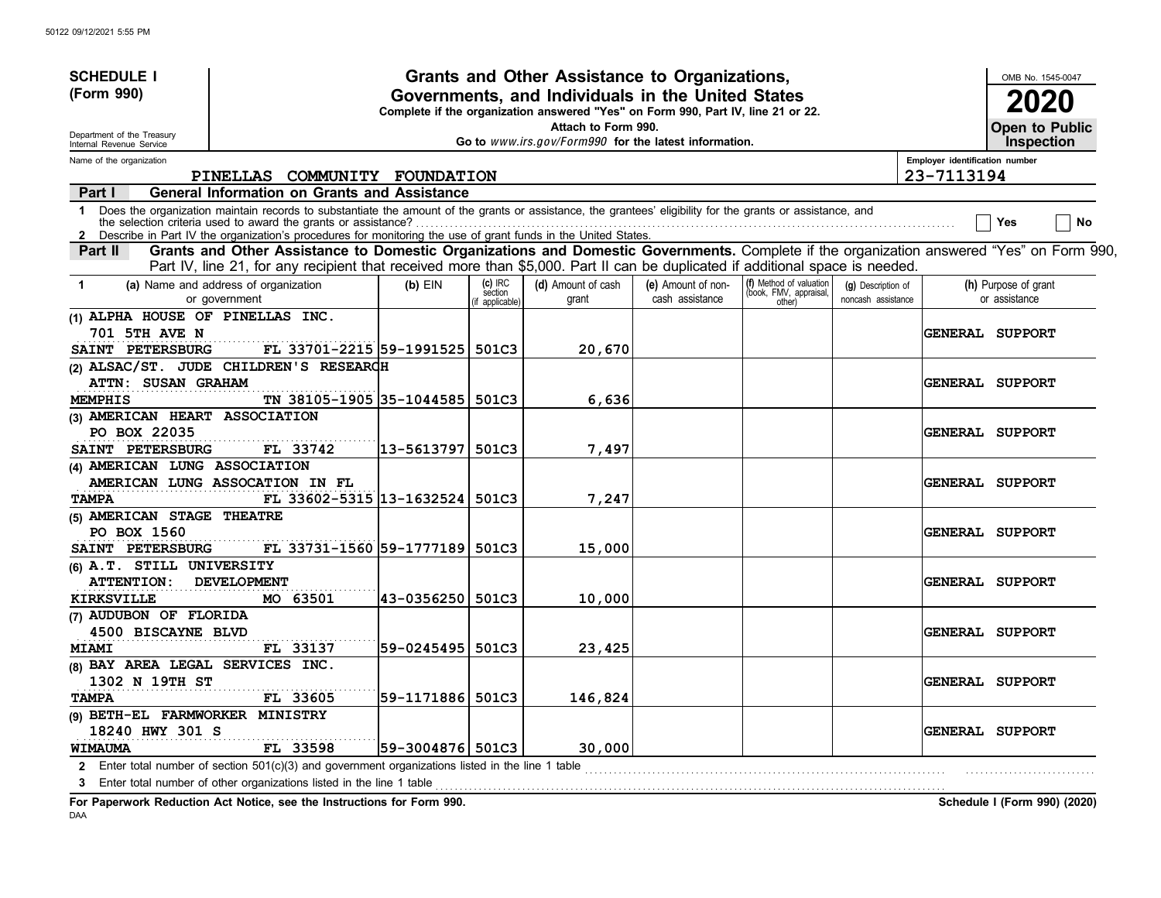| <b>SCHEDULE I</b>                                                            |                                                                                                                                                                                                                                                                             |                   |                                     | Grants and Other Assistance to Organizations,                                                                                         |                                       |                                                             |                                          |                                | OMB No. 1545-0047                     |
|------------------------------------------------------------------------------|-----------------------------------------------------------------------------------------------------------------------------------------------------------------------------------------------------------------------------------------------------------------------------|-------------------|-------------------------------------|---------------------------------------------------------------------------------------------------------------------------------------|---------------------------------------|-------------------------------------------------------------|------------------------------------------|--------------------------------|---------------------------------------|
| (Form 990)                                                                   |                                                                                                                                                                                                                                                                             |                   |                                     | Governments, and Individuals in the United States<br>Complete if the organization answered "Yes" on Form 990, Part IV, line 21 or 22. |                                       |                                                             |                                          |                                | 2020                                  |
| Department of the Treasury<br>Internal Revenue Service                       |                                                                                                                                                                                                                                                                             |                   |                                     | Attach to Form 990.<br>Go to www.irs.gov/Form990 for the latest information.                                                          |                                       |                                                             |                                          |                                | Open to Public<br><b>Inspection</b>   |
| Name of the organization                                                     |                                                                                                                                                                                                                                                                             |                   |                                     |                                                                                                                                       |                                       |                                                             |                                          | Employer identification number |                                       |
|                                                                              | PINELLAS COMMUNITY FOUNDATION                                                                                                                                                                                                                                               |                   |                                     |                                                                                                                                       |                                       |                                                             |                                          | 23-7113194                     |                                       |
| Part I                                                                       | <b>General Information on Grants and Assistance</b>                                                                                                                                                                                                                         |                   |                                     |                                                                                                                                       |                                       |                                                             |                                          |                                |                                       |
| $\mathbf 1$                                                                  | Does the organization maintain records to substantiate the amount of the grants or assistance, the grantees' eligibility for the grants or assistance, and<br>Describe in Part IV the organization's procedures for monitoring the use of grant funds in the United States. |                   |                                     |                                                                                                                                       |                                       |                                                             |                                          |                                | No<br>Yes                             |
| <b>Part II</b>                                                               | Grants and Other Assistance to Domestic Organizations and Domestic Governments. Complete if the organization answered "Yes" on Form 990,<br>Part IV, line 21, for any recipient that received more than \$5,000. Part II can be duplicated if additional space is needed.   |                   |                                     |                                                                                                                                       |                                       |                                                             |                                          |                                |                                       |
| $\blacktriangleleft$                                                         | (a) Name and address of organization<br>or government                                                                                                                                                                                                                       | $(b)$ EIN         | (c) IRC<br>section<br>f applicable) | (d) Amount of cash<br>grant                                                                                                           | (e) Amount of non-<br>cash assistance | (f) Method of valuation<br>(book, FMV, appraisal,<br>other) | (g) Description of<br>noncash assistance |                                | (h) Purpose of grant<br>or assistance |
| (1) ALPHA HOUSE OF PINELLAS INC.<br><b>701 5TH AVE N</b><br>SAINT PETERSBURG | FL 33701-2215 59-1991525                                                                                                                                                                                                                                                    |                   | 501C3                               | 20,670                                                                                                                                |                                       |                                                             |                                          |                                | <b>GENERAL SUPPORT</b>                |
| <b>ATTN: SUSAN GRAHAM</b><br><b>MEMPHIS</b>                                  | (2) ALSAC/ST. JUDE CHILDREN'S RESEARCH<br>TN 38105-1905 35-1044585                                                                                                                                                                                                          |                   | 501C3                               | 6,636                                                                                                                                 |                                       |                                                             |                                          |                                | <b>GENERAL SUPPORT</b>                |
| (3) AMERICAN HEART ASSOCIATION                                               |                                                                                                                                                                                                                                                                             |                   |                                     |                                                                                                                                       |                                       |                                                             |                                          |                                |                                       |
| PO BOX 22035                                                                 |                                                                                                                                                                                                                                                                             |                   |                                     |                                                                                                                                       |                                       |                                                             |                                          |                                | <b>GENERAL SUPPORT</b>                |
| SAINT PETERSBURG                                                             | FL 33742                                                                                                                                                                                                                                                                    | 13-5613797  501C3 |                                     | 7,497                                                                                                                                 |                                       |                                                             |                                          |                                |                                       |
| (4) AMERICAN LUNG ASSOCIATION                                                | AMERICAN LUNG ASSOCATION IN FL                                                                                                                                                                                                                                              |                   |                                     |                                                                                                                                       |                                       |                                                             |                                          |                                | <b>GENERAL SUPPORT</b>                |
| <b>TAMPA</b>                                                                 | FL 33602-5315 13-1632524 501C3                                                                                                                                                                                                                                              |                   |                                     | 7,247                                                                                                                                 |                                       |                                                             |                                          |                                |                                       |
| (5) AMERICAN STAGE THEATRE<br>PO BOX 1560                                    |                                                                                                                                                                                                                                                                             |                   |                                     |                                                                                                                                       |                                       |                                                             |                                          |                                | GENERAL SUPPORT                       |
| SAINT PETERSBURG                                                             | FL 33731-1560 59-1777189 501C3                                                                                                                                                                                                                                              |                   |                                     | 15,000                                                                                                                                |                                       |                                                             |                                          |                                |                                       |
| (6) A.T. STILL UNIVERSITY<br><b>ATTENTION:</b>                               | <b>DEVELOPMENT</b>                                                                                                                                                                                                                                                          |                   |                                     |                                                                                                                                       |                                       |                                                             |                                          |                                | <b>GENERAL SUPPORT</b>                |
| <b>KIRKSVILLE</b>                                                            | MO 63501                                                                                                                                                                                                                                                                    | 43-0356250        | 501C3                               | 10,000                                                                                                                                |                                       |                                                             |                                          |                                |                                       |
| (7) AUDUBON OF FLORIDA<br>4500 BISCAYNE BLVD                                 |                                                                                                                                                                                                                                                                             |                   |                                     |                                                                                                                                       |                                       |                                                             |                                          |                                | <b>GENERAL SUPPORT</b>                |
| <b>MIAMI</b>                                                                 | FL 33137                                                                                                                                                                                                                                                                    | 59-0245495 501C3  |                                     | 23,425                                                                                                                                |                                       |                                                             |                                          |                                |                                       |
| (8) BAY AREA LEGAL SERVICES INC.                                             |                                                                                                                                                                                                                                                                             |                   |                                     |                                                                                                                                       |                                       |                                                             |                                          |                                |                                       |
| 1302 N 19TH ST<br><b>TAMPA</b>                                               | FL 33605                                                                                                                                                                                                                                                                    | 59-1171886 501C3  |                                     | 146,824                                                                                                                               |                                       |                                                             |                                          |                                | <b>GENERAL SUPPORT</b>                |
| (9) BETH-EL FARMWORKER MINISTRY<br>18240 HWY 301 S                           |                                                                                                                                                                                                                                                                             |                   |                                     |                                                                                                                                       |                                       |                                                             |                                          |                                | <b>GENERAL SUPPORT</b>                |
| <b>WIMAUMA</b>                                                               | FL 33598                                                                                                                                                                                                                                                                    | 59-3004876 501C3  |                                     | 30,000                                                                                                                                |                                       |                                                             |                                          |                                |                                       |
| 3                                                                            | 2 Enter total number of section 501(c)(3) and government organizations listed in the line 1 table<br>Enter total number of other organizations listed in the line 1 table                                                                                                   |                   |                                     |                                                                                                                                       |                                       |                                                             |                                          |                                |                                       |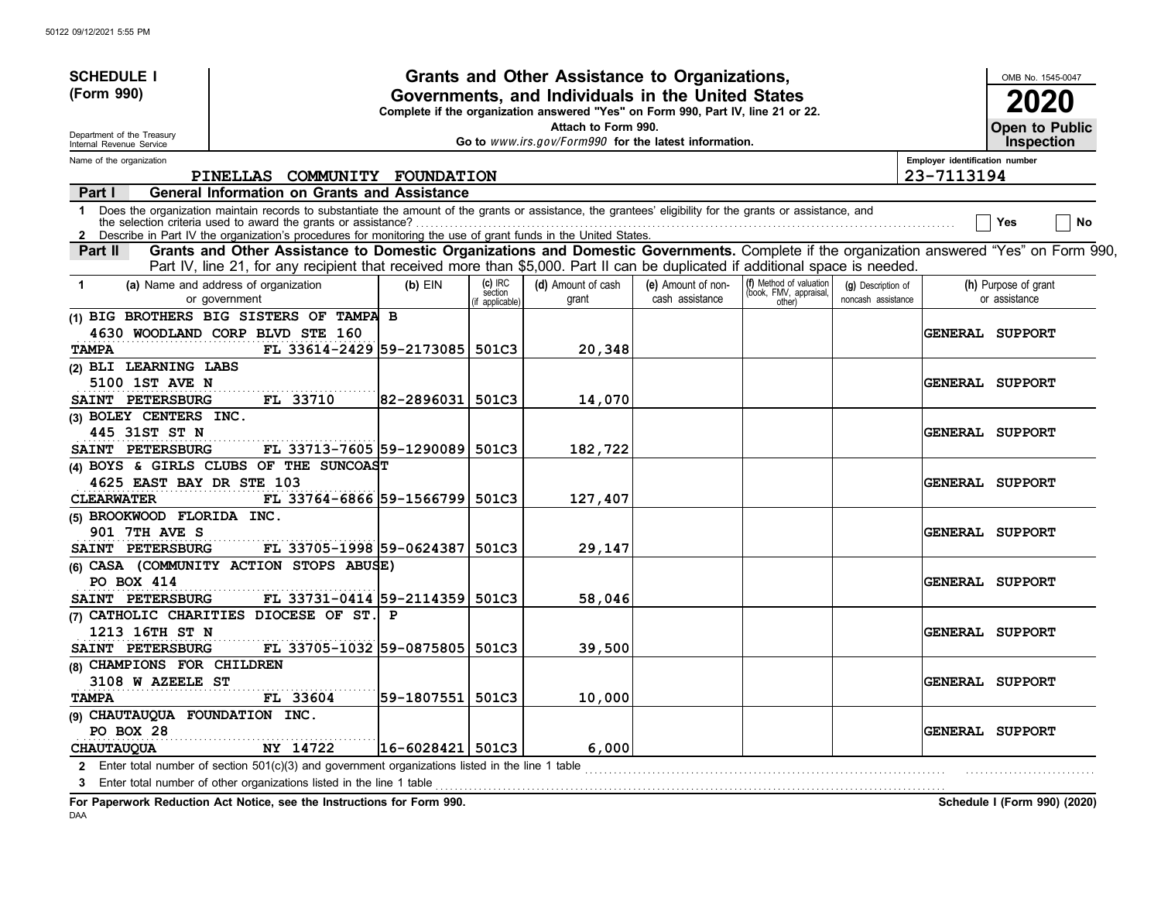| <b>SCHEDULE I</b><br>(Form 990) |                                                                                                                                                                                                                                                                             |                        | Grants and Other Assistance to Organizations,<br>Governments, and Individuals in the United States |                                                                                  |                    |                                                   |                    |                                |                        |  |  |
|---------------------------------|-----------------------------------------------------------------------------------------------------------------------------------------------------------------------------------------------------------------------------------------------------------------------------|------------------------|----------------------------------------------------------------------------------------------------|----------------------------------------------------------------------------------|--------------------|---------------------------------------------------|--------------------|--------------------------------|------------------------|--|--|
|                                 |                                                                                                                                                                                                                                                                             |                        |                                                                                                    | Complete if the organization answered "Yes" on Form 990, Part IV, line 21 or 22. |                    |                                                   |                    |                                | 2020                   |  |  |
| Department of the Treasury      |                                                                                                                                                                                                                                                                             |                        |                                                                                                    | Attach to Form 990.                                                              |                    |                                                   |                    |                                | Open to Public         |  |  |
| Internal Revenue Service        |                                                                                                                                                                                                                                                                             |                        |                                                                                                    | Go to www.irs.gov/Form990 for the latest information.                            |                    |                                                   |                    |                                | <b>Inspection</b>      |  |  |
| Name of the organization        |                                                                                                                                                                                                                                                                             |                        |                                                                                                    |                                                                                  |                    |                                                   |                    | Employer identification number |                        |  |  |
|                                 | PINELLAS COMMUNITY FOUNDATION                                                                                                                                                                                                                                               |                        |                                                                                                    |                                                                                  |                    |                                                   |                    | 23-7113194                     |                        |  |  |
| Part I                          | General Information on Grants and Assistance                                                                                                                                                                                                                                |                        |                                                                                                    |                                                                                  |                    |                                                   |                    |                                |                        |  |  |
| $\mathbf 1$                     | Does the organization maintain records to substantiate the amount of the grants or assistance, the grantees' eligibility for the grants or assistance, and<br>Describe in Part IV the organization's procedures for monitoring the use of grant funds in the United States. |                        |                                                                                                    |                                                                                  |                    |                                                   |                    |                                | No<br>Yes              |  |  |
| Part II                         | Grants and Other Assistance to Domestic Organizations and Domestic Governments. Complete if the organization answered "Yes" on Form 990,<br>Part IV, line 21, for any recipient that received more than \$5,000. Part II can be duplicated if additional space is needed.   |                        |                                                                                                    |                                                                                  |                    |                                                   |                    |                                |                        |  |  |
| $\mathbf 1$                     | (a) Name and address of organization                                                                                                                                                                                                                                        | $(b)$ EIN              | $(c)$ IRC<br>section                                                                               | (d) Amount of cash                                                               | (e) Amount of non- | (f) Method of valuation<br>(book, FMV, appraisal, | (g) Description of |                                | (h) Purpose of grant   |  |  |
|                                 | or government                                                                                                                                                                                                                                                               |                        | f applicable)                                                                                      | grant                                                                            | cash assistance    | other)                                            | noncash assistance |                                | or assistance          |  |  |
|                                 | (1) BIG BROTHERS BIG SISTERS OF TAMPA B                                                                                                                                                                                                                                     |                        |                                                                                                    |                                                                                  |                    |                                                   |                    |                                |                        |  |  |
|                                 | 4630 WOODLAND CORP BLVD STE 160                                                                                                                                                                                                                                             |                        |                                                                                                    |                                                                                  |                    |                                                   |                    |                                | <b>GENERAL SUPPORT</b> |  |  |
| <b>TAMPA</b>                    | FL 33614-2429 59-2173085 501C3                                                                                                                                                                                                                                              |                        |                                                                                                    | 20,348                                                                           |                    |                                                   |                    |                                |                        |  |  |
| (2) BLI LEARNING LABS           |                                                                                                                                                                                                                                                                             |                        |                                                                                                    |                                                                                  |                    |                                                   |                    |                                |                        |  |  |
| 5100 1ST AVE N                  |                                                                                                                                                                                                                                                                             |                        |                                                                                                    |                                                                                  |                    |                                                   |                    |                                | <b>GENERAL SUPPORT</b> |  |  |
| SAINT PETERSBURG                | FL 33710                                                                                                                                                                                                                                                                    | 82-2896031             | 501C3                                                                                              | 14,070                                                                           |                    |                                                   |                    |                                |                        |  |  |
| (3) BOLEY CENTERS INC.          |                                                                                                                                                                                                                                                                             |                        |                                                                                                    |                                                                                  |                    |                                                   |                    |                                |                        |  |  |
| 445 31ST ST N                   |                                                                                                                                                                                                                                                                             |                        |                                                                                                    |                                                                                  |                    |                                                   |                    |                                | <b>GENERAL SUPPORT</b> |  |  |
| SAINT PETERSBURG                | FL 33713-7605 59-1290089                                                                                                                                                                                                                                                    |                        | 501C3                                                                                              | 182,722                                                                          |                    |                                                   |                    |                                |                        |  |  |
|                                 | (4) BOYS & GIRLS CLUBS OF THE SUNCOAST                                                                                                                                                                                                                                      |                        |                                                                                                    |                                                                                  |                    |                                                   |                    |                                |                        |  |  |
| 4625 EAST BAY DR STE 103        |                                                                                                                                                                                                                                                                             |                        |                                                                                                    |                                                                                  |                    |                                                   |                    |                                | <b>GENERAL SUPPORT</b> |  |  |
| <b>CLEARWATER</b>               | FL 33764-6866 59-1566799                                                                                                                                                                                                                                                    |                        | 501C3                                                                                              | 127,407                                                                          |                    |                                                   |                    |                                |                        |  |  |
| (5) BROOKWOOD FLORIDA INC.      |                                                                                                                                                                                                                                                                             |                        |                                                                                                    |                                                                                  |                    |                                                   |                    |                                |                        |  |  |
| <b>901 7TH AVE S</b>            |                                                                                                                                                                                                                                                                             |                        |                                                                                                    |                                                                                  |                    |                                                   |                    |                                | GENERAL SUPPORT        |  |  |
| SAINT PETERSBURG                | FL 33705-1998 59-0624387                                                                                                                                                                                                                                                    |                        | 501C3                                                                                              | 29,147                                                                           |                    |                                                   |                    |                                |                        |  |  |
|                                 | (6) CASA (COMMUNITY ACTION STOPS ABUSE)                                                                                                                                                                                                                                     |                        |                                                                                                    |                                                                                  |                    |                                                   |                    |                                |                        |  |  |
| <b>PO BOX 414</b>               |                                                                                                                                                                                                                                                                             |                        |                                                                                                    |                                                                                  |                    |                                                   |                    |                                | <b>GENERAL SUPPORT</b> |  |  |
| SAINT PETERSBURG                | FL 33731-0414 59-2114359 501C3                                                                                                                                                                                                                                              |                        |                                                                                                    | 58,046                                                                           |                    |                                                   |                    |                                |                        |  |  |
|                                 | (7) CATHOLIC CHARITIES DIOCESE OF ST. P                                                                                                                                                                                                                                     |                        |                                                                                                    |                                                                                  |                    |                                                   |                    |                                |                        |  |  |
| 1213 16TH ST N                  |                                                                                                                                                                                                                                                                             |                        |                                                                                                    |                                                                                  |                    |                                                   |                    |                                | <b>GENERAL SUPPORT</b> |  |  |
| SAINT PETERSBURG                | FL 33705-1032 59-0875805                                                                                                                                                                                                                                                    |                        | 501C3                                                                                              | 39,500                                                                           |                    |                                                   |                    |                                |                        |  |  |
| (8) CHAMPIONS FOR CHILDREN      |                                                                                                                                                                                                                                                                             |                        |                                                                                                    |                                                                                  |                    |                                                   |                    |                                |                        |  |  |
| 3108 W AZEELE ST                |                                                                                                                                                                                                                                                                             |                        |                                                                                                    |                                                                                  |                    |                                                   |                    |                                | <b>GENERAL SUPPORT</b> |  |  |
| <b>TAMPA</b>                    | FL 33604                                                                                                                                                                                                                                                                    | 59-1807551   501C3     |                                                                                                    | 10,000                                                                           |                    |                                                   |                    |                                |                        |  |  |
| (9) CHAUTAUQUA FOUNDATION INC.  |                                                                                                                                                                                                                                                                             |                        |                                                                                                    |                                                                                  |                    |                                                   |                    |                                |                        |  |  |
| PO BOX 28                       |                                                                                                                                                                                                                                                                             |                        |                                                                                                    |                                                                                  |                    |                                                   |                    |                                | <b>GENERAL SUPPORT</b> |  |  |
| <b>CHAUTAUQUA</b>               | NY 14722<br>2 Enter total number of section 501(c)(3) and government organizations listed in the line 1 table                                                                                                                                                               | $ 16 - 6028421 $ 501C3 |                                                                                                    | 6,000                                                                            |                    |                                                   |                    |                                |                        |  |  |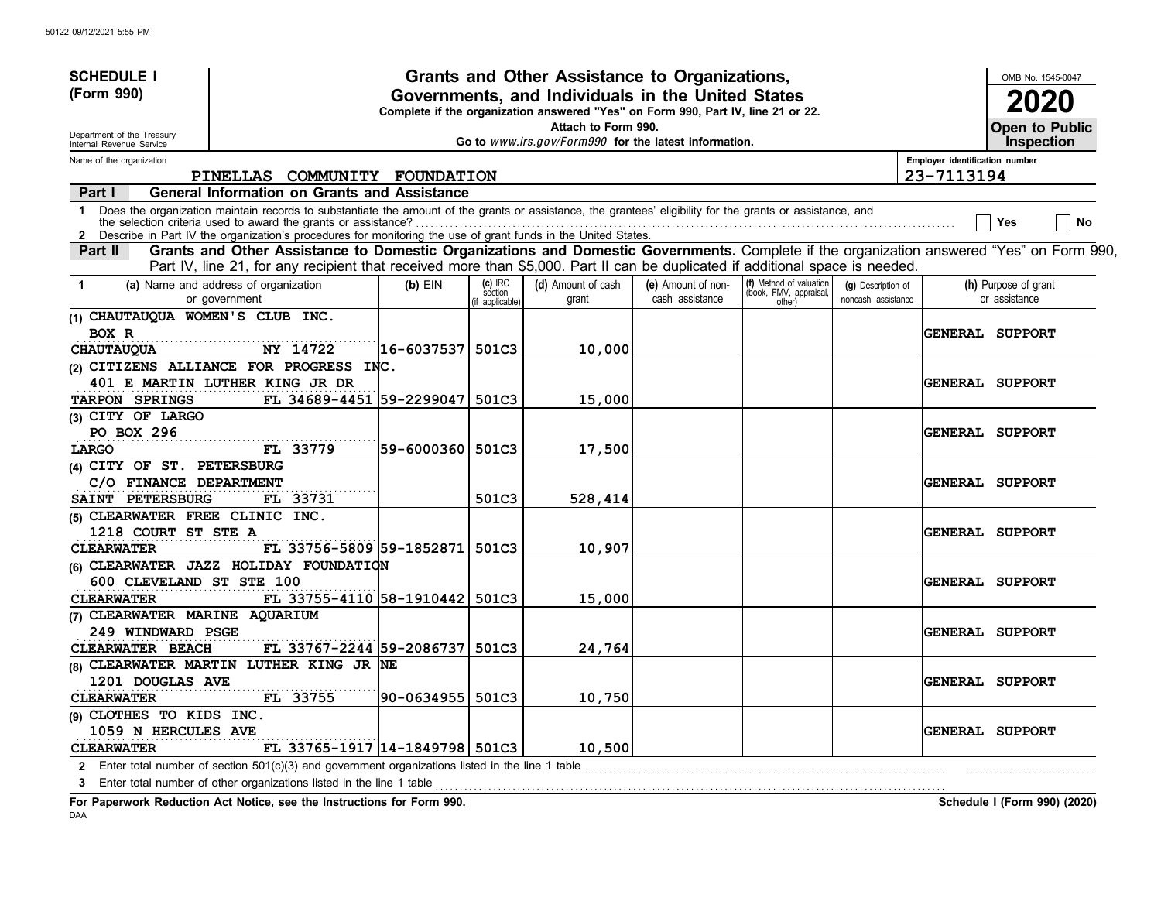| <b>SCHEDULE I</b>                                      |                                                                                                                                                                                                                                                                             |            |                                     | Grants and Other Assistance to Organizations,                                                                                         |                                       |                                                             |                                          |                                | OMB No. 1545-0047                          |
|--------------------------------------------------------|-----------------------------------------------------------------------------------------------------------------------------------------------------------------------------------------------------------------------------------------------------------------------------|------------|-------------------------------------|---------------------------------------------------------------------------------------------------------------------------------------|---------------------------------------|-------------------------------------------------------------|------------------------------------------|--------------------------------|--------------------------------------------|
| (Form 990)                                             |                                                                                                                                                                                                                                                                             |            |                                     | Governments, and Individuals in the United States<br>Complete if the organization answered "Yes" on Form 990, Part IV, line 21 or 22. |                                       |                                                             |                                          |                                |                                            |
| Department of the Treasury<br>Internal Revenue Service |                                                                                                                                                                                                                                                                             |            |                                     | Attach to Form 990.<br>Go to www.irs.gov/Form990 for the latest information.                                                          |                                       |                                                             |                                          |                                | <b>Open to Public</b><br><b>Inspection</b> |
| Name of the organization                               |                                                                                                                                                                                                                                                                             |            |                                     |                                                                                                                                       |                                       |                                                             |                                          | Employer identification number |                                            |
|                                                        | PINELLAS COMMUNITY FOUNDATION                                                                                                                                                                                                                                               |            |                                     |                                                                                                                                       |                                       |                                                             |                                          | 23-7113194                     |                                            |
| Part I                                                 | <b>General Information on Grants and Assistance</b>                                                                                                                                                                                                                         |            |                                     |                                                                                                                                       |                                       |                                                             |                                          |                                |                                            |
| 1<br>$\mathbf{2}$                                      | Does the organization maintain records to substantiate the amount of the grants or assistance, the grantees' eligibility for the grants or assistance, and<br>Describe in Part IV the organization's procedures for monitoring the use of grant funds in the United States. |            |                                     |                                                                                                                                       |                                       |                                                             |                                          |                                | No<br>Yes                                  |
| <b>Part II</b>                                         | Grants and Other Assistance to Domestic Organizations and Domestic Governments. Complete if the organization answered "Yes" on Form 990,                                                                                                                                    |            |                                     |                                                                                                                                       |                                       |                                                             |                                          |                                |                                            |
|                                                        | Part IV, line 21, for any recipient that received more than \$5,000. Part II can be duplicated if additional space is needed.                                                                                                                                               |            |                                     |                                                                                                                                       |                                       |                                                             |                                          |                                |                                            |
| $\blacktriangleleft$                                   | (a) Name and address of organization<br>or government                                                                                                                                                                                                                       | $(b)$ EIN  | (c) IRC<br>section<br>f applicable) | (d) Amount of cash<br>grant                                                                                                           | (e) Amount of non-<br>cash assistance | (f) Method of valuation<br>(book, FMV, appraisal,<br>other) | (g) Description of<br>noncash assistance |                                | (h) Purpose of grant<br>or assistance      |
| (1) CHAUTAUQUA WOMEN'S CLUB INC.                       |                                                                                                                                                                                                                                                                             |            |                                     |                                                                                                                                       |                                       |                                                             |                                          |                                |                                            |
| BOX R                                                  |                                                                                                                                                                                                                                                                             |            |                                     |                                                                                                                                       |                                       |                                                             |                                          |                                | GENERAL SUPPORT                            |
| <b>CHAUTAUQUA</b>                                      | NY 14722                                                                                                                                                                                                                                                                    | 16-6037537 | 501C3                               | 10,000                                                                                                                                |                                       |                                                             |                                          |                                |                                            |
|                                                        | (2) CITIZENS ALLIANCE FOR PROGRESS INC.                                                                                                                                                                                                                                     |            |                                     |                                                                                                                                       |                                       |                                                             |                                          |                                |                                            |
|                                                        | 401 E MARTIN LUTHER KING JR DR                                                                                                                                                                                                                                              |            |                                     |                                                                                                                                       |                                       |                                                             |                                          |                                | <b>GENERAL SUPPORT</b>                     |
| TARPON SPRINGS                                         | FL 34689-4451 59-2299047                                                                                                                                                                                                                                                    |            | 501C3                               | 15,000                                                                                                                                |                                       |                                                             |                                          |                                |                                            |
| (3) CITY OF LARGO                                      |                                                                                                                                                                                                                                                                             |            |                                     |                                                                                                                                       |                                       |                                                             |                                          |                                |                                            |
| PO BOX 296                                             |                                                                                                                                                                                                                                                                             |            |                                     |                                                                                                                                       |                                       |                                                             |                                          |                                | <b>GENERAL SUPPORT</b>                     |
| LARGO                                                  | FL 33779                                                                                                                                                                                                                                                                    | 59-6000360 | 501C3                               | 17,500                                                                                                                                |                                       |                                                             |                                          |                                |                                            |
| (4) CITY OF ST. PETERSBURG                             |                                                                                                                                                                                                                                                                             |            |                                     |                                                                                                                                       |                                       |                                                             |                                          |                                |                                            |
| C/O FINANCE DEPARTMENT<br>SAINT PETERSBURG             |                                                                                                                                                                                                                                                                             |            | 501C3                               |                                                                                                                                       |                                       |                                                             |                                          |                                | <b>GENERAL SUPPORT</b>                     |
| (5) CLEARWATER FREE CLINIC INC.                        | FL 33731                                                                                                                                                                                                                                                                    |            |                                     | 528,414                                                                                                                               |                                       |                                                             |                                          |                                |                                            |
| 1218 COURT ST STE A                                    |                                                                                                                                                                                                                                                                             |            |                                     |                                                                                                                                       |                                       |                                                             |                                          |                                |                                            |
| <b>CLEARWATER</b>                                      | FL 33756-5809 59-1852871                                                                                                                                                                                                                                                    |            | 501C3                               | 10,907                                                                                                                                |                                       |                                                             |                                          |                                | <b>GENERAL SUPPORT</b>                     |
|                                                        | (6) CLEARWATER JAZZ HOLIDAY FOUNDATION                                                                                                                                                                                                                                      |            |                                     |                                                                                                                                       |                                       |                                                             |                                          |                                |                                            |
| 600 CLEVELAND ST STE 100                               |                                                                                                                                                                                                                                                                             |            |                                     |                                                                                                                                       |                                       |                                                             |                                          |                                | <b>GENERAL SUPPORT</b>                     |
| <b>CLEARWATER</b>                                      | FL 33755-4110 58-1910442 501C3                                                                                                                                                                                                                                              |            |                                     | 15,000                                                                                                                                |                                       |                                                             |                                          |                                |                                            |
| (7) CLEARWATER MARINE AQUARIUM                         |                                                                                                                                                                                                                                                                             |            |                                     |                                                                                                                                       |                                       |                                                             |                                          |                                |                                            |
| 249 WINDWARD PSGE                                      |                                                                                                                                                                                                                                                                             |            |                                     |                                                                                                                                       |                                       |                                                             |                                          |                                | <b>GENERAL SUPPORT</b>                     |
| CLEARWATER BEACH                                       | FL 33767-2244 59-2086737                                                                                                                                                                                                                                                    |            | 501C3                               | 24,764                                                                                                                                |                                       |                                                             |                                          |                                |                                            |
|                                                        | (8) CLEARWATER MARTIN LUTHER KING JR NE                                                                                                                                                                                                                                     |            |                                     |                                                                                                                                       |                                       |                                                             |                                          |                                |                                            |
| 1201 DOUGLAS AVE                                       |                                                                                                                                                                                                                                                                             |            |                                     |                                                                                                                                       |                                       |                                                             |                                          |                                | <b>GENERAL SUPPORT</b>                     |
| <b>CLEARWATER</b>                                      | FL 33755                                                                                                                                                                                                                                                                    | 90-0634955 | 501C3                               | 10,750                                                                                                                                |                                       |                                                             |                                          |                                |                                            |
| (9) CLOTHES TO KIDS INC.                               |                                                                                                                                                                                                                                                                             |            |                                     |                                                                                                                                       |                                       |                                                             |                                          |                                |                                            |
| 1059 N HERCULES AVE                                    |                                                                                                                                                                                                                                                                             |            |                                     |                                                                                                                                       |                                       |                                                             |                                          |                                | <b>GENERAL SUPPORT</b>                     |
| <b>CLEARWATER</b>                                      | FL 33765-1917 14-1849798 501C3                                                                                                                                                                                                                                              |            |                                     | 10,500                                                                                                                                |                                       |                                                             |                                          |                                |                                            |
| $\mathbf{2}$                                           | Enter total number of section $501(c)(3)$ and government organizations listed in the line 1 table                                                                                                                                                                           |            |                                     |                                                                                                                                       |                                       |                                                             |                                          |                                |                                            |
|                                                        | 3 Enter total number of other organizations listed in the line 1 table                                                                                                                                                                                                      |            |                                     |                                                                                                                                       |                                       |                                                             |                                          |                                |                                            |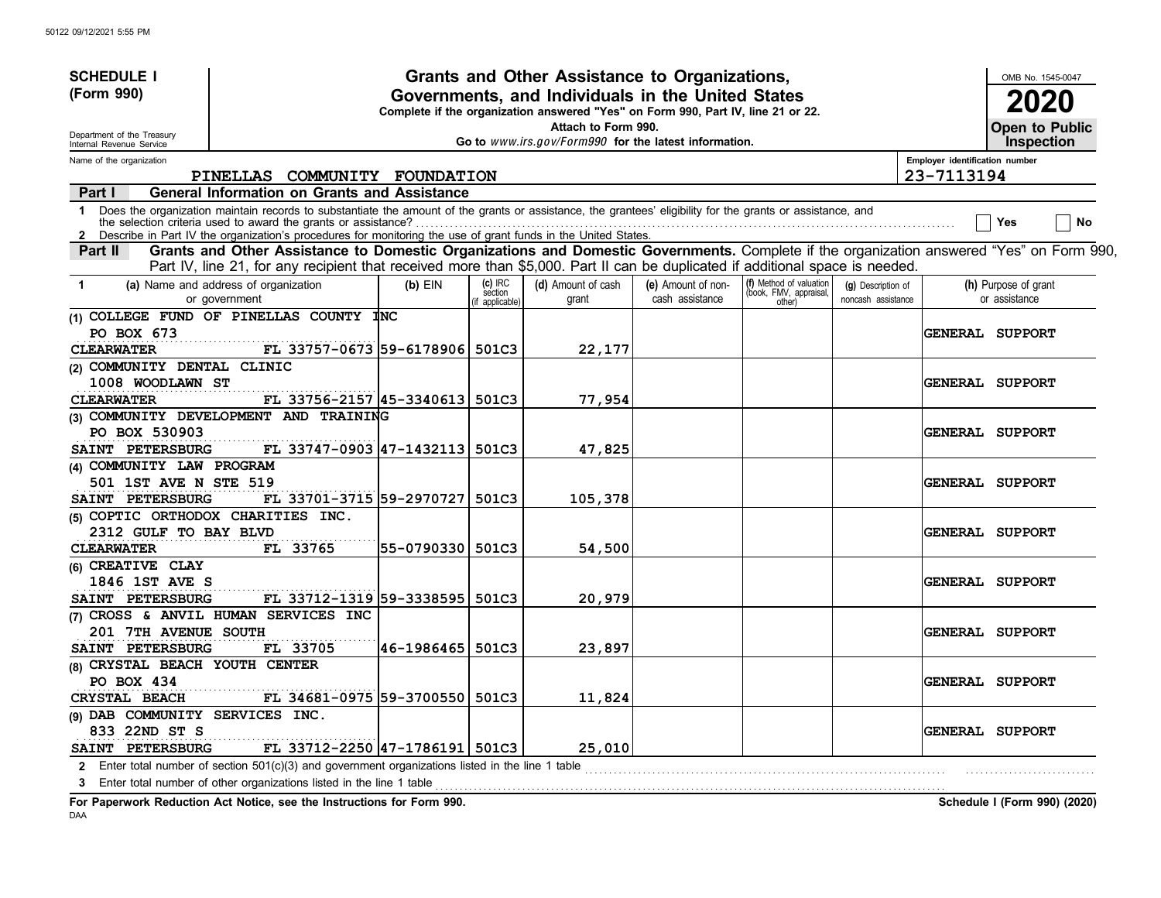| <b>SCHEDULE I</b>                                      |                                                                                                                                                                                                                                                                             |                  |                                       | Grants and Other Assistance to Organizations,         |                                       |                                                             |                                          |                                | OMB No. 1545-0047                          |
|--------------------------------------------------------|-----------------------------------------------------------------------------------------------------------------------------------------------------------------------------------------------------------------------------------------------------------------------------|------------------|---------------------------------------|-------------------------------------------------------|---------------------------------------|-------------------------------------------------------------|------------------------------------------|--------------------------------|--------------------------------------------|
| (Form 990)                                             | Governments, and Individuals in the United States<br>Complete if the organization answered "Yes" on Form 990, Part IV, line 21 or 22.<br>Attach to Form 990.                                                                                                                |                  |                                       |                                                       |                                       |                                                             |                                          |                                |                                            |
| Department of the Treasury<br>Internal Revenue Service |                                                                                                                                                                                                                                                                             |                  |                                       | Go to www.irs.gov/Form990 for the latest information. |                                       |                                                             |                                          |                                | <b>Open to Public</b><br><b>Inspection</b> |
| Name of the organization                               |                                                                                                                                                                                                                                                                             |                  |                                       |                                                       |                                       |                                                             |                                          | Employer identification number |                                            |
|                                                        | PINELLAS COMMUNITY FOUNDATION                                                                                                                                                                                                                                               |                  |                                       |                                                       |                                       |                                                             |                                          | 23-7113194                     |                                            |
| Part I                                                 | <b>General Information on Grants and Assistance</b>                                                                                                                                                                                                                         |                  |                                       |                                                       |                                       |                                                             |                                          |                                |                                            |
| $\mathbf{1}$                                           | Does the organization maintain records to substantiate the amount of the grants or assistance, the grantees' eligibility for the grants or assistance, and<br>Describe in Part IV the organization's procedures for monitoring the use of grant funds in the United States. |                  |                                       |                                                       |                                       |                                                             |                                          |                                | No<br>Yes                                  |
| Part II                                                | Grants and Other Assistance to Domestic Organizations and Domestic Governments. Complete if the organization answered "Yes" on Form 990,<br>Part IV, line 21, for any recipient that received more than \$5,000. Part II can be duplicated if additional space is needed.   |                  |                                       |                                                       |                                       |                                                             |                                          |                                |                                            |
| $\mathbf 1$                                            | (a) Name and address of organization<br>or government                                                                                                                                                                                                                       | $(b)$ EIN        | $(c)$ IRC<br>section<br>f applicable) | (d) Amount of cash<br>grant                           | (e) Amount of non-<br>cash assistance | (f) Method of valuation<br>(book, FMV, appraisal,<br>other) | (g) Description of<br>noncash assistance |                                | (h) Purpose of grant<br>or assistance      |
| PO BOX 673<br><b>CLEARWATER</b>                        | (1) COLLEGE FUND OF PINELLAS COUNTY INC<br>FL 33757-0673 59-6178906 501C3                                                                                                                                                                                                   |                  |                                       | 22,177                                                |                                       |                                                             |                                          |                                | <b>GENERAL SUPPORT</b>                     |
| (2) COMMUNITY DENTAL CLINIC<br>1008 WOODLAWN ST        |                                                                                                                                                                                                                                                                             |                  |                                       |                                                       |                                       |                                                             |                                          |                                | <b>GENERAL SUPPORT</b>                     |
| <b>CLEARWATER</b>                                      | FL 33756-2157 45-3340613 501C3                                                                                                                                                                                                                                              |                  |                                       | 77,954                                                |                                       |                                                             |                                          |                                |                                            |
|                                                        | (3) COMMUNITY DEVELOPMENT AND TRAINING                                                                                                                                                                                                                                      |                  |                                       |                                                       |                                       |                                                             |                                          |                                |                                            |
| PO BOX 530903                                          |                                                                                                                                                                                                                                                                             |                  |                                       |                                                       |                                       |                                                             |                                          |                                | <b>GENERAL SUPPORT</b>                     |
| SAINT PETERSBURG                                       | FL 33747-0903 47-1432113 501C3                                                                                                                                                                                                                                              |                  |                                       | 47,825                                                |                                       |                                                             |                                          |                                |                                            |
| (4) COMMUNITY LAW PROGRAM                              |                                                                                                                                                                                                                                                                             |                  |                                       |                                                       |                                       |                                                             |                                          |                                |                                            |
| 501 1ST AVE N STE 519                                  |                                                                                                                                                                                                                                                                             |                  |                                       |                                                       |                                       |                                                             |                                          |                                | <b>GENERAL SUPPORT</b>                     |
| SAINT PETERSBURG                                       | FL 33701-3715 59-2970727 501C3                                                                                                                                                                                                                                              |                  |                                       | 105,378                                               |                                       |                                                             |                                          |                                |                                            |
| (5) COPTIC ORTHODOX CHARITIES INC.                     |                                                                                                                                                                                                                                                                             |                  |                                       |                                                       |                                       |                                                             |                                          |                                |                                            |
| 2312 GULF TO BAY BLVD<br><b>CLEARWATER</b>             | FL 33765                                                                                                                                                                                                                                                                    | 55-0790330 501C3 |                                       | 54,500                                                |                                       |                                                             |                                          |                                | GENERAL SUPPORT                            |
| (6) CREATIVE CLAY                                      |                                                                                                                                                                                                                                                                             |                  |                                       |                                                       |                                       |                                                             |                                          |                                |                                            |
| 1846 1ST AVE S                                         |                                                                                                                                                                                                                                                                             |                  |                                       |                                                       |                                       |                                                             |                                          |                                | <b>GENERAL SUPPORT</b>                     |
| SAINT PETERSBURG                                       | FL 33712-1319 59-3338595 501C3                                                                                                                                                                                                                                              |                  |                                       | 20,979                                                |                                       |                                                             |                                          |                                |                                            |
|                                                        | (7) CROSS & ANVIL HUMAN SERVICES INC                                                                                                                                                                                                                                        |                  |                                       |                                                       |                                       |                                                             |                                          |                                |                                            |
| 201 7TH AVENUE SOUTH                                   |                                                                                                                                                                                                                                                                             |                  |                                       |                                                       |                                       |                                                             |                                          |                                | <b>GENERAL SUPPORT</b>                     |
| SAINT PETERSBURG                                       | FL 33705                                                                                                                                                                                                                                                                    | 46-1986465 501C3 |                                       | 23,897                                                |                                       |                                                             |                                          |                                |                                            |
| (8) CRYSTAL BEACH YOUTH CENTER                         |                                                                                                                                                                                                                                                                             |                  |                                       |                                                       |                                       |                                                             |                                          |                                |                                            |
| PO BOX 434                                             |                                                                                                                                                                                                                                                                             |                  |                                       |                                                       |                                       |                                                             |                                          |                                | <b>GENERAL SUPPORT</b>                     |
| CRYSTAL BEACH                                          | FL 34681-0975 59-3700550 501C3                                                                                                                                                                                                                                              |                  |                                       | 11,824                                                |                                       |                                                             |                                          |                                |                                            |
| (9) DAB COMMUNITY SERVICES INC.<br>833 22ND ST S       | FL 33712-2250 47-1786191 501C3                                                                                                                                                                                                                                              |                  |                                       | 25,010                                                |                                       |                                                             |                                          |                                | GENERAL SUPPORT                            |
| SAINT PETERSBURG                                       |                                                                                                                                                                                                                                                                             |                  |                                       |                                                       |                                       |                                                             |                                          |                                |                                            |
|                                                        | 2 Enter total number of section 501(c)(3) and government organizations listed in the line 1 table<br>Enter total number of other organizations listed in the line 1 table                                                                                                   |                  |                                       |                                                       |                                       |                                                             |                                          |                                |                                            |
| 3                                                      |                                                                                                                                                                                                                                                                             |                  |                                       |                                                       |                                       |                                                             |                                          |                                |                                            |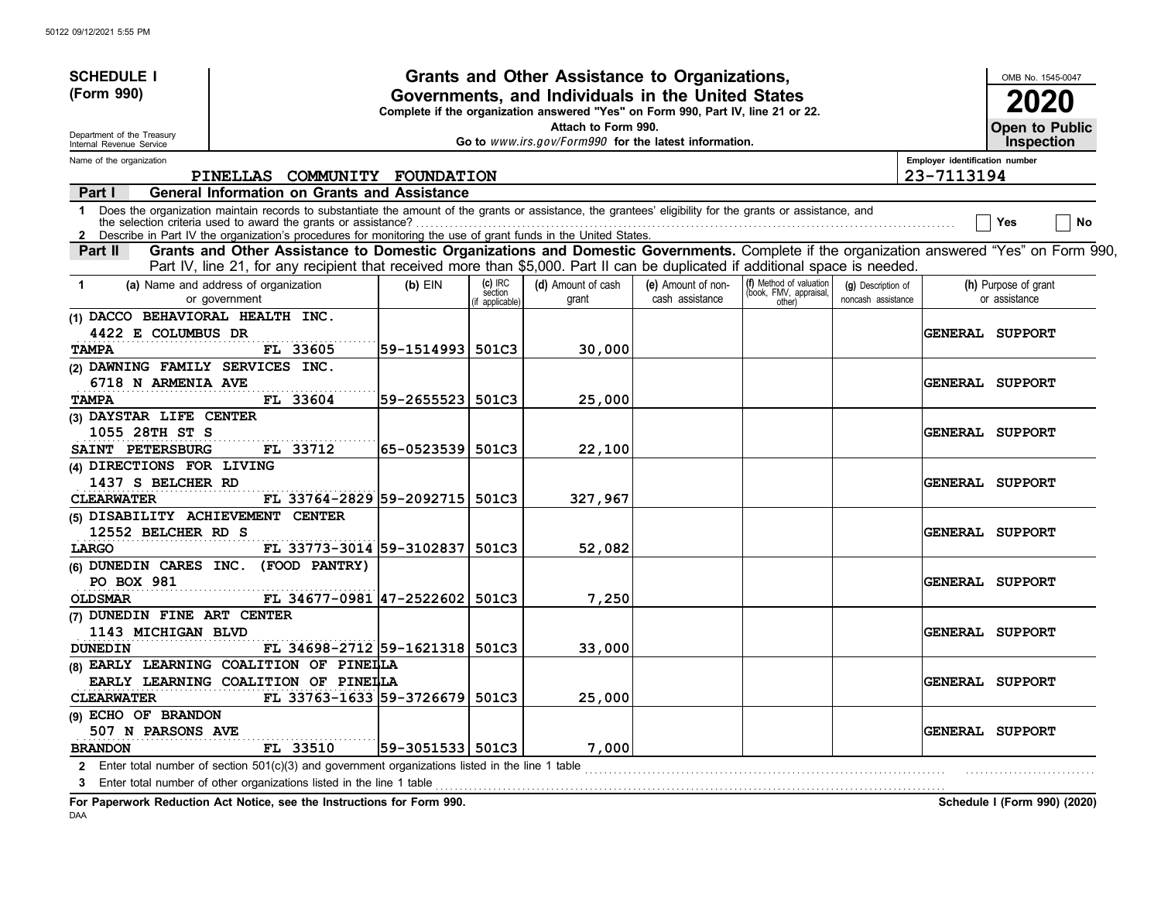| <b>SCHEDULE I</b>                                    |                                                                                                                                                                                                                                                                                                                                               |                   |                                       | Grants and Other Assistance to Organizations,                                                                                         |                                       |                                                             |                                          |                                | OMB No. 1545-0047                     |
|------------------------------------------------------|-----------------------------------------------------------------------------------------------------------------------------------------------------------------------------------------------------------------------------------------------------------------------------------------------------------------------------------------------|-------------------|---------------------------------------|---------------------------------------------------------------------------------------------------------------------------------------|---------------------------------------|-------------------------------------------------------------|------------------------------------------|--------------------------------|---------------------------------------|
| (Form 990)                                           |                                                                                                                                                                                                                                                                                                                                               |                   |                                       | Governments, and Individuals in the United States<br>Complete if the organization answered "Yes" on Form 990, Part IV, line 21 or 22. |                                       |                                                             |                                          |                                | 2020                                  |
| Department of the Treasury                           |                                                                                                                                                                                                                                                                                                                                               |                   |                                       | Attach to Form 990.<br>Go to www.irs.gov/Form990 for the latest information.                                                          |                                       |                                                             |                                          |                                | Open to Public<br><b>Inspection</b>   |
| Internal Revenue Service<br>Name of the organization |                                                                                                                                                                                                                                                                                                                                               |                   |                                       |                                                                                                                                       |                                       |                                                             |                                          | Employer identification number |                                       |
|                                                      | PINELLAS COMMUNITY FOUNDATION                                                                                                                                                                                                                                                                                                                 |                   |                                       |                                                                                                                                       |                                       |                                                             |                                          | 23-7113194                     |                                       |
| Part I                                               | <b>General Information on Grants and Assistance</b>                                                                                                                                                                                                                                                                                           |                   |                                       |                                                                                                                                       |                                       |                                                             |                                          |                                |                                       |
| $\mathbf 1$<br>$\mathbf{2}$                          | Does the organization maintain records to substantiate the amount of the grants or assistance, the grantees' eligibility for the grants or assistance, and<br>the selection criteria used to award the grants or assistance?<br>Describe in Part IV the organization's procedures for monitoring the use of grant funds in the United States. |                   |                                       |                                                                                                                                       |                                       |                                                             |                                          |                                | No<br>Yes                             |
| Part II                                              | Grants and Other Assistance to Domestic Organizations and Domestic Governments. Complete if the organization answered "Yes" on Form 990,<br>Part IV, line 21, for any recipient that received more than \$5,000. Part II can be duplicated if additional space is needed.                                                                     |                   |                                       |                                                                                                                                       |                                       |                                                             |                                          |                                |                                       |
| $\blacktriangleleft$                                 | (a) Name and address of organization<br>or government                                                                                                                                                                                                                                                                                         | $(b)$ EIN         | $(c)$ IRC<br>section<br>f applicable) | (d) Amount of cash<br>grant                                                                                                           | (e) Amount of non-<br>cash assistance | (f) Method of valuation<br>(book, FMV, appraisal,<br>other) | (g) Description of<br>noncash assistance |                                | (h) Purpose of grant<br>or assistance |
| (1) DACCO BEHAVIORAL HEALTH INC.                     |                                                                                                                                                                                                                                                                                                                                               |                   |                                       |                                                                                                                                       |                                       |                                                             |                                          |                                |                                       |
| 4422 E COLUMBUS DR                                   |                                                                                                                                                                                                                                                                                                                                               |                   |                                       |                                                                                                                                       |                                       |                                                             |                                          |                                | GENERAL SUPPORT                       |
| <b>TAMPA</b>                                         | FL 33605                                                                                                                                                                                                                                                                                                                                      | 59-1514993  501C3 |                                       | 30,000                                                                                                                                |                                       |                                                             |                                          |                                |                                       |
| (2) DAWNING FAMILY SERVICES INC.                     |                                                                                                                                                                                                                                                                                                                                               |                   |                                       |                                                                                                                                       |                                       |                                                             |                                          |                                |                                       |
| 6718 N ARMENIA AVE                                   |                                                                                                                                                                                                                                                                                                                                               |                   |                                       |                                                                                                                                       |                                       |                                                             |                                          |                                | <b>GENERAL SUPPORT</b>                |
| <b>TAMPA</b>                                         | FL 33604                                                                                                                                                                                                                                                                                                                                      | 59-2655523  501C3 |                                       | 25,000                                                                                                                                |                                       |                                                             |                                          |                                |                                       |
| (3) DAYSTAR LIFE CENTER                              |                                                                                                                                                                                                                                                                                                                                               |                   |                                       |                                                                                                                                       |                                       |                                                             |                                          |                                |                                       |
| 1055 28TH ST S                                       |                                                                                                                                                                                                                                                                                                                                               |                   |                                       |                                                                                                                                       |                                       |                                                             |                                          |                                | <b>GENERAL SUPPORT</b>                |
| SAINT PETERSBURG                                     | FL 33712                                                                                                                                                                                                                                                                                                                                      | 65-0523539        | 501C3                                 | 22,100                                                                                                                                |                                       |                                                             |                                          |                                |                                       |
| (4) DIRECTIONS FOR LIVING                            |                                                                                                                                                                                                                                                                                                                                               |                   |                                       |                                                                                                                                       |                                       |                                                             |                                          |                                |                                       |
| 1437 S BELCHER RD                                    |                                                                                                                                                                                                                                                                                                                                               |                   |                                       |                                                                                                                                       |                                       |                                                             |                                          |                                | <b>GENERAL SUPPORT</b>                |
| <b>CLEARWATER</b>                                    | FL 33764-2829 59-2092715                                                                                                                                                                                                                                                                                                                      |                   | 501C3                                 | 327,967                                                                                                                               |                                       |                                                             |                                          |                                |                                       |
| (5) DISABILITY ACHIEVEMENT CENTER                    |                                                                                                                                                                                                                                                                                                                                               |                   |                                       |                                                                                                                                       |                                       |                                                             |                                          |                                |                                       |
| 12552 BELCHER RD S                                   |                                                                                                                                                                                                                                                                                                                                               |                   |                                       |                                                                                                                                       |                                       |                                                             |                                          |                                | <b>GENERAL SUPPORT</b>                |
| LARGO                                                | FL 33773-3014 59-3102837                                                                                                                                                                                                                                                                                                                      |                   | 501C3                                 | 52,082                                                                                                                                |                                       |                                                             |                                          |                                |                                       |
| (6) DUNEDIN CARES INC.                               | (FOOD PANTRY)                                                                                                                                                                                                                                                                                                                                 |                   |                                       |                                                                                                                                       |                                       |                                                             |                                          |                                |                                       |
| <b>PO BOX 981</b>                                    |                                                                                                                                                                                                                                                                                                                                               |                   |                                       |                                                                                                                                       |                                       |                                                             |                                          |                                | <b>GENERAL SUPPORT</b>                |
| <b>OLDSMAR</b>                                       | FL 34677-0981 47-2522602                                                                                                                                                                                                                                                                                                                      |                   | 501C3                                 | 7,250                                                                                                                                 |                                       |                                                             |                                          |                                |                                       |
| (7) DUNEDIN FINE ART CENTER                          |                                                                                                                                                                                                                                                                                                                                               |                   |                                       |                                                                                                                                       |                                       |                                                             |                                          |                                |                                       |
| 1143 MICHIGAN BLVD                                   |                                                                                                                                                                                                                                                                                                                                               |                   |                                       |                                                                                                                                       |                                       |                                                             |                                          |                                | <b>GENERAL SUPPORT</b>                |
| <b>DUNEDIN</b>                                       | FL 34698-2712 59-1621318                                                                                                                                                                                                                                                                                                                      |                   | 501C3                                 | 33,000                                                                                                                                |                                       |                                                             |                                          |                                |                                       |
|                                                      | (8) EARLY LEARNING COALITION OF PINEILA                                                                                                                                                                                                                                                                                                       |                   |                                       |                                                                                                                                       |                                       |                                                             |                                          |                                |                                       |
|                                                      | EARLY LEARNING COALITION OF PINELLA                                                                                                                                                                                                                                                                                                           |                   |                                       |                                                                                                                                       |                                       |                                                             |                                          |                                | <b>GENERAL SUPPORT</b>                |
| <b>CLEARWATER</b>                                    | FL 33763-1633 59-3726679                                                                                                                                                                                                                                                                                                                      |                   | 501C3                                 | 25,000                                                                                                                                |                                       |                                                             |                                          |                                |                                       |
| (9) ECHO OF BRANDON                                  |                                                                                                                                                                                                                                                                                                                                               |                   |                                       |                                                                                                                                       |                                       |                                                             |                                          |                                |                                       |
| 507 N PARSONS AVE                                    |                                                                                                                                                                                                                                                                                                                                               |                   |                                       |                                                                                                                                       |                                       |                                                             |                                          |                                | <b>GENERAL SUPPORT</b>                |
| <b>BRANDON</b>                                       | FL 33510                                                                                                                                                                                                                                                                                                                                      | 59-3051533  501C3 |                                       | 7,000                                                                                                                                 |                                       |                                                             |                                          |                                |                                       |
| $\mathbf{2}$                                         | Enter total number of section $501(c)(3)$ and government organizations listed in the line 1 table                                                                                                                                                                                                                                             |                   |                                       |                                                                                                                                       |                                       |                                                             |                                          |                                |                                       |
|                                                      | 3 Enter total number of other organizations listed in the line 1 table                                                                                                                                                                                                                                                                        |                   |                                       |                                                                                                                                       |                                       |                                                             |                                          |                                |                                       |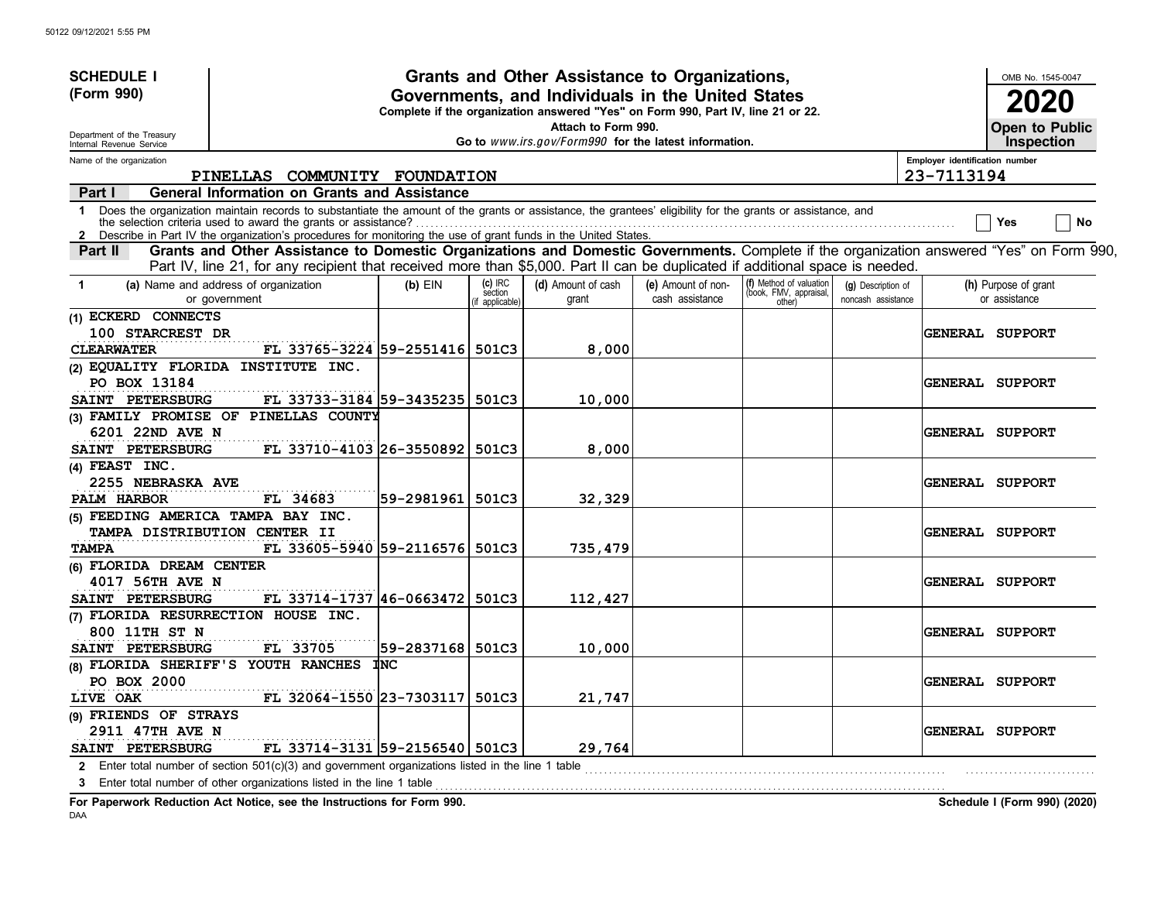| <b>SCHEDULE I</b>                                    |                                                                                                                                                                                                                                                                             |                                                                                                                                                                      |                                     | Grants and Other Assistance to Organizations,         |                                       |                                                             |                                          |                                | OMB No. 1545-0047                          |  |
|------------------------------------------------------|-----------------------------------------------------------------------------------------------------------------------------------------------------------------------------------------------------------------------------------------------------------------------------|----------------------------------------------------------------------------------------------------------------------------------------------------------------------|-------------------------------------|-------------------------------------------------------|---------------------------------------|-------------------------------------------------------------|------------------------------------------|--------------------------------|--------------------------------------------|--|
| (Form 990)                                           |                                                                                                                                                                                                                                                                             | Governments, and Individuals in the United States<br>2020<br>Complete if the organization answered "Yes" on Form 990, Part IV, line 21 or 22.<br>Attach to Form 990. |                                     |                                                       |                                       |                                                             |                                          |                                |                                            |  |
| Department of the Treasury                           |                                                                                                                                                                                                                                                                             |                                                                                                                                                                      |                                     | Go to www.irs.gov/Form990 for the latest information. |                                       |                                                             |                                          |                                | <b>Open to Public</b><br><b>Inspection</b> |  |
| Internal Revenue Service<br>Name of the organization |                                                                                                                                                                                                                                                                             |                                                                                                                                                                      |                                     |                                                       |                                       |                                                             |                                          | Employer identification number |                                            |  |
|                                                      | PINELLAS COMMUNITY FOUNDATION                                                                                                                                                                                                                                               |                                                                                                                                                                      |                                     |                                                       |                                       |                                                             |                                          | 23-7113194                     |                                            |  |
| Part I                                               | <b>General Information on Grants and Assistance</b>                                                                                                                                                                                                                         |                                                                                                                                                                      |                                     |                                                       |                                       |                                                             |                                          |                                |                                            |  |
| $\mathbf{1}$                                         | Does the organization maintain records to substantiate the amount of the grants or assistance, the grantees' eligibility for the grants or assistance, and<br>Describe in Part IV the organization's procedures for monitoring the use of grant funds in the United States. |                                                                                                                                                                      |                                     |                                                       |                                       |                                                             |                                          |                                | No<br>Yes                                  |  |
| Part II                                              | Grants and Other Assistance to Domestic Organizations and Domestic Governments. Complete if the organization answered "Yes" on Form 990,<br>Part IV, line 21, for any recipient that received more than \$5,000. Part II can be duplicated if additional space is needed.   |                                                                                                                                                                      |                                     |                                                       |                                       |                                                             |                                          |                                |                                            |  |
| -1                                                   | (a) Name and address of organization<br>or government                                                                                                                                                                                                                       | $(b)$ EIN                                                                                                                                                            | $(c)$ IRC<br>section<br>applicable) | (d) Amount of cash<br>grant                           | (e) Amount of non-<br>cash assistance | (f) Method of valuation<br>(book, FMV, appraisal,<br>other) | (g) Description of<br>noncash assistance |                                | (h) Purpose of grant<br>or assistance      |  |
| (1) ECKERD CONNECTS                                  |                                                                                                                                                                                                                                                                             |                                                                                                                                                                      |                                     |                                                       |                                       |                                                             |                                          |                                |                                            |  |
| 100 STARCREST DR                                     |                                                                                                                                                                                                                                                                             |                                                                                                                                                                      |                                     |                                                       |                                       |                                                             |                                          |                                | <b>GENERAL SUPPORT</b>                     |  |
| <b>CLEARWATER</b>                                    | FL 33765-3224 59-2551416 501C3                                                                                                                                                                                                                                              |                                                                                                                                                                      |                                     | 8,000                                                 |                                       |                                                             |                                          |                                |                                            |  |
| PO BOX 13184                                         | (2) EQUALITY FLORIDA INSTITUTE INC.                                                                                                                                                                                                                                         |                                                                                                                                                                      |                                     |                                                       |                                       |                                                             |                                          |                                | <b>GENERAL SUPPORT</b>                     |  |
| SAINT PETERSBURG                                     | FL 33733-3184 59-3435235 501C3                                                                                                                                                                                                                                              |                                                                                                                                                                      |                                     | 10,000                                                |                                       |                                                             |                                          |                                |                                            |  |
|                                                      | (3) FAMILY PROMISE OF PINELLAS COUNTY                                                                                                                                                                                                                                       |                                                                                                                                                                      |                                     |                                                       |                                       |                                                             |                                          |                                |                                            |  |
| 6201 22ND AVE N                                      |                                                                                                                                                                                                                                                                             |                                                                                                                                                                      |                                     |                                                       |                                       |                                                             |                                          |                                | <b>GENERAL SUPPORT</b>                     |  |
| SAINT PETERSBURG                                     | FL 33710-4103 26-3550892 501C3                                                                                                                                                                                                                                              |                                                                                                                                                                      |                                     | 8,000                                                 |                                       |                                                             |                                          |                                |                                            |  |
| (4) FEAST INC.                                       |                                                                                                                                                                                                                                                                             |                                                                                                                                                                      |                                     |                                                       |                                       |                                                             |                                          |                                |                                            |  |
| 2255 NEBRASKA AVE                                    |                                                                                                                                                                                                                                                                             |                                                                                                                                                                      |                                     |                                                       |                                       |                                                             |                                          |                                | <b>GENERAL SUPPORT</b>                     |  |
| PALM HARBOR                                          | FL 34683                                                                                                                                                                                                                                                                    | 59-2981961                                                                                                                                                           | 501C3                               | 32,329                                                |                                       |                                                             |                                          |                                |                                            |  |
|                                                      | (5) FEEDING AMERICA TAMPA BAY INC.                                                                                                                                                                                                                                          |                                                                                                                                                                      |                                     |                                                       |                                       |                                                             |                                          |                                |                                            |  |
|                                                      | TAMPA DISTRIBUTION CENTER II                                                                                                                                                                                                                                                |                                                                                                                                                                      |                                     |                                                       |                                       |                                                             |                                          |                                | GENERAL SUPPORT                            |  |
| <b>TAMPA</b><br>(6) FLORIDA DREAM CENTER             | FL 33605-5940 59-2116576 501C3                                                                                                                                                                                                                                              |                                                                                                                                                                      |                                     | 735,479                                               |                                       |                                                             |                                          |                                |                                            |  |
| 4017 56TH AVE N                                      |                                                                                                                                                                                                                                                                             |                                                                                                                                                                      |                                     |                                                       |                                       |                                                             |                                          |                                | <b>GENERAL SUPPORT</b>                     |  |
| SAINT PETERSBURG                                     | FL 33714-1737 46-0663472 501C3                                                                                                                                                                                                                                              |                                                                                                                                                                      |                                     | 112,427                                               |                                       |                                                             |                                          |                                |                                            |  |
|                                                      | (7) FLORIDA RESURRECTION HOUSE INC.                                                                                                                                                                                                                                         |                                                                                                                                                                      |                                     |                                                       |                                       |                                                             |                                          |                                |                                            |  |
| 800 11TH ST N                                        |                                                                                                                                                                                                                                                                             |                                                                                                                                                                      |                                     |                                                       |                                       |                                                             |                                          |                                | <b>GENERAL SUPPORT</b>                     |  |
| SAINT PETERSBURG                                     | FL 33705                                                                                                                                                                                                                                                                    | 59-2837168                                                                                                                                                           | 501C3                               | 10,000                                                |                                       |                                                             |                                          |                                |                                            |  |
|                                                      | (8) FLORIDA SHERIFF'S YOUTH RANCHES                                                                                                                                                                                                                                         | <b>INC</b>                                                                                                                                                           |                                     |                                                       |                                       |                                                             |                                          |                                |                                            |  |
| PO BOX 2000                                          |                                                                                                                                                                                                                                                                             |                                                                                                                                                                      |                                     |                                                       |                                       |                                                             |                                          |                                | <b>GENERAL SUPPORT</b>                     |  |
| LIVE OAK                                             | FL 32064-1550 23-7303117 501C3                                                                                                                                                                                                                                              |                                                                                                                                                                      |                                     | 21,747                                                |                                       |                                                             |                                          |                                |                                            |  |
| (9) FRIENDS OF STRAYS                                |                                                                                                                                                                                                                                                                             |                                                                                                                                                                      |                                     |                                                       |                                       |                                                             |                                          |                                |                                            |  |
| 2911 47TH AVE N                                      |                                                                                                                                                                                                                                                                             |                                                                                                                                                                      |                                     |                                                       |                                       |                                                             |                                          |                                | <b>GENERAL SUPPORT</b>                     |  |
| SAINT PETERSBURG                                     | FL 33714-3131 59-2156540 501C3                                                                                                                                                                                                                                              |                                                                                                                                                                      |                                     | 29,764                                                |                                       |                                                             |                                          |                                |                                            |  |
|                                                      | 2 Enter total number of section 501(c)(3) and government organizations listed in the line 1 table                                                                                                                                                                           |                                                                                                                                                                      |                                     |                                                       |                                       |                                                             |                                          |                                |                                            |  |
|                                                      | 3 Enter total number of other organizations listed in the line 1 table                                                                                                                                                                                                      |                                                                                                                                                                      |                                     |                                                       |                                       |                                                             |                                          |                                |                                            |  |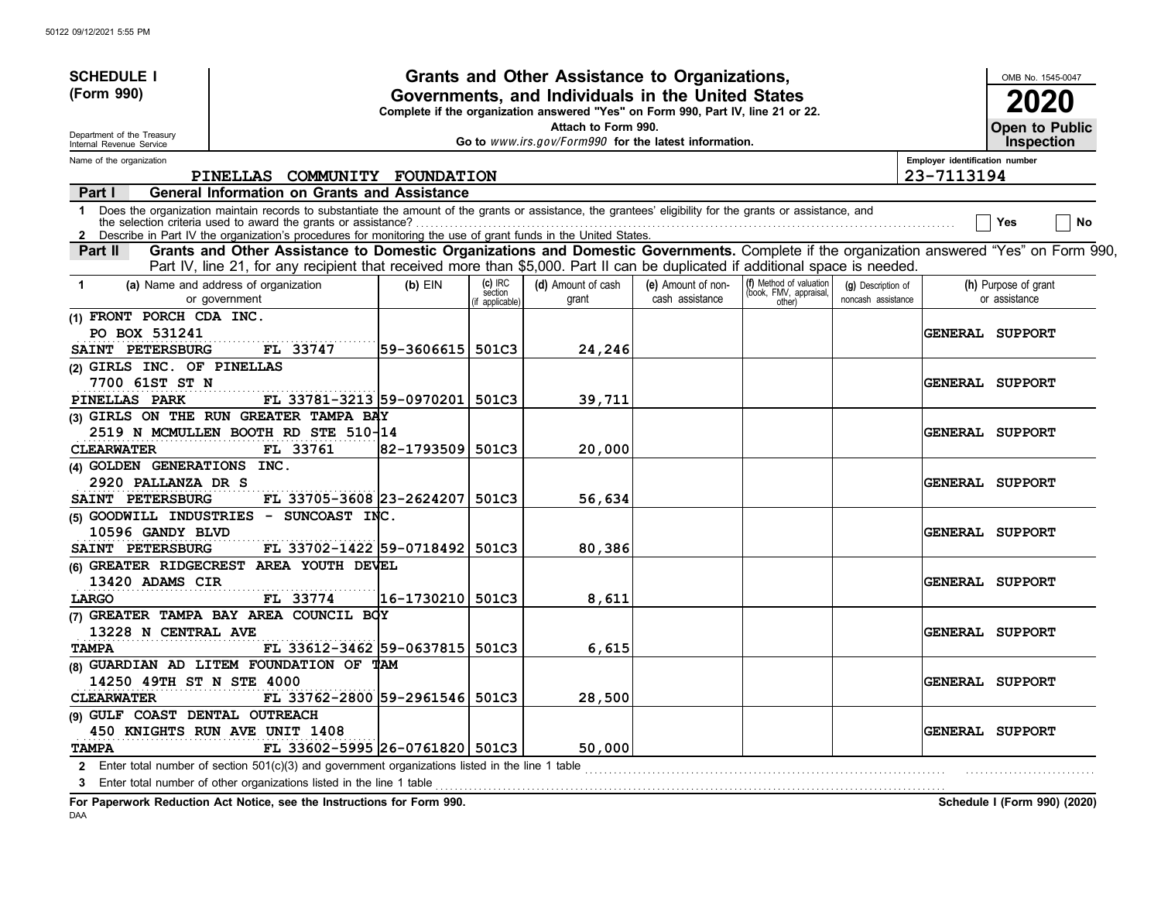| <b>SCHEDULE I</b>                                    |                                                                                                                                                                                                                                                                                                                                               |                   |                                       | Grants and Other Assistance to Organizations,                                                                                         |                                       |                                                             |                                          |                                | OMB No. 1545-0047                     |
|------------------------------------------------------|-----------------------------------------------------------------------------------------------------------------------------------------------------------------------------------------------------------------------------------------------------------------------------------------------------------------------------------------------|-------------------|---------------------------------------|---------------------------------------------------------------------------------------------------------------------------------------|---------------------------------------|-------------------------------------------------------------|------------------------------------------|--------------------------------|---------------------------------------|
| (Form 990)                                           |                                                                                                                                                                                                                                                                                                                                               |                   |                                       | Governments, and Individuals in the United States<br>Complete if the organization answered "Yes" on Form 990, Part IV, line 21 or 22. |                                       |                                                             |                                          |                                | 2020                                  |
| Department of the Treasury                           |                                                                                                                                                                                                                                                                                                                                               |                   |                                       | Attach to Form 990.<br>Go to www.irs.gov/Form990 for the latest information.                                                          |                                       |                                                             |                                          |                                | Open to Public<br><b>Inspection</b>   |
| Internal Revenue Service<br>Name of the organization |                                                                                                                                                                                                                                                                                                                                               |                   |                                       |                                                                                                                                       |                                       |                                                             |                                          | Employer identification number |                                       |
|                                                      | PINELLAS COMMUNITY FOUNDATION                                                                                                                                                                                                                                                                                                                 |                   |                                       |                                                                                                                                       |                                       |                                                             |                                          | 23-7113194                     |                                       |
| Part I                                               | <b>General Information on Grants and Assistance</b>                                                                                                                                                                                                                                                                                           |                   |                                       |                                                                                                                                       |                                       |                                                             |                                          |                                |                                       |
| $\mathbf 1$<br>$\mathbf{2}$                          | Does the organization maintain records to substantiate the amount of the grants or assistance, the grantees' eligibility for the grants or assistance, and<br>the selection criteria used to award the grants or assistance?<br>Describe in Part IV the organization's procedures for monitoring the use of grant funds in the United States. |                   |                                       |                                                                                                                                       |                                       |                                                             |                                          |                                | No<br>Yes                             |
| Part II                                              | Grants and Other Assistance to Domestic Organizations and Domestic Governments. Complete if the organization answered "Yes" on Form 990,<br>Part IV, line 21, for any recipient that received more than \$5,000. Part II can be duplicated if additional space is needed.                                                                     |                   |                                       |                                                                                                                                       |                                       |                                                             |                                          |                                |                                       |
| $\blacktriangleleft$                                 | (a) Name and address of organization<br>or government                                                                                                                                                                                                                                                                                         | $(b)$ EIN         | $(c)$ IRC<br>section<br>f applicable) | (d) Amount of cash<br>grant                                                                                                           | (e) Amount of non-<br>cash assistance | (f) Method of valuation<br>(book, FMV, appraisal,<br>other) | (g) Description of<br>noncash assistance |                                | (h) Purpose of grant<br>or assistance |
| (1) FRONT PORCH CDA INC.                             |                                                                                                                                                                                                                                                                                                                                               |                   |                                       |                                                                                                                                       |                                       |                                                             |                                          |                                |                                       |
| PO BOX 531241                                        |                                                                                                                                                                                                                                                                                                                                               |                   |                                       |                                                                                                                                       |                                       |                                                             |                                          |                                | GENERAL SUPPORT                       |
| SAINT PETERSBURG                                     | FL 33747                                                                                                                                                                                                                                                                                                                                      | 59-3606615  501C3 |                                       | 24,246                                                                                                                                |                                       |                                                             |                                          |                                |                                       |
| (2) GIRLS INC. OF PINELLAS                           |                                                                                                                                                                                                                                                                                                                                               |                   |                                       |                                                                                                                                       |                                       |                                                             |                                          |                                |                                       |
| 7700 61ST ST N                                       |                                                                                                                                                                                                                                                                                                                                               |                   |                                       |                                                                                                                                       |                                       |                                                             |                                          |                                | <b>GENERAL SUPPORT</b>                |
| PINELLAS PARK                                        | FL 33781-3213 59-0970201                                                                                                                                                                                                                                                                                                                      |                   | 501C3                                 | 39,711                                                                                                                                |                                       |                                                             |                                          |                                |                                       |
|                                                      | (3) GIRLS ON THE RUN GREATER TAMPA BAY                                                                                                                                                                                                                                                                                                        |                   |                                       |                                                                                                                                       |                                       |                                                             |                                          |                                |                                       |
|                                                      | 2519 N MCMULLEN BOOTH RD STE 510-14                                                                                                                                                                                                                                                                                                           |                   |                                       |                                                                                                                                       |                                       |                                                             |                                          |                                | <b>GENERAL SUPPORT</b>                |
| <b>CLEARWATER</b>                                    | FL 33761                                                                                                                                                                                                                                                                                                                                      | 82-1793509        | 501C3                                 | 20,000                                                                                                                                |                                       |                                                             |                                          |                                |                                       |
| (4) GOLDEN GENERATIONS INC.                          |                                                                                                                                                                                                                                                                                                                                               |                   |                                       |                                                                                                                                       |                                       |                                                             |                                          |                                |                                       |
| 2920 PALLANZA DR S                                   |                                                                                                                                                                                                                                                                                                                                               |                   |                                       |                                                                                                                                       |                                       |                                                             |                                          |                                | <b>GENERAL SUPPORT</b>                |
| SAINT PETERSBURG                                     | FL 33705-3608 23-2624207                                                                                                                                                                                                                                                                                                                      |                   | 501C3                                 | 56,634                                                                                                                                |                                       |                                                             |                                          |                                |                                       |
|                                                      | $(5)$ GOODWILL INDUSTRIES - SUNCOAST INC.                                                                                                                                                                                                                                                                                                     |                   |                                       |                                                                                                                                       |                                       |                                                             |                                          |                                |                                       |
| 10596 GANDY BLVD                                     |                                                                                                                                                                                                                                                                                                                                               |                   |                                       |                                                                                                                                       |                                       |                                                             |                                          |                                | <b>GENERAL SUPPORT</b>                |
| SAINT PETERSBURG                                     | FL 33702-1422 59-0718492 501C3                                                                                                                                                                                                                                                                                                                |                   |                                       | 80,386                                                                                                                                |                                       |                                                             |                                          |                                |                                       |
|                                                      | (6) GREATER RIDGECREST AREA YOUTH DEVEL                                                                                                                                                                                                                                                                                                       |                   |                                       |                                                                                                                                       |                                       |                                                             |                                          |                                |                                       |
| 13420 ADAMS CIR                                      |                                                                                                                                                                                                                                                                                                                                               |                   |                                       |                                                                                                                                       |                                       |                                                             |                                          |                                | <b>GENERAL SUPPORT</b>                |
| LARGO                                                | FL 33774                                                                                                                                                                                                                                                                                                                                      | 16-1730210        | 501C3                                 | 8,611                                                                                                                                 |                                       |                                                             |                                          |                                |                                       |
|                                                      | (7) GREATER TAMPA BAY AREA COUNCIL BOY                                                                                                                                                                                                                                                                                                        |                   |                                       |                                                                                                                                       |                                       |                                                             |                                          |                                |                                       |
| 13228 N CENTRAL AVE                                  |                                                                                                                                                                                                                                                                                                                                               |                   |                                       |                                                                                                                                       |                                       |                                                             |                                          |                                | <b>GENERAL SUPPORT</b>                |
| <b>TAMPA</b>                                         | FL 33612-3462 59-0637815 501C3                                                                                                                                                                                                                                                                                                                |                   |                                       | 6,615                                                                                                                                 |                                       |                                                             |                                          |                                |                                       |
|                                                      | (8) GUARDIAN AD LITEM FOUNDATION OF TAM                                                                                                                                                                                                                                                                                                       |                   |                                       |                                                                                                                                       |                                       |                                                             |                                          |                                |                                       |
| 14250 49TH ST N STE 4000                             |                                                                                                                                                                                                                                                                                                                                               |                   |                                       |                                                                                                                                       |                                       |                                                             |                                          |                                | <b>GENERAL SUPPORT</b>                |
| <b>CLEARWATER</b>                                    | FL 33762-2800 59-2961546                                                                                                                                                                                                                                                                                                                      |                   | 501C3                                 | 28,500                                                                                                                                |                                       |                                                             |                                          |                                |                                       |
| (9) GULF COAST DENTAL OUTREACH                       |                                                                                                                                                                                                                                                                                                                                               |                   |                                       |                                                                                                                                       |                                       |                                                             |                                          |                                |                                       |
|                                                      | 450 KNIGHTS RUN AVE UNIT 1408                                                                                                                                                                                                                                                                                                                 |                   |                                       |                                                                                                                                       |                                       |                                                             |                                          |                                | <b>GENERAL SUPPORT</b>                |
| <b>TAMPA</b>                                         | FL 33602-5995 26-0761820 501C3                                                                                                                                                                                                                                                                                                                |                   |                                       | 50,000                                                                                                                                |                                       |                                                             |                                          |                                |                                       |
|                                                      | 2 Enter total number of section 501(c)(3) and government organizations listed in the line 1 table                                                                                                                                                                                                                                             |                   |                                       |                                                                                                                                       |                                       |                                                             |                                          |                                |                                       |
|                                                      | 3 Enter total number of other organizations listed in the line 1 table                                                                                                                                                                                                                                                                        |                   |                                       |                                                                                                                                       |                                       |                                                             |                                          |                                |                                       |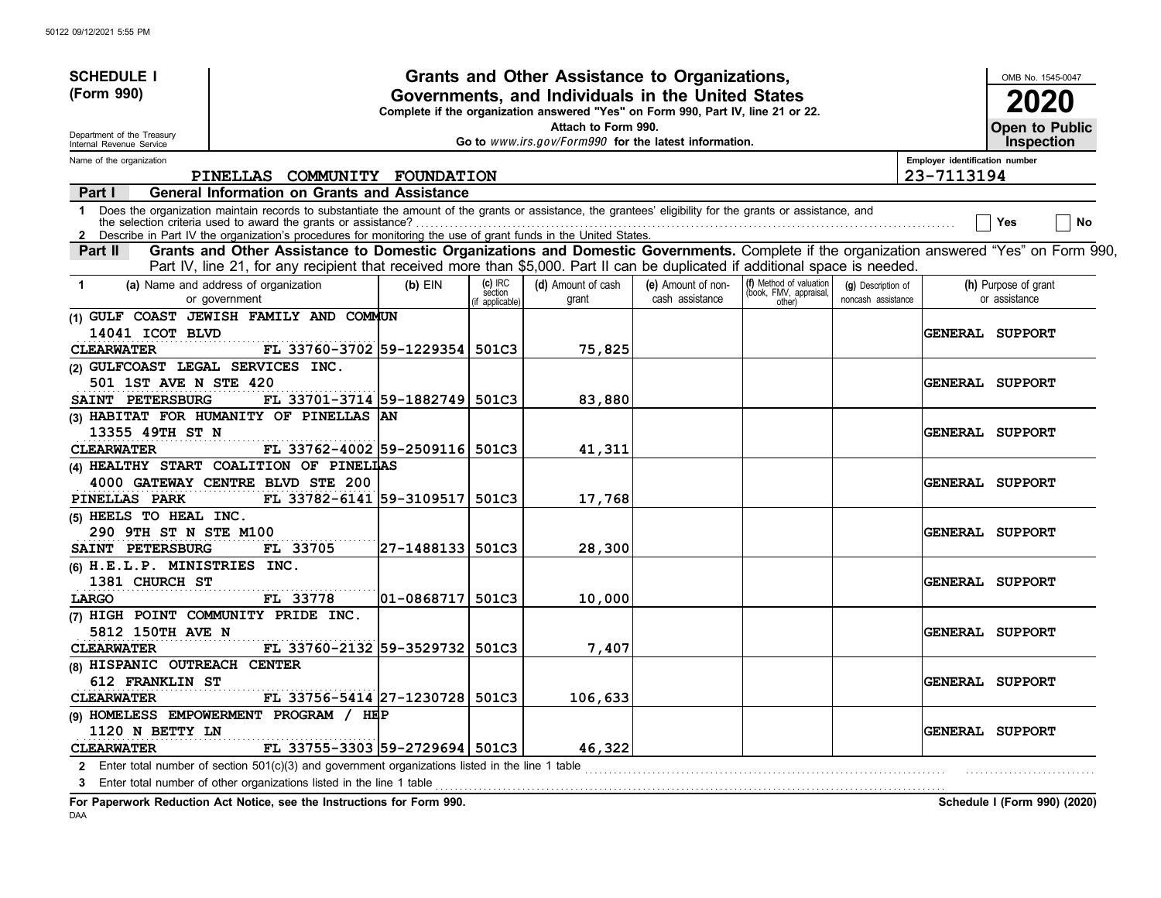| <b>SCHEDULE I</b>                                    |                                                                                                                                                                                                                                                                             |                   |                                     | Grants and Other Assistance to Organizations,                                                                                         |                                       |                                                             |                                          |                                | OMB No. 1545-0047                     |
|------------------------------------------------------|-----------------------------------------------------------------------------------------------------------------------------------------------------------------------------------------------------------------------------------------------------------------------------|-------------------|-------------------------------------|---------------------------------------------------------------------------------------------------------------------------------------|---------------------------------------|-------------------------------------------------------------|------------------------------------------|--------------------------------|---------------------------------------|
| (Form 990)                                           |                                                                                                                                                                                                                                                                             |                   |                                     | Governments, and Individuals in the United States<br>Complete if the organization answered "Yes" on Form 990, Part IV, line 21 or 22. |                                       |                                                             |                                          |                                | 2020                                  |
| Department of the Treasury                           |                                                                                                                                                                                                                                                                             |                   |                                     | Attach to Form 990.<br>Go to www.irs.gov/Form990 for the latest information.                                                          |                                       |                                                             |                                          |                                | Open to Public<br><b>Inspection</b>   |
| Internal Revenue Service<br>Name of the organization |                                                                                                                                                                                                                                                                             |                   |                                     |                                                                                                                                       |                                       |                                                             |                                          | Employer identification number |                                       |
|                                                      | PINELLAS COMMUNITY FOUNDATION                                                                                                                                                                                                                                               |                   |                                     |                                                                                                                                       |                                       |                                                             |                                          | 23-7113194                     |                                       |
| Part I                                               | <b>General Information on Grants and Assistance</b>                                                                                                                                                                                                                         |                   |                                     |                                                                                                                                       |                                       |                                                             |                                          |                                |                                       |
| $\mathbf{1}$<br>$\mathbf{2}$                         | Does the organization maintain records to substantiate the amount of the grants or assistance, the grantees' eligibility for the grants or assistance, and<br>Describe in Part IV the organization's procedures for monitoring the use of grant funds in the United States. |                   |                                     |                                                                                                                                       |                                       |                                                             |                                          |                                | No<br>Yes                             |
| Part II                                              | Grants and Other Assistance to Domestic Organizations and Domestic Governments. Complete if the organization answered "Yes" on Form 990,<br>Part IV, line 21, for any recipient that received more than \$5,000. Part II can be duplicated if additional space is needed.   |                   |                                     |                                                                                                                                       |                                       |                                                             |                                          |                                |                                       |
| $\mathbf 1$                                          | (a) Name and address of organization<br>or government                                                                                                                                                                                                                       | $(b)$ EIN         | $(c)$ IRC<br>section<br>applicable) | (d) Amount of cash<br>grant                                                                                                           | (e) Amount of non-<br>cash assistance | (f) Method of valuation<br>(book, FMV, appraisal,<br>other) | (g) Description of<br>noncash assistance |                                | (h) Purpose of grant<br>or assistance |
|                                                      | (1) GULF COAST JEWISH FAMILY AND COMMUN                                                                                                                                                                                                                                     |                   |                                     |                                                                                                                                       |                                       |                                                             |                                          |                                |                                       |
| 14041 ICOT BLVD                                      |                                                                                                                                                                                                                                                                             |                   |                                     |                                                                                                                                       |                                       |                                                             |                                          |                                | <b>GENERAL SUPPORT</b>                |
| <b>CLEARWATER</b>                                    | FL 33760-3702 59-1229354 501C3                                                                                                                                                                                                                                              |                   |                                     | 75,825                                                                                                                                |                                       |                                                             |                                          |                                |                                       |
| (2) GULFCOAST LEGAL SERVICES INC.                    |                                                                                                                                                                                                                                                                             |                   |                                     |                                                                                                                                       |                                       |                                                             |                                          |                                |                                       |
| 501 1ST AVE N STE 420                                |                                                                                                                                                                                                                                                                             |                   |                                     |                                                                                                                                       |                                       |                                                             |                                          |                                | <b>GENERAL SUPPORT</b>                |
| SAINT PETERSBURG                                     | FL 33701-3714 59-1882749 501C3                                                                                                                                                                                                                                              |                   |                                     | 83,880                                                                                                                                |                                       |                                                             |                                          |                                |                                       |
|                                                      | (3) HABITAT FOR HUMANITY OF PINELLAS AN                                                                                                                                                                                                                                     |                   |                                     |                                                                                                                                       |                                       |                                                             |                                          |                                |                                       |
| 13355 49TH ST N                                      |                                                                                                                                                                                                                                                                             |                   |                                     |                                                                                                                                       |                                       |                                                             |                                          |                                | <b>GENERAL SUPPORT</b>                |
| <b>CLEARWATER</b>                                    | FL 33762-4002 59-2509116 501C3                                                                                                                                                                                                                                              |                   |                                     | 41,311                                                                                                                                |                                       |                                                             |                                          |                                |                                       |
|                                                      | (4) HEALTHY START COALITION OF PINELLAS                                                                                                                                                                                                                                     |                   |                                     |                                                                                                                                       |                                       |                                                             |                                          |                                |                                       |
|                                                      | 4000 GATEWAY CENTRE BLVD STE 200                                                                                                                                                                                                                                            |                   |                                     |                                                                                                                                       |                                       |                                                             |                                          |                                | <b>GENERAL SUPPORT</b>                |
| PINELLAS PARK                                        | FL 33782-6141 59-3109517                                                                                                                                                                                                                                                    |                   | 501C3                               | 17,768                                                                                                                                |                                       |                                                             |                                          |                                |                                       |
| (5) HEELS TO HEAL INC.                               |                                                                                                                                                                                                                                                                             |                   |                                     |                                                                                                                                       |                                       |                                                             |                                          |                                |                                       |
| 290 9TH ST N STE M100                                |                                                                                                                                                                                                                                                                             |                   |                                     |                                                                                                                                       |                                       |                                                             |                                          |                                | <b>GENERAL SUPPORT</b>                |
| SAINT PETERSBURG                                     | FL 33705                                                                                                                                                                                                                                                                    | 27-1488133  501C3 |                                     | 28,300                                                                                                                                |                                       |                                                             |                                          |                                |                                       |
| (6) H.E.L.P. MINISTRIES INC.                         |                                                                                                                                                                                                                                                                             |                   |                                     |                                                                                                                                       |                                       |                                                             |                                          |                                |                                       |
| 1381 CHURCH ST                                       |                                                                                                                                                                                                                                                                             |                   | 501C3                               |                                                                                                                                       |                                       |                                                             |                                          |                                | <b>GENERAL SUPPORT</b>                |
| LARGO                                                | FL 33778<br>(7) HIGH POINT COMMUNITY PRIDE INC.                                                                                                                                                                                                                             | 01-0868717        |                                     | 10,000                                                                                                                                |                                       |                                                             |                                          |                                |                                       |
| 5812 150TH AVE N                                     |                                                                                                                                                                                                                                                                             |                   |                                     |                                                                                                                                       |                                       |                                                             |                                          |                                | <b>GENERAL SUPPORT</b>                |
| <b>CLEARWATER</b>                                    | FL 33760-2132 59-3529732                                                                                                                                                                                                                                                    |                   | 501C3                               | 7,407                                                                                                                                 |                                       |                                                             |                                          |                                |                                       |
| (8) HISPANIC OUTREACH CENTER                         |                                                                                                                                                                                                                                                                             |                   |                                     |                                                                                                                                       |                                       |                                                             |                                          |                                |                                       |
| 612 FRANKLIN ST                                      |                                                                                                                                                                                                                                                                             |                   |                                     |                                                                                                                                       |                                       |                                                             |                                          |                                | <b>GENERAL SUPPORT</b>                |
| <b>CLEARWATER</b>                                    | FL 33756-5414 27-1230728 501C3                                                                                                                                                                                                                                              |                   |                                     | 106,633                                                                                                                               |                                       |                                                             |                                          |                                |                                       |
|                                                      | (9) HOMELESS EMPOWERMENT PROGRAM / HEP                                                                                                                                                                                                                                      |                   |                                     |                                                                                                                                       |                                       |                                                             |                                          |                                |                                       |
| 1120 N BETTY LN                                      |                                                                                                                                                                                                                                                                             |                   |                                     |                                                                                                                                       |                                       |                                                             |                                          |                                | <b>GENERAL SUPPORT</b>                |
| <b>CLEARWATER</b>                                    | FL 33755-3303 59-2729694 501C3                                                                                                                                                                                                                                              |                   |                                     | 46,322                                                                                                                                |                                       |                                                             |                                          |                                |                                       |
|                                                      | 2 Enter total number of section $501(c)(3)$ and government organizations listed in the line 1 table                                                                                                                                                                         |                   |                                     |                                                                                                                                       |                                       |                                                             |                                          |                                |                                       |
|                                                      | 3 Enter total number of other organizations listed in the line 1 table                                                                                                                                                                                                      |                   |                                     |                                                                                                                                       |                                       |                                                             |                                          |                                |                                       |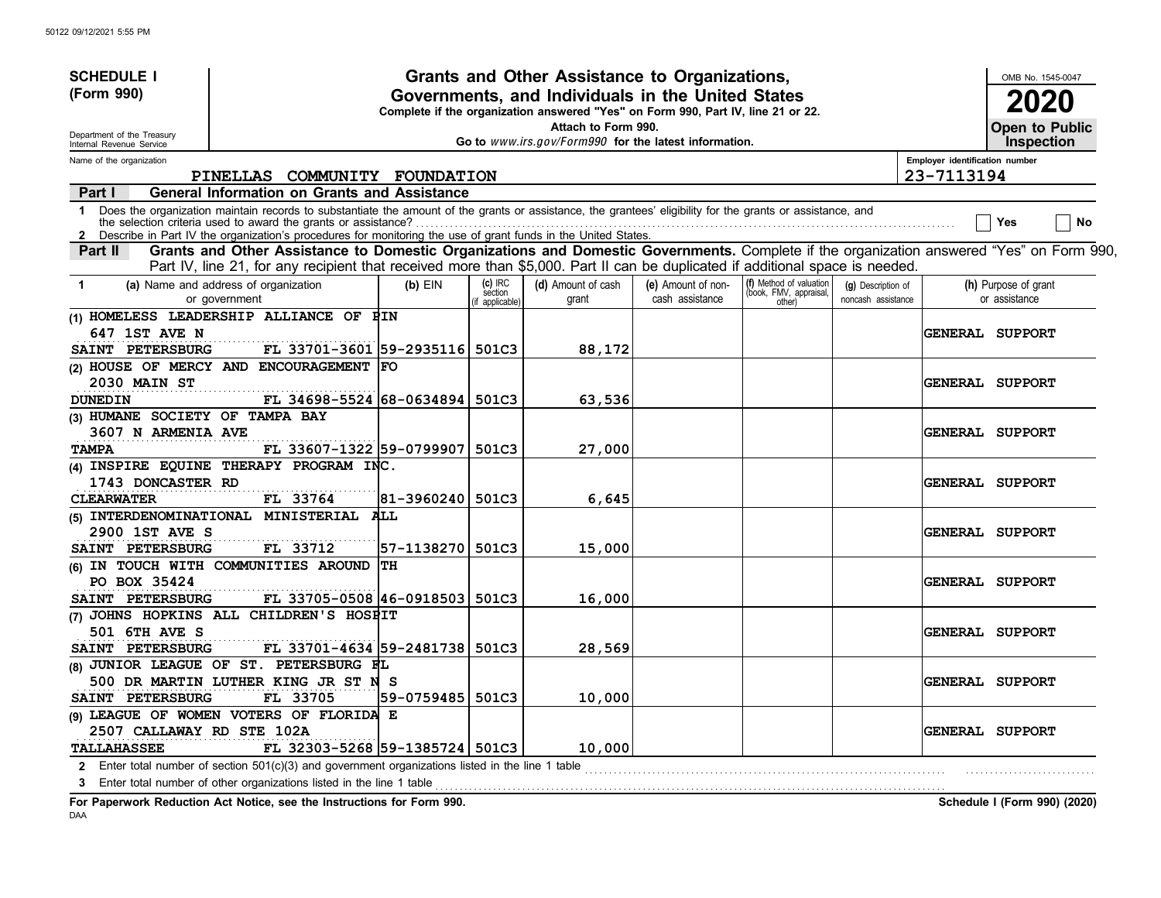| <b>SCHEDULE I</b>                                                                          |                                                                                                                                                                                                                                                                             |                           |                                     | Grants and Other Assistance to Organizations,                                                                                         |                                       |                                                             |                                          |                                | OMB No. 1545-0047                     |
|--------------------------------------------------------------------------------------------|-----------------------------------------------------------------------------------------------------------------------------------------------------------------------------------------------------------------------------------------------------------------------------|---------------------------|-------------------------------------|---------------------------------------------------------------------------------------------------------------------------------------|---------------------------------------|-------------------------------------------------------------|------------------------------------------|--------------------------------|---------------------------------------|
| (Form 990)                                                                                 |                                                                                                                                                                                                                                                                             |                           |                                     | Governments, and Individuals in the United States<br>Complete if the organization answered "Yes" on Form 990, Part IV, line 21 or 22. |                                       |                                                             |                                          |                                | 2020                                  |
| Department of the Treasury<br>Internal Revenue Service                                     |                                                                                                                                                                                                                                                                             |                           |                                     | Attach to Form 990.<br>Go to www.irs.gov/Form990 for the latest information.                                                          |                                       |                                                             |                                          |                                | Open to Public<br><b>Inspection</b>   |
| Name of the organization                                                                   |                                                                                                                                                                                                                                                                             |                           |                                     |                                                                                                                                       |                                       |                                                             |                                          | Employer identification number |                                       |
|                                                                                            | PINELLAS COMMUNITY FOUNDATION                                                                                                                                                                                                                                               |                           |                                     |                                                                                                                                       |                                       |                                                             |                                          | 23-7113194                     |                                       |
| Part I                                                                                     | <b>General Information on Grants and Assistance</b>                                                                                                                                                                                                                         |                           |                                     |                                                                                                                                       |                                       |                                                             |                                          |                                |                                       |
| $\mathbf 1$                                                                                | Does the organization maintain records to substantiate the amount of the grants or assistance, the grantees' eligibility for the grants or assistance, and<br>Describe in Part IV the organization's procedures for monitoring the use of grant funds in the United States. |                           |                                     |                                                                                                                                       |                                       |                                                             |                                          |                                | No<br>Yes                             |
| Part II                                                                                    | Grants and Other Assistance to Domestic Organizations and Domestic Governments. Complete if the organization answered "Yes" on Form 990,<br>Part IV, line 21, for any recipient that received more than \$5,000. Part II can be duplicated if additional space is needed.   |                           |                                     |                                                                                                                                       |                                       |                                                             |                                          |                                |                                       |
| (a) Name and address of organization<br>$\blacktriangleleft$<br>or government              |                                                                                                                                                                                                                                                                             | $(b)$ EIN                 | $(c)$ IRC<br>section<br>applicable) | (d) Amount of cash<br>grant                                                                                                           | (e) Amount of non-<br>cash assistance | (f) Method of valuation<br>(book, FMV, appraisal,<br>other) | (g) Description of<br>noncash assistance |                                | (h) Purpose of grant<br>or assistance |
| (1) HOMELESS LEADERSHIP ALLIANCE OF PIN<br>647 1ST AVE N<br>SAINT PETERSBURG               | FL 33701-3601 59-2935116 501C3                                                                                                                                                                                                                                              |                           |                                     | 88,172                                                                                                                                |                                       |                                                             |                                          |                                | <b>GENERAL SUPPORT</b>                |
| (2) HOUSE OF MERCY AND ENCOURAGEMENT FO<br>2030 MAIN ST<br><b>DUNEDIN</b>                  | FL 34698-5524 68-0634894                                                                                                                                                                                                                                                    |                           | 501C3                               | 63,536                                                                                                                                |                                       |                                                             |                                          |                                | <b>GENERAL SUPPORT</b>                |
| (3) HUMANE SOCIETY OF TAMPA BAY<br><b>3607 N ARMENIA AVE</b><br><b>TAMPA</b>               | FL 33607-1322 59-0799907                                                                                                                                                                                                                                                    |                           | 501C3                               | 27,000                                                                                                                                |                                       |                                                             |                                          |                                | <b>GENERAL SUPPORT</b>                |
| (4) INSPIRE EQUINE THERAPY PROGRAM INC.<br>1743 DONCASTER RD<br><b>CLEARWATER</b>          | FL 33764                                                                                                                                                                                                                                                                    | 81-3960240                | 501C3                               | 6,645                                                                                                                                 |                                       |                                                             |                                          |                                | <b>GENERAL SUPPORT</b>                |
| (5) INTERDENOMINATIONAL MINISTERIAL<br>2900 1ST AVE S<br>SAINT PETERSBURG                  | FL 33712                                                                                                                                                                                                                                                                    | ALL<br> 57-1138270  501C3 |                                     | 15,000                                                                                                                                |                                       |                                                             |                                          |                                | GENERAL SUPPORT                       |
| (6) IN TOUCH WITH COMMUNITIES AROUND<br>PO BOX 35424<br>SAINT PETERSBURG                   | FL 33705-0508 46-0918503 501C3                                                                                                                                                                                                                                              | TH                        |                                     | 16,000                                                                                                                                |                                       |                                                             |                                          |                                | <b>GENERAL SUPPORT</b>                |
| (7) JOHNS HOPKINS ALL CHILDREN'S HOSPIT<br><b>501 6TH AVE S</b><br>SAINT PETERSBURG        | FL 33701-4634 59-2481738                                                                                                                                                                                                                                                    |                           | 501C3                               | 28,569                                                                                                                                |                                       |                                                             |                                          |                                | <b>GENERAL SUPPORT</b>                |
| (8) JUNIOR LEAGUE OF ST. PETERSBURG FL<br>SAINT PETERSBURG                                 | 500 DR MARTIN LUTHER KING JR ST N S<br>FL 33705                                                                                                                                                                                                                             | 59-0759485                | 501C3                               | 10,000                                                                                                                                |                                       |                                                             |                                          |                                | <b>GENERAL SUPPORT</b>                |
| (9) LEAGUE OF WOMEN VOTERS OF FLORIDA E<br>2507 CALLAWAY RD STE 102A<br><b>TALLAHASSEE</b> | FL 32303-5268 59-1385724 501C3                                                                                                                                                                                                                                              |                           |                                     | 10,000                                                                                                                                |                                       |                                                             |                                          |                                | <b>GENERAL SUPPORT</b>                |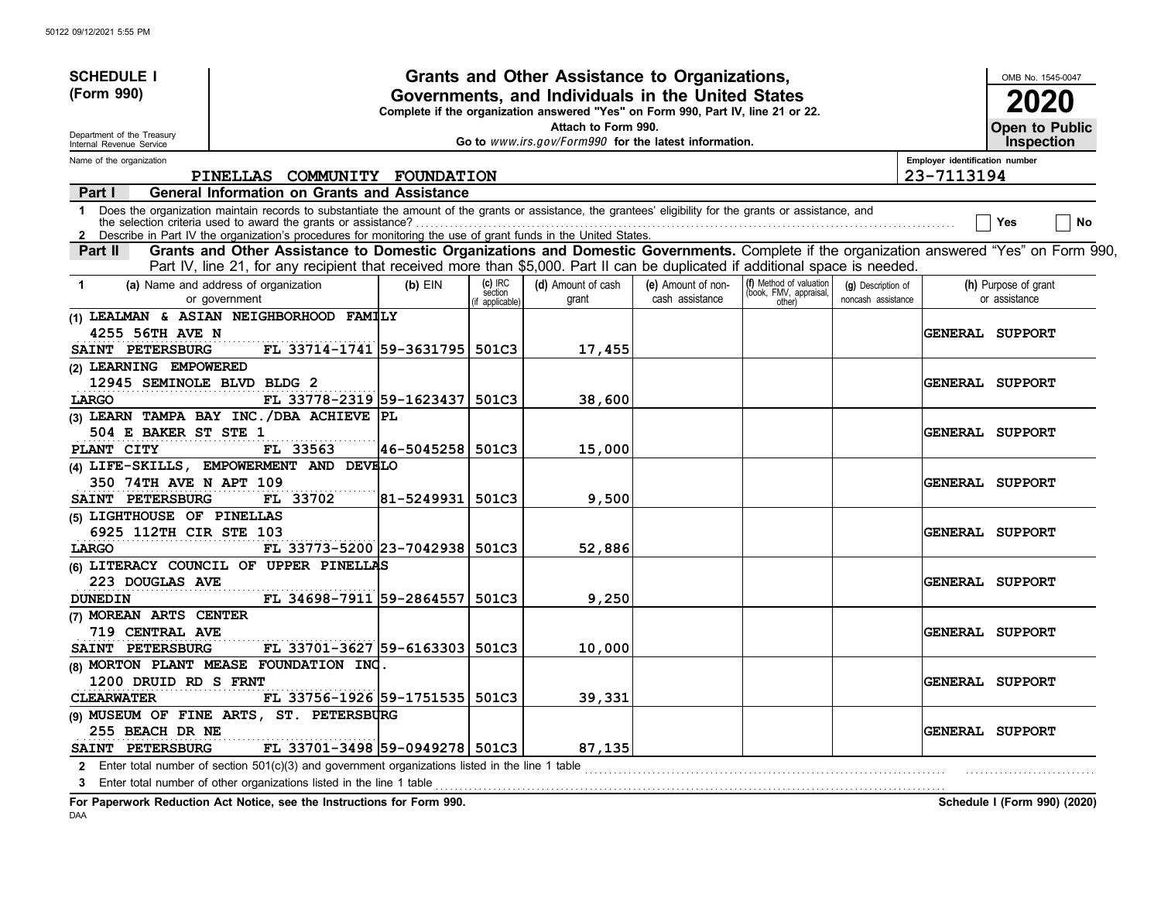| <b>SCHEDULE I</b>                                                    |                                                                                                                                                                                                                                                                                                                                               |            |                                     | Grants and Other Assistance to Organizations,                                                                                         |                                       |                                                             |                                          |                                | OMB No. 1545-0047                     |
|----------------------------------------------------------------------|-----------------------------------------------------------------------------------------------------------------------------------------------------------------------------------------------------------------------------------------------------------------------------------------------------------------------------------------------|------------|-------------------------------------|---------------------------------------------------------------------------------------------------------------------------------------|---------------------------------------|-------------------------------------------------------------|------------------------------------------|--------------------------------|---------------------------------------|
| (Form 990)                                                           |                                                                                                                                                                                                                                                                                                                                               |            |                                     | Governments, and Individuals in the United States<br>Complete if the organization answered "Yes" on Form 990, Part IV, line 21 or 22. |                                       |                                                             |                                          |                                | 2020                                  |
| Department of the Treasury<br>Internal Revenue Service               |                                                                                                                                                                                                                                                                                                                                               |            |                                     | Attach to Form 990.<br>Go to www.irs.gov/Form990 for the latest information.                                                          |                                       |                                                             |                                          |                                | Open to Public<br><b>Inspection</b>   |
| Name of the organization                                             |                                                                                                                                                                                                                                                                                                                                               |            |                                     |                                                                                                                                       |                                       |                                                             |                                          | Employer identification number |                                       |
|                                                                      | PINELLAS COMMUNITY FOUNDATION                                                                                                                                                                                                                                                                                                                 |            |                                     |                                                                                                                                       |                                       |                                                             |                                          | 23-7113194                     |                                       |
| Part I                                                               | <b>General Information on Grants and Assistance</b>                                                                                                                                                                                                                                                                                           |            |                                     |                                                                                                                                       |                                       |                                                             |                                          |                                |                                       |
| $\mathbf 1$<br>$\mathbf{2}$                                          | Does the organization maintain records to substantiate the amount of the grants or assistance, the grantees' eligibility for the grants or assistance, and<br>the selection criteria used to award the grants or assistance?<br>Describe in Part IV the organization's procedures for monitoring the use of grant funds in the United States. |            |                                     |                                                                                                                                       |                                       |                                                             |                                          |                                | No<br>Yes                             |
| Part II                                                              | Grants and Other Assistance to Domestic Organizations and Domestic Governments. Complete if the organization answered "Yes" on Form 990,<br>Part IV, line 21, for any recipient that received more than \$5,000. Part II can be duplicated if additional space is needed.                                                                     |            |                                     |                                                                                                                                       |                                       |                                                             |                                          |                                |                                       |
| $\blacktriangleleft$                                                 | (a) Name and address of organization<br>or government                                                                                                                                                                                                                                                                                         | $(b)$ EIN  | $(c)$ IRC<br>section<br>applicable) | (d) Amount of cash<br>grant                                                                                                           | (e) Amount of non-<br>cash assistance | (f) Method of valuation<br>(book, FMV, appraisal,<br>other) | (g) Description of<br>noncash assistance |                                | (h) Purpose of grant<br>or assistance |
| <b>4255 56TH AVE N</b><br>SAINT PETERSBURG                           | (1) LEALMAN & ASIAN NEIGHBORHOOD FAMILY<br>FL 33714-1741 59-3631795 501C3                                                                                                                                                                                                                                                                     |            |                                     | 17,455                                                                                                                                |                                       |                                                             |                                          |                                | GENERAL SUPPORT                       |
| (2) LEARNING EMPOWERED<br>12945 SEMINOLE BLVD BLDG 2<br><b>LARGO</b> | FL 33778-2319 59-1623437                                                                                                                                                                                                                                                                                                                      |            | 501C3                               | 38,600                                                                                                                                |                                       |                                                             |                                          |                                | <b>GENERAL SUPPORT</b>                |
| 504 E BAKER ST STE 1                                                 | (3) LEARN TAMPA BAY INC. / DBA ACHIEVE PL                                                                                                                                                                                                                                                                                                     |            |                                     |                                                                                                                                       |                                       |                                                             |                                          |                                | <b>GENERAL SUPPORT</b>                |
| PLANT CITY<br><b>350 74TH AVE N APT 109</b>                          | FL 33563<br>(4) LIFE-SKILLS, EMPOWERMENT AND DEVELO                                                                                                                                                                                                                                                                                           | 46-5045258 | 501C3                               | 15,000                                                                                                                                |                                       |                                                             |                                          |                                | <b>GENERAL SUPPORT</b>                |
| SAINT PETERSBURG<br>(5) LIGHTHOUSE OF PINELLAS                       | FL 33702                                                                                                                                                                                                                                                                                                                                      | 81-5249931 | 501C3                               | 9,500                                                                                                                                 |                                       |                                                             |                                          |                                |                                       |
| 6925 112TH CIR STE 103<br>LARGO                                      | FL 33773-5200 23-7042938 501C3                                                                                                                                                                                                                                                                                                                |            |                                     | 52,886                                                                                                                                |                                       |                                                             |                                          |                                | <b>GENERAL SUPPORT</b>                |
| 223 DOUGLAS AVE<br><b>DUNEDIN</b>                                    | (6) LITERACY COUNCIL OF UPPER PINELLAS<br>FL 34698-7911 59-2864557                                                                                                                                                                                                                                                                            |            | 501C3                               | 9,250                                                                                                                                 |                                       |                                                             |                                          |                                | <b>GENERAL SUPPORT</b>                |
| (7) MOREAN ARTS CENTER<br><b>719 CENTRAL AVE</b><br>SAINT PETERSBURG | FL 33701-3627 59-6163303 501C3                                                                                                                                                                                                                                                                                                                |            |                                     | 10,000                                                                                                                                |                                       |                                                             |                                          |                                | <b>GENERAL SUPPORT</b>                |
| 1200 DRUID RD S FRNT<br><b>CLEARWATER</b>                            | (8) MORTON PLANT MEASE FOUNDATION INC<br>FL 33756-1926 59-1751535                                                                                                                                                                                                                                                                             |            | 501C3                               | 39,331                                                                                                                                |                                       |                                                             |                                          |                                | <b>GENERAL SUPPORT</b>                |
| 255 BEACH DR NE<br>SAINT PETERSBURG                                  | (9) MUSEUM OF FINE ARTS, ST. PETERSBURG<br>FL 33701-3498 59-0949278 501C3                                                                                                                                                                                                                                                                     |            |                                     | 87,135                                                                                                                                |                                       |                                                             |                                          |                                | <b>GENERAL SUPPORT</b>                |
| $\mathbf{2}$                                                         | Enter total number of section $501(c)(3)$ and government organizations listed in the line 1 table<br>3 Enter total number of other organizations listed in the line 1 table                                                                                                                                                                   |            |                                     |                                                                                                                                       |                                       |                                                             |                                          |                                |                                       |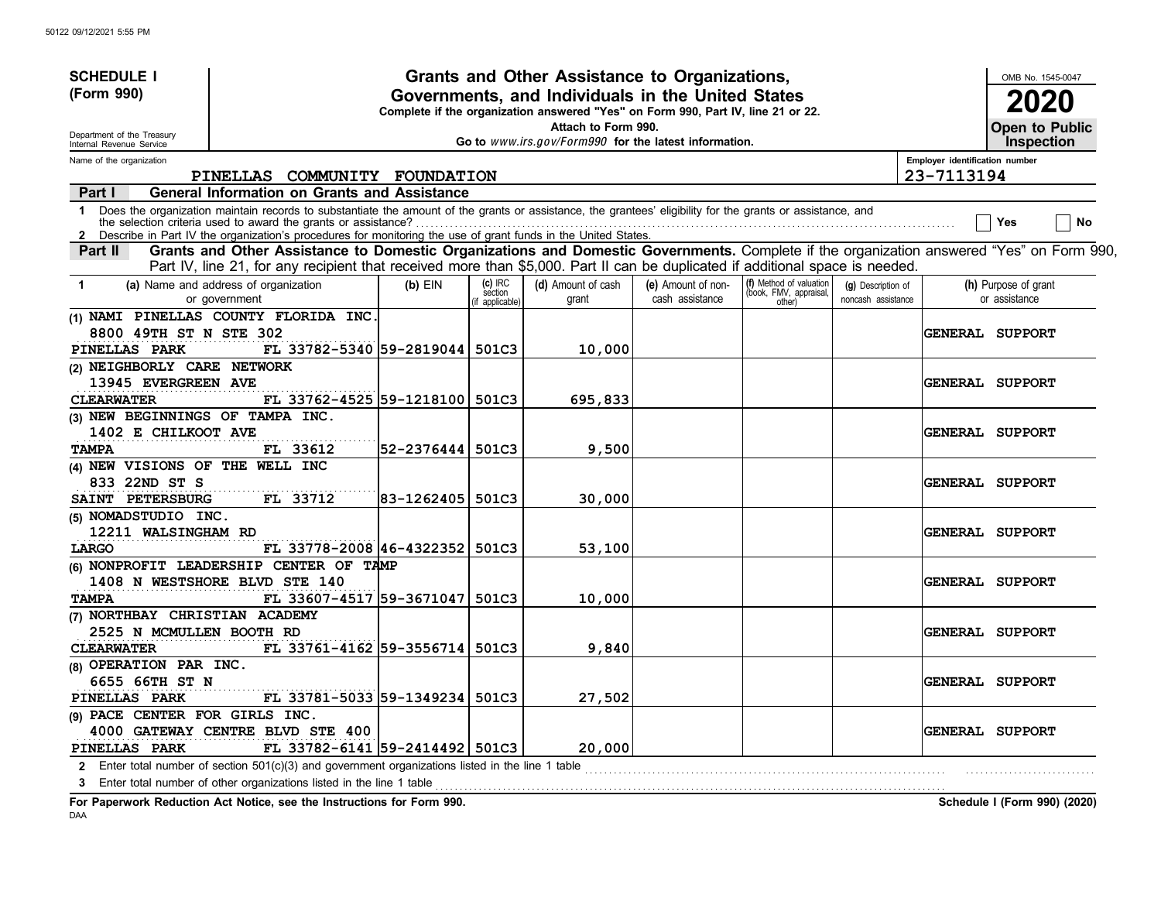| <b>SCHEDULE I</b>                                                       |                                                                                                                                                                                                                                                                                                                                               |                  |                                       | Grants and Other Assistance to Organizations,                                                                                         |                                       |                                                             |                                          |                                              | OMB No. 1545-0047                     |
|-------------------------------------------------------------------------|-----------------------------------------------------------------------------------------------------------------------------------------------------------------------------------------------------------------------------------------------------------------------------------------------------------------------------------------------|------------------|---------------------------------------|---------------------------------------------------------------------------------------------------------------------------------------|---------------------------------------|-------------------------------------------------------------|------------------------------------------|----------------------------------------------|---------------------------------------|
| (Form 990)                                                              |                                                                                                                                                                                                                                                                                                                                               |                  |                                       | Governments, and Individuals in the United States<br>Complete if the organization answered "Yes" on Form 990, Part IV, line 21 or 22. |                                       |                                                             |                                          |                                              | 2020                                  |
| Department of the Treasury                                              |                                                                                                                                                                                                                                                                                                                                               |                  |                                       | Attach to Form 990.                                                                                                                   |                                       |                                                             |                                          |                                              | Open to Public                        |
| Internal Revenue Service                                                |                                                                                                                                                                                                                                                                                                                                               |                  |                                       | Go to www.irs.gov/Form990 for the latest information.                                                                                 |                                       |                                                             |                                          |                                              | <b>Inspection</b>                     |
| Name of the organization                                                | PINELLAS COMMUNITY FOUNDATION                                                                                                                                                                                                                                                                                                                 |                  |                                       |                                                                                                                                       |                                       |                                                             |                                          | Employer identification number<br>23-7113194 |                                       |
| Part I                                                                  | <b>General Information on Grants and Assistance</b>                                                                                                                                                                                                                                                                                           |                  |                                       |                                                                                                                                       |                                       |                                                             |                                          |                                              |                                       |
| $\mathbf 1$<br>2                                                        | Does the organization maintain records to substantiate the amount of the grants or assistance, the grantees' eligibility for the grants or assistance, and<br>the selection criteria used to award the grants or assistance?<br>Describe in Part IV the organization's procedures for monitoring the use of grant funds in the United States. |                  |                                       |                                                                                                                                       |                                       |                                                             |                                          |                                              | No<br>Yes                             |
| Part II                                                                 | Grants and Other Assistance to Domestic Organizations and Domestic Governments. Complete if the organization answered "Yes" on Form 990,<br>Part IV, line 21, for any recipient that received more than \$5,000. Part II can be duplicated if additional space is needed.                                                                     |                  |                                       |                                                                                                                                       |                                       |                                                             |                                          |                                              |                                       |
| -1                                                                      | (a) Name and address of organization<br>or government                                                                                                                                                                                                                                                                                         | $(b)$ EIN        | $(c)$ IRC<br>section<br>f applicable) | (d) Amount of cash<br>grant                                                                                                           | (e) Amount of non-<br>cash assistance | (f) Method of valuation<br>(book, FMV, appraisal,<br>other) | (g) Description of<br>noncash assistance |                                              | (h) Purpose of grant<br>or assistance |
| 8800 49TH ST N STE 302<br>PINELLAS PARK                                 | (1) NAMI PINELLAS COUNTY FLORIDA INC<br>FL 33782-5340 59-2819044 501C3                                                                                                                                                                                                                                                                        |                  |                                       | 10,000                                                                                                                                |                                       |                                                             |                                          |                                              | <b>GENERAL SUPPORT</b>                |
| (2) NEIGHBORLY CARE NETWORK<br>13945 EVERGREEN AVE<br><b>CLEARWATER</b> | FL 33762-4525 59-1218100 501C3                                                                                                                                                                                                                                                                                                                |                  |                                       | 695,833                                                                                                                               |                                       |                                                             |                                          |                                              | <b>GENERAL SUPPORT</b>                |
| (3) NEW BEGINNINGS OF TAMPA INC.<br>1402 E CHILKOOT AVE                 |                                                                                                                                                                                                                                                                                                                                               |                  |                                       |                                                                                                                                       |                                       |                                                             |                                          |                                              | <b>GENERAL SUPPORT</b>                |
| <b>TAMPA</b><br>(4) NEW VISIONS OF THE WELL INC                         | FL 33612                                                                                                                                                                                                                                                                                                                                      | 52-2376444 501C3 |                                       | 9,500                                                                                                                                 |                                       |                                                             |                                          |                                              |                                       |
| 833 22ND ST S<br>SAINT PETERSBURG                                       | FL 33712                                                                                                                                                                                                                                                                                                                                      | 83-1262405       | 501C3                                 | 30,000                                                                                                                                |                                       |                                                             |                                          |                                              | <b>GENERAL SUPPORT</b>                |
| (5) NOMADSTUDIO INC.<br>12211 WALSINGHAM RD                             |                                                                                                                                                                                                                                                                                                                                               |                  |                                       |                                                                                                                                       |                                       |                                                             |                                          |                                              | <b>GENERAL SUPPORT</b>                |
| LARGO                                                                   | FL 33778-2008 46-4322352 501C3<br>(6) NONPROFIT LEADERSHIP CENTER OF TAMP                                                                                                                                                                                                                                                                     |                  |                                       | 53,100                                                                                                                                |                                       |                                                             |                                          |                                              |                                       |
| <b>TAMPA</b>                                                            | 1408 N WESTSHORE BLVD STE 140<br>FL 33607-4517 59-3671047 501C3                                                                                                                                                                                                                                                                               |                  |                                       | 10,000                                                                                                                                |                                       |                                                             |                                          |                                              | <b>GENERAL SUPPORT</b>                |
| (7) NORTHBAY CHRISTIAN ACADEMY<br>2525 N MCMULLEN BOOTH RD              |                                                                                                                                                                                                                                                                                                                                               |                  |                                       |                                                                                                                                       |                                       |                                                             |                                          |                                              | <b>GENERAL SUPPORT</b>                |
| <b>CLEARWATER</b><br>(8) OPERATION PAR INC.<br>6655 66TH ST N           | FL 33761-4162 59-3556714 501C3                                                                                                                                                                                                                                                                                                                |                  |                                       | 9,840                                                                                                                                 |                                       |                                                             |                                          |                                              | <b>GENERAL SUPPORT</b>                |
| PINELLAS PARK                                                           | FL 33781-5033 59-1349234                                                                                                                                                                                                                                                                                                                      |                  | 501C3                                 | 27,502                                                                                                                                |                                       |                                                             |                                          |                                              |                                       |
| (9) PACE CENTER FOR GIRLS INC.<br>PINELLAS PARK                         | 4000 GATEWAY CENTRE BLVD STE 400<br>FL 33782-6141 59-2414492 501C3                                                                                                                                                                                                                                                                            |                  |                                       | 20,000                                                                                                                                |                                       |                                                             |                                          |                                              | <b>GENERAL SUPPORT</b>                |
|                                                                         | 2 Enter total number of section $501(c)(3)$ and government organizations listed in the line 1 table<br>3 Enter total number of other organizations listed in the line 1 table                                                                                                                                                                 |                  |                                       |                                                                                                                                       |                                       |                                                             |                                          |                                              |                                       |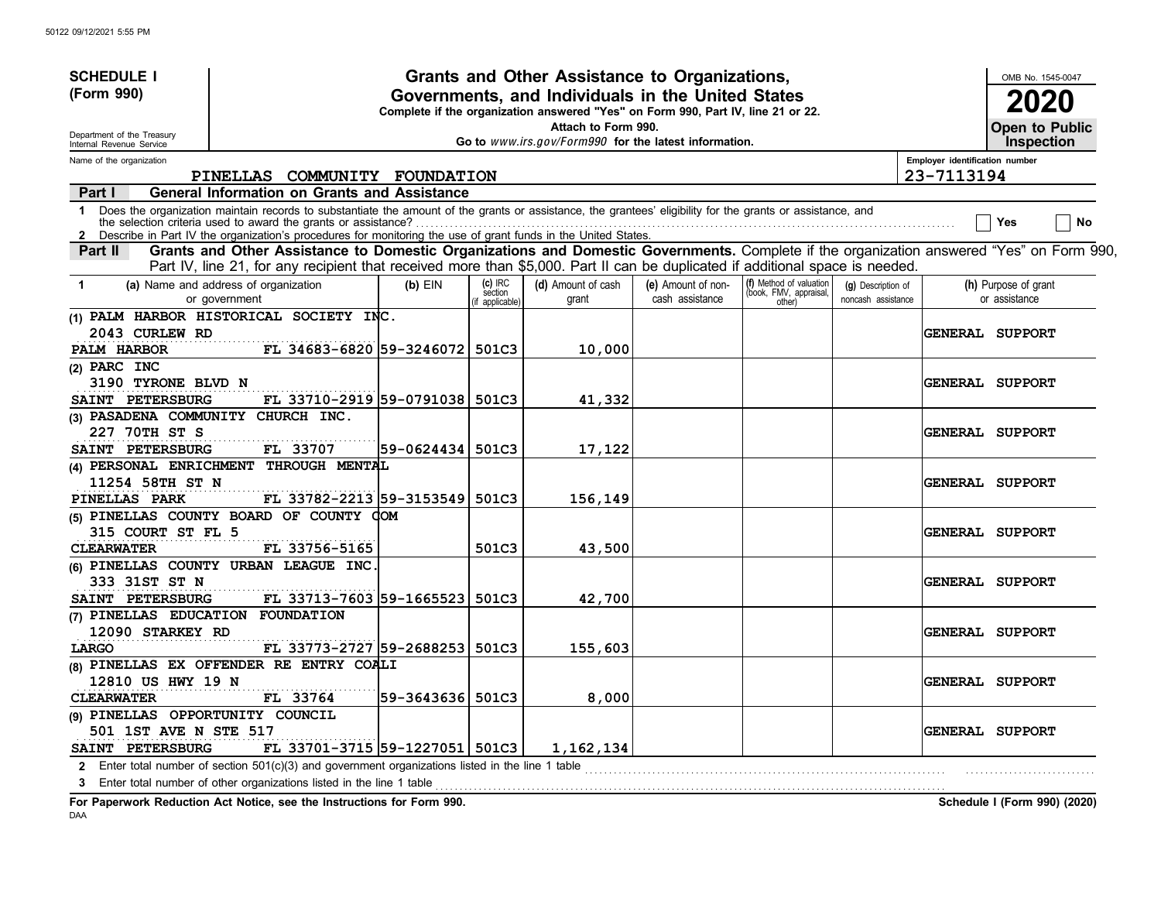| <b>SCHEDULE I</b>                                                             |                                                                                                                                                                                                                                                                             |                   |                                        | Grants and Other Assistance to Organizations,                                                                                         |                                       |                                                             |                                          |                                | OMB No. 1545-0047                          |
|-------------------------------------------------------------------------------|-----------------------------------------------------------------------------------------------------------------------------------------------------------------------------------------------------------------------------------------------------------------------------|-------------------|----------------------------------------|---------------------------------------------------------------------------------------------------------------------------------------|---------------------------------------|-------------------------------------------------------------|------------------------------------------|--------------------------------|--------------------------------------------|
| (Form 990)                                                                    |                                                                                                                                                                                                                                                                             |                   |                                        | Governments, and Individuals in the United States<br>Complete if the organization answered "Yes" on Form 990, Part IV, line 21 or 22. |                                       |                                                             |                                          |                                | 2020                                       |
| Department of the Treasury<br>Internal Revenue Service                        |                                                                                                                                                                                                                                                                             |                   |                                        | Attach to Form 990.<br>Go to www.irs.gov/Form990 for the latest information.                                                          |                                       |                                                             |                                          |                                | <b>Open to Public</b><br><b>Inspection</b> |
| Name of the organization                                                      |                                                                                                                                                                                                                                                                             |                   |                                        |                                                                                                                                       |                                       |                                                             |                                          | Employer identification number |                                            |
|                                                                               | PINELLAS COMMUNITY FOUNDATION                                                                                                                                                                                                                                               |                   |                                        |                                                                                                                                       |                                       |                                                             |                                          | 23-7113194                     |                                            |
| Part I                                                                        | <b>General Information on Grants and Assistance</b>                                                                                                                                                                                                                         |                   |                                        |                                                                                                                                       |                                       |                                                             |                                          |                                |                                            |
| $\mathbf 1$                                                                   | Does the organization maintain records to substantiate the amount of the grants or assistance, the grantees' eligibility for the grants or assistance, and<br>Describe in Part IV the organization's procedures for monitoring the use of grant funds in the United States. |                   |                                        |                                                                                                                                       |                                       |                                                             |                                          |                                | No<br>Yes                                  |
| Part II                                                                       | Grants and Other Assistance to Domestic Organizations and Domestic Governments. Complete if the organization answered "Yes" on Form 990,<br>Part IV, line 21, for any recipient that received more than \$5,000. Part II can be duplicated if additional space is needed.   |                   |                                        |                                                                                                                                       |                                       |                                                             |                                          |                                |                                            |
| $\mathbf 1$                                                                   | (a) Name and address of organization<br>or government                                                                                                                                                                                                                       | $(b)$ EIN         | $(c)$ IRC<br>section<br>if applicable) | (d) Amount of cash<br>grant                                                                                                           | (e) Amount of non-<br>cash assistance | (f) Method of valuation<br>(book, FMV, appraisal,<br>other) | (g) Description of<br>noncash assistance |                                | (h) Purpose of grant<br>or assistance      |
| 2043 CURLEW RD<br>PALM HARBOR                                                 | (1) PALM HARBOR HISTORICAL SOCIETY INC.<br>FL 34683-6820 59-3246072                                                                                                                                                                                                         |                   | 501C3                                  | 10,000                                                                                                                                |                                       |                                                             |                                          |                                | <b>GENERAL SUPPORT</b>                     |
| (2) PARC INC<br>3190 TYRONE BLVD N                                            |                                                                                                                                                                                                                                                                             |                   |                                        |                                                                                                                                       |                                       |                                                             |                                          |                                | <b>GENERAL SUPPORT</b>                     |
| SAINT PETERSBURG                                                              | FL 33710-2919 59-0791038 501C3                                                                                                                                                                                                                                              |                   |                                        | 41,332                                                                                                                                |                                       |                                                             |                                          |                                |                                            |
| (3) PASADENA COMMUNITY CHURCH INC.                                            |                                                                                                                                                                                                                                                                             |                   |                                        |                                                                                                                                       |                                       |                                                             |                                          |                                |                                            |
| 227 70TH ST S<br>SAINT PETERSBURG                                             | FL 33707                                                                                                                                                                                                                                                                    | 59-0624434 501C3  |                                        | 17,122                                                                                                                                |                                       |                                                             |                                          |                                | <b>GENERAL SUPPORT</b>                     |
| 11254 58TH ST N                                                               | (4) PERSONAL ENRICHMENT THROUGH MENTAL                                                                                                                                                                                                                                      |                   |                                        |                                                                                                                                       |                                       |                                                             |                                          |                                | <b>GENERAL SUPPORT</b>                     |
| PINELLAS PARK                                                                 | FL 33782-2213 59-3153549 501C3                                                                                                                                                                                                                                              |                   |                                        | 156,149                                                                                                                               |                                       |                                                             |                                          |                                |                                            |
| 315 COURT ST FL 5<br><b>CLEARWATER</b>                                        | (5) PINELLAS COUNTY BOARD OF COUNTY COM<br>FL 33756-5165                                                                                                                                                                                                                    |                   | 501C3                                  | 43,500                                                                                                                                |                                       |                                                             |                                          |                                | <b>GENERAL SUPPORT</b>                     |
| 333 31ST ST N<br>SAINT PETERSBURG                                             | (6) PINELLAS COUNTY URBAN LEAGUE INC<br>FL 33713-7603 59-1665523 501C3                                                                                                                                                                                                      |                   |                                        | 42,700                                                                                                                                |                                       |                                                             |                                          |                                | <b>GENERAL SUPPORT</b>                     |
| (7) PINELLAS EDUCATION FOUNDATION<br>12090 STARKEY RD                         |                                                                                                                                                                                                                                                                             |                   |                                        |                                                                                                                                       |                                       |                                                             |                                          |                                | <b>GENERAL SUPPORT</b>                     |
| LARGO                                                                         | FL 33773-2727 59-2688253 501C3                                                                                                                                                                                                                                              |                   |                                        | 155,603                                                                                                                               |                                       |                                                             |                                          |                                |                                            |
| 12810 US HWY 19 N<br><b>CLEARWATER</b>                                        | (8) PINELLAS EX OFFENDER RE ENTRY COALI<br>FL 33764                                                                                                                                                                                                                         | 59-3643636  501C3 |                                        | 8,000                                                                                                                                 |                                       |                                                             |                                          |                                | <b>GENERAL SUPPORT</b>                     |
| (9) PINELLAS OPPORTUNITY COUNCIL<br>501 1ST AVE N STE 517<br>SAINT PETERSBURG | FL 33701-3715 59-1227051 501C3                                                                                                                                                                                                                                              |                   |                                        | 1, 162, 134                                                                                                                           |                                       |                                                             |                                          |                                | <b>GENERAL SUPPORT</b>                     |
| 3                                                                             | 2 Enter total number of section 501(c)(3) and government organizations listed in the line 1 table<br>Enter total number of other organizations listed in the line 1 table                                                                                                   |                   |                                        |                                                                                                                                       |                                       |                                                             |                                          |                                |                                            |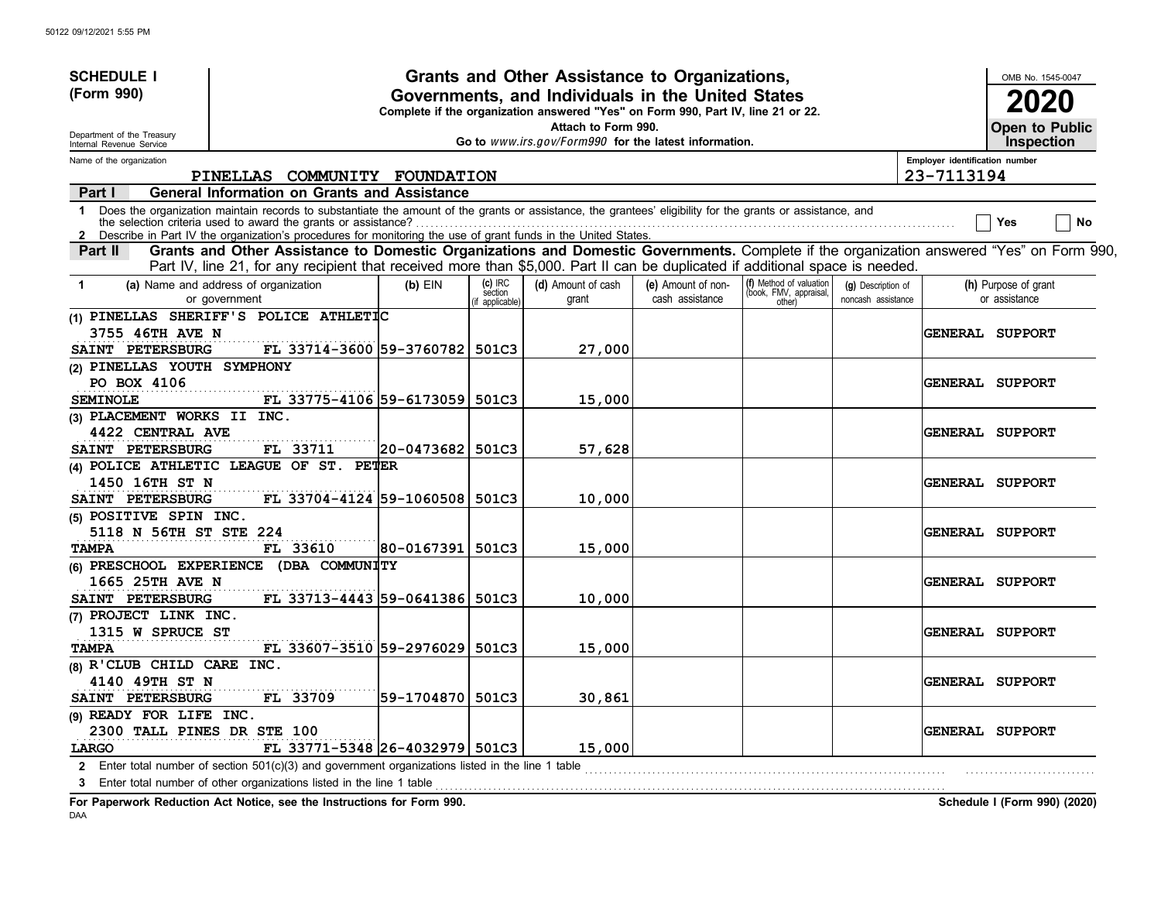| <b>SCHEDULE I</b>                                    |                                                                                                                                                                                                                                                                             |                   |                                     | Grants and Other Assistance to Organizations,                                                                                         |                                       |                                                             |                                          |                                | OMB No. 1545-0047                          |
|------------------------------------------------------|-----------------------------------------------------------------------------------------------------------------------------------------------------------------------------------------------------------------------------------------------------------------------------|-------------------|-------------------------------------|---------------------------------------------------------------------------------------------------------------------------------------|---------------------------------------|-------------------------------------------------------------|------------------------------------------|--------------------------------|--------------------------------------------|
| (Form 990)                                           |                                                                                                                                                                                                                                                                             |                   |                                     | Governments, and Individuals in the United States<br>Complete if the organization answered "Yes" on Form 990, Part IV, line 21 or 22. |                                       |                                                             |                                          |                                | 2020                                       |
| Department of the Treasury                           |                                                                                                                                                                                                                                                                             |                   |                                     | Attach to Form 990.<br>Go to www.irs.gov/Form990 for the latest information.                                                          |                                       |                                                             |                                          |                                | <b>Open to Public</b><br><b>Inspection</b> |
| Internal Revenue Service<br>Name of the organization |                                                                                                                                                                                                                                                                             |                   |                                     |                                                                                                                                       |                                       |                                                             |                                          | Employer identification number |                                            |
|                                                      | PINELLAS COMMUNITY FOUNDATION                                                                                                                                                                                                                                               |                   |                                     |                                                                                                                                       |                                       |                                                             |                                          | 23-7113194                     |                                            |
| Part I                                               | <b>General Information on Grants and Assistance</b>                                                                                                                                                                                                                         |                   |                                     |                                                                                                                                       |                                       |                                                             |                                          |                                |                                            |
| $\mathbf 1$<br>$\mathbf{2}$                          | Does the organization maintain records to substantiate the amount of the grants or assistance, the grantees' eligibility for the grants or assistance, and<br>Describe in Part IV the organization's procedures for monitoring the use of grant funds in the United States. |                   |                                     |                                                                                                                                       |                                       |                                                             |                                          |                                | No<br>Yes                                  |
| Part II                                              | Grants and Other Assistance to Domestic Organizations and Domestic Governments. Complete if the organization answered "Yes" on Form 990,<br>Part IV, line 21, for any recipient that received more than \$5,000. Part II can be duplicated if additional space is needed.   |                   |                                     |                                                                                                                                       |                                       |                                                             |                                          |                                |                                            |
| $\mathbf 1$                                          | (a) Name and address of organization<br>or government                                                                                                                                                                                                                       | $(b)$ EIN         | $(c)$ IRC<br>section<br>applicable) | (d) Amount of cash<br>grant                                                                                                           | (e) Amount of non-<br>cash assistance | (f) Method of valuation<br>(book, FMV, appraisal,<br>other) | (g) Description of<br>noncash assistance |                                | (h) Purpose of grant<br>or assistance      |
|                                                      | (1) PINELLAS SHERIFF'S POLICE ATHLETIC                                                                                                                                                                                                                                      |                   |                                     |                                                                                                                                       |                                       |                                                             |                                          |                                |                                            |
| <b>3755 46TH AVE N</b>                               |                                                                                                                                                                                                                                                                             |                   |                                     |                                                                                                                                       |                                       |                                                             |                                          |                                | <b>GENERAL SUPPORT</b>                     |
| SAINT PETERSBURG                                     | FL 33714-3600 59-3760782 501C3                                                                                                                                                                                                                                              |                   |                                     | 27,000                                                                                                                                |                                       |                                                             |                                          |                                |                                            |
| (2) PINELLAS YOUTH SYMPHONY                          |                                                                                                                                                                                                                                                                             |                   |                                     |                                                                                                                                       |                                       |                                                             |                                          |                                |                                            |
| PO BOX 4106                                          |                                                                                                                                                                                                                                                                             |                   |                                     |                                                                                                                                       |                                       |                                                             |                                          |                                | <b>GENERAL SUPPORT</b>                     |
| <b>SEMINOLE</b>                                      | FL 33775-4106 59-6173059 501C3                                                                                                                                                                                                                                              |                   |                                     | 15,000                                                                                                                                |                                       |                                                             |                                          |                                |                                            |
| (3) PLACEMENT WORKS II INC.                          |                                                                                                                                                                                                                                                                             |                   |                                     |                                                                                                                                       |                                       |                                                             |                                          |                                |                                            |
| 4422 CENTRAL AVE                                     |                                                                                                                                                                                                                                                                             |                   |                                     |                                                                                                                                       |                                       |                                                             |                                          |                                | <b>GENERAL SUPPORT</b>                     |
| SAINT PETERSBURG                                     | FL 33711                                                                                                                                                                                                                                                                    | 20-0473682  501C3 |                                     | 57,628                                                                                                                                |                                       |                                                             |                                          |                                |                                            |
|                                                      | (4) POLICE ATHLETIC LEAGUE OF ST. PETER                                                                                                                                                                                                                                     |                   |                                     |                                                                                                                                       |                                       |                                                             |                                          |                                |                                            |
| 1450 16TH ST N                                       |                                                                                                                                                                                                                                                                             |                   |                                     |                                                                                                                                       |                                       |                                                             |                                          |                                | <b>GENERAL SUPPORT</b>                     |
| SAINT PETERSBURG                                     | FL 33704-4124 59-1060508 501C3                                                                                                                                                                                                                                              |                   |                                     | 10,000                                                                                                                                |                                       |                                                             |                                          |                                |                                            |
| (5) POSITIVE SPIN INC.                               |                                                                                                                                                                                                                                                                             |                   |                                     |                                                                                                                                       |                                       |                                                             |                                          |                                |                                            |
| 5118 N 56TH ST STE 224                               |                                                                                                                                                                                                                                                                             |                   |                                     |                                                                                                                                       |                                       |                                                             |                                          |                                | <b>GENERAL SUPPORT</b>                     |
| <b>TAMPA</b>                                         | FL 33610                                                                                                                                                                                                                                                                    | 80-0167391  501C3 |                                     | 15,000                                                                                                                                |                                       |                                                             |                                          |                                |                                            |
|                                                      | (6) PRESCHOOL EXPERIENCE (DBA COMMUNITY                                                                                                                                                                                                                                     |                   |                                     |                                                                                                                                       |                                       |                                                             |                                          |                                |                                            |
| 1665 25TH AVE N                                      |                                                                                                                                                                                                                                                                             |                   |                                     |                                                                                                                                       |                                       |                                                             |                                          |                                | <b>GENERAL SUPPORT</b>                     |
| SAINT PETERSBURG                                     | FL 33713-4443 59-0641386 501C3                                                                                                                                                                                                                                              |                   |                                     | 10,000                                                                                                                                |                                       |                                                             |                                          |                                |                                            |
| (7) PROJECT LINK INC.                                |                                                                                                                                                                                                                                                                             |                   |                                     |                                                                                                                                       |                                       |                                                             |                                          |                                |                                            |
| 1315 W SPRUCE ST                                     |                                                                                                                                                                                                                                                                             |                   |                                     |                                                                                                                                       |                                       |                                                             |                                          |                                | <b>GENERAL SUPPORT</b>                     |
| <b>TAMPA</b>                                         | FL 33607-3510 59-2976029 501C3                                                                                                                                                                                                                                              |                   |                                     | 15,000                                                                                                                                |                                       |                                                             |                                          |                                |                                            |
| (8) R'CLUB CHILD CARE INC.                           |                                                                                                                                                                                                                                                                             |                   |                                     |                                                                                                                                       |                                       |                                                             |                                          |                                |                                            |
| 4140 49TH ST N                                       |                                                                                                                                                                                                                                                                             |                   |                                     |                                                                                                                                       |                                       |                                                             |                                          |                                | <b>GENERAL SUPPORT</b>                     |
| SAINT PETERSBURG                                     | FL 33709                                                                                                                                                                                                                                                                    | 59-1704870  501C3 |                                     | 30,861                                                                                                                                |                                       |                                                             |                                          |                                |                                            |
| (9) READY FOR LIFE INC.                              |                                                                                                                                                                                                                                                                             |                   |                                     |                                                                                                                                       |                                       |                                                             |                                          |                                |                                            |
| 2300 TALL PINES DR STE 100                           |                                                                                                                                                                                                                                                                             |                   |                                     |                                                                                                                                       |                                       |                                                             |                                          |                                | <b>GENERAL SUPPORT</b>                     |
| LARGO                                                | FL 33771-5348 26-4032979 501C3                                                                                                                                                                                                                                              |                   |                                     | 15,000                                                                                                                                |                                       |                                                             |                                          |                                |                                            |
|                                                      | 2 Enter total number of section $501(c)(3)$ and government organizations listed in the line 1 table                                                                                                                                                                         |                   |                                     |                                                                                                                                       |                                       |                                                             |                                          |                                |                                            |
|                                                      | 3 Enter total number of other organizations listed in the line 1 table                                                                                                                                                                                                      |                   |                                     |                                                                                                                                       |                                       |                                                             |                                          |                                |                                            |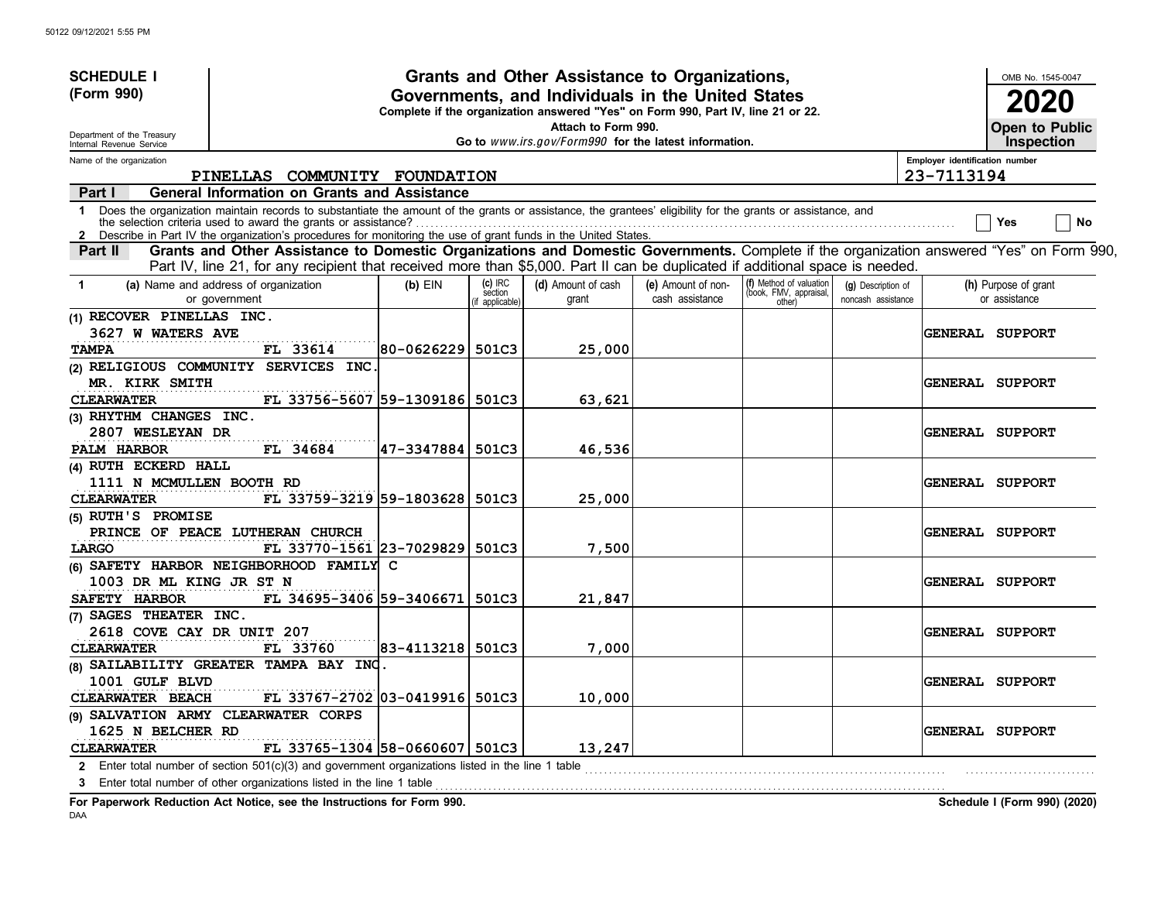| <b>SCHEDULE I</b>                                      |                                                                                                                                                                                                                                                                             |            |                                     | Grants and Other Assistance to Organizations,                                                                                         |                                       |                                                             |                                          |                                | OMB No. 1545-0047                     |
|--------------------------------------------------------|-----------------------------------------------------------------------------------------------------------------------------------------------------------------------------------------------------------------------------------------------------------------------------|------------|-------------------------------------|---------------------------------------------------------------------------------------------------------------------------------------|---------------------------------------|-------------------------------------------------------------|------------------------------------------|--------------------------------|---------------------------------------|
| (Form 990)                                             |                                                                                                                                                                                                                                                                             |            |                                     | Governments, and Individuals in the United States<br>Complete if the organization answered "Yes" on Form 990, Part IV, line 21 or 22. |                                       |                                                             |                                          |                                | 2020                                  |
| Department of the Treasury<br>Internal Revenue Service |                                                                                                                                                                                                                                                                             |            |                                     | Attach to Form 990.<br>Go to www.irs.gov/Form990 for the latest information.                                                          |                                       |                                                             |                                          |                                | Open to Public<br><b>Inspection</b>   |
| Name of the organization                               |                                                                                                                                                                                                                                                                             |            |                                     |                                                                                                                                       |                                       |                                                             |                                          | Employer identification number |                                       |
|                                                        | PINELLAS COMMUNITY FOUNDATION                                                                                                                                                                                                                                               |            |                                     |                                                                                                                                       |                                       |                                                             |                                          | 23-7113194                     |                                       |
| Part I                                                 | <b>General Information on Grants and Assistance</b>                                                                                                                                                                                                                         |            |                                     |                                                                                                                                       |                                       |                                                             |                                          |                                |                                       |
| $\mathbf 1$                                            | Does the organization maintain records to substantiate the amount of the grants or assistance, the grantees' eligibility for the grants or assistance, and<br>Describe in Part IV the organization's procedures for monitoring the use of grant funds in the United States. |            |                                     |                                                                                                                                       |                                       |                                                             |                                          |                                | No<br>Yes                             |
| Part II                                                | Grants and Other Assistance to Domestic Organizations and Domestic Governments. Complete if the organization answered "Yes" on Form 990,<br>Part IV, line 21, for any recipient that received more than \$5,000. Part II can be duplicated if additional space is needed.   |            |                                     |                                                                                                                                       |                                       |                                                             |                                          |                                |                                       |
| $\mathbf{1}$                                           | (a) Name and address of organization<br>or government                                                                                                                                                                                                                       | $(b)$ EIN  | $(c)$ IRC<br>section<br>applicable) | (d) Amount of cash<br>grant                                                                                                           | (e) Amount of non-<br>cash assistance | (f) Method of valuation<br>(book, FMV, appraisal,<br>other) | (g) Description of<br>noncash assistance |                                | (h) Purpose of grant<br>or assistance |
| (1) RECOVER PINELLAS INC.                              |                                                                                                                                                                                                                                                                             |            |                                     |                                                                                                                                       |                                       |                                                             |                                          |                                |                                       |
| 3627 W WATERS AVE                                      |                                                                                                                                                                                                                                                                             |            |                                     |                                                                                                                                       |                                       |                                                             |                                          |                                | <b>GENERAL SUPPORT</b>                |
| <b>TAMPA</b>                                           | FL 33614                                                                                                                                                                                                                                                                    | 80-0626229 | 501C3                               | 25,000                                                                                                                                |                                       |                                                             |                                          |                                |                                       |
|                                                        | (2) RELIGIOUS COMMUNITY SERVICES INC.                                                                                                                                                                                                                                       |            |                                     |                                                                                                                                       |                                       |                                                             |                                          |                                |                                       |
| MR. KIRK SMITH                                         |                                                                                                                                                                                                                                                                             |            |                                     |                                                                                                                                       |                                       |                                                             |                                          |                                | <b>GENERAL SUPPORT</b>                |
| <b>CLEARWATER</b>                                      | FL 33756-5607 59-1309186 501C3                                                                                                                                                                                                                                              |            |                                     | 63,621                                                                                                                                |                                       |                                                             |                                          |                                |                                       |
| (3) RHYTHM CHANGES INC.                                |                                                                                                                                                                                                                                                                             |            |                                     |                                                                                                                                       |                                       |                                                             |                                          |                                |                                       |
| 2807 WESLEYAN DR                                       |                                                                                                                                                                                                                                                                             |            |                                     |                                                                                                                                       |                                       |                                                             |                                          |                                | <b>GENERAL SUPPORT</b>                |
| PALM HARBOR                                            | FL 34684                                                                                                                                                                                                                                                                    | 47-3347884 | 501C3                               | 46,536                                                                                                                                |                                       |                                                             |                                          |                                |                                       |
| (4) RUTH ECKERD HALL                                   |                                                                                                                                                                                                                                                                             |            |                                     |                                                                                                                                       |                                       |                                                             |                                          |                                |                                       |
| 1111 N MCMULLEN BOOTH RD                               |                                                                                                                                                                                                                                                                             |            |                                     |                                                                                                                                       |                                       |                                                             |                                          |                                | <b>GENERAL SUPPORT</b>                |
| <b>CLEARWATER</b>                                      | FL 33759-3219 59-1803628                                                                                                                                                                                                                                                    |            | 501C3                               | 25,000                                                                                                                                |                                       |                                                             |                                          |                                |                                       |
| (5) RUTH'S PROMISE                                     |                                                                                                                                                                                                                                                                             |            |                                     |                                                                                                                                       |                                       |                                                             |                                          |                                |                                       |
|                                                        | PRINCE OF PEACE LUTHERAN CHURCH                                                                                                                                                                                                                                             |            |                                     |                                                                                                                                       |                                       |                                                             |                                          |                                | GENERAL SUPPORT                       |
| LARGO                                                  | FL 33770-1561 23-7029829 501C3                                                                                                                                                                                                                                              |            |                                     | 7,500                                                                                                                                 |                                       |                                                             |                                          |                                |                                       |
| 1003 DR ML KING JR ST N                                | (6) SAFETY HARBOR NEIGHBORHOOD FAMILY C                                                                                                                                                                                                                                     |            |                                     |                                                                                                                                       |                                       |                                                             |                                          |                                | <b>GENERAL SUPPORT</b>                |
| SAFETY HARBOR                                          | FL 34695-3406 59-3406671                                                                                                                                                                                                                                                    |            | 501C3                               | 21,847                                                                                                                                |                                       |                                                             |                                          |                                |                                       |
| (7) SAGES THEATER INC.                                 |                                                                                                                                                                                                                                                                             |            |                                     |                                                                                                                                       |                                       |                                                             |                                          |                                |                                       |
| 2618 COVE CAY DR UNIT 207                              |                                                                                                                                                                                                                                                                             |            |                                     |                                                                                                                                       |                                       |                                                             |                                          |                                | <b>GENERAL SUPPORT</b>                |
| <b>CLEARWATER</b>                                      | FL 33760                                                                                                                                                                                                                                                                    | 83-4113218 | 501C3                               | 7,000                                                                                                                                 |                                       |                                                             |                                          |                                |                                       |
|                                                        | (8) SAILABILITY GREATER TAMPA BAY INC.                                                                                                                                                                                                                                      |            |                                     |                                                                                                                                       |                                       |                                                             |                                          |                                |                                       |
| 1001 GULF BLVD                                         |                                                                                                                                                                                                                                                                             |            |                                     |                                                                                                                                       |                                       |                                                             |                                          |                                | <b>GENERAL SUPPORT</b>                |
| CLEARWATER BEACH                                       | FL 33767-2702 03-0419916                                                                                                                                                                                                                                                    |            | 501C3                               | 10,000                                                                                                                                |                                       |                                                             |                                          |                                |                                       |
|                                                        | (9) SALVATION ARMY CLEARWATER CORPS                                                                                                                                                                                                                                         |            |                                     |                                                                                                                                       |                                       |                                                             |                                          |                                |                                       |
| 1625 N BELCHER RD                                      |                                                                                                                                                                                                                                                                             |            |                                     |                                                                                                                                       |                                       |                                                             |                                          |                                | <b>GENERAL SUPPORT</b>                |
| <b>CLEARWATER</b>                                      | FL 33765-1304 58-0660607 501C3                                                                                                                                                                                                                                              |            |                                     | 13,247                                                                                                                                |                                       |                                                             |                                          |                                |                                       |
| $\mathbf{2}$                                           | Enter total number of section $501(c)(3)$ and government organizations listed in the line 1 table                                                                                                                                                                           |            |                                     |                                                                                                                                       |                                       |                                                             |                                          |                                |                                       |
| 3                                                      | Enter total number of other organizations listed in the line 1 table                                                                                                                                                                                                        |            |                                     |                                                                                                                                       |                                       |                                                             |                                          |                                |                                       |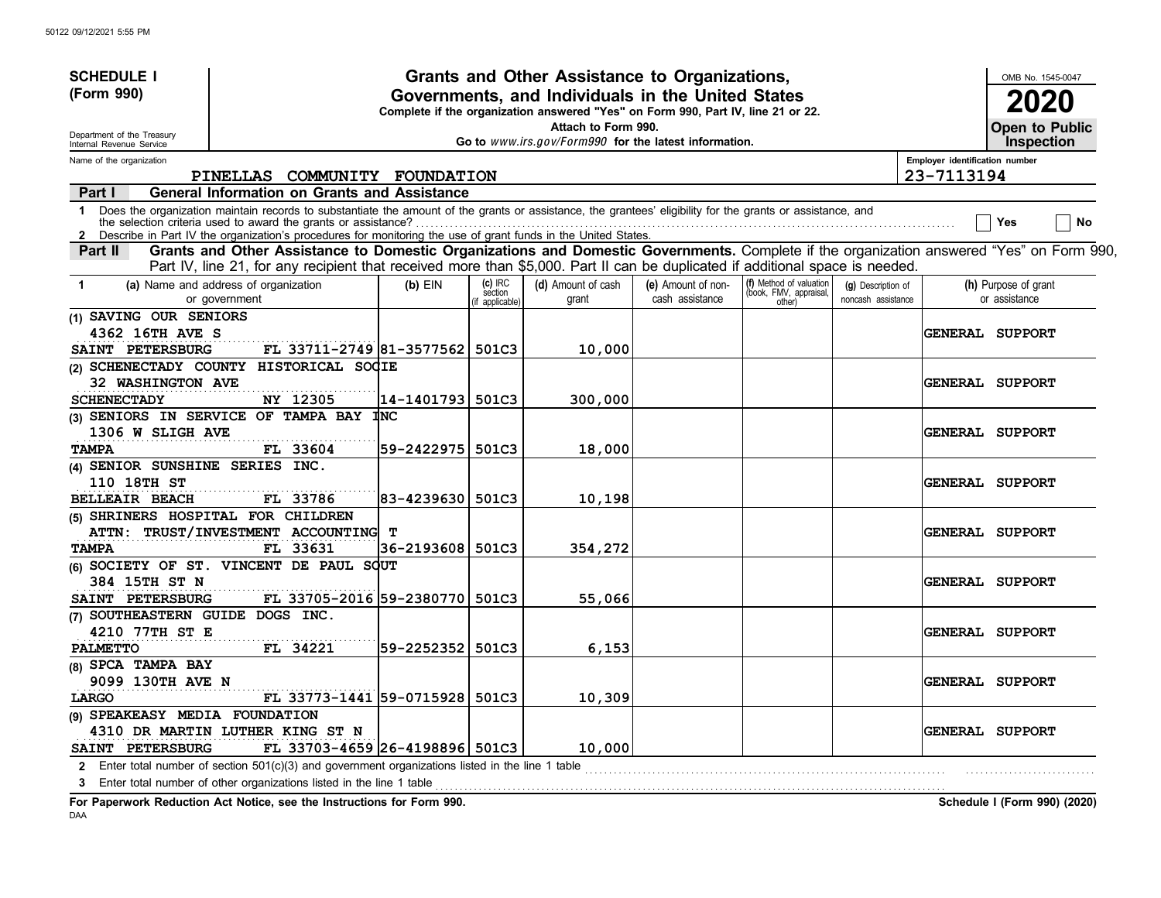| <b>SCHEDULE I</b>                                      |                                                                                                                                                                                                                                                                                                                                               |                    |                      | Grants and Other Assistance to Organizations,                                                                                         |                                       |                                                   |                                          |                                | OMB No. 1545-0047                     |
|--------------------------------------------------------|-----------------------------------------------------------------------------------------------------------------------------------------------------------------------------------------------------------------------------------------------------------------------------------------------------------------------------------------------|--------------------|----------------------|---------------------------------------------------------------------------------------------------------------------------------------|---------------------------------------|---------------------------------------------------|------------------------------------------|--------------------------------|---------------------------------------|
| (Form 990)                                             |                                                                                                                                                                                                                                                                                                                                               |                    |                      | Governments, and Individuals in the United States<br>Complete if the organization answered "Yes" on Form 990, Part IV, line 21 or 22. |                                       |                                                   |                                          |                                | 2020                                  |
| Department of the Treasury<br>Internal Revenue Service |                                                                                                                                                                                                                                                                                                                                               |                    |                      | Attach to Form 990.<br>Go to www.irs.gov/Form990 for the latest information.                                                          |                                       |                                                   |                                          |                                | Open to Public<br><b>Inspection</b>   |
| Name of the organization                               |                                                                                                                                                                                                                                                                                                                                               |                    |                      |                                                                                                                                       |                                       |                                                   |                                          | Employer identification number |                                       |
|                                                        | PINELLAS COMMUNITY FOUNDATION                                                                                                                                                                                                                                                                                                                 |                    |                      |                                                                                                                                       |                                       |                                                   |                                          | 23-7113194                     |                                       |
| Part I                                                 | <b>General Information on Grants and Assistance</b>                                                                                                                                                                                                                                                                                           |                    |                      |                                                                                                                                       |                                       |                                                   |                                          |                                |                                       |
| $\mathbf 1$<br>$\mathbf{2}$                            | Does the organization maintain records to substantiate the amount of the grants or assistance, the grantees' eligibility for the grants or assistance, and<br>the selection criteria used to award the grants or assistance?<br>Describe in Part IV the organization's procedures for monitoring the use of grant funds in the United States. |                    |                      |                                                                                                                                       |                                       |                                                   |                                          |                                | No<br>Yes                             |
| Part II                                                | Grants and Other Assistance to Domestic Organizations and Domestic Governments. Complete if the organization answered "Yes" on Form 990,<br>Part IV, line 21, for any recipient that received more than \$5,000. Part II can be duplicated if additional space is needed.                                                                     |                    |                      |                                                                                                                                       |                                       |                                                   |                                          |                                |                                       |
| $\blacktriangleleft$                                   | (a) Name and address of organization<br>or government                                                                                                                                                                                                                                                                                         | $(b)$ EIN          | $(c)$ IRC<br>section | (d) Amount of cash<br>grant                                                                                                           | (e) Amount of non-<br>cash assistance | (f) Method of valuation<br>(book, FMV, appraisal, | (g) Description of<br>noncash assistance |                                | (h) Purpose of grant<br>or assistance |
| (1) SAVING OUR SENIORS                                 |                                                                                                                                                                                                                                                                                                                                               |                    | f applicable)        |                                                                                                                                       |                                       | other)                                            |                                          |                                |                                       |
| 4362 16TH AVE S                                        |                                                                                                                                                                                                                                                                                                                                               |                    |                      |                                                                                                                                       |                                       |                                                   |                                          |                                | GENERAL SUPPORT                       |
| SAINT PETERSBURG                                       | FL 33711-2749 81-3577562 501C3                                                                                                                                                                                                                                                                                                                |                    |                      | 10,000                                                                                                                                |                                       |                                                   |                                          |                                |                                       |
|                                                        | (2) SCHENECTADY COUNTY HISTORICAL SOCIE                                                                                                                                                                                                                                                                                                       |                    |                      |                                                                                                                                       |                                       |                                                   |                                          |                                |                                       |
| 32 WASHINGTON AVE                                      |                                                                                                                                                                                                                                                                                                                                               |                    |                      |                                                                                                                                       |                                       |                                                   |                                          |                                | <b>GENERAL SUPPORT</b>                |
| <b>SCHENECTADY</b>                                     | NY 12305                                                                                                                                                                                                                                                                                                                                      | 14-1401793 501C3   |                      | 300,000                                                                                                                               |                                       |                                                   |                                          |                                |                                       |
|                                                        | (3) SENIORS IN SERVICE OF TAMPA BAY $\sharp$ NC                                                                                                                                                                                                                                                                                               |                    |                      |                                                                                                                                       |                                       |                                                   |                                          |                                |                                       |
| 1306 W SLIGH AVE                                       |                                                                                                                                                                                                                                                                                                                                               |                    |                      |                                                                                                                                       |                                       |                                                   |                                          |                                | <b>GENERAL SUPPORT</b>                |
| <b>TAMPA</b>                                           | FL 33604                                                                                                                                                                                                                                                                                                                                      | 59–2422975         | 501C3                | 18,000                                                                                                                                |                                       |                                                   |                                          |                                |                                       |
| (4) SENIOR SUNSHINE SERIES INC.                        |                                                                                                                                                                                                                                                                                                                                               |                    |                      |                                                                                                                                       |                                       |                                                   |                                          |                                |                                       |
| 110 18TH ST                                            |                                                                                                                                                                                                                                                                                                                                               |                    |                      |                                                                                                                                       |                                       |                                                   |                                          |                                | <b>GENERAL SUPPORT</b>                |
| <b>BELLEAIR BEACH</b>                                  | FL 33786                                                                                                                                                                                                                                                                                                                                      | 83-4239630         | 501C3                | 10,198                                                                                                                                |                                       |                                                   |                                          |                                |                                       |
| (5) SHRINERS HOSPITAL FOR CHILDREN                     |                                                                                                                                                                                                                                                                                                                                               |                    |                      |                                                                                                                                       |                                       |                                                   |                                          |                                |                                       |
|                                                        | ATTN: TRUST/INVESTMENT ACCOUNTING                                                                                                                                                                                                                                                                                                             | т                  |                      |                                                                                                                                       |                                       |                                                   |                                          |                                | <b>GENERAL SUPPORT</b>                |
| <b>TAMPA</b>                                           | FL 33631                                                                                                                                                                                                                                                                                                                                      | 36-2193608   501C3 |                      | 354,272                                                                                                                               |                                       |                                                   |                                          |                                |                                       |
|                                                        | (6) SOCIETY OF ST. VINCENT DE PAUL SOUT                                                                                                                                                                                                                                                                                                       |                    |                      |                                                                                                                                       |                                       |                                                   |                                          |                                |                                       |
| 384 15TH ST N                                          |                                                                                                                                                                                                                                                                                                                                               |                    |                      |                                                                                                                                       |                                       |                                                   |                                          |                                | <b>GENERAL SUPPORT</b>                |
| SAINT PETERSBURG<br>(7) SOUTHEASTERN GUIDE DOGS INC.   | FL 33705-2016 59-2380770                                                                                                                                                                                                                                                                                                                      |                    | 501C3                | 55,066                                                                                                                                |                                       |                                                   |                                          |                                |                                       |
| 4210 77TH ST E                                         |                                                                                                                                                                                                                                                                                                                                               |                    |                      |                                                                                                                                       |                                       |                                                   |                                          |                                | <b>GENERAL SUPPORT</b>                |
| <b>PALMETTO</b>                                        | FL 34221                                                                                                                                                                                                                                                                                                                                      | 59-2252352         | 501C3                | 6,153                                                                                                                                 |                                       |                                                   |                                          |                                |                                       |
| (8) SPCA TAMPA BAY                                     |                                                                                                                                                                                                                                                                                                                                               |                    |                      |                                                                                                                                       |                                       |                                                   |                                          |                                |                                       |
| 9099 130TH AVE N                                       |                                                                                                                                                                                                                                                                                                                                               |                    |                      |                                                                                                                                       |                                       |                                                   |                                          |                                | <b>GENERAL SUPPORT</b>                |
| LARGO                                                  | FL 33773-1441 59-0715928                                                                                                                                                                                                                                                                                                                      |                    | 501C3                | 10,309                                                                                                                                |                                       |                                                   |                                          |                                |                                       |
| (9) SPEAKEASY MEDIA FOUNDATION                         |                                                                                                                                                                                                                                                                                                                                               |                    |                      |                                                                                                                                       |                                       |                                                   |                                          |                                |                                       |
|                                                        | 4310 DR MARTIN LUTHER KING ST N                                                                                                                                                                                                                                                                                                               |                    |                      |                                                                                                                                       |                                       |                                                   |                                          |                                | <b>GENERAL SUPPORT</b>                |
| SAINT PETERSBURG                                       | FL 33703-4659 26-4198896 501C3                                                                                                                                                                                                                                                                                                                |                    |                      | 10,000                                                                                                                                |                                       |                                                   |                                          |                                |                                       |
| $\mathbf{2}$                                           | Enter total number of section $501(c)(3)$ and government organizations listed in the line 1 table                                                                                                                                                                                                                                             |                    |                      |                                                                                                                                       |                                       |                                                   |                                          |                                |                                       |
| 3                                                      | Enter total number of other organizations listed in the line 1 table                                                                                                                                                                                                                                                                          |                    |                      |                                                                                                                                       |                                       |                                                   |                                          |                                |                                       |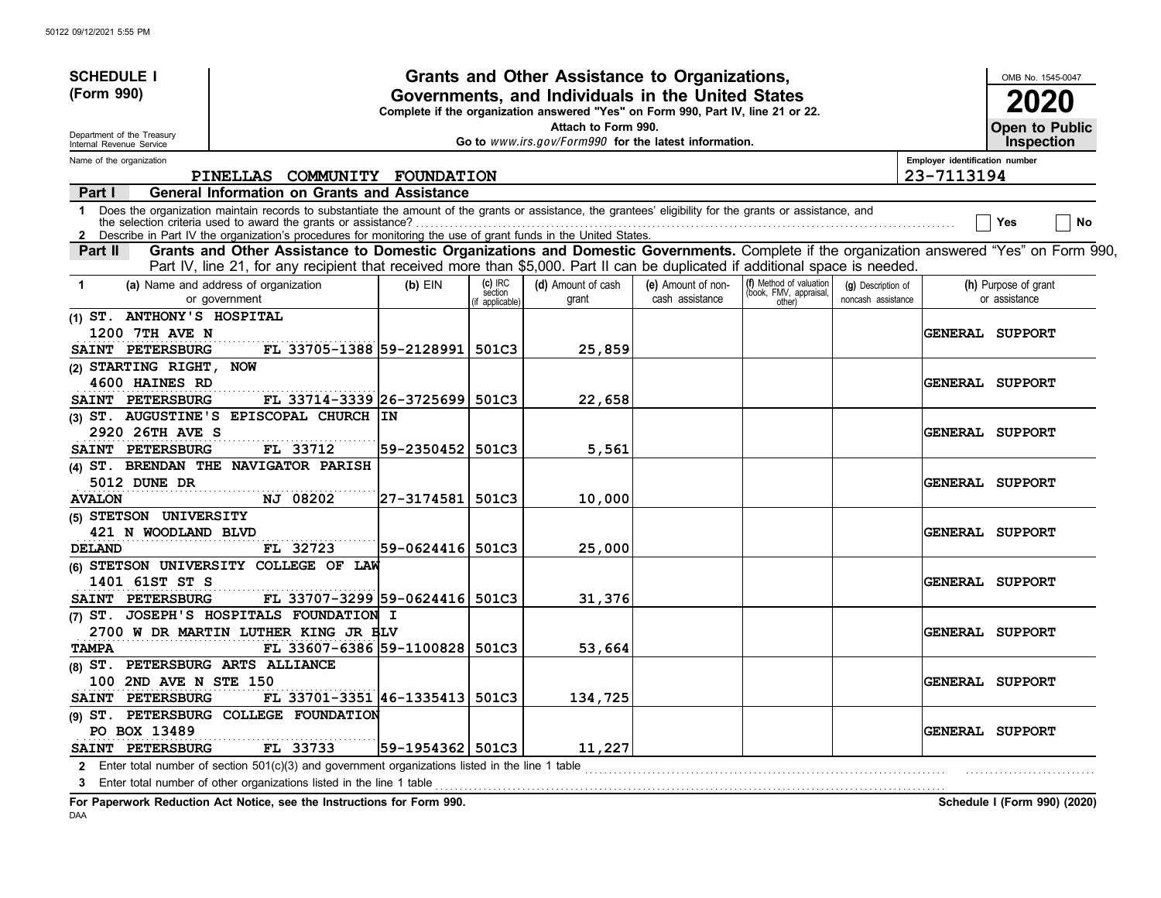| <b>SCHEDULE I</b>                                                |                                                                                                                                                                                                                                                                             |                   |                                       | Grants and Other Assistance to Organizations,                                                                                         |                                       |                                                             |                                          |                                | OMB No. 1545-0047                     |
|------------------------------------------------------------------|-----------------------------------------------------------------------------------------------------------------------------------------------------------------------------------------------------------------------------------------------------------------------------|-------------------|---------------------------------------|---------------------------------------------------------------------------------------------------------------------------------------|---------------------------------------|-------------------------------------------------------------|------------------------------------------|--------------------------------|---------------------------------------|
| (Form 990)                                                       |                                                                                                                                                                                                                                                                             |                   |                                       | Governments, and Individuals in the United States<br>Complete if the organization answered "Yes" on Form 990, Part IV, line 21 or 22. |                                       |                                                             |                                          |                                | 2020                                  |
| Department of the Treasury<br>Internal Revenue Service           |                                                                                                                                                                                                                                                                             |                   |                                       | Attach to Form 990.<br>Go to www.irs.gov/Form990 for the latest information.                                                          |                                       |                                                             |                                          |                                | Open to Public<br><b>Inspection</b>   |
| Name of the organization                                         |                                                                                                                                                                                                                                                                             |                   |                                       |                                                                                                                                       |                                       |                                                             |                                          | Employer identification number |                                       |
|                                                                  | PINELLAS COMMUNITY FOUNDATION                                                                                                                                                                                                                                               |                   |                                       |                                                                                                                                       |                                       |                                                             |                                          | 23-7113194                     |                                       |
| Part I                                                           | <b>General Information on Grants and Assistance</b>                                                                                                                                                                                                                         |                   |                                       |                                                                                                                                       |                                       |                                                             |                                          |                                |                                       |
| $\mathbf 1$                                                      | Does the organization maintain records to substantiate the amount of the grants or assistance, the grantees' eligibility for the grants or assistance, and<br>Describe in Part IV the organization's procedures for monitoring the use of grant funds in the United States. |                   |                                       |                                                                                                                                       |                                       |                                                             |                                          |                                | No<br>Yes                             |
| Part II                                                          | Grants and Other Assistance to Domestic Organizations and Domestic Governments. Complete if the organization answered "Yes" on Form 990,<br>Part IV, line 21, for any recipient that received more than \$5,000. Part II can be duplicated if additional space is needed.   |                   |                                       |                                                                                                                                       |                                       |                                                             |                                          |                                |                                       |
| $\mathbf 1$                                                      | (a) Name and address of organization<br>or government                                                                                                                                                                                                                       | $(b)$ EIN         | $(c)$ IRC<br>section<br>f applicable) | (d) Amount of cash<br>grant                                                                                                           | (e) Amount of non-<br>cash assistance | (f) Method of valuation<br>(book, FMV, appraisal,<br>other) | (g) Description of<br>noncash assistance |                                | (h) Purpose of grant<br>or assistance |
| (1) ST. ANTHONY'S HOSPITAL<br>1200 7TH AVE N<br>SAINT PETERSBURG | FL 33705-1388 59-2128991                                                                                                                                                                                                                                                    |                   | 501C3                                 | 25,859                                                                                                                                |                                       |                                                             |                                          |                                | <b>GENERAL SUPPORT</b>                |
| (2) STARTING RIGHT, NOW<br>4600 HAINES RD<br>SAINT PETERSBURG    | FL 33714-3339 26-3725699                                                                                                                                                                                                                                                    |                   | 501C3                                 | 22,658                                                                                                                                |                                       |                                                             |                                          |                                | <b>GENERAL SUPPORT</b>                |
| 2920 26TH AVE S                                                  | (3) ST. AUGUSTINE'S EPISCOPAL CHURCH IN                                                                                                                                                                                                                                     |                   |                                       |                                                                                                                                       |                                       |                                                             |                                          |                                | <b>GENERAL SUPPORT</b>                |
| SAINT PETERSBURG<br>5012 DUNE DR                                 | FL 33712<br>(4) ST. BRENDAN THE NAVIGATOR PARISH                                                                                                                                                                                                                            | 59-2350452 501C3  |                                       | 5,561                                                                                                                                 |                                       |                                                             |                                          |                                | <b>GENERAL SUPPORT</b>                |
| <b>AVALON</b><br>(5) STETSON UNIVERSITY                          | NJ 08202                                                                                                                                                                                                                                                                    | 27-3174581  501C3 |                                       | 10,000                                                                                                                                |                                       |                                                             |                                          |                                |                                       |
| 421 N WOODLAND BLVD<br>DELAND                                    | FL 32723                                                                                                                                                                                                                                                                    | 59-0624416  501C3 |                                       | 25,000                                                                                                                                |                                       |                                                             |                                          |                                | GENERAL SUPPORT                       |
| 1401 61ST ST S<br>SAINT PETERSBURG                               | (6) STETSON UNIVERSITY COLLEGE OF LAW<br>FL 33707-3299 59-0624416 501C3                                                                                                                                                                                                     |                   |                                       | 31,376                                                                                                                                |                                       |                                                             |                                          |                                | <b>GENERAL SUPPORT</b>                |
| <b>TAMPA</b>                                                     | (7) ST. JOSEPH'S HOSPITALS FOUNDATION I<br>2700 W DR MARTIN LUTHER KING JR BLV<br>FL 33607-6386 59-1100828                                                                                                                                                                  |                   | 501C3                                 | 53,664                                                                                                                                |                                       |                                                             |                                          |                                | <b>GENERAL SUPPORT</b>                |
| (8) ST. PETERSBURG ARTS ALLIANCE<br>100 2ND AVE N STE 150        |                                                                                                                                                                                                                                                                             |                   |                                       |                                                                                                                                       |                                       |                                                             |                                          |                                | <b>GENERAL SUPPORT</b>                |
| SAINT PETERSBURG<br>PO BOX 13489                                 | FL 33701-3351 46-1335413 501C3<br>(9) ST. PETERSBURG COLLEGE FOUNDATION                                                                                                                                                                                                     |                   |                                       | 134,725                                                                                                                               |                                       |                                                             |                                          |                                | <b>GENERAL SUPPORT</b>                |
| SAINT PETERSBURG<br>3                                            | FL 33733<br>2 Enter total number of section 501(c)(3) and government organizations listed in the line 1 table<br>Enter total number of other organizations listed in the line 1 table                                                                                       | 59-1954362 501C3  |                                       | 11,227                                                                                                                                |                                       |                                                             |                                          |                                |                                       |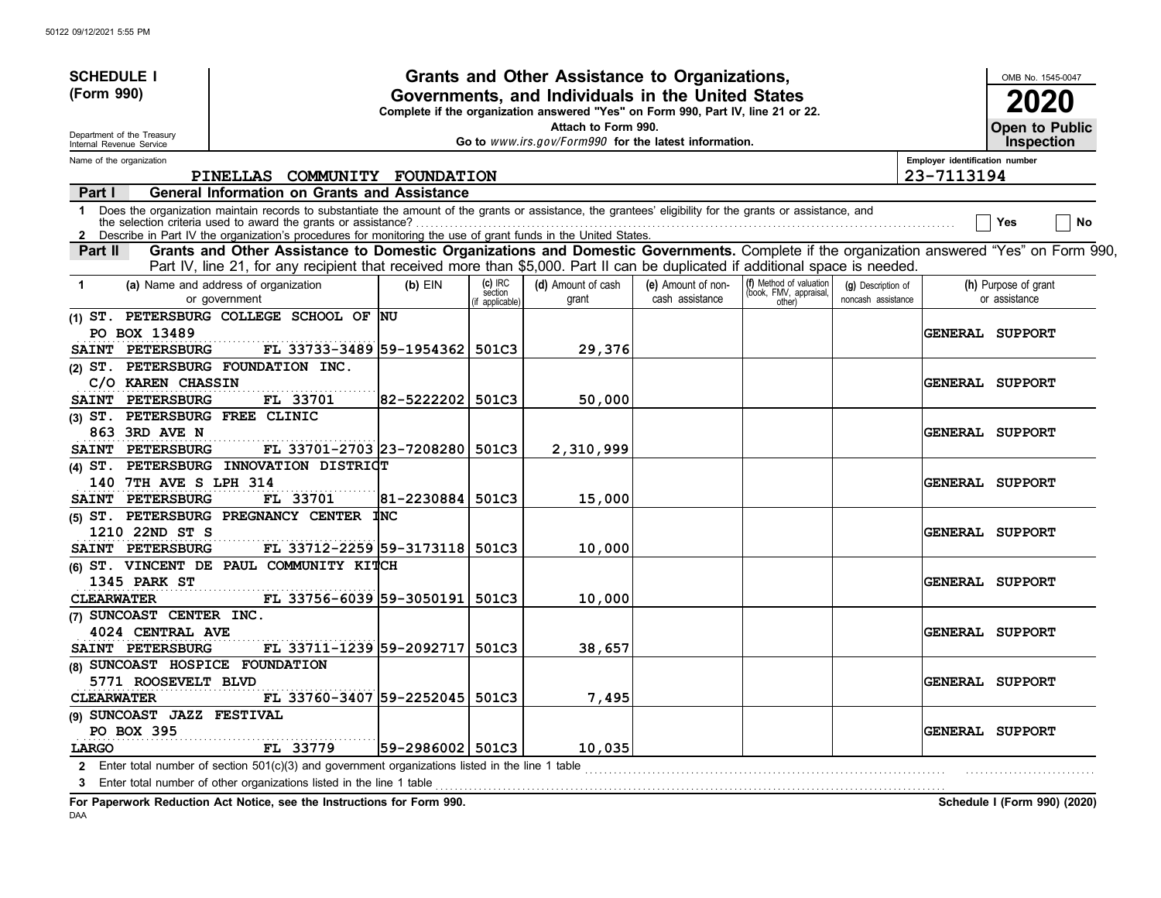| <b>SCHEDULE I</b>                                      |                                                                                                                                                                                                                                                                             |                    |                                       | Grants and Other Assistance to Organizations,                                                                                         |                                       |                                                             |                                          |                                | OMB No. 1545-0047                     |
|--------------------------------------------------------|-----------------------------------------------------------------------------------------------------------------------------------------------------------------------------------------------------------------------------------------------------------------------------|--------------------|---------------------------------------|---------------------------------------------------------------------------------------------------------------------------------------|---------------------------------------|-------------------------------------------------------------|------------------------------------------|--------------------------------|---------------------------------------|
| (Form 990)                                             |                                                                                                                                                                                                                                                                             |                    |                                       | Governments, and Individuals in the United States<br>Complete if the organization answered "Yes" on Form 990, Part IV, line 21 or 22. |                                       |                                                             |                                          |                                | 2020                                  |
| Department of the Treasury<br>Internal Revenue Service |                                                                                                                                                                                                                                                                             |                    |                                       | Attach to Form 990.<br>Go to www.irs.gov/Form990 for the latest information.                                                          |                                       |                                                             |                                          |                                | Open to Public<br><b>Inspection</b>   |
| Name of the organization                               |                                                                                                                                                                                                                                                                             |                    |                                       |                                                                                                                                       |                                       |                                                             |                                          | Employer identification number |                                       |
|                                                        | PINELLAS COMMUNITY FOUNDATION                                                                                                                                                                                                                                               |                    |                                       |                                                                                                                                       |                                       |                                                             |                                          | 23-7113194                     |                                       |
| Part I                                                 | General Information on Grants and Assistance                                                                                                                                                                                                                                |                    |                                       |                                                                                                                                       |                                       |                                                             |                                          |                                |                                       |
| $\mathbf 1$                                            | Does the organization maintain records to substantiate the amount of the grants or assistance, the grantees' eligibility for the grants or assistance, and<br>Describe in Part IV the organization's procedures for monitoring the use of grant funds in the United States. |                    |                                       |                                                                                                                                       |                                       |                                                             |                                          |                                | No<br>Yes                             |
| Part II                                                | Grants and Other Assistance to Domestic Organizations and Domestic Governments. Complete if the organization answered "Yes" on Form 990,<br>Part IV, line 21, for any recipient that received more than \$5,000. Part II can be duplicated if additional space is needed.   |                    |                                       |                                                                                                                                       |                                       |                                                             |                                          |                                |                                       |
| $\mathbf 1$                                            | (a) Name and address of organization<br>or government                                                                                                                                                                                                                       | $(b)$ EIN          | $(c)$ IRC<br>section<br>f applicable) | (d) Amount of cash<br>grant                                                                                                           | (e) Amount of non-<br>cash assistance | (f) Method of valuation<br>(book, FMV, appraisal,<br>other) | (g) Description of<br>noncash assistance |                                | (h) Purpose of grant<br>or assistance |
| PO BOX 13489                                           | (1) ST. PETERSBURG COLLEGE SCHOOL OF NU                                                                                                                                                                                                                                     |                    |                                       |                                                                                                                                       |                                       |                                                             |                                          |                                | <b>GENERAL SUPPORT</b>                |
| <b>PETERSBURG</b><br><b>SAINT</b>                      | FL 33733-3489 59-1954362<br>(2) ST. PETERSBURG FOUNDATION INC.                                                                                                                                                                                                              |                    | 501C3                                 | 29,376                                                                                                                                |                                       |                                                             |                                          |                                |                                       |
| C/O KAREN CHASSIN                                      |                                                                                                                                                                                                                                                                             |                    |                                       |                                                                                                                                       |                                       |                                                             |                                          |                                | <b>GENERAL SUPPORT</b>                |
| PETERSBURG<br><b>SAINT</b>                             | FL 33701                                                                                                                                                                                                                                                                    | 82-5222202         | 501C3                                 | 50,000                                                                                                                                |                                       |                                                             |                                          |                                |                                       |
| (3) ST. PETERSBURG FREE CLINIC                         |                                                                                                                                                                                                                                                                             |                    |                                       |                                                                                                                                       |                                       |                                                             |                                          |                                |                                       |
| 863 3RD AVE N                                          |                                                                                                                                                                                                                                                                             |                    |                                       |                                                                                                                                       |                                       |                                                             |                                          |                                | <b>GENERAL SUPPORT</b>                |
| SAINT PETERSBURG                                       | FL 33701-2703 23-7208280                                                                                                                                                                                                                                                    |                    | 501C3                                 | 2,310,999                                                                                                                             |                                       |                                                             |                                          |                                |                                       |
|                                                        | (4) ST. PETERSBURG INNOVATION DISTRICT                                                                                                                                                                                                                                      |                    |                                       |                                                                                                                                       |                                       |                                                             |                                          |                                |                                       |
| 140 7TH AVE S LPH 314                                  |                                                                                                                                                                                                                                                                             |                    |                                       |                                                                                                                                       |                                       |                                                             |                                          |                                | <b>GENERAL SUPPORT</b>                |
| <b>PETERSBURG</b><br><b>SAINT</b>                      | FL 33701                                                                                                                                                                                                                                                                    | 81-2230884         | 501C3                                 | 15,000                                                                                                                                |                                       |                                                             |                                          |                                |                                       |
|                                                        | (5) ST. PETERSBURG PREGNANCY CENTER                                                                                                                                                                                                                                         | <b>INC</b>         |                                       |                                                                                                                                       |                                       |                                                             |                                          |                                |                                       |
| 1210 22ND ST S                                         |                                                                                                                                                                                                                                                                             |                    |                                       |                                                                                                                                       |                                       |                                                             |                                          |                                | GENERAL SUPPORT                       |
| SAINT PETERSBURG                                       | FL 33712-2259 59-3173118 501C3                                                                                                                                                                                                                                              |                    |                                       | 10,000                                                                                                                                |                                       |                                                             |                                          |                                |                                       |
|                                                        | (6) ST. VINCENT DE PAUL COMMUNITY KITCH                                                                                                                                                                                                                                     |                    |                                       |                                                                                                                                       |                                       |                                                             |                                          |                                |                                       |
| 1345 PARK ST                                           |                                                                                                                                                                                                                                                                             |                    |                                       |                                                                                                                                       |                                       |                                                             |                                          |                                | <b>GENERAL SUPPORT</b>                |
| <b>CLEARWATER</b>                                      | FL 33756-6039 59-3050191                                                                                                                                                                                                                                                    |                    | 501C3                                 | 10,000                                                                                                                                |                                       |                                                             |                                          |                                |                                       |
| (7) SUNCOAST CENTER INC.                               |                                                                                                                                                                                                                                                                             |                    |                                       |                                                                                                                                       |                                       |                                                             |                                          |                                |                                       |
| 4024 CENTRAL AVE<br>SAINT PETERSBURG                   |                                                                                                                                                                                                                                                                             |                    |                                       |                                                                                                                                       |                                       |                                                             |                                          |                                | <b>GENERAL SUPPORT</b>                |
| (8) SUNCOAST HOSPICE FOUNDATION                        | FL 33711-1239 59-2092717                                                                                                                                                                                                                                                    |                    | 501C3                                 | 38,657                                                                                                                                |                                       |                                                             |                                          |                                |                                       |
| 5771 ROOSEVELT BLVD                                    |                                                                                                                                                                                                                                                                             |                    |                                       |                                                                                                                                       |                                       |                                                             |                                          |                                | <b>GENERAL SUPPORT</b>                |
| <b>CLEARWATER</b>                                      | FL 33760-3407 59-2252045 501C3                                                                                                                                                                                                                                              |                    |                                       | 7,495                                                                                                                                 |                                       |                                                             |                                          |                                |                                       |
| (9) SUNCOAST JAZZ FESTIVAL                             |                                                                                                                                                                                                                                                                             |                    |                                       |                                                                                                                                       |                                       |                                                             |                                          |                                |                                       |
| PO BOX 395                                             |                                                                                                                                                                                                                                                                             |                    |                                       |                                                                                                                                       |                                       |                                                             |                                          |                                | <b>GENERAL SUPPORT</b>                |
| LARGO                                                  | FL 33779                                                                                                                                                                                                                                                                    | 59-2986002   501C3 |                                       | 10,035                                                                                                                                |                                       |                                                             |                                          |                                |                                       |
|                                                        | 2 Enter total number of section 501(c)(3) and government organizations listed in the line 1 table                                                                                                                                                                           |                    |                                       |                                                                                                                                       |                                       |                                                             |                                          |                                |                                       |
| 3                                                      | Enter total number of other organizations listed in the line 1 table                                                                                                                                                                                                        |                    |                                       |                                                                                                                                       |                                       |                                                             |                                          |                                |                                       |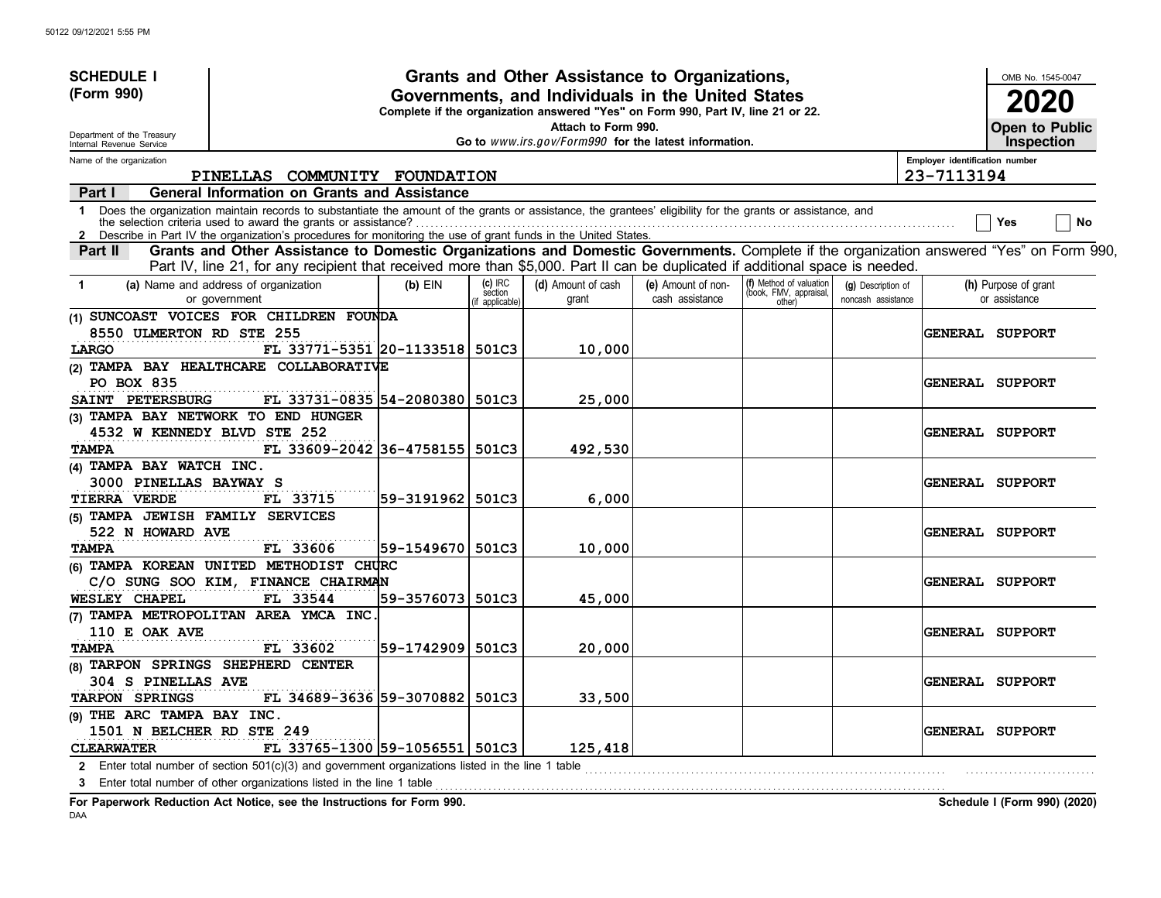| <b>SCHEDULE I</b>                                      |                                                                                                                                                                                                                                                                             |                    |                                     | Grants and Other Assistance to Organizations,                                                                                         |                                       |                                                             |                                          |                                | OMB No. 1545-0047                          |
|--------------------------------------------------------|-----------------------------------------------------------------------------------------------------------------------------------------------------------------------------------------------------------------------------------------------------------------------------|--------------------|-------------------------------------|---------------------------------------------------------------------------------------------------------------------------------------|---------------------------------------|-------------------------------------------------------------|------------------------------------------|--------------------------------|--------------------------------------------|
| (Form 990)                                             |                                                                                                                                                                                                                                                                             |                    |                                     | Governments, and Individuals in the United States<br>Complete if the organization answered "Yes" on Form 990, Part IV, line 21 or 22. |                                       |                                                             |                                          |                                | 2020                                       |
| Department of the Treasury<br>Internal Revenue Service |                                                                                                                                                                                                                                                                             |                    |                                     | Attach to Form 990.<br>Go to www.irs.gov/Form990 for the latest information.                                                          |                                       |                                                             |                                          |                                | <b>Open to Public</b><br><b>Inspection</b> |
| Name of the organization                               |                                                                                                                                                                                                                                                                             |                    |                                     |                                                                                                                                       |                                       |                                                             |                                          | Employer identification number |                                            |
|                                                        | PINELLAS COMMUNITY FOUNDATION                                                                                                                                                                                                                                               |                    |                                     |                                                                                                                                       |                                       |                                                             |                                          | 23-7113194                     |                                            |
| Part I                                                 | <b>General Information on Grants and Assistance</b>                                                                                                                                                                                                                         |                    |                                     |                                                                                                                                       |                                       |                                                             |                                          |                                |                                            |
| $\mathbf 1$                                            | Does the organization maintain records to substantiate the amount of the grants or assistance, the grantees' eligibility for the grants or assistance, and<br>Describe in Part IV the organization's procedures for monitoring the use of grant funds in the United States. |                    |                                     |                                                                                                                                       |                                       |                                                             |                                          |                                | No<br>Yes                                  |
| Part II                                                | Grants and Other Assistance to Domestic Organizations and Domestic Governments. Complete if the organization answered "Yes" on Form 990,<br>Part IV, line 21, for any recipient that received more than \$5,000. Part II can be duplicated if additional space is needed.   |                    |                                     |                                                                                                                                       |                                       |                                                             |                                          |                                |                                            |
| -1                                                     | (a) Name and address of organization<br>or government                                                                                                                                                                                                                       | $(b)$ EIN          | $(c)$ IRC<br>section<br>applicable) | (d) Amount of cash<br>grant                                                                                                           | (e) Amount of non-<br>cash assistance | (f) Method of valuation<br>(book, FMV, appraisal,<br>other) | (g) Description of<br>noncash assistance |                                | (h) Purpose of grant<br>or assistance      |
|                                                        | (1) SUNCOAST VOICES FOR CHILDREN FOUNDA                                                                                                                                                                                                                                     |                    |                                     |                                                                                                                                       |                                       |                                                             |                                          |                                |                                            |
| 8550 ULMERTON RD STE 255                               |                                                                                                                                                                                                                                                                             |                    |                                     |                                                                                                                                       |                                       |                                                             |                                          |                                | <b>GENERAL SUPPORT</b>                     |
| LARGO                                                  | FL 33771-5351 20-1133518 501C3                                                                                                                                                                                                                                              |                    |                                     | 10,000                                                                                                                                |                                       |                                                             |                                          |                                |                                            |
|                                                        | (2) TAMPA BAY HEALTHCARE COLLABORATIVE                                                                                                                                                                                                                                      |                    |                                     |                                                                                                                                       |                                       |                                                             |                                          |                                |                                            |
| PO BOX 835                                             |                                                                                                                                                                                                                                                                             |                    |                                     |                                                                                                                                       |                                       |                                                             |                                          |                                | <b>GENERAL SUPPORT</b>                     |
| SAINT PETERSBURG                                       | FL 33731-0835 54-2080380                                                                                                                                                                                                                                                    |                    | 501C3                               | 25,000                                                                                                                                |                                       |                                                             |                                          |                                |                                            |
|                                                        | (3) TAMPA BAY NETWORK TO END HUNGER                                                                                                                                                                                                                                         |                    |                                     |                                                                                                                                       |                                       |                                                             |                                          |                                |                                            |
| 4532 W KENNEDY BLVD STE 252                            |                                                                                                                                                                                                                                                                             |                    |                                     |                                                                                                                                       |                                       |                                                             |                                          |                                | <b>GENERAL SUPPORT</b>                     |
| <b>TAMPA</b>                                           | FL 33609-2042 36-4758155 501C3                                                                                                                                                                                                                                              |                    |                                     | 492,530                                                                                                                               |                                       |                                                             |                                          |                                |                                            |
| (4) TAMPA BAY WATCH INC.                               |                                                                                                                                                                                                                                                                             |                    |                                     |                                                                                                                                       |                                       |                                                             |                                          |                                |                                            |
| 3000 PINELLAS BAYWAY S                                 |                                                                                                                                                                                                                                                                             |                    |                                     |                                                                                                                                       |                                       |                                                             |                                          |                                | <b>GENERAL SUPPORT</b>                     |
| <b>TIERRA VERDE</b>                                    | FL 33715                                                                                                                                                                                                                                                                    | 59-3191962   501C3 |                                     | 6,000                                                                                                                                 |                                       |                                                             |                                          |                                |                                            |
| (5) TAMPA JEWISH FAMILY SERVICES                       |                                                                                                                                                                                                                                                                             |                    |                                     |                                                                                                                                       |                                       |                                                             |                                          |                                |                                            |
| 522 N HOWARD AVE                                       |                                                                                                                                                                                                                                                                             |                    |                                     |                                                                                                                                       |                                       |                                                             |                                          |                                | GENERAL SUPPORT                            |
| <b>TAMPA</b>                                           | FL 33606                                                                                                                                                                                                                                                                    | 59-1549670 501C3   |                                     | 10,000                                                                                                                                |                                       |                                                             |                                          |                                |                                            |
|                                                        | (6) TAMPA KOREAN UNITED METHODIST CHURC                                                                                                                                                                                                                                     |                    |                                     |                                                                                                                                       |                                       |                                                             |                                          |                                |                                            |
|                                                        | C/O SUNG SOO KIM, FINANCE CHAIRMAN                                                                                                                                                                                                                                          |                    |                                     |                                                                                                                                       |                                       |                                                             |                                          |                                | <b>GENERAL SUPPORT</b>                     |
| <b>WESLEY CHAPEL</b>                                   | FL 33544                                                                                                                                                                                                                                                                    | 59-3576073 501C3   |                                     | 45,000                                                                                                                                |                                       |                                                             |                                          |                                |                                            |
|                                                        | (7) TAMPA METROPOLITAN AREA YMCA INC                                                                                                                                                                                                                                        |                    |                                     |                                                                                                                                       |                                       |                                                             |                                          |                                |                                            |
| 110 E OAK AVE                                          |                                                                                                                                                                                                                                                                             |                    |                                     |                                                                                                                                       |                                       |                                                             |                                          |                                | <b>GENERAL SUPPORT</b>                     |
| <b>TAMPA</b>                                           | FL 33602                                                                                                                                                                                                                                                                    | 59-1742909 501C3   |                                     | 20,000                                                                                                                                |                                       |                                                             |                                          |                                |                                            |
|                                                        | (8) TARPON SPRINGS SHEPHERD CENTER                                                                                                                                                                                                                                          |                    |                                     |                                                                                                                                       |                                       |                                                             |                                          |                                |                                            |
| 304 S PINELLAS AVE                                     |                                                                                                                                                                                                                                                                             |                    |                                     |                                                                                                                                       |                                       |                                                             |                                          |                                | <b>GENERAL SUPPORT</b>                     |
| TARPON SPRINGS                                         | FL 34689-3636 59-3070882 501C3                                                                                                                                                                                                                                              |                    |                                     | 33,500                                                                                                                                |                                       |                                                             |                                          |                                |                                            |
| (9) THE ARC TAMPA BAY INC.                             |                                                                                                                                                                                                                                                                             |                    |                                     |                                                                                                                                       |                                       |                                                             |                                          |                                |                                            |
| 1501 N BELCHER RD STE 249                              |                                                                                                                                                                                                                                                                             |                    |                                     |                                                                                                                                       |                                       |                                                             |                                          |                                | <b>GENERAL SUPPORT</b>                     |
| <b>CLEARWATER</b>                                      | FL 33765-1300 59-1056551 501C3                                                                                                                                                                                                                                              |                    |                                     | 125,418                                                                                                                               |                                       |                                                             |                                          |                                |                                            |
|                                                        | 2 Enter total number of section 501(c)(3) and government organizations listed in the line 1 table                                                                                                                                                                           |                    |                                     |                                                                                                                                       |                                       |                                                             |                                          |                                |                                            |
|                                                        | 3 Enter total number of other organizations listed in the line 1 table                                                                                                                                                                                                      |                    |                                     |                                                                                                                                       |                                       |                                                             |                                          |                                |                                            |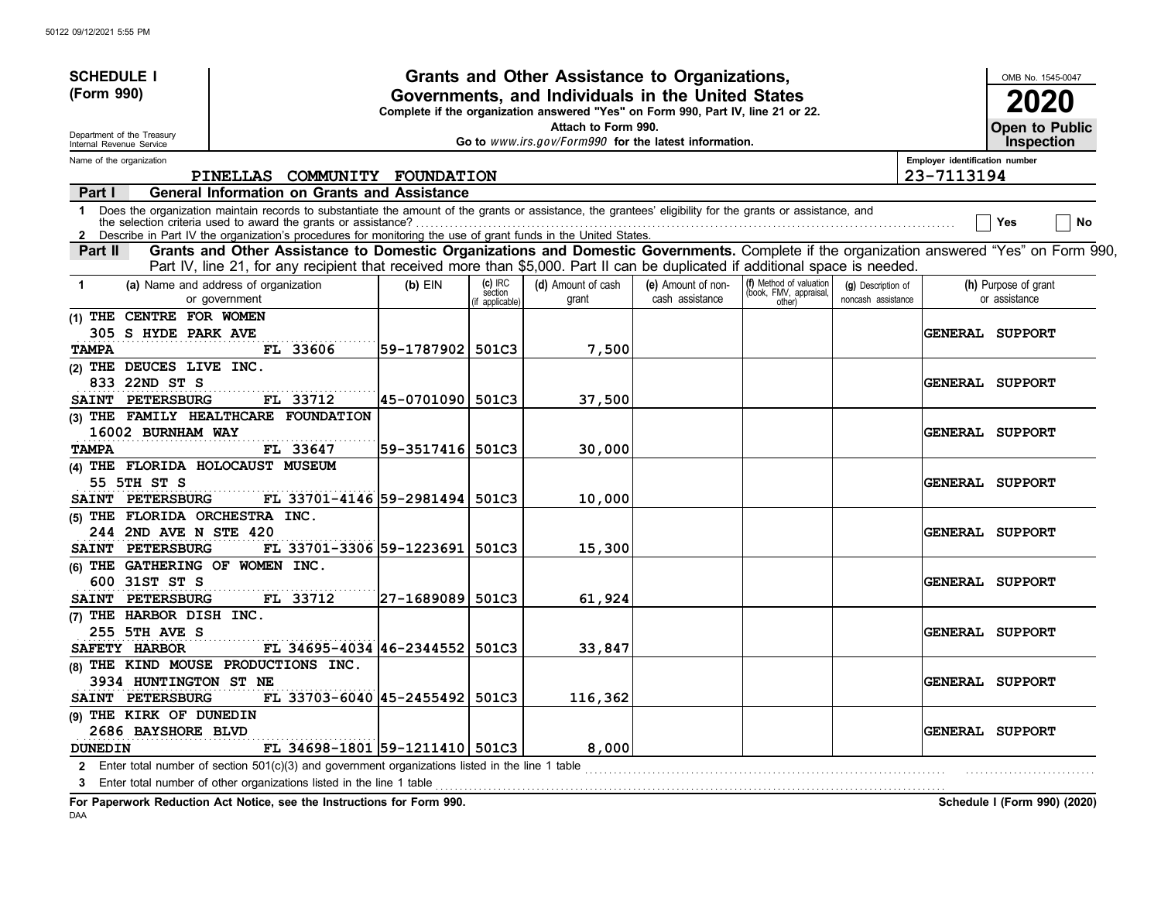| (Form 990)<br>Governments, and Individuals in the United States<br>2020<br>Complete if the organization answered "Yes" on Form 990, Part IV, line 21 or 22.<br>Attach to Form 990.<br>Open to Public<br>Department of the Treasury<br>Go to www.irs.gov/Form990 for the latest information.<br><b>Inspection</b><br>Internal Revenue Service<br>Employer identification number<br>Name of the organization<br>23-7113194<br>COMMUNITY FOUNDATION<br>PINELLAS<br>General Information on Grants and Assistance<br>Part I<br>1 Does the organization maintain records to substantiate the amount of the grants or assistance, the grantees' eligibility for the grants or assistance, and<br>No<br>Yes<br>Describe in Part IV the organization's procedures for monitoring the use of grant funds in the United States.<br>$\mathbf{2}$<br>Grants and Other Assistance to Domestic Organizations and Domestic Governments. Complete if the organization answered "Yes" on Form 990,<br>Part II<br>Part IV, line 21, for any recipient that received more than \$5,000. Part II can be duplicated if additional space is needed.<br>(f) Method of valuation<br>$(c)$ IRC<br>(a) Name and address of organization<br>(d) Amount of cash<br>(e) Amount of non-<br>$(b)$ EIN<br>(h) Purpose of grant<br>(g) Description of<br>1<br>(book, FMV, appraisal,<br>section<br>cash assistance<br>or assistance<br>or government<br>grant<br>noncash assistance<br>other)<br>f applicable)<br>(1) THE CENTRE FOR WOMEN<br>305 S HYDE PARK AVE<br>GENERAL SUPPORT<br> 59-1787902 <br>501C3<br>7,500<br><b>TAMPA</b><br>FL 33606<br>(2) THE DEUCES LIVE INC.<br>833 22ND ST S<br><b>GENERAL SUPPORT</b><br><b>PETERSBURG</b><br>FL 33712<br> 45-0701090 <br>501C3<br>37,500<br><b>SAINT</b><br>(3) THE FAMILY HEALTHCARE FOUNDATION<br>16002 BURNHAM WAY<br><b>GENERAL SUPPORT</b><br>FL 33647<br>59-3517416 501C3<br>30,000<br><b>TAMPA</b><br>(4) THE FLORIDA HOLOCAUST MUSEUM<br>55 5TH ST S<br><b>GENERAL SUPPORT</b><br>FL 33701-4146 59-2981494<br>10,000<br>SAINT PETERSBURG<br>501C3<br>(5) THE FLORIDA ORCHESTRA INC.<br>244 2ND AVE N STE 420<br>GENERAL SUPPORT<br>SAINT PETERSBURG<br>FL 33701-3306 59-1223691<br>501C3<br>15,300 | <b>SCHEDULE I</b> |  | Grants and Other Assistance to Organizations, |  |  | OMB No. 1545-0047 |
|-------------------------------------------------------------------------------------------------------------------------------------------------------------------------------------------------------------------------------------------------------------------------------------------------------------------------------------------------------------------------------------------------------------------------------------------------------------------------------------------------------------------------------------------------------------------------------------------------------------------------------------------------------------------------------------------------------------------------------------------------------------------------------------------------------------------------------------------------------------------------------------------------------------------------------------------------------------------------------------------------------------------------------------------------------------------------------------------------------------------------------------------------------------------------------------------------------------------------------------------------------------------------------------------------------------------------------------------------------------------------------------------------------------------------------------------------------------------------------------------------------------------------------------------------------------------------------------------------------------------------------------------------------------------------------------------------------------------------------------------------------------------------------------------------------------------------------------------------------------------------------------------------------------------------------------------------------------------------------------------------------------------------------------------------------------------------------------------------------------------------------------------------------------------------------------------------------------------------------|-------------------|--|-----------------------------------------------|--|--|-------------------|
|                                                                                                                                                                                                                                                                                                                                                                                                                                                                                                                                                                                                                                                                                                                                                                                                                                                                                                                                                                                                                                                                                                                                                                                                                                                                                                                                                                                                                                                                                                                                                                                                                                                                                                                                                                                                                                                                                                                                                                                                                                                                                                                                                                                                                               |                   |  |                                               |  |  |                   |
|                                                                                                                                                                                                                                                                                                                                                                                                                                                                                                                                                                                                                                                                                                                                                                                                                                                                                                                                                                                                                                                                                                                                                                                                                                                                                                                                                                                                                                                                                                                                                                                                                                                                                                                                                                                                                                                                                                                                                                                                                                                                                                                                                                                                                               |                   |  |                                               |  |  |                   |
|                                                                                                                                                                                                                                                                                                                                                                                                                                                                                                                                                                                                                                                                                                                                                                                                                                                                                                                                                                                                                                                                                                                                                                                                                                                                                                                                                                                                                                                                                                                                                                                                                                                                                                                                                                                                                                                                                                                                                                                                                                                                                                                                                                                                                               |                   |  |                                               |  |  |                   |
|                                                                                                                                                                                                                                                                                                                                                                                                                                                                                                                                                                                                                                                                                                                                                                                                                                                                                                                                                                                                                                                                                                                                                                                                                                                                                                                                                                                                                                                                                                                                                                                                                                                                                                                                                                                                                                                                                                                                                                                                                                                                                                                                                                                                                               |                   |  |                                               |  |  |                   |
|                                                                                                                                                                                                                                                                                                                                                                                                                                                                                                                                                                                                                                                                                                                                                                                                                                                                                                                                                                                                                                                                                                                                                                                                                                                                                                                                                                                                                                                                                                                                                                                                                                                                                                                                                                                                                                                                                                                                                                                                                                                                                                                                                                                                                               |                   |  |                                               |  |  |                   |
|                                                                                                                                                                                                                                                                                                                                                                                                                                                                                                                                                                                                                                                                                                                                                                                                                                                                                                                                                                                                                                                                                                                                                                                                                                                                                                                                                                                                                                                                                                                                                                                                                                                                                                                                                                                                                                                                                                                                                                                                                                                                                                                                                                                                                               |                   |  |                                               |  |  |                   |
|                                                                                                                                                                                                                                                                                                                                                                                                                                                                                                                                                                                                                                                                                                                                                                                                                                                                                                                                                                                                                                                                                                                                                                                                                                                                                                                                                                                                                                                                                                                                                                                                                                                                                                                                                                                                                                                                                                                                                                                                                                                                                                                                                                                                                               |                   |  |                                               |  |  |                   |
|                                                                                                                                                                                                                                                                                                                                                                                                                                                                                                                                                                                                                                                                                                                                                                                                                                                                                                                                                                                                                                                                                                                                                                                                                                                                                                                                                                                                                                                                                                                                                                                                                                                                                                                                                                                                                                                                                                                                                                                                                                                                                                                                                                                                                               |                   |  |                                               |  |  |                   |
|                                                                                                                                                                                                                                                                                                                                                                                                                                                                                                                                                                                                                                                                                                                                                                                                                                                                                                                                                                                                                                                                                                                                                                                                                                                                                                                                                                                                                                                                                                                                                                                                                                                                                                                                                                                                                                                                                                                                                                                                                                                                                                                                                                                                                               |                   |  |                                               |  |  |                   |
|                                                                                                                                                                                                                                                                                                                                                                                                                                                                                                                                                                                                                                                                                                                                                                                                                                                                                                                                                                                                                                                                                                                                                                                                                                                                                                                                                                                                                                                                                                                                                                                                                                                                                                                                                                                                                                                                                                                                                                                                                                                                                                                                                                                                                               |                   |  |                                               |  |  |                   |
|                                                                                                                                                                                                                                                                                                                                                                                                                                                                                                                                                                                                                                                                                                                                                                                                                                                                                                                                                                                                                                                                                                                                                                                                                                                                                                                                                                                                                                                                                                                                                                                                                                                                                                                                                                                                                                                                                                                                                                                                                                                                                                                                                                                                                               |                   |  |                                               |  |  |                   |
|                                                                                                                                                                                                                                                                                                                                                                                                                                                                                                                                                                                                                                                                                                                                                                                                                                                                                                                                                                                                                                                                                                                                                                                                                                                                                                                                                                                                                                                                                                                                                                                                                                                                                                                                                                                                                                                                                                                                                                                                                                                                                                                                                                                                                               |                   |  |                                               |  |  |                   |
|                                                                                                                                                                                                                                                                                                                                                                                                                                                                                                                                                                                                                                                                                                                                                                                                                                                                                                                                                                                                                                                                                                                                                                                                                                                                                                                                                                                                                                                                                                                                                                                                                                                                                                                                                                                                                                                                                                                                                                                                                                                                                                                                                                                                                               |                   |  |                                               |  |  |                   |
|                                                                                                                                                                                                                                                                                                                                                                                                                                                                                                                                                                                                                                                                                                                                                                                                                                                                                                                                                                                                                                                                                                                                                                                                                                                                                                                                                                                                                                                                                                                                                                                                                                                                                                                                                                                                                                                                                                                                                                                                                                                                                                                                                                                                                               |                   |  |                                               |  |  |                   |
|                                                                                                                                                                                                                                                                                                                                                                                                                                                                                                                                                                                                                                                                                                                                                                                                                                                                                                                                                                                                                                                                                                                                                                                                                                                                                                                                                                                                                                                                                                                                                                                                                                                                                                                                                                                                                                                                                                                                                                                                                                                                                                                                                                                                                               |                   |  |                                               |  |  |                   |
|                                                                                                                                                                                                                                                                                                                                                                                                                                                                                                                                                                                                                                                                                                                                                                                                                                                                                                                                                                                                                                                                                                                                                                                                                                                                                                                                                                                                                                                                                                                                                                                                                                                                                                                                                                                                                                                                                                                                                                                                                                                                                                                                                                                                                               |                   |  |                                               |  |  |                   |
|                                                                                                                                                                                                                                                                                                                                                                                                                                                                                                                                                                                                                                                                                                                                                                                                                                                                                                                                                                                                                                                                                                                                                                                                                                                                                                                                                                                                                                                                                                                                                                                                                                                                                                                                                                                                                                                                                                                                                                                                                                                                                                                                                                                                                               |                   |  |                                               |  |  |                   |
|                                                                                                                                                                                                                                                                                                                                                                                                                                                                                                                                                                                                                                                                                                                                                                                                                                                                                                                                                                                                                                                                                                                                                                                                                                                                                                                                                                                                                                                                                                                                                                                                                                                                                                                                                                                                                                                                                                                                                                                                                                                                                                                                                                                                                               |                   |  |                                               |  |  |                   |
|                                                                                                                                                                                                                                                                                                                                                                                                                                                                                                                                                                                                                                                                                                                                                                                                                                                                                                                                                                                                                                                                                                                                                                                                                                                                                                                                                                                                                                                                                                                                                                                                                                                                                                                                                                                                                                                                                                                                                                                                                                                                                                                                                                                                                               |                   |  |                                               |  |  |                   |
|                                                                                                                                                                                                                                                                                                                                                                                                                                                                                                                                                                                                                                                                                                                                                                                                                                                                                                                                                                                                                                                                                                                                                                                                                                                                                                                                                                                                                                                                                                                                                                                                                                                                                                                                                                                                                                                                                                                                                                                                                                                                                                                                                                                                                               |                   |  |                                               |  |  |                   |
|                                                                                                                                                                                                                                                                                                                                                                                                                                                                                                                                                                                                                                                                                                                                                                                                                                                                                                                                                                                                                                                                                                                                                                                                                                                                                                                                                                                                                                                                                                                                                                                                                                                                                                                                                                                                                                                                                                                                                                                                                                                                                                                                                                                                                               |                   |  |                                               |  |  |                   |
|                                                                                                                                                                                                                                                                                                                                                                                                                                                                                                                                                                                                                                                                                                                                                                                                                                                                                                                                                                                                                                                                                                                                                                                                                                                                                                                                                                                                                                                                                                                                                                                                                                                                                                                                                                                                                                                                                                                                                                                                                                                                                                                                                                                                                               |                   |  |                                               |  |  |                   |
|                                                                                                                                                                                                                                                                                                                                                                                                                                                                                                                                                                                                                                                                                                                                                                                                                                                                                                                                                                                                                                                                                                                                                                                                                                                                                                                                                                                                                                                                                                                                                                                                                                                                                                                                                                                                                                                                                                                                                                                                                                                                                                                                                                                                                               |                   |  |                                               |  |  |                   |
| (6) THE GATHERING OF WOMEN INC.                                                                                                                                                                                                                                                                                                                                                                                                                                                                                                                                                                                                                                                                                                                                                                                                                                                                                                                                                                                                                                                                                                                                                                                                                                                                                                                                                                                                                                                                                                                                                                                                                                                                                                                                                                                                                                                                                                                                                                                                                                                                                                                                                                                               |                   |  |                                               |  |  |                   |
| 600 31ST ST S<br><b>GENERAL SUPPORT</b>                                                                                                                                                                                                                                                                                                                                                                                                                                                                                                                                                                                                                                                                                                                                                                                                                                                                                                                                                                                                                                                                                                                                                                                                                                                                                                                                                                                                                                                                                                                                                                                                                                                                                                                                                                                                                                                                                                                                                                                                                                                                                                                                                                                       |                   |  |                                               |  |  |                   |
| SAINT PETERSBURG<br> 27-1689089  501C3<br>61,924<br>FL 33712                                                                                                                                                                                                                                                                                                                                                                                                                                                                                                                                                                                                                                                                                                                                                                                                                                                                                                                                                                                                                                                                                                                                                                                                                                                                                                                                                                                                                                                                                                                                                                                                                                                                                                                                                                                                                                                                                                                                                                                                                                                                                                                                                                  |                   |  |                                               |  |  |                   |
| (7) THE HARBOR DISH INC.                                                                                                                                                                                                                                                                                                                                                                                                                                                                                                                                                                                                                                                                                                                                                                                                                                                                                                                                                                                                                                                                                                                                                                                                                                                                                                                                                                                                                                                                                                                                                                                                                                                                                                                                                                                                                                                                                                                                                                                                                                                                                                                                                                                                      |                   |  |                                               |  |  |                   |
| <b>255 5TH AVE S</b><br><b>GENERAL SUPPORT</b>                                                                                                                                                                                                                                                                                                                                                                                                                                                                                                                                                                                                                                                                                                                                                                                                                                                                                                                                                                                                                                                                                                                                                                                                                                                                                                                                                                                                                                                                                                                                                                                                                                                                                                                                                                                                                                                                                                                                                                                                                                                                                                                                                                                |                   |  |                                               |  |  |                   |
| FL 34695-4034 46-2344552<br>33,847<br>SAFETY HARBOR<br>501C3                                                                                                                                                                                                                                                                                                                                                                                                                                                                                                                                                                                                                                                                                                                                                                                                                                                                                                                                                                                                                                                                                                                                                                                                                                                                                                                                                                                                                                                                                                                                                                                                                                                                                                                                                                                                                                                                                                                                                                                                                                                                                                                                                                  |                   |  |                                               |  |  |                   |
| (8) THE KIND MOUSE PRODUCTIONS INC.                                                                                                                                                                                                                                                                                                                                                                                                                                                                                                                                                                                                                                                                                                                                                                                                                                                                                                                                                                                                                                                                                                                                                                                                                                                                                                                                                                                                                                                                                                                                                                                                                                                                                                                                                                                                                                                                                                                                                                                                                                                                                                                                                                                           |                   |  |                                               |  |  |                   |
| 3934 HUNTINGTON ST NE<br>GENERAL SUPPORT                                                                                                                                                                                                                                                                                                                                                                                                                                                                                                                                                                                                                                                                                                                                                                                                                                                                                                                                                                                                                                                                                                                                                                                                                                                                                                                                                                                                                                                                                                                                                                                                                                                                                                                                                                                                                                                                                                                                                                                                                                                                                                                                                                                      |                   |  |                                               |  |  |                   |
| <b>PETERSBURG</b><br>FL 33703-6040 45-2455492 501C3<br>116,362<br><b>SAINT</b>                                                                                                                                                                                                                                                                                                                                                                                                                                                                                                                                                                                                                                                                                                                                                                                                                                                                                                                                                                                                                                                                                                                                                                                                                                                                                                                                                                                                                                                                                                                                                                                                                                                                                                                                                                                                                                                                                                                                                                                                                                                                                                                                                |                   |  |                                               |  |  |                   |
| (9) THE KIRK OF DUNEDIN                                                                                                                                                                                                                                                                                                                                                                                                                                                                                                                                                                                                                                                                                                                                                                                                                                                                                                                                                                                                                                                                                                                                                                                                                                                                                                                                                                                                                                                                                                                                                                                                                                                                                                                                                                                                                                                                                                                                                                                                                                                                                                                                                                                                       |                   |  |                                               |  |  |                   |
| 2686 BAYSHORE BLVD<br>GENERAL SUPPORT                                                                                                                                                                                                                                                                                                                                                                                                                                                                                                                                                                                                                                                                                                                                                                                                                                                                                                                                                                                                                                                                                                                                                                                                                                                                                                                                                                                                                                                                                                                                                                                                                                                                                                                                                                                                                                                                                                                                                                                                                                                                                                                                                                                         |                   |  |                                               |  |  |                   |
| FL 34698-1801 59-1211410 501C3<br>8,000<br><b>DUNEDIN</b>                                                                                                                                                                                                                                                                                                                                                                                                                                                                                                                                                                                                                                                                                                                                                                                                                                                                                                                                                                                                                                                                                                                                                                                                                                                                                                                                                                                                                                                                                                                                                                                                                                                                                                                                                                                                                                                                                                                                                                                                                                                                                                                                                                     |                   |  |                                               |  |  |                   |
| 2 Enter total number of section 501(c)(3) and government organizations listed in the line 1 table<br>Enter total number of other organizations listed in the line 1 table<br>3                                                                                                                                                                                                                                                                                                                                                                                                                                                                                                                                                                                                                                                                                                                                                                                                                                                                                                                                                                                                                                                                                                                                                                                                                                                                                                                                                                                                                                                                                                                                                                                                                                                                                                                                                                                                                                                                                                                                                                                                                                                |                   |  |                                               |  |  |                   |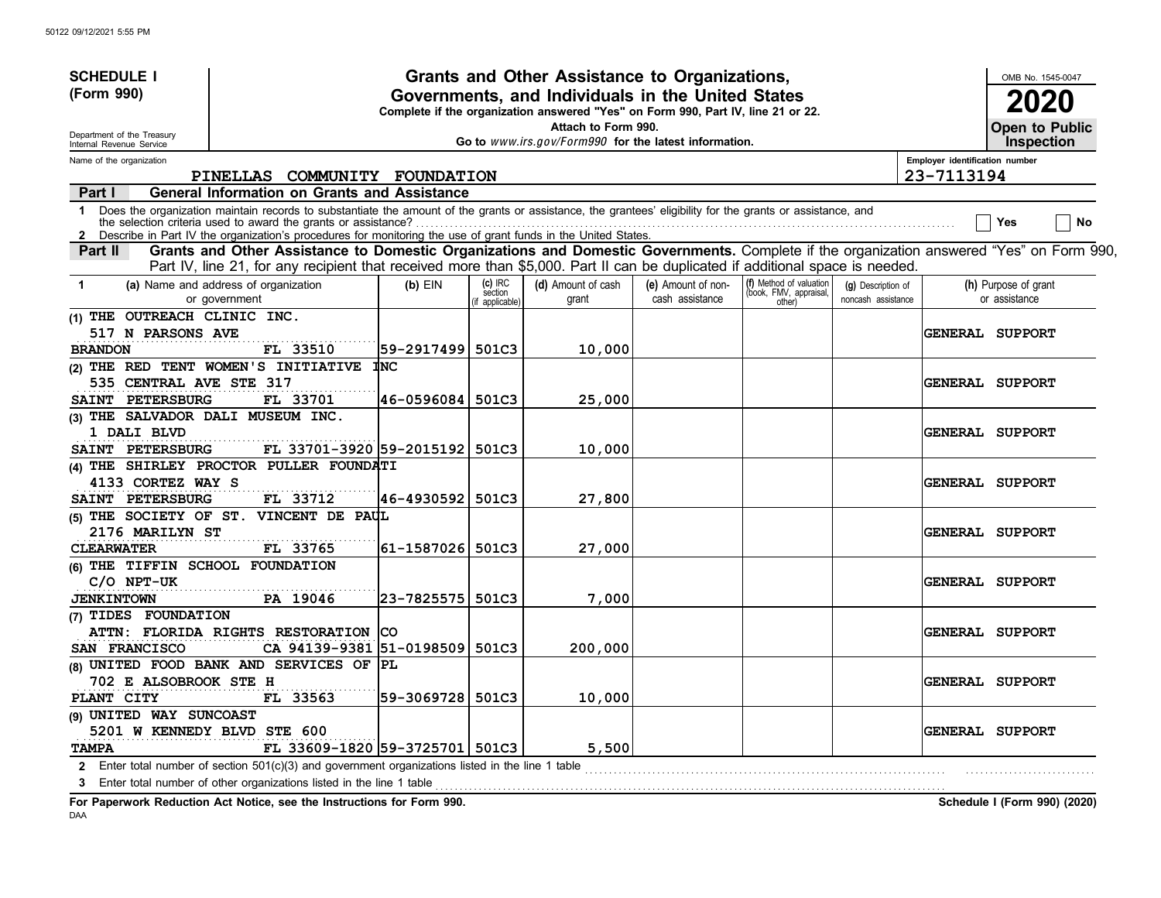| <b>SCHEDULE I</b>                                      |                                                                                                                                                                                                                                                                               |                  |                                        | Grants and Other Assistance to Organizations,                                                                                         |                                       |                                                             |                                          |                                | OMB No. 1545-0047                     |
|--------------------------------------------------------|-------------------------------------------------------------------------------------------------------------------------------------------------------------------------------------------------------------------------------------------------------------------------------|------------------|----------------------------------------|---------------------------------------------------------------------------------------------------------------------------------------|---------------------------------------|-------------------------------------------------------------|------------------------------------------|--------------------------------|---------------------------------------|
| (Form 990)                                             |                                                                                                                                                                                                                                                                               |                  |                                        | Governments, and Individuals in the United States<br>Complete if the organization answered "Yes" on Form 990, Part IV, line 21 or 22. |                                       |                                                             |                                          |                                | 2020                                  |
| Department of the Treasury<br>Internal Revenue Service |                                                                                                                                                                                                                                                                               |                  |                                        | Attach to Form 990.<br>Go to www.irs.gov/Form990 for the latest information.                                                          |                                       |                                                             |                                          |                                | Open to Public<br><b>Inspection</b>   |
| Name of the organization                               |                                                                                                                                                                                                                                                                               |                  |                                        |                                                                                                                                       |                                       |                                                             |                                          | Employer identification number |                                       |
|                                                        | PINELLAS COMMUNITY FOUNDATION                                                                                                                                                                                                                                                 |                  |                                        |                                                                                                                                       |                                       |                                                             |                                          | 23-7113194                     |                                       |
| Part I                                                 | <b>General Information on Grants and Assistance</b>                                                                                                                                                                                                                           |                  |                                        |                                                                                                                                       |                                       |                                                             |                                          |                                |                                       |
|                                                        | 1 Does the organization maintain records to substantiate the amount of the grants or assistance, the grantees' eligibility for the grants or assistance, and<br>Describe in Part IV the organization's procedures for monitoring the use of grant funds in the United States. |                  |                                        |                                                                                                                                       |                                       |                                                             |                                          |                                | No<br>Yes                             |
| Part II                                                | Grants and Other Assistance to Domestic Organizations and Domestic Governments. Complete if the organization answered "Yes" on Form 990,                                                                                                                                      |                  |                                        |                                                                                                                                       |                                       |                                                             |                                          |                                |                                       |
|                                                        | Part IV, line 21, for any recipient that received more than \$5,000. Part II can be duplicated if additional space is needed.                                                                                                                                                 |                  |                                        |                                                                                                                                       |                                       |                                                             |                                          |                                |                                       |
| $\mathbf 1$                                            | (a) Name and address of organization<br>or government                                                                                                                                                                                                                         | $(b)$ EIN        | $(c)$ IRC<br>section<br>if applicable) | (d) Amount of cash<br>grant                                                                                                           | (e) Amount of non-<br>cash assistance | (f) Method of valuation<br>(book, FMV, appraisal,<br>other) | (g) Description of<br>noncash assistance |                                | (h) Purpose of grant<br>or assistance |
| (1) THE OUTREACH CLINIC INC.                           |                                                                                                                                                                                                                                                                               |                  |                                        |                                                                                                                                       |                                       |                                                             |                                          |                                |                                       |
| 517 N PARSONS AVE                                      |                                                                                                                                                                                                                                                                               |                  |                                        |                                                                                                                                       |                                       |                                                             |                                          |                                | <b>GENERAL SUPPORT</b>                |
| <b>BRANDON</b>                                         | FL 33510                                                                                                                                                                                                                                                                      | 59-2917499 501C3 |                                        | 10,000                                                                                                                                |                                       |                                                             |                                          |                                |                                       |
|                                                        | (2) THE RED TENT WOMEN'S INITIATIVE                                                                                                                                                                                                                                           | <b>INC</b>       |                                        |                                                                                                                                       |                                       |                                                             |                                          |                                |                                       |
| 535 CENTRAL AVE STE 317                                |                                                                                                                                                                                                                                                                               |                  |                                        |                                                                                                                                       |                                       |                                                             |                                          |                                | <b>GENERAL SUPPORT</b>                |
| SAINT PETERSBURG                                       | FL 33701                                                                                                                                                                                                                                                                      | 46-0596084       | 501C3                                  | 25,000                                                                                                                                |                                       |                                                             |                                          |                                |                                       |
| (3) THE SALVADOR DALI MUSEUM INC.                      |                                                                                                                                                                                                                                                                               |                  |                                        |                                                                                                                                       |                                       |                                                             |                                          |                                |                                       |
| 1 DALI BLVD                                            |                                                                                                                                                                                                                                                                               |                  |                                        |                                                                                                                                       |                                       |                                                             |                                          |                                | <b>GENERAL SUPPORT</b>                |
| SAINT PETERSBURG                                       | FL 33701-3920 59-2015192 501C3                                                                                                                                                                                                                                                |                  |                                        | 10,000                                                                                                                                |                                       |                                                             |                                          |                                |                                       |
|                                                        | (4) THE SHIRLEY PROCTOR PULLER FOUNDATI                                                                                                                                                                                                                                       |                  |                                        |                                                                                                                                       |                                       |                                                             |                                          |                                |                                       |
| 4133 CORTEZ WAY S                                      |                                                                                                                                                                                                                                                                               |                  |                                        |                                                                                                                                       |                                       |                                                             |                                          |                                | <b>GENERAL SUPPORT</b>                |
| SAINT PETERSBURG                                       | FL 33712                                                                                                                                                                                                                                                                      | 46-4930592       | 501C3                                  | 27,800                                                                                                                                |                                       |                                                             |                                          |                                |                                       |
|                                                        | (5) THE SOCIETY OF ST. VINCENT DE PAUL                                                                                                                                                                                                                                        |                  |                                        |                                                                                                                                       |                                       |                                                             |                                          |                                |                                       |
| <b>2176 MARILYN ST</b>                                 |                                                                                                                                                                                                                                                                               |                  |                                        |                                                                                                                                       |                                       |                                                             |                                          |                                | <b>GENERAL SUPPORT</b>                |
| <b>CLEARWATER</b>                                      | FL 33765                                                                                                                                                                                                                                                                      | 61-1587026 501C3 |                                        | 27,000                                                                                                                                |                                       |                                                             |                                          |                                |                                       |
| (6) THE TIFFIN SCHOOL FOUNDATION                       |                                                                                                                                                                                                                                                                               |                  |                                        |                                                                                                                                       |                                       |                                                             |                                          |                                |                                       |
| $C/O$ NPT-UK                                           |                                                                                                                                                                                                                                                                               |                  |                                        |                                                                                                                                       |                                       |                                                             |                                          |                                | <b>GENERAL SUPPORT</b>                |
| <b>JENKINTOWN</b>                                      | PA 19046                                                                                                                                                                                                                                                                      | 23-7825575       | 501C3                                  | 7,000                                                                                                                                 |                                       |                                                             |                                          |                                |                                       |
| (7) TIDES FOUNDATION                                   |                                                                                                                                                                                                                                                                               |                  |                                        |                                                                                                                                       |                                       |                                                             |                                          |                                |                                       |
|                                                        | ATTN: FLORIDA RIGHTS RESTORATION                                                                                                                                                                                                                                              | ICO              |                                        |                                                                                                                                       |                                       |                                                             |                                          |                                | <b>GENERAL SUPPORT</b>                |
| SAN FRANCISCO                                          | CA 94139-9381 51-0198509 501C3                                                                                                                                                                                                                                                |                  |                                        | 200,000                                                                                                                               |                                       |                                                             |                                          |                                |                                       |
|                                                        | (8) UNITED FOOD BANK AND SERVICES OF PL                                                                                                                                                                                                                                       |                  |                                        |                                                                                                                                       |                                       |                                                             |                                          |                                |                                       |
| <b>702 E ALSOBROOK STE H</b>                           |                                                                                                                                                                                                                                                                               |                  |                                        |                                                                                                                                       |                                       |                                                             |                                          |                                | <b>GENERAL SUPPORT</b>                |
| PLANT CITY                                             | FL 33563                                                                                                                                                                                                                                                                      | 59-3069728 501C3 |                                        | 10,000                                                                                                                                |                                       |                                                             |                                          |                                |                                       |
| (9) UNITED WAY SUNCOAST                                |                                                                                                                                                                                                                                                                               |                  |                                        |                                                                                                                                       |                                       |                                                             |                                          |                                |                                       |
| 5201 W KENNEDY BLVD STE 600                            |                                                                                                                                                                                                                                                                               |                  |                                        |                                                                                                                                       |                                       |                                                             |                                          |                                | <b>GENERAL SUPPORT</b>                |
| <b>TAMPA</b>                                           | FL 33609-1820 59-3725701 501C3                                                                                                                                                                                                                                                |                  |                                        | 5,500                                                                                                                                 |                                       |                                                             |                                          |                                |                                       |
|                                                        | 2 Enter total number of section 501(c)(3) and government organizations listed in the line 1 table                                                                                                                                                                             |                  |                                        |                                                                                                                                       |                                       |                                                             |                                          |                                |                                       |
| 3                                                      | Enter total number of other organizations listed in the line 1 table                                                                                                                                                                                                          |                  |                                        |                                                                                                                                       |                                       |                                                             |                                          |                                |                                       |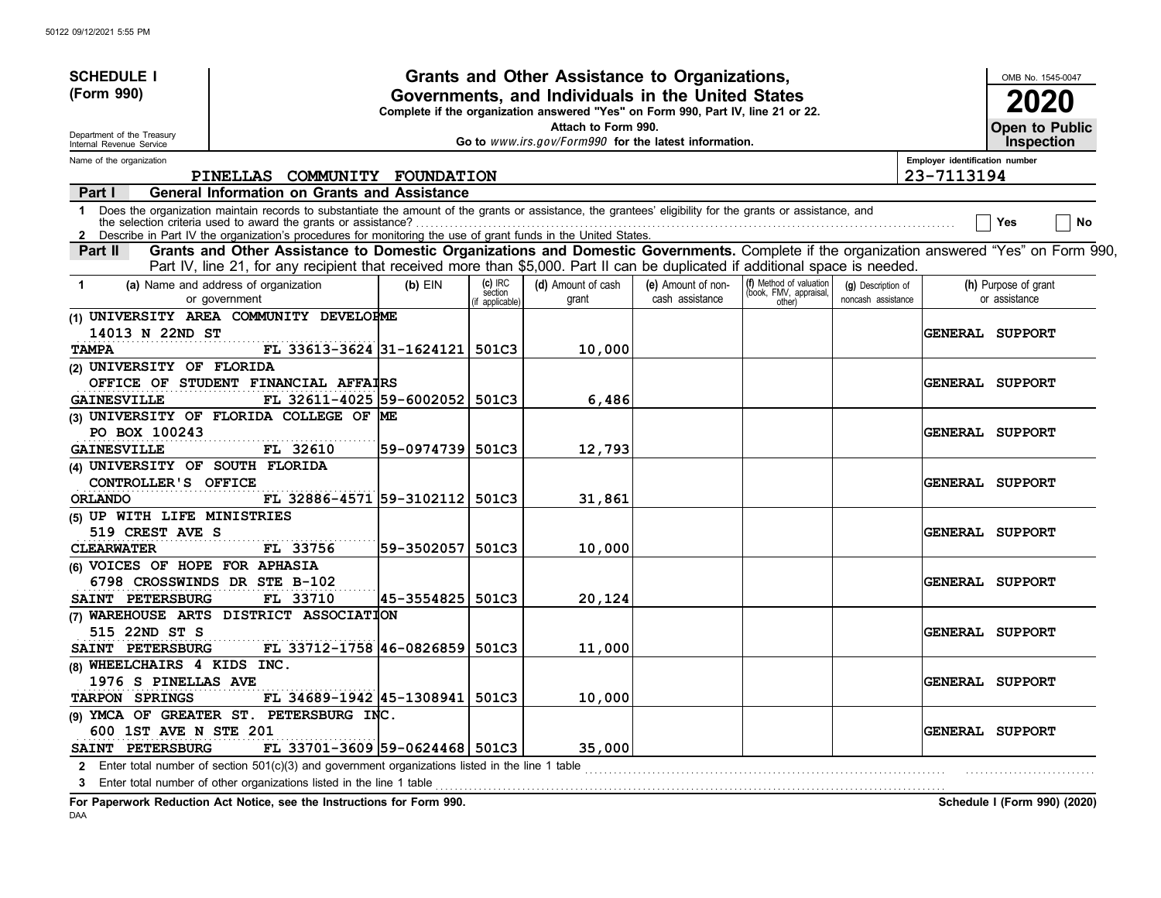| <b>SCHEDULE I</b>                                      |                                                                                                                                                                                                                                                                             |                    |                                     | Grants and Other Assistance to Organizations,                                                                                         |                                       |                                                             |                                          |                                | OMB No. 1545-0047                          |
|--------------------------------------------------------|-----------------------------------------------------------------------------------------------------------------------------------------------------------------------------------------------------------------------------------------------------------------------------|--------------------|-------------------------------------|---------------------------------------------------------------------------------------------------------------------------------------|---------------------------------------|-------------------------------------------------------------|------------------------------------------|--------------------------------|--------------------------------------------|
| (Form 990)                                             |                                                                                                                                                                                                                                                                             |                    |                                     | Governments, and Individuals in the United States<br>Complete if the organization answered "Yes" on Form 990, Part IV, line 21 or 22. |                                       |                                                             |                                          |                                | 2020                                       |
| Department of the Treasury<br>Internal Revenue Service |                                                                                                                                                                                                                                                                             |                    |                                     | Attach to Form 990.<br>Go to www.irs.gov/Form990 for the latest information.                                                          |                                       |                                                             |                                          |                                | <b>Open to Public</b><br><b>Inspection</b> |
| Name of the organization                               |                                                                                                                                                                                                                                                                             |                    |                                     |                                                                                                                                       |                                       |                                                             |                                          | Employer identification number |                                            |
|                                                        | PINELLAS COMMUNITY FOUNDATION                                                                                                                                                                                                                                               |                    |                                     |                                                                                                                                       |                                       |                                                             |                                          | 23-7113194                     |                                            |
| Part I                                                 | <b>General Information on Grants and Assistance</b>                                                                                                                                                                                                                         |                    |                                     |                                                                                                                                       |                                       |                                                             |                                          |                                |                                            |
| $\mathbf 1$                                            | Does the organization maintain records to substantiate the amount of the grants or assistance, the grantees' eligibility for the grants or assistance, and<br>Describe in Part IV the organization's procedures for monitoring the use of grant funds in the United States. |                    |                                     |                                                                                                                                       |                                       |                                                             |                                          |                                | No<br>Yes                                  |
| Part II                                                | Grants and Other Assistance to Domestic Organizations and Domestic Governments. Complete if the organization answered "Yes" on Form 990,<br>Part IV, line 21, for any recipient that received more than \$5,000. Part II can be duplicated if additional space is needed.   |                    |                                     |                                                                                                                                       |                                       |                                                             |                                          |                                |                                            |
| -1                                                     | (a) Name and address of organization<br>or government                                                                                                                                                                                                                       | $(b)$ EIN          | $(c)$ IRC<br>section<br>applicable) | (d) Amount of cash<br>grant                                                                                                           | (e) Amount of non-<br>cash assistance | (f) Method of valuation<br>(book, FMV, appraisal,<br>other) | (g) Description of<br>noncash assistance |                                | (h) Purpose of grant<br>or assistance      |
|                                                        | (1) UNIVERSITY AREA COMMUNITY DEVELOPME                                                                                                                                                                                                                                     |                    |                                     |                                                                                                                                       |                                       |                                                             |                                          |                                |                                            |
| 14013 N 22ND ST                                        |                                                                                                                                                                                                                                                                             |                    |                                     |                                                                                                                                       |                                       |                                                             |                                          |                                | <b>GENERAL SUPPORT</b>                     |
| <b>TAMPA</b>                                           | FL 33613-3624 31-1624121                                                                                                                                                                                                                                                    |                    | 501C3                               | 10,000                                                                                                                                |                                       |                                                             |                                          |                                |                                            |
| (2) UNIVERSITY OF FLORIDA                              |                                                                                                                                                                                                                                                                             |                    |                                     |                                                                                                                                       |                                       |                                                             |                                          |                                |                                            |
|                                                        | OFFICE OF STUDENT FINANCIAL AFFAIRS                                                                                                                                                                                                                                         |                    |                                     |                                                                                                                                       |                                       |                                                             |                                          |                                | <b>GENERAL SUPPORT</b>                     |
| <b>GAINESVILLE</b>                                     | FL 32611-4025 59-6002052                                                                                                                                                                                                                                                    |                    | 501C3                               | 6,486                                                                                                                                 |                                       |                                                             |                                          |                                |                                            |
|                                                        | (3) UNIVERSITY OF FLORIDA COLLEGE OF ME                                                                                                                                                                                                                                     |                    |                                     |                                                                                                                                       |                                       |                                                             |                                          |                                |                                            |
| PO BOX 100243                                          |                                                                                                                                                                                                                                                                             |                    |                                     |                                                                                                                                       |                                       |                                                             |                                          |                                | <b>GENERAL SUPPORT</b>                     |
| <b>GAINESVILLE</b>                                     | FL 32610                                                                                                                                                                                                                                                                    | 59-0974739 501C3   |                                     | 12,793                                                                                                                                |                                       |                                                             |                                          |                                |                                            |
| (4) UNIVERSITY OF SOUTH FLORIDA                        |                                                                                                                                                                                                                                                                             |                    |                                     |                                                                                                                                       |                                       |                                                             |                                          |                                |                                            |
| CONTROLLER'S OFFICE                                    |                                                                                                                                                                                                                                                                             |                    |                                     |                                                                                                                                       |                                       |                                                             |                                          |                                | <b>GENERAL SUPPORT</b>                     |
| <b>ORLANDO</b>                                         | FL 32886-4571 59-3102112 501C3                                                                                                                                                                                                                                              |                    |                                     | 31,861                                                                                                                                |                                       |                                                             |                                          |                                |                                            |
| (5) UP WITH LIFE MINISTRIES                            |                                                                                                                                                                                                                                                                             |                    |                                     |                                                                                                                                       |                                       |                                                             |                                          |                                |                                            |
| 519 CREST AVE S                                        |                                                                                                                                                                                                                                                                             |                    |                                     |                                                                                                                                       |                                       |                                                             |                                          |                                | GENERAL SUPPORT                            |
| <b>CLEARWATER</b>                                      | FL 33756                                                                                                                                                                                                                                                                    | 59-3502057   501C3 |                                     | 10,000                                                                                                                                |                                       |                                                             |                                          |                                |                                            |
| (6) VOICES OF HOPE FOR APHASIA                         |                                                                                                                                                                                                                                                                             |                    |                                     |                                                                                                                                       |                                       |                                                             |                                          |                                |                                            |
|                                                        | 6798 CROSSWINDS DR STE B-102                                                                                                                                                                                                                                                |                    |                                     |                                                                                                                                       |                                       |                                                             |                                          |                                | <b>GENERAL SUPPORT</b>                     |
| SAINT PETERSBURG                                       | FL 33710<br>(7) WAREHOUSE ARTS DISTRICT ASSOCIATION                                                                                                                                                                                                                         | 45-3554825         | 501C3                               | 20,124                                                                                                                                |                                       |                                                             |                                          |                                |                                            |
| 515 22ND ST S                                          |                                                                                                                                                                                                                                                                             |                    |                                     |                                                                                                                                       |                                       |                                                             |                                          |                                | <b>GENERAL SUPPORT</b>                     |
| SAINT PETERSBURG                                       | FL 33712-1758 46-0826859 501C3                                                                                                                                                                                                                                              |                    |                                     | 11,000                                                                                                                                |                                       |                                                             |                                          |                                |                                            |
| (8) WHEELCHAIRS 4 KIDS INC.                            |                                                                                                                                                                                                                                                                             |                    |                                     |                                                                                                                                       |                                       |                                                             |                                          |                                |                                            |
| 1976 S PINELLAS AVE                                    |                                                                                                                                                                                                                                                                             |                    |                                     |                                                                                                                                       |                                       |                                                             |                                          |                                | <b>GENERAL SUPPORT</b>                     |
| TARPON SPRINGS                                         | FL 34689-1942 45-1308941                                                                                                                                                                                                                                                    |                    | 501C3                               | 10,000                                                                                                                                |                                       |                                                             |                                          |                                |                                            |
|                                                        | (9) YMCA OF GREATER ST. PETERSBURG INC.                                                                                                                                                                                                                                     |                    |                                     |                                                                                                                                       |                                       |                                                             |                                          |                                |                                            |
| 600 1ST AVE N STE 201                                  |                                                                                                                                                                                                                                                                             |                    |                                     |                                                                                                                                       |                                       |                                                             |                                          |                                | <b>GENERAL SUPPORT</b>                     |
| SAINT PETERSBURG                                       | FL 33701-3609 59-0624468 501C3                                                                                                                                                                                                                                              |                    |                                     | 35,000                                                                                                                                |                                       |                                                             |                                          |                                |                                            |
|                                                        | 2 Enter total number of section 501(c)(3) and government organizations listed in the line 1 table                                                                                                                                                                           |                    |                                     |                                                                                                                                       |                                       |                                                             |                                          |                                |                                            |
|                                                        | 3 Enter total number of other organizations listed in the line 1 table                                                                                                                                                                                                      |                    |                                     |                                                                                                                                       |                                       |                                                             |                                          |                                |                                            |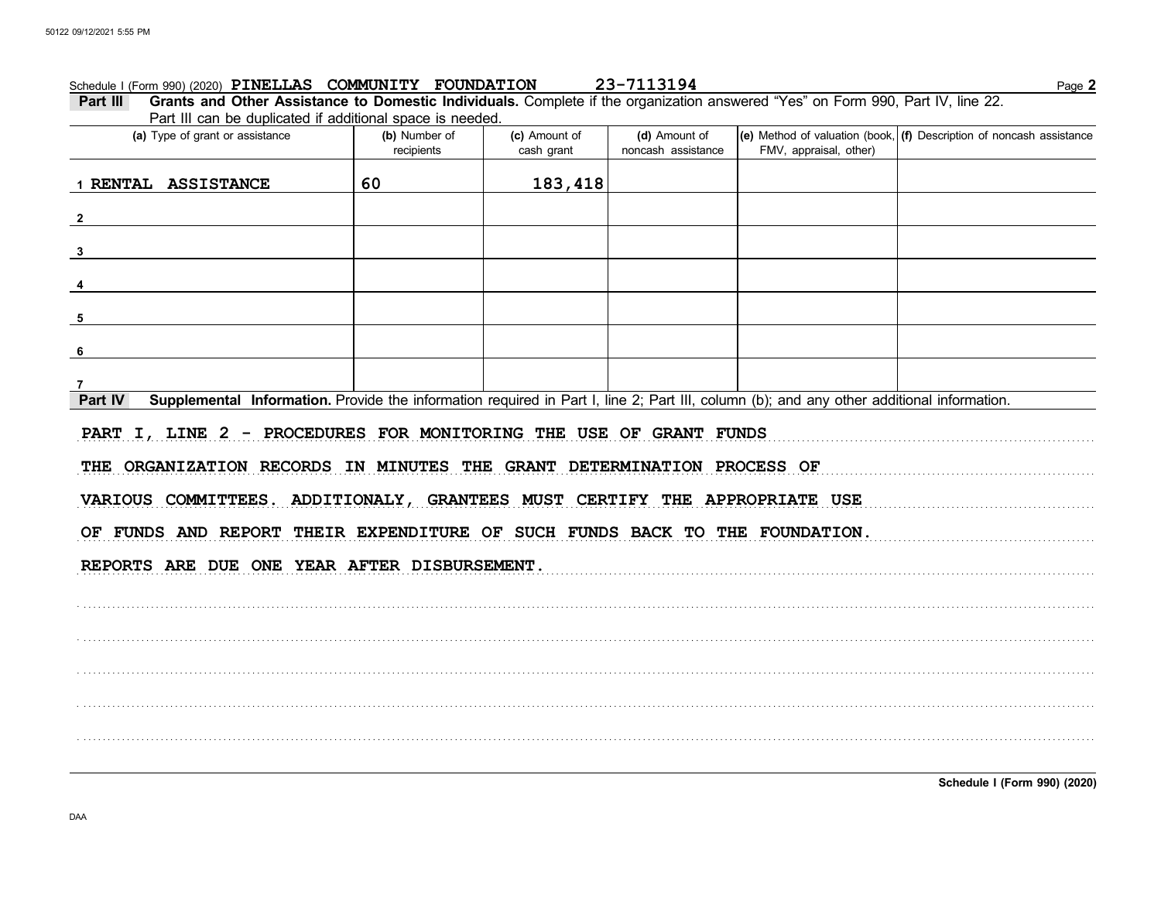### 23-7113194 Schedule I (Form 990) (2020) PINELLAS COMMUNITY FOUNDATION

Page 2

| Part III Grants and Other Assistance to Domestic Individuals. Complete if the organization answered "Yes" on Form 990, Part IV, line 22. |  |
|------------------------------------------------------------------------------------------------------------------------------------------|--|
| Part III can be duplicated if additional space is needed.                                                                                |  |

| . and the barriers adpressed in additional opace to hoodcat<br>(a) Type of grant or assistance                                                       | (b) Number of<br>recipients                                       | (c) Amount of<br>cash grant | (d) Amount of<br>noncash assistance | FMV, appraisal, other) | (e) Method of valuation (book, $(f)$ Description of noncash assistance |  |  |  |  |  |  |  |
|------------------------------------------------------------------------------------------------------------------------------------------------------|-------------------------------------------------------------------|-----------------------------|-------------------------------------|------------------------|------------------------------------------------------------------------|--|--|--|--|--|--|--|
| 1 RENTAL ASSISTANCE                                                                                                                                  | 60                                                                | 183,418                     |                                     |                        |                                                                        |  |  |  |  |  |  |  |
| $\overline{2}$                                                                                                                                       |                                                                   |                             |                                     |                        |                                                                        |  |  |  |  |  |  |  |
| $\mathbf{3}$                                                                                                                                         |                                                                   |                             |                                     |                        |                                                                        |  |  |  |  |  |  |  |
|                                                                                                                                                      |                                                                   |                             |                                     |                        |                                                                        |  |  |  |  |  |  |  |
| 5                                                                                                                                                    |                                                                   |                             |                                     |                        |                                                                        |  |  |  |  |  |  |  |
| 6                                                                                                                                                    |                                                                   |                             |                                     |                        |                                                                        |  |  |  |  |  |  |  |
|                                                                                                                                                      |                                                                   |                             |                                     |                        |                                                                        |  |  |  |  |  |  |  |
| Supplemental Information. Provide the information required in Part I, line 2; Part III, column (b); and any other additional information.<br>Part IV |                                                                   |                             |                                     |                        |                                                                        |  |  |  |  |  |  |  |
|                                                                                                                                                      | PART I, LINE 2 - PROCEDURES FOR MONITORING THE USE OF GRANT FUNDS |                             |                                     |                        |                                                                        |  |  |  |  |  |  |  |
| THE ORGANIZATION RECORDS IN MINUTES THE GRANT DETERMINATION PROCESS OF                                                                               |                                                                   |                             |                                     |                        |                                                                        |  |  |  |  |  |  |  |
| VARIOUS COMMITTEES. ADDITIONALY, GRANTEES MUST CERTIFY THE APPROPRIATE USE                                                                           |                                                                   |                             |                                     |                        |                                                                        |  |  |  |  |  |  |  |
| OF FUNDS AND REPORT THEIR EXPENDITURE OF SUCH FUNDS BACK TO THE FOUNDATION.                                                                          |                                                                   |                             |                                     |                        |                                                                        |  |  |  |  |  |  |  |
| REPORTS ARE DUE ONE YEAR AFTER DISBURSEMENT.                                                                                                         |                                                                   |                             |                                     |                        |                                                                        |  |  |  |  |  |  |  |
|                                                                                                                                                      |                                                                   |                             |                                     |                        |                                                                        |  |  |  |  |  |  |  |
|                                                                                                                                                      |                                                                   |                             |                                     |                        |                                                                        |  |  |  |  |  |  |  |
|                                                                                                                                                      |                                                                   |                             |                                     |                        |                                                                        |  |  |  |  |  |  |  |
|                                                                                                                                                      |                                                                   |                             |                                     |                        |                                                                        |  |  |  |  |  |  |  |
|                                                                                                                                                      |                                                                   |                             |                                     |                        |                                                                        |  |  |  |  |  |  |  |
|                                                                                                                                                      |                                                                   |                             |                                     |                        |                                                                        |  |  |  |  |  |  |  |
|                                                                                                                                                      |                                                                   |                             |                                     |                        |                                                                        |  |  |  |  |  |  |  |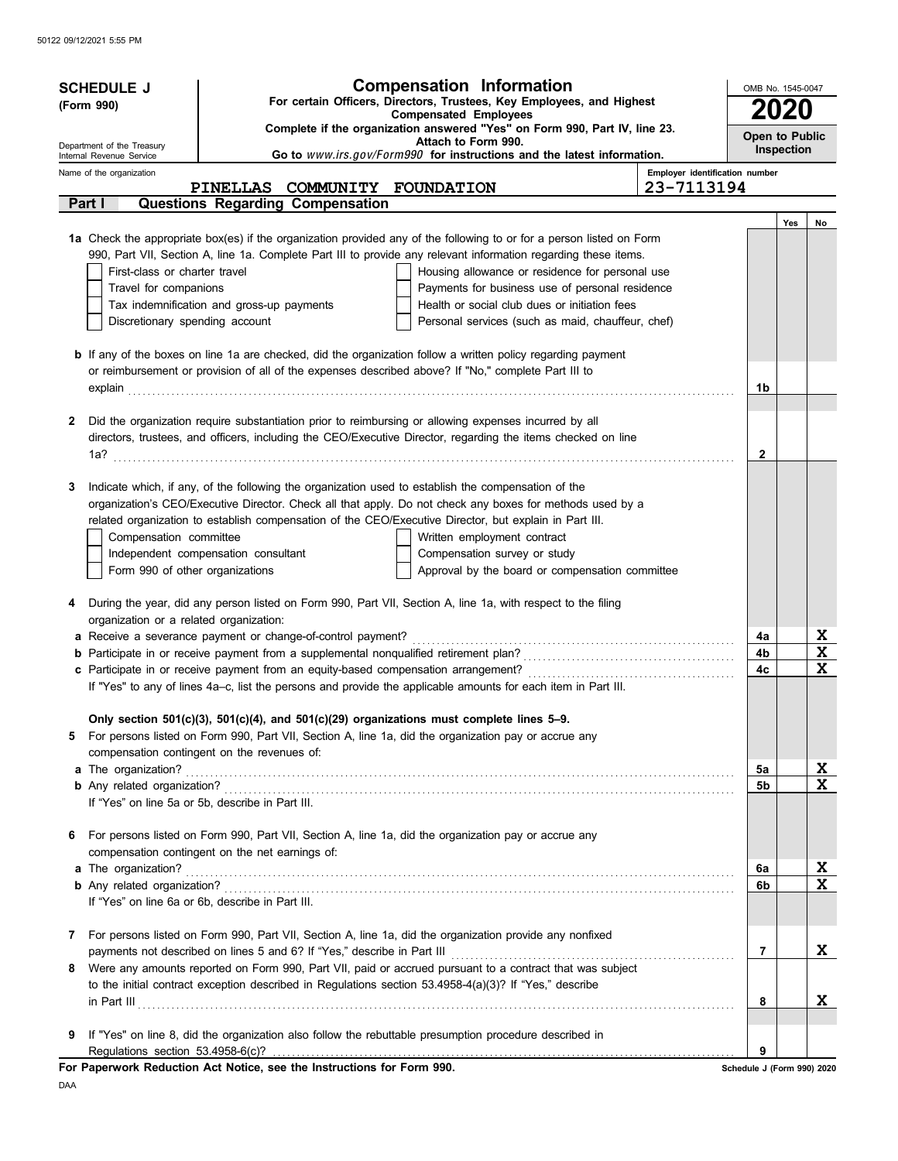| <b>SCHEDULE J</b><br>(Form 990)                        | <b>Compensation Information</b><br>OMB No. 1545-0047<br>For certain Officers, Directors, Trustees, Key Employees, and Highest                                                                                       |                                |                            |                   |                                     |  |
|--------------------------------------------------------|---------------------------------------------------------------------------------------------------------------------------------------------------------------------------------------------------------------------|--------------------------------|----------------------------|-------------------|-------------------------------------|--|
|                                                        | <b>Compensated Employees</b><br>Complete if the organization answered "Yes" on Form 990, Part IV, line 23.                                                                                                          |                                |                            | <b>2020</b>       |                                     |  |
| Department of the Treasury<br>Internal Revenue Service | Attach to Form 990.<br>Go to www.irs.gov/Form990 for instructions and the latest information.                                                                                                                       |                                | Open to Public             | <b>Inspection</b> |                                     |  |
| Name of the organization                               |                                                                                                                                                                                                                     | Employer identification number |                            |                   |                                     |  |
|                                                        | PINELLAS COMMUNITY FOUNDATION<br>Questions Regarding Compensation                                                                                                                                                   | 23-7113194                     |                            |                   |                                     |  |
| Part I                                                 |                                                                                                                                                                                                                     |                                |                            | Yes               | No                                  |  |
|                                                        | 1a Check the appropriate box(es) if the organization provided any of the following to or for a person listed on Form                                                                                                |                                |                            |                   |                                     |  |
|                                                        | 990, Part VII, Section A, line 1a. Complete Part III to provide any relevant information regarding these items.                                                                                                     |                                |                            |                   |                                     |  |
| First-class or charter travel                          | Housing allowance or residence for personal use                                                                                                                                                                     |                                |                            |                   |                                     |  |
| Travel for companions                                  | Payments for business use of personal residence                                                                                                                                                                     |                                |                            |                   |                                     |  |
|                                                        | Tax indemnification and gross-up payments<br>Health or social club dues or initiation fees                                                                                                                          |                                |                            |                   |                                     |  |
| Discretionary spending account                         | Personal services (such as maid, chauffeur, chef)                                                                                                                                                                   |                                |                            |                   |                                     |  |
|                                                        | <b>b</b> If any of the boxes on line 1a are checked, did the organization follow a written policy regarding payment                                                                                                 |                                |                            |                   |                                     |  |
|                                                        | or reimbursement or provision of all of the expenses described above? If "No," complete Part III to                                                                                                                 |                                |                            |                   |                                     |  |
|                                                        |                                                                                                                                                                                                                     |                                | 1b                         |                   |                                     |  |
| 2                                                      | Did the organization require substantiation prior to reimbursing or allowing expenses incurred by all                                                                                                               |                                |                            |                   |                                     |  |
|                                                        | directors, trustees, and officers, including the CEO/Executive Director, regarding the items checked on line                                                                                                        |                                |                            |                   |                                     |  |
|                                                        |                                                                                                                                                                                                                     |                                | 2                          |                   |                                     |  |
|                                                        |                                                                                                                                                                                                                     |                                |                            |                   |                                     |  |
| 3                                                      | Indicate which, if any, of the following the organization used to establish the compensation of the                                                                                                                 |                                |                            |                   |                                     |  |
|                                                        | organization's CEO/Executive Director. Check all that apply. Do not check any boxes for methods used by a<br>related organization to establish compensation of the CEO/Executive Director, but explain in Part III. |                                |                            |                   |                                     |  |
| Compensation committee                                 | Written employment contract                                                                                                                                                                                         |                                |                            |                   |                                     |  |
|                                                        | Independent compensation consultant<br>Compensation survey or study                                                                                                                                                 |                                |                            |                   |                                     |  |
| Form 990 of other organizations                        | Approval by the board or compensation committee                                                                                                                                                                     |                                |                            |                   |                                     |  |
|                                                        |                                                                                                                                                                                                                     |                                |                            |                   |                                     |  |
| 4<br>organization or a related organization:           | During the year, did any person listed on Form 990, Part VII, Section A, line 1a, with respect to the filing                                                                                                        |                                |                            |                   |                                     |  |
|                                                        | a Receive a severance payment or change-of-control payment?                                                                                                                                                         |                                | 4a                         |                   | <u>x</u>                            |  |
|                                                        |                                                                                                                                                                                                                     |                                | 4b                         |                   | $\mathbf x$                         |  |
|                                                        |                                                                                                                                                                                                                     |                                | 4c                         |                   | $\mathbf x$                         |  |
|                                                        | If "Yes" to any of lines 4a-c, list the persons and provide the applicable amounts for each item in Part III.                                                                                                       |                                |                            |                   |                                     |  |
|                                                        | Only section $501(c)(3)$ , $501(c)(4)$ , and $501(c)(29)$ organizations must complete lines 5-9.                                                                                                                    |                                |                            |                   |                                     |  |
|                                                        | 5 For persons listed on Form 990, Part VII, Section A, line 1a, did the organization pay or accrue any                                                                                                              |                                |                            |                   |                                     |  |
|                                                        | compensation contingent on the revenues of:                                                                                                                                                                         |                                |                            |                   |                                     |  |
|                                                        |                                                                                                                                                                                                                     |                                | 5a                         |                   | <u>x</u><br>$\overline{\mathbf{x}}$ |  |
|                                                        | If "Yes" on line 5a or 5b, describe in Part III.                                                                                                                                                                    |                                | 5b                         |                   |                                     |  |
|                                                        |                                                                                                                                                                                                                     |                                |                            |                   |                                     |  |
| 6                                                      | For persons listed on Form 990, Part VII, Section A, line 1a, did the organization pay or accrue any                                                                                                                |                                |                            |                   |                                     |  |
|                                                        | compensation contingent on the net earnings of:                                                                                                                                                                     |                                |                            |                   |                                     |  |
|                                                        |                                                                                                                                                                                                                     |                                | 6a                         |                   | X                                   |  |
|                                                        | If "Yes" on line 6a or 6b, describe in Part III.                                                                                                                                                                    |                                | 6b                         |                   | X                                   |  |
|                                                        |                                                                                                                                                                                                                     |                                |                            |                   |                                     |  |
| 7                                                      | For persons listed on Form 990, Part VII, Section A, line 1a, did the organization provide any nonfixed                                                                                                             |                                |                            |                   |                                     |  |
|                                                        |                                                                                                                                                                                                                     |                                | $\overline{7}$             |                   | X                                   |  |
| 8                                                      | Were any amounts reported on Form 990, Part VII, paid or accrued pursuant to a contract that was subject                                                                                                            |                                |                            |                   |                                     |  |
|                                                        | to the initial contract exception described in Regulations section 53.4958-4(a)(3)? If "Yes," describe                                                                                                              |                                | 8                          |                   | x                                   |  |
|                                                        | $\ $ n Part III $\ $                                                                                                                                                                                                |                                |                            |                   |                                     |  |
| 9                                                      | If "Yes" on line 8, did the organization also follow the rebuttable presumption procedure described in                                                                                                              |                                |                            |                   |                                     |  |
| Regulations section 53.4958-6(c)?                      |                                                                                                                                                                                                                     |                                | 9                          |                   |                                     |  |
|                                                        | For Paperwork Reduction Act Notice, see the Instructions for Form 990.                                                                                                                                              |                                | Schedule J (Form 990) 2020 |                   |                                     |  |

DAA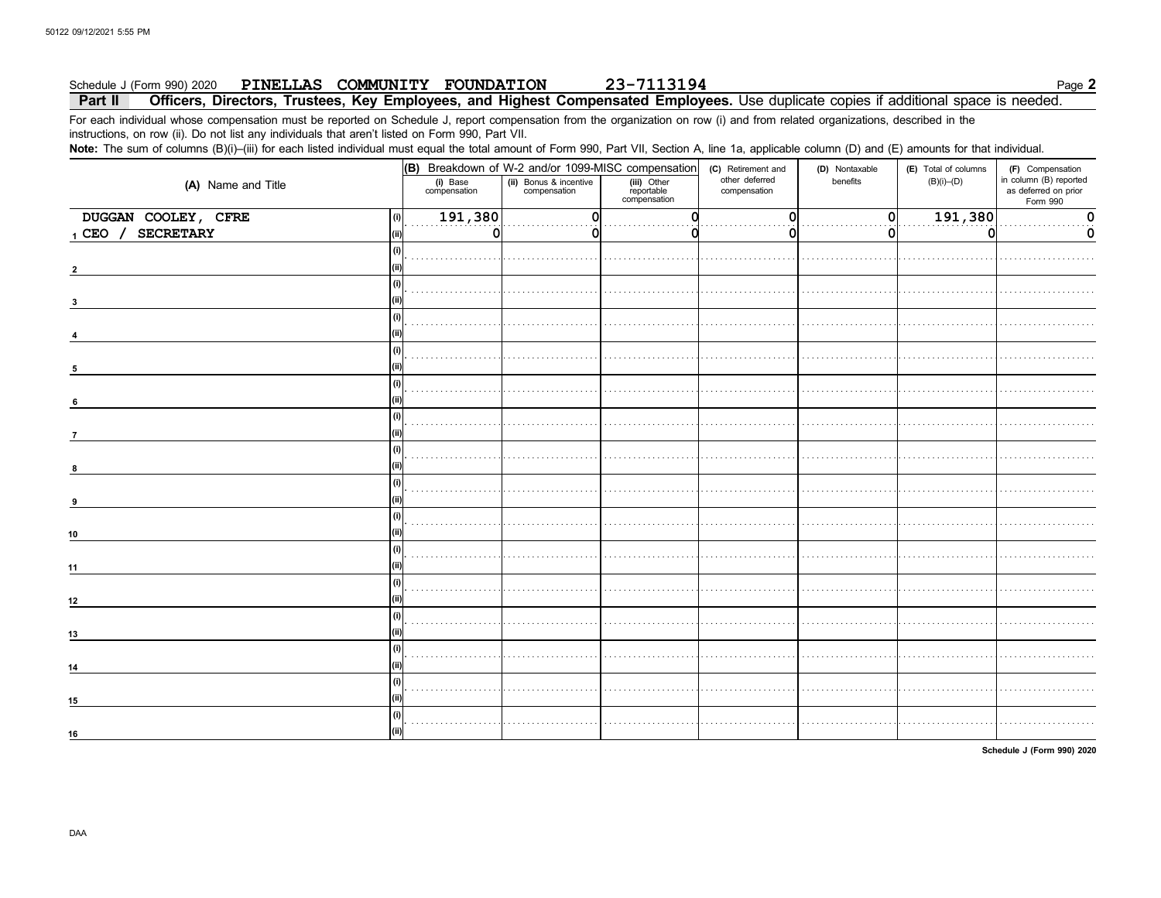#### 23-7113194 Schedule J (Form 990) 2020 PINELLAS COMMUNITY FOUNDATION

Page 2

#### Part II Officers, Directors, Trustees, Key Employees, and Highest Compensated Employees. Use duplicate copies if additional space is needed.

For each individual whose compensation must be reported on Schedule J, report compensation from the organization on row (i) and from related organizations, described in the instructions, on row (ii). Do not list any individuals that aren't listed on Form 990, Part VII.

Note: The sum of columns (B)(i)–(iii) for each listed individual must equal the total amount of Form 990, Part VII, Section A, line 1a, applicable column (D) and (E) amounts for that individual.

|                               | (B) Breakdown of W-2 and/or 1099-MISC compensation |                                        |                                           | (C) Retirement and             | (D) Nontaxable | (E) Total of columns | (F) Compensation                                           |
|-------------------------------|----------------------------------------------------|----------------------------------------|-------------------------------------------|--------------------------------|----------------|----------------------|------------------------------------------------------------|
| (A) Name and Title            | (i) Base<br>compensation                           | (ii) Bonus & incentive<br>compensation | (iii) Other<br>reportable<br>compensation | other deferred<br>compensation | benefits       | $(B)(i)$ - $(D)$     | in column (B) reported<br>as deferred on prior<br>Form 990 |
| DUGGAN COOLEY, CFRE<br>(i)    | 191,380                                            |                                        | n                                         | $\Omega$                       | 0              | 191,380              | 0                                                          |
| <b>SECRETARY</b><br>$1$ CEO / | $\Omega$                                           |                                        |                                           |                                | o              | 0                    | 0                                                          |
|                               |                                                    |                                        |                                           |                                |                |                      |                                                            |
| (i)<br>3                      |                                                    |                                        |                                           |                                |                |                      |                                                            |
| (i)                           |                                                    |                                        |                                           |                                |                |                      |                                                            |
| (i)<br>5                      |                                                    |                                        |                                           |                                |                |                      |                                                            |
| (i)<br>6                      |                                                    |                                        |                                           |                                |                |                      |                                                            |
| (i)<br>$\overline{7}$         |                                                    |                                        |                                           |                                |                |                      |                                                            |
| (i)<br>8                      |                                                    |                                        |                                           |                                |                |                      |                                                            |
| (i)<br>9                      |                                                    |                                        |                                           |                                |                |                      |                                                            |
| (i)<br>10                     |                                                    |                                        |                                           |                                |                |                      |                                                            |
| (i)<br>11                     |                                                    |                                        |                                           |                                |                |                      |                                                            |
| (i)<br>12                     |                                                    |                                        |                                           |                                |                |                      |                                                            |
| (i)<br>13                     |                                                    |                                        |                                           |                                |                |                      |                                                            |
| (i)<br>14                     |                                                    |                                        |                                           |                                |                |                      |                                                            |
| (i)<br>15                     |                                                    |                                        |                                           |                                |                |                      |                                                            |
| (i)<br>16                     |                                                    |                                        |                                           |                                |                |                      |                                                            |

Schedule J (Form 990) 2020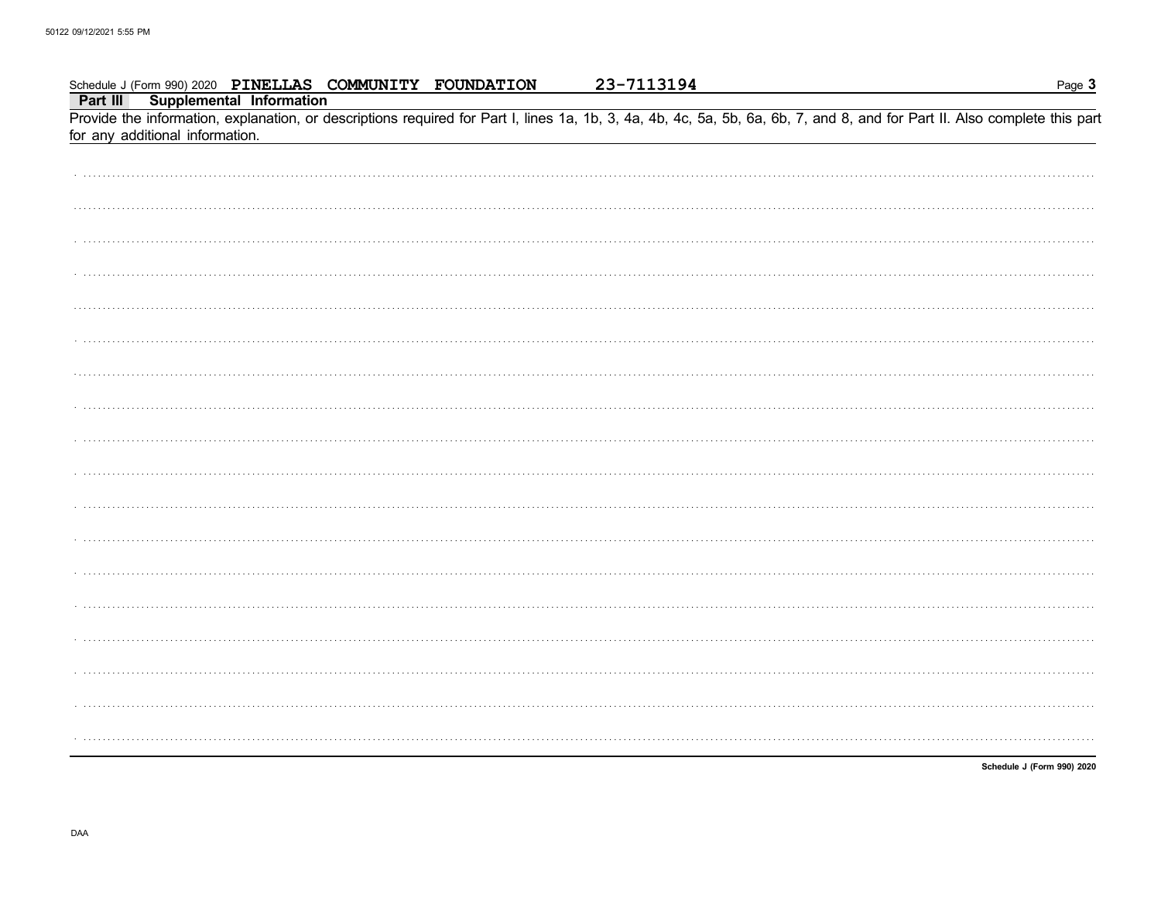| Schedule J (Form 990) 2020 PINELLAS COMMUNITY FOUNDATION                                                                                                                                                      | 23-7113194 | Page 3                     |
|---------------------------------------------------------------------------------------------------------------------------------------------------------------------------------------------------------------|------------|----------------------------|
| <b>Supplemental Information</b><br>Part III                                                                                                                                                                   |            |                            |
| Provide the information, explanation, or descriptions required for Part I, lines 1a, 1b, 3, 4a, 4b, 4c, 5a, 5b, 6a, 6b, 7, and 8, and for Part II. Also complete this part<br>for any additional information. |            |                            |
|                                                                                                                                                                                                               |            |                            |
|                                                                                                                                                                                                               |            |                            |
|                                                                                                                                                                                                               |            |                            |
|                                                                                                                                                                                                               |            |                            |
|                                                                                                                                                                                                               |            |                            |
|                                                                                                                                                                                                               |            |                            |
|                                                                                                                                                                                                               |            |                            |
|                                                                                                                                                                                                               |            |                            |
|                                                                                                                                                                                                               |            |                            |
|                                                                                                                                                                                                               |            |                            |
|                                                                                                                                                                                                               |            |                            |
|                                                                                                                                                                                                               |            |                            |
|                                                                                                                                                                                                               |            |                            |
|                                                                                                                                                                                                               |            |                            |
|                                                                                                                                                                                                               |            |                            |
|                                                                                                                                                                                                               |            |                            |
|                                                                                                                                                                                                               |            |                            |
|                                                                                                                                                                                                               |            |                            |
|                                                                                                                                                                                                               |            |                            |
|                                                                                                                                                                                                               |            | Schedule J (Form 990) 2020 |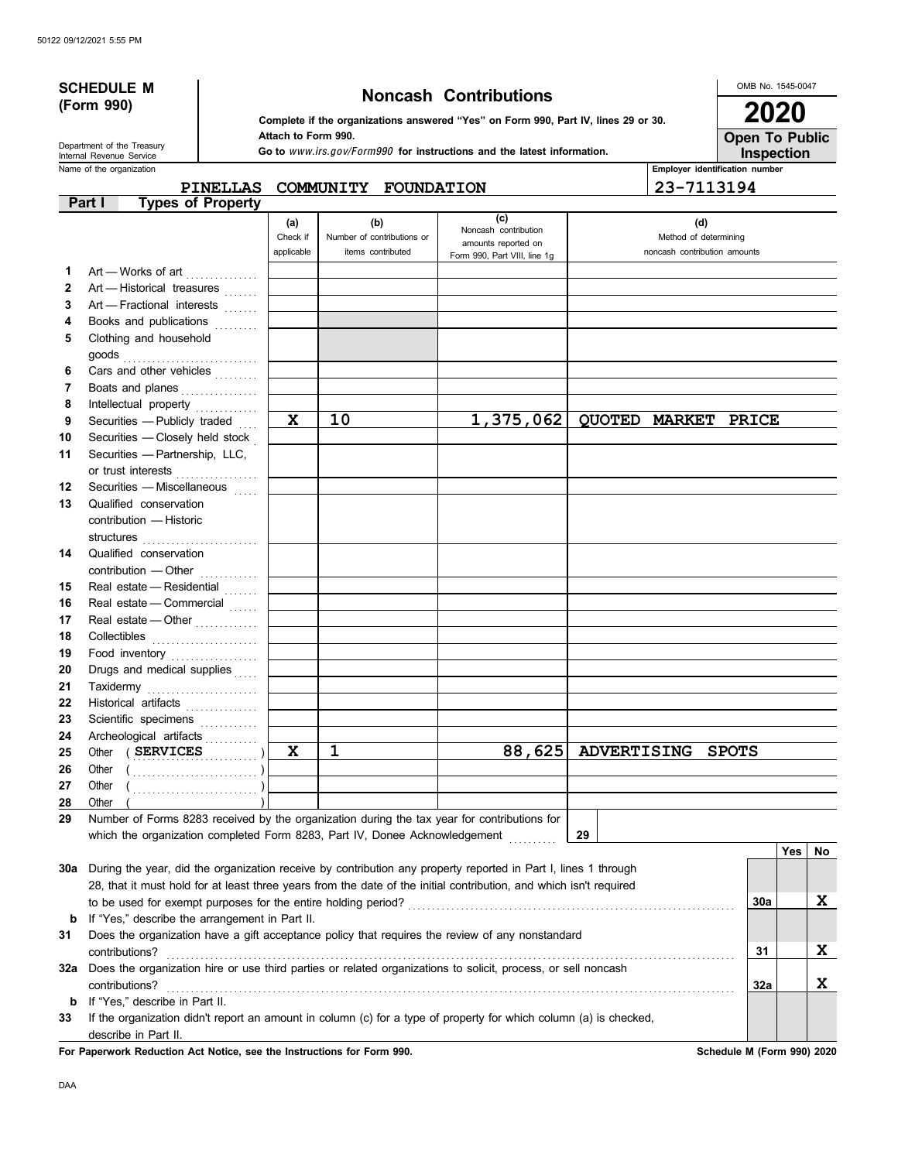|          | <b>SCHEDULE M</b><br>(Form 990)<br>Department of the Treasury<br>Internal Revenue Service | <b>Noncash Contributions</b><br>Complete if the organizations answered "Yes" on Form 990, Part IV, lines 29 or 30.<br>Attach to Form 990.<br>Go to www.irs.gov/Form990 for instructions and the latest information. |                               |                                                                            |                                                                                                                    |                      | OMB No. 1545-0047<br><b>Open To Public</b>                   | 2020<br>Inspection |    |
|----------|-------------------------------------------------------------------------------------------|---------------------------------------------------------------------------------------------------------------------------------------------------------------------------------------------------------------------|-------------------------------|----------------------------------------------------------------------------|--------------------------------------------------------------------------------------------------------------------|----------------------|--------------------------------------------------------------|--------------------|----|
|          | Name of the organization                                                                  | <b>PINELLAS</b>                                                                                                                                                                                                     |                               | COMMUNITY FOUNDATION                                                       |                                                                                                                    |                      | Employer identification number<br>23-7113194                 |                    |    |
|          | Part I                                                                                    | <b>Types of Property</b>                                                                                                                                                                                            |                               |                                                                            |                                                                                                                    |                      |                                                              |                    |    |
| 1        | Art - Works of art                                                                        |                                                                                                                                                                                                                     | (a)<br>Check if<br>applicable | (b)<br>Number of contributions or<br>items contributed                     | (c)<br>Noncash contribution<br>amounts reported on<br>Form 990, Part VIII, line 1g                                 |                      | (d)<br>Method of determining<br>noncash contribution amounts |                    |    |
| 2        | Art - Historical treasures                                                                |                                                                                                                                                                                                                     |                               |                                                                            |                                                                                                                    |                      |                                                              |                    |    |
| 3        | Art - Fractional interests                                                                |                                                                                                                                                                                                                     |                               |                                                                            |                                                                                                                    |                      |                                                              |                    |    |
| 4        | Books and publications                                                                    |                                                                                                                                                                                                                     |                               |                                                                            |                                                                                                                    |                      |                                                              |                    |    |
| 5        | Clothing and household                                                                    |                                                                                                                                                                                                                     |                               |                                                                            |                                                                                                                    |                      |                                                              |                    |    |
|          |                                                                                           |                                                                                                                                                                                                                     |                               |                                                                            |                                                                                                                    |                      |                                                              |                    |    |
| 6        | Cars and other vehicles                                                                   |                                                                                                                                                                                                                     |                               |                                                                            |                                                                                                                    |                      |                                                              |                    |    |
| 7        | Boats and planes                                                                          |                                                                                                                                                                                                                     |                               |                                                                            |                                                                                                                    |                      |                                                              |                    |    |
| 8<br>9   | Intellectual property<br>Securities - Publicly traded                                     |                                                                                                                                                                                                                     | X                             | 10                                                                         | 1,375,062                                                                                                          | <b>OUOTED MARKET</b> | <b>PRICE</b>                                                 |                    |    |
| 10       | Securities - Closely held stock                                                           |                                                                                                                                                                                                                     |                               |                                                                            |                                                                                                                    |                      |                                                              |                    |    |
| 11       | Securities - Partnership, LLC,                                                            |                                                                                                                                                                                                                     |                               |                                                                            |                                                                                                                    |                      |                                                              |                    |    |
|          | or trust interests                                                                        |                                                                                                                                                                                                                     |                               |                                                                            |                                                                                                                    |                      |                                                              |                    |    |
| 12       | Securities - Miscellaneous                                                                |                                                                                                                                                                                                                     |                               |                                                                            |                                                                                                                    |                      |                                                              |                    |    |
| 13       | Qualified conservation<br>contribution - Historic                                         |                                                                                                                                                                                                                     |                               |                                                                            |                                                                                                                    |                      |                                                              |                    |    |
| 14       | Qualified conservation<br>contribution - Other                                            |                                                                                                                                                                                                                     |                               |                                                                            |                                                                                                                    |                      |                                                              |                    |    |
| 15       | Real estate - Residential                                                                 |                                                                                                                                                                                                                     |                               |                                                                            |                                                                                                                    |                      |                                                              |                    |    |
| 16       | Real estate - Commercial                                                                  |                                                                                                                                                                                                                     |                               |                                                                            |                                                                                                                    |                      |                                                              |                    |    |
| 17       | Real estate - Other                                                                       |                                                                                                                                                                                                                     |                               |                                                                            |                                                                                                                    |                      |                                                              |                    |    |
| 18       |                                                                                           |                                                                                                                                                                                                                     |                               |                                                                            |                                                                                                                    |                      |                                                              |                    |    |
| 19       | Food inventory                                                                            |                                                                                                                                                                                                                     |                               |                                                                            |                                                                                                                    |                      |                                                              |                    |    |
| 20       | Drugs and medical supplies                                                                |                                                                                                                                                                                                                     |                               |                                                                            |                                                                                                                    |                      |                                                              |                    |    |
| 21<br>22 | Taxidermy<br>Historical artifacts                                                         |                                                                                                                                                                                                                     |                               |                                                                            |                                                                                                                    |                      |                                                              |                    |    |
| 23       | Scientific specimens                                                                      |                                                                                                                                                                                                                     |                               |                                                                            |                                                                                                                    |                      |                                                              |                    |    |
| 24       | Archeological artifacts                                                                   |                                                                                                                                                                                                                     |                               |                                                                            |                                                                                                                    |                      |                                                              |                    |    |
| 25       | ( SERVICES<br>Other                                                                       |                                                                                                                                                                                                                     | X                             | $\mathbf{1}$                                                               | 88,625                                                                                                             | ADVERTISING SPOTS    |                                                              |                    |    |
| 26       | Other                                                                                     |                                                                                                                                                                                                                     |                               |                                                                            |                                                                                                                    |                      |                                                              |                    |    |
| 27       | Other                                                                                     |                                                                                                                                                                                                                     |                               |                                                                            |                                                                                                                    |                      |                                                              |                    |    |
| 28       | Other                                                                                     |                                                                                                                                                                                                                     |                               |                                                                            |                                                                                                                    |                      |                                                              |                    |    |
| 29       |                                                                                           |                                                                                                                                                                                                                     |                               | which the organization completed Form 8283, Part IV, Donee Acknowledgement | Number of Forms 8283 received by the organization during the tax year for contributions for                        | 29                   |                                                              | Yes                | No |
|          |                                                                                           |                                                                                                                                                                                                                     |                               |                                                                            | 30a During the year, did the organization receive by contribution any property reported in Part I, lines 1 through |                      |                                                              |                    |    |
|          |                                                                                           |                                                                                                                                                                                                                     |                               |                                                                            | 28, that it must hold for at least three years from the date of the initial contribution, and which isn't required |                      |                                                              |                    |    |
|          | to be used for exempt purposes for the entire holding period?                             |                                                                                                                                                                                                                     |                               |                                                                            |                                                                                                                    |                      | 30a                                                          |                    | X  |
| b        | If "Yes," describe the arrangement in Part II.                                            |                                                                                                                                                                                                                     |                               |                                                                            |                                                                                                                    |                      |                                                              |                    |    |
| 31       |                                                                                           |                                                                                                                                                                                                                     |                               |                                                                            | Does the organization have a gift acceptance policy that requires the review of any nonstandard                    |                      |                                                              |                    |    |
|          | contributions?                                                                            |                                                                                                                                                                                                                     |                               |                                                                            |                                                                                                                    |                      | 31                                                           |                    | X  |
| 32a      |                                                                                           |                                                                                                                                                                                                                     |                               |                                                                            | Does the organization hire or use third parties or related organizations to solicit, process, or sell noncash      |                      | 32a                                                          |                    | X  |
| b        | contributions?<br>If "Yes," describe in Part II.                                          |                                                                                                                                                                                                                     |                               |                                                                            |                                                                                                                    |                      |                                                              |                    |    |
| 33       |                                                                                           |                                                                                                                                                                                                                     |                               |                                                                            | If the organization didn't report an amount in column (c) for a type of property for which column (a) is checked,  |                      |                                                              |                    |    |
|          | describe in Part II.                                                                      |                                                                                                                                                                                                                     |                               |                                                                            |                                                                                                                    |                      |                                                              |                    |    |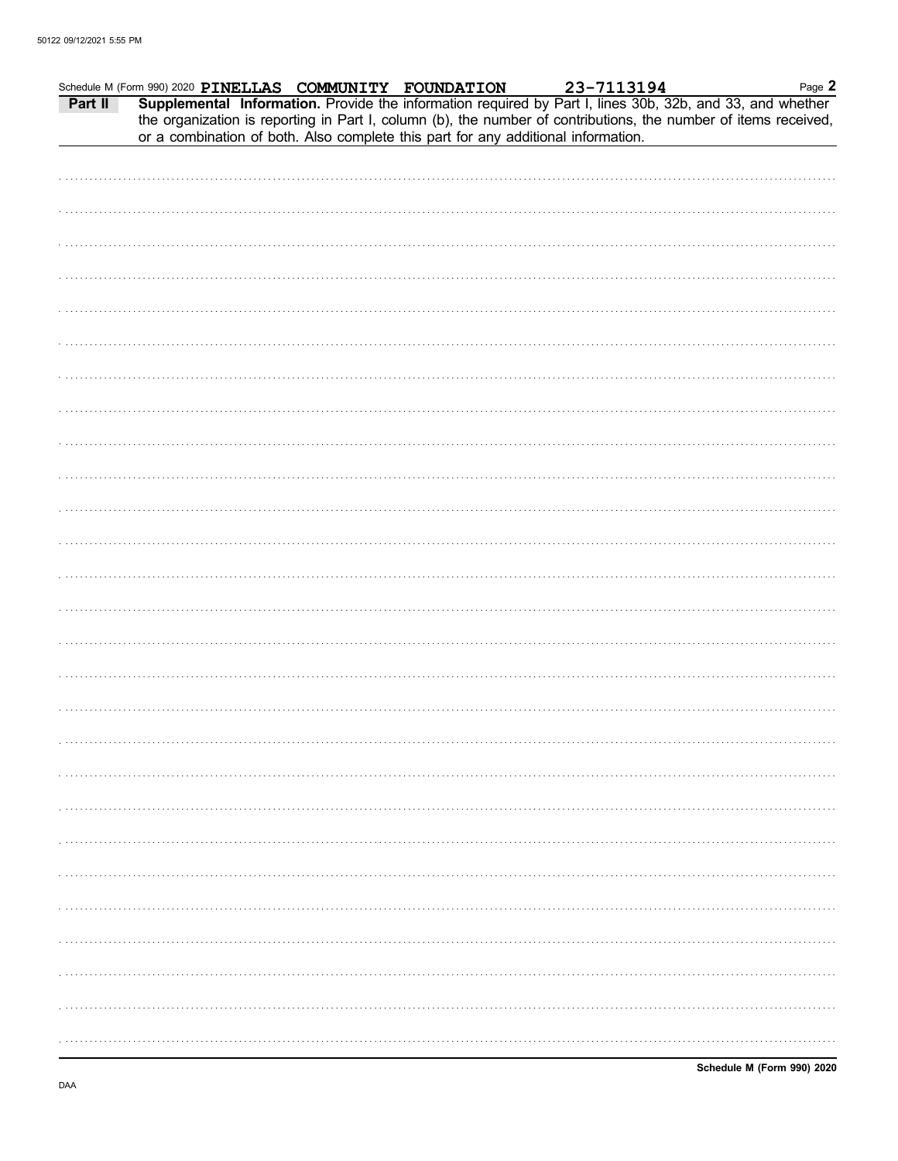| Part II | Schedule M (Form 990) 2020 PINELLAS COMMUNITY FOUNDATION<br>or a combination of both. Also complete this part for any additional information. |  |  | m 990) 2020 PINELLAS COMMUNITY FOUNDATION 23-7113194 Page 2<br>Supplemental Information. Provide the information required by Part I, lines 30b, 32b, and 33, and whether<br>the organization is reporting in Part I, column (b), the number of contributions, the number of items received, | Page 2 |
|---------|-----------------------------------------------------------------------------------------------------------------------------------------------|--|--|---------------------------------------------------------------------------------------------------------------------------------------------------------------------------------------------------------------------------------------------------------------------------------------------|--------|
|         |                                                                                                                                               |  |  |                                                                                                                                                                                                                                                                                             |        |
|         |                                                                                                                                               |  |  |                                                                                                                                                                                                                                                                                             |        |
|         |                                                                                                                                               |  |  |                                                                                                                                                                                                                                                                                             |        |
|         |                                                                                                                                               |  |  |                                                                                                                                                                                                                                                                                             |        |
|         |                                                                                                                                               |  |  |                                                                                                                                                                                                                                                                                             |        |
|         |                                                                                                                                               |  |  |                                                                                                                                                                                                                                                                                             |        |
|         |                                                                                                                                               |  |  |                                                                                                                                                                                                                                                                                             |        |
|         |                                                                                                                                               |  |  |                                                                                                                                                                                                                                                                                             |        |
|         |                                                                                                                                               |  |  |                                                                                                                                                                                                                                                                                             |        |
|         |                                                                                                                                               |  |  |                                                                                                                                                                                                                                                                                             |        |
|         |                                                                                                                                               |  |  |                                                                                                                                                                                                                                                                                             |        |
|         |                                                                                                                                               |  |  |                                                                                                                                                                                                                                                                                             |        |
|         |                                                                                                                                               |  |  |                                                                                                                                                                                                                                                                                             |        |
|         |                                                                                                                                               |  |  |                                                                                                                                                                                                                                                                                             |        |
|         |                                                                                                                                               |  |  |                                                                                                                                                                                                                                                                                             |        |
|         |                                                                                                                                               |  |  |                                                                                                                                                                                                                                                                                             |        |
|         |                                                                                                                                               |  |  |                                                                                                                                                                                                                                                                                             |        |
|         |                                                                                                                                               |  |  |                                                                                                                                                                                                                                                                                             |        |
|         |                                                                                                                                               |  |  |                                                                                                                                                                                                                                                                                             |        |
|         |                                                                                                                                               |  |  |                                                                                                                                                                                                                                                                                             |        |
|         |                                                                                                                                               |  |  |                                                                                                                                                                                                                                                                                             |        |
|         |                                                                                                                                               |  |  |                                                                                                                                                                                                                                                                                             |        |
|         |                                                                                                                                               |  |  |                                                                                                                                                                                                                                                                                             |        |
|         |                                                                                                                                               |  |  |                                                                                                                                                                                                                                                                                             |        |
|         |                                                                                                                                               |  |  |                                                                                                                                                                                                                                                                                             |        |
|         |                                                                                                                                               |  |  |                                                                                                                                                                                                                                                                                             |        |
|         |                                                                                                                                               |  |  |                                                                                                                                                                                                                                                                                             |        |
|         |                                                                                                                                               |  |  |                                                                                                                                                                                                                                                                                             |        |
|         |                                                                                                                                               |  |  |                                                                                                                                                                                                                                                                                             |        |
|         |                                                                                                                                               |  |  |                                                                                                                                                                                                                                                                                             |        |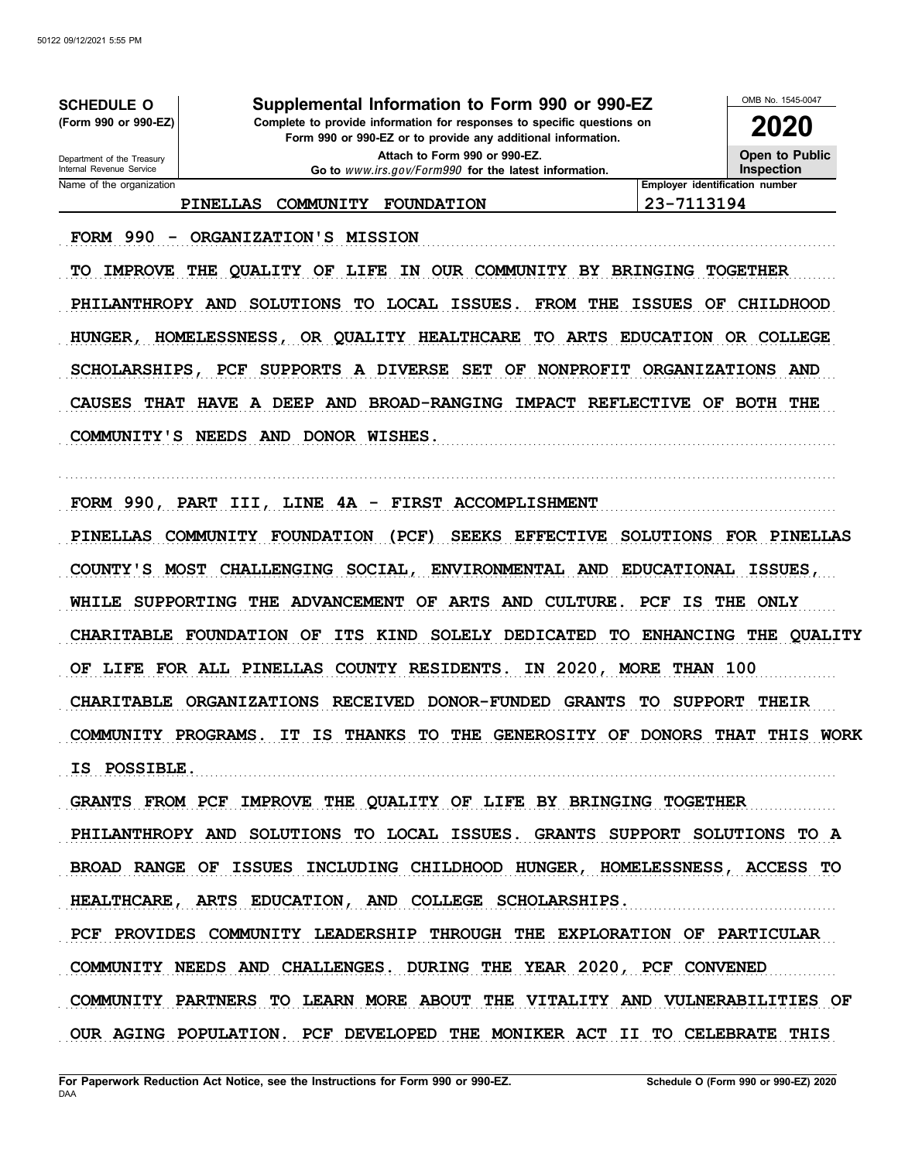**Form 990 or 990-EZ or to provide any additional information.** Name of the organization **Employer identification number Employer identification number** Department of the Treasury<br>Internal Revenue Service OMB No. 1545-0047 **(Form 990 or 990-EZ) Complete to provide information for responses to specific questions on SCHEDULE O Supplemental Information to Form 990 or 990-EZ 2020 Open to Public Inspection Attach to Form 990 or 990-EZ. Go to** www.irs.gov/Form990 **for the latest information. PINELLAS COMMUNITY FOUNDATION 23-7113194**

TO IMPROVE THE QUALITY OF LIFE IN OUR COMMUNITY BY BRINGING TOGETHER PHILANTHROPY AND SOLUTIONS TO LOCAL ISSUES. FROM THE ISSUES OF CHILDHOOD HUNGER, HOMELESSNESS, OR QUALITY HEALTHCARE TO ARTS EDUCATION OR COLLEGE SCHOLARSHIPS, PCF SUPPORTS A DIVERSE SET OF NONPROFIT ORGANIZATIONS AND CAUSES THAT HAVE A DEEP AND BROAD-RANGING IMPACT REFLECTIVE OF BOTH THE COMMUNITY'S NEEDS AND DONOR WISHES.

. . . . . . . . . . . . . . . . . . . . . . . . . . . . . . . . . . . . . . . . . . . . . . . . . . . . . . . . . . . . . . . . . . . . . . . . . . . . . . . . . . . . . . . . . . . . . . . . . . . . . . . . . . . . . . . . . . . . . . . . . . . . . . . . . . . . . . . . . . . . . . . . . . . . . . . . . . . . . . . . .

FORM 990 - ORGANIZATION'S MISSION

FORM 990, PART III, LINE 4A - FIRST ACCOMPLISHMENT

PINELLAS COMMUNITY FOUNDATION (PCF) SEEKS EFFECTIVE SOLUTIONS FOR PINELLAS COUNTY'S MOST CHALLENGING SOCIAL, ENVIRONMENTAL AND EDUCATIONAL ISSUES, WHILE SUPPORTING THE ADVANCEMENT OF ARTS AND CULTURE. PCF IS THE ONLY CHARITABLE FOUNDATION OF ITS KIND SOLELY DEDICATED TO ENHANCING THE QUALITY OF LIFE FOR ALL PINELLAS COUNTY RESIDENTS. IN 2020, MORE THAN 100 CHARITABLE ORGANIZATIONS RECEIVED DONOR-FUNDED GRANTS TO SUPPORT THEIR COMMUNITY PROGRAMS. IT IS THANKS TO THE GENEROSITY OF DONORS THAT THIS WORK . . . . . . . . . . . . . . . . . . . . . . . . . . . . . . . . . . . . . . . . . . . . . . . . . . . . . . . . . . . . . . . . . . . . . . . . . . . . . . . . . . . . . . . . . . . . . . . . . . . . . . . . . . . . . . . . . . . . . . . . . . . . . . . . . . . . . . . . . . . . . . . . . . . . . . . . . . . . . . . . . **IS POSSIBLE.**

GRANTS FROM PCF IMPROVE THE QUALITY OF LIFE BY BRINGING TOGETHER PHILANTHROPY AND SOLUTIONS TO LOCAL ISSUES. GRANTS SUPPORT SOLUTIONS TO A BROAD RANGE OF ISSUES INCLUDING CHILDHOOD HUNGER, HOMELESSNESS, ACCESS TO HEALTHCARE, ARTS EDUCATION, AND COLLEGE SCHOLARSHIPS. PCF PROVIDES COMMUNITY LEADERSHIP THROUGH THE EXPLORATION OF PARTICULAR COMMUNITY NEEDS AND CHALLENGES. DURING THE YEAR 2020, PCF CONVENED COMMUNITY PARTNERS TO LEARN MORE ABOUT THE VITALITY AND VULNERABILITIES OF OUR AGING POPULATION. PCF DEVELOPED THE MONIKER ACT II TO CELEBRATE THIS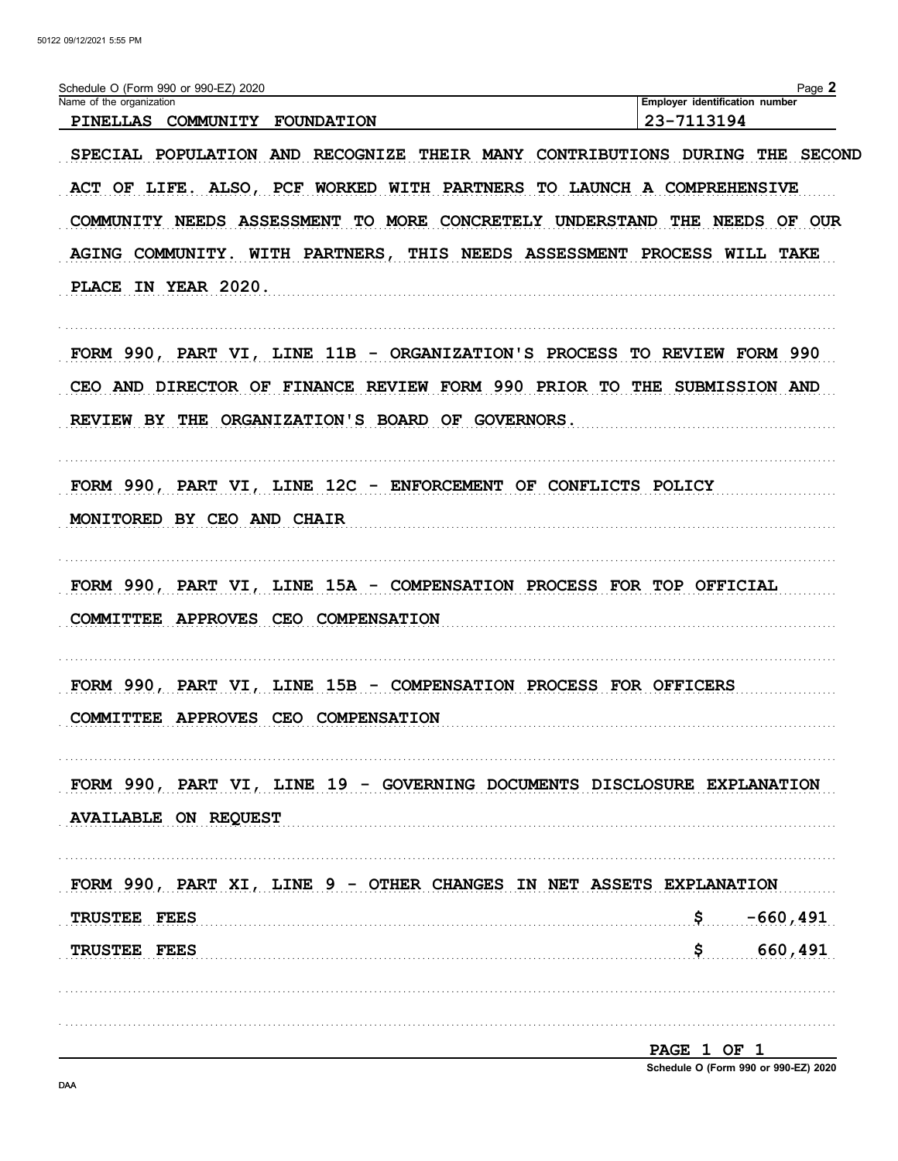| Schedule O (Form 990 or 990-EZ) 2020<br>Name of the organization        | Page 2<br>Employer identification number       |
|-------------------------------------------------------------------------|------------------------------------------------|
| PINELLAS COMMUNITY FOUNDATION                                           | 23-7113194                                     |
| SPECIAL POPULATION AND RECOGNIZE                                        | THEIR MANY CONTRIBUTIONS DURING THE SECOND     |
| ACT OF LIFE. ALSO, PCF WORKED WITH PARTNERS TO LAUNCH A COMPREHENSIVE   |                                                |
| COMMUNITY NEEDS ASSESSMENT                                              | TO MORE CONCRETELY UNDERSTAND THE NEEDS OF OUR |
| AGING COMMUNITY. WITH PARTNERS, THIS NEEDS ASSESSMENT PROCESS WILL TAKE |                                                |
|                                                                         |                                                |
| PLACE IN YEAR 2020.                                                     |                                                |
| FORM 990, PART VI, LINE 11B - ORGANIZATION'S PROCESS TO REVIEW FORM 990 |                                                |
| CEO AND DIRECTOR OF FINANCE REVIEW FORM 990 PRIOR TO THE SUBMISSION AND |                                                |
| REVIEW BY THE ORGANIZATION'S BOARD OF GOVERNORS.                        |                                                |
|                                                                         |                                                |
| FORM 990, PART VI, LINE 12C - ENFORCEMENT OF CONFLICTS POLICY           |                                                |
| MONITORED BY CEO AND CHAIR                                              |                                                |
|                                                                         |                                                |
| FORM 990, PART VI, LINE 15A - COMPENSATION PROCESS FOR TOP OFFICIAL     |                                                |
| COMMITTEE APPROVES CEO COMPENSATION                                     |                                                |
|                                                                         |                                                |
| FORM 990, PART VI, LINE 15B - COMPENSATION PROCESS FOR OFFICERS         |                                                |
| COMMITTEE APPROVES CEO COMPENSATION                                     |                                                |
|                                                                         |                                                |
| FORM 990, PART VI, LINE 19 - GOVERNING DOCUMENTS DISCLOSURE EXPLANATION |                                                |
| <b>AVAILABLE ON REQUEST</b>                                             |                                                |
|                                                                         |                                                |
| FORM 990, PART XI, LINE 9 - OTHER CHANGES IN NET ASSETS EXPLANATION     |                                                |
| <b>TRUSTEE FEES</b>                                                     | $$--660,491$                                   |
| TRUSTEE FEES                                                            | \$ 660,491                                     |
|                                                                         |                                                |
|                                                                         |                                                |
|                                                                         | PAGE 1 OF 1                                    |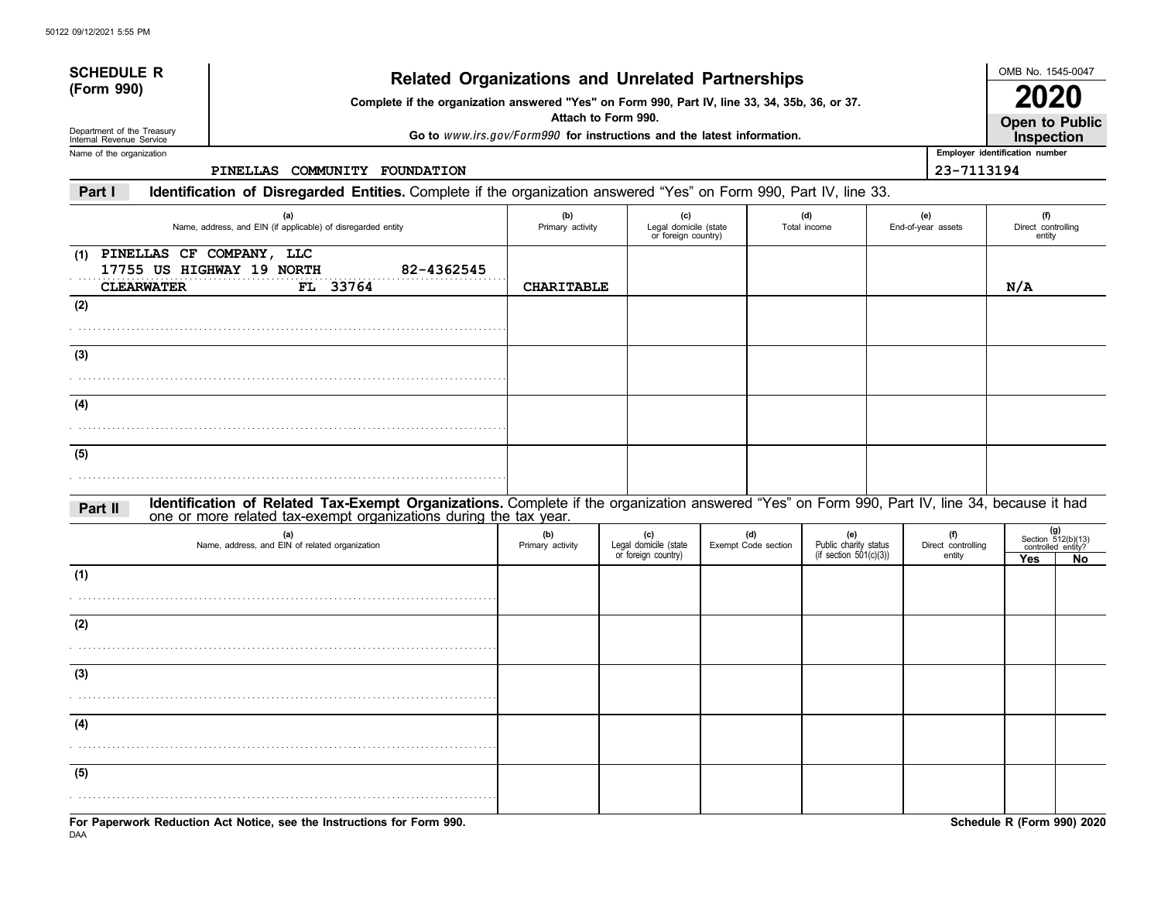|                                          |                                                                                                                                                                                                                    |                                                                        |                                                     | <b>Related Organizations and Unrelated Partnerships</b> |                                                           |                           |                                              |                                     | OMB No. 1545-0047                                       |
|------------------------------------------|--------------------------------------------------------------------------------------------------------------------------------------------------------------------------------------------------------------------|------------------------------------------------------------------------|-----------------------------------------------------|---------------------------------------------------------|-----------------------------------------------------------|---------------------------|----------------------------------------------|-------------------------------------|---------------------------------------------------------|
| (Form 990)<br>Department of the Treasury | Complete if the organization answered "Yes" on Form 990, Part IV, line 33, 34, 35b, 36, or 37.                                                                                                                     |                                                                        | Attach to Form 990.                                 |                                                         |                                                           |                           |                                              | Open to Public                      |                                                         |
| Internal Revenue Service                 |                                                                                                                                                                                                                    | Go to www.irs.gov/Form990 for instructions and the latest information. |                                                     |                                                         |                                                           |                           |                                              | Inspection                          |                                                         |
| Name of the organization                 | PINELLAS COMMUNITY FOUNDATION                                                                                                                                                                                      |                                                                        |                                                     |                                                         |                                                           |                           | Employer identification number<br>23-7113194 |                                     |                                                         |
| Part I                                   | Identification of Disregarded Entities. Complete if the organization answered "Yes" on Form 990, Part IV, line 33.                                                                                                 |                                                                        |                                                     |                                                         |                                                           |                           |                                              |                                     |                                                         |
|                                          |                                                                                                                                                                                                                    |                                                                        |                                                     |                                                         |                                                           |                           |                                              |                                     |                                                         |
|                                          | (a)<br>Name, address, and EIN (if applicable) of disregarded entity                                                                                                                                                | (b)<br>Primary activity                                                | (c)<br>Legal domicile (state<br>or foreign country) |                                                         | (d)<br>Total income                                       | (e)<br>End-of-year assets |                                              | (f)<br>Direct controlling<br>entity |                                                         |
| (1)<br><b>CLEARWATER</b>                 | PINELLAS CF COMPANY, LLC<br>17755 US HIGHWAY 19 NORTH<br>82-4362545<br>FL 33764                                                                                                                                    | <b>CHARITABLE</b>                                                      |                                                     |                                                         |                                                           |                           |                                              | N/A                                 |                                                         |
| (2)                                      |                                                                                                                                                                                                                    |                                                                        |                                                     |                                                         |                                                           |                           |                                              |                                     |                                                         |
| (3)                                      |                                                                                                                                                                                                                    |                                                                        |                                                     |                                                         |                                                           |                           |                                              |                                     |                                                         |
|                                          |                                                                                                                                                                                                                    |                                                                        |                                                     |                                                         |                                                           |                           |                                              |                                     |                                                         |
| (4)                                      |                                                                                                                                                                                                                    |                                                                        |                                                     |                                                         |                                                           |                           |                                              |                                     |                                                         |
| (5)                                      |                                                                                                                                                                                                                    |                                                                        |                                                     |                                                         |                                                           |                           |                                              |                                     |                                                         |
| Part II                                  | Identification of Related Tax-Exempt Organizations. Complete if the organization answered "Yes" on Form 990, Part IV, line 34, because it had<br>one or more related tax-exempt organizations during the tax year. |                                                                        |                                                     |                                                         |                                                           |                           |                                              |                                     |                                                         |
|                                          | (a)<br>Name, address, and EIN of related organization                                                                                                                                                              | (b)<br>Primary activity                                                | (c)<br>Legal domicile (state<br>or foreign country) | (d)<br>Exempt Code section                              | (e)<br>Public charity status<br>(if section $501(c)(3)$ ) |                           | (f)<br>Direct controlling<br>entity          | Yes                                 | $(g)$<br>Section 512(b)(13)<br>controlled entity?<br>No |
| (1)                                      |                                                                                                                                                                                                                    |                                                                        |                                                     |                                                         |                                                           |                           |                                              |                                     |                                                         |
| (2)                                      |                                                                                                                                                                                                                    |                                                                        |                                                     |                                                         |                                                           |                           |                                              |                                     |                                                         |
|                                          |                                                                                                                                                                                                                    |                                                                        |                                                     |                                                         |                                                           |                           |                                              |                                     |                                                         |
| (3)                                      |                                                                                                                                                                                                                    |                                                                        |                                                     |                                                         |                                                           |                           |                                              |                                     |                                                         |
| (4)                                      |                                                                                                                                                                                                                    |                                                                        |                                                     |                                                         |                                                           |                           |                                              |                                     |                                                         |
|                                          |                                                                                                                                                                                                                    |                                                                        |                                                     |                                                         |                                                           |                           |                                              |                                     |                                                         |
| (5)                                      |                                                                                                                                                                                                                    |                                                                        |                                                     |                                                         |                                                           |                           |                                              |                                     |                                                         |
|                                          | For Paperwork Reduction Act Notice, see the Instructions for Form 990.                                                                                                                                             |                                                                        |                                                     |                                                         |                                                           |                           |                                              | Schedule R (Form 990) 2020          |                                                         |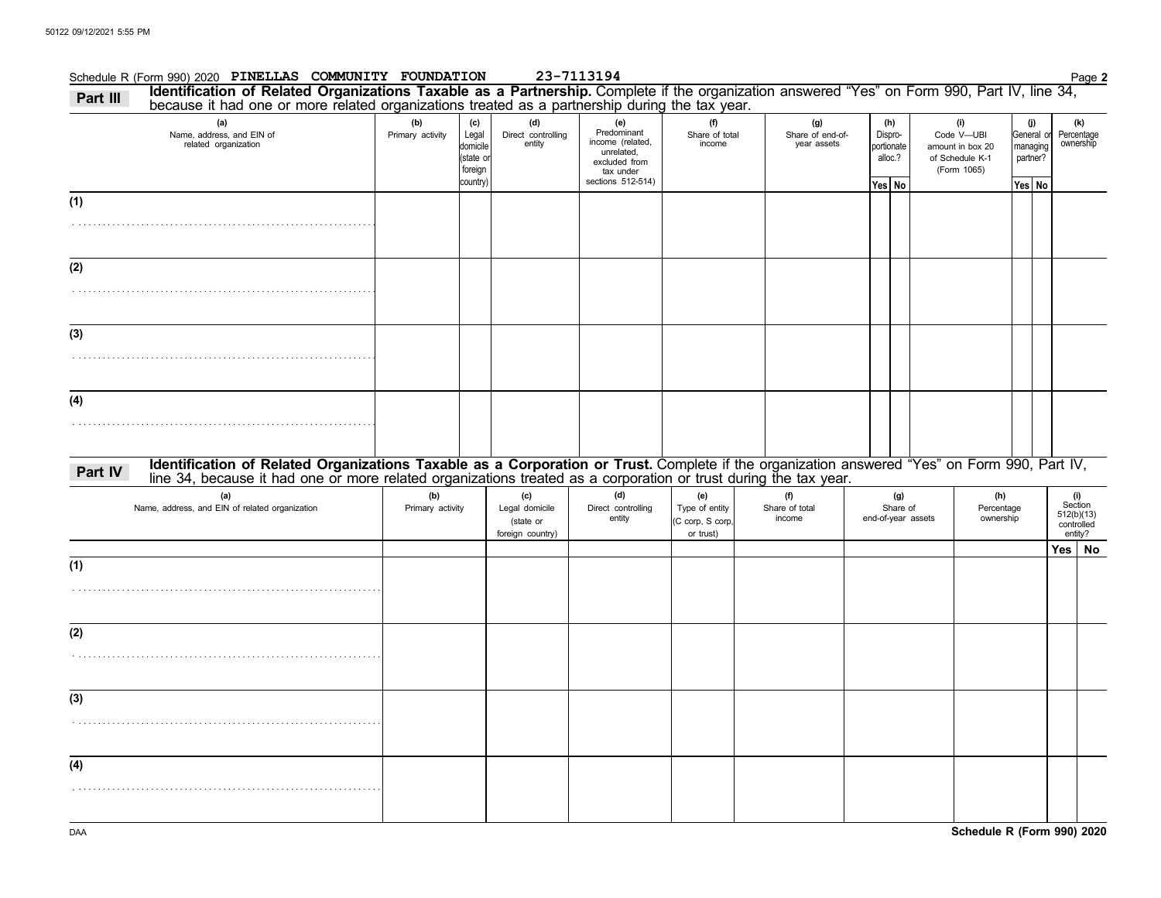### Schedule R (Form 990) 2020 Page **2 PINELLAS COMMUNITY FOUNDATION 23-7113194 (a) (b) (c) (d) (e) (f)** Predominant Name, address, and EIN of Primary activity Legal domicile (state or foreign country) Direct controlling entity income (related, unrelated, Share of total portionate alloc.? General managing partner? **Yes No Yes No (g) (h)** Share of end-ofhare of end-of-<br>year assets portionate **Part III Identification of Related Organizations Taxable as a Partnership.** Complete if the organization answered "Yes" on Form 990, Part IV, line 34, **(i)** of Schedule K-1 Code V—UBI **(j)** . . . . . . . . . . . . . . . . . . . . . . . . . . . . . . . . . . . . . . . . . . . . . . . . . . . . . . . . . . . . . . . . . . . . . . . . . . . . . . . . . . . . . . . . . . . . . . . . . . . . . . . . . . . . . . . . . . . . . . . . . . . . . . . . . . . . . . . . . . . . . . . . . . . . . . . . . . . . . . . . . . . . . . . . . . . . . . . . . . . . . . . . . . . . . . . . . . . . . . . . . . . . . . . . . . . . . . . . . . . . . . . . . . . . . . . . . . . . . . . . . . . . . . . . . . . . . . . . . . . . . . . . . . . . . . . . . . . . . . . . . . . . . . . . . . . . . . . . . . . . . . . . . . . . . . . . . . . . . . . . . . . . . . . . . . . . . . . . . . . . . . . . . . . . . . . . . . . . . . . . . . . . . . . . . . . . . . . . . . . . . . . . . . . . . . . . . . . . . . . . . . . . . . . . . . . . . . . . . . . . . . . . . . . . . . . . . . . . . . . . . . . . . **Part IV** Mentification of Related Organizations Taxable as a Corporation or Trust. Complete if the organization answered "Yes" on Form 990, Part IV,<br>Iine 34, because it had one or more related organizations treated as a c **(a) (b) (c) (d) (e) (f) (g) (h)** Name, address, and EIN of related organization **Primary activity** Legal domicile (state or foreign country) Direct controlling entity Type of entity (C corp, S corp, or trust) Share of total Share of end-of-year assets Percentage ownership amount in box 20 (Form 1065) because it had one or more related organizations treated as a partnership during the tax year. excluded from tax under sections 512-514) **(4) (3) (2) (1) (1) (2) (3) (4)** Percentage<br>ownership **(k)** income income related organization 512(b)(13) Section **(i)** entity? **Yes No** controlled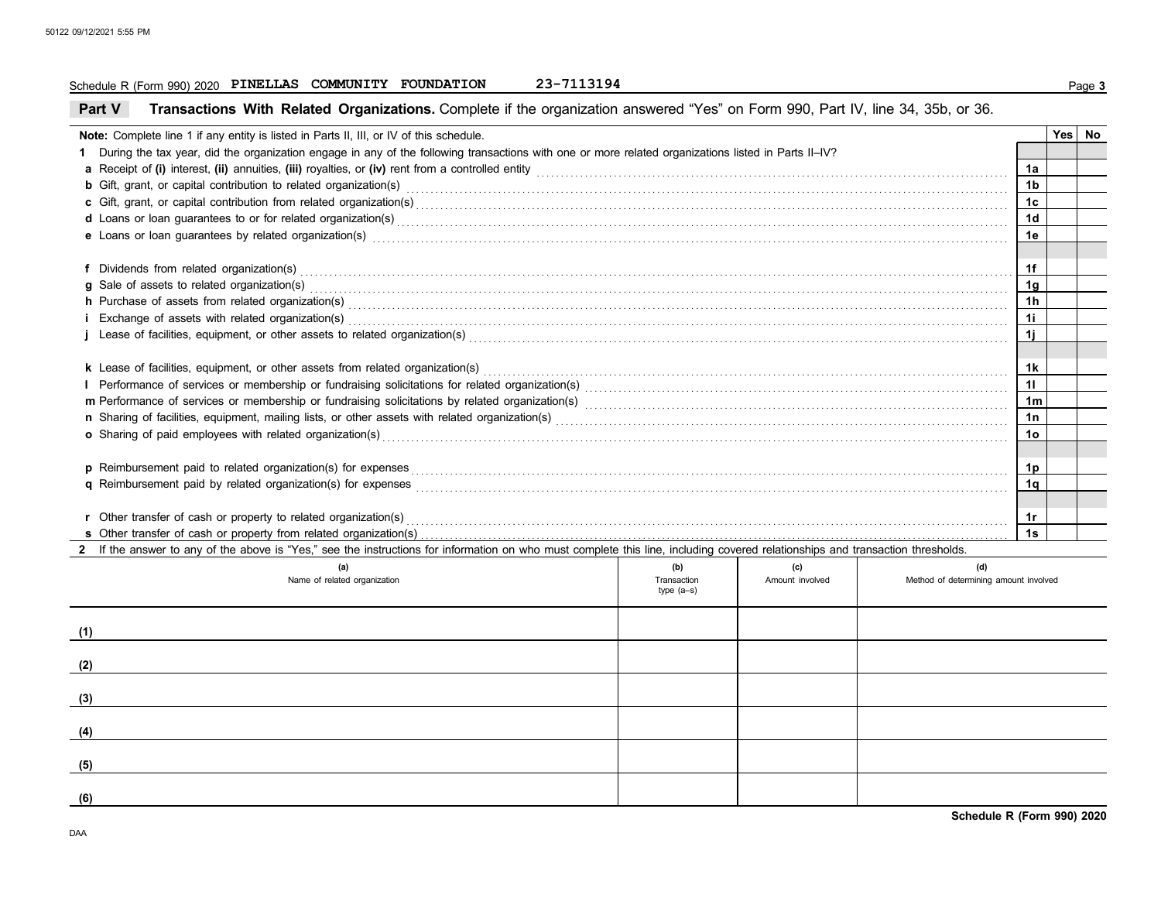### **Schedule R (Form 990) 2020 PINELLAS COMMUNITY FOUNDATION 23-7113194 Page 3**

| Part V |  |  |  |  | Transactions With Related Organizations. Complete if the organization answered "Yes" on Form 990, Part IV, line 34, 35b, or 36. |
|--------|--|--|--|--|---------------------------------------------------------------------------------------------------------------------------------|
|--------|--|--|--|--|---------------------------------------------------------------------------------------------------------------------------------|

| Note: Complete line 1 if any entity is listed in Parts II, III, or IV of this schedule.                                                                                                                                        |                 | Yes No |
|--------------------------------------------------------------------------------------------------------------------------------------------------------------------------------------------------------------------------------|-----------------|--------|
| 1 During the tax year, did the organization engage in any of the following transactions with one or more related organizations listed in Parts II-IV?                                                                          |                 |        |
|                                                                                                                                                                                                                                | 1a              |        |
| b Gift, grant, or capital contribution to related organization(s) encourance contained and contained and contribution to related organization(s)                                                                               | 1 <sub>b</sub>  |        |
| c Gift, grant, or capital contribution from related organization(s) encourance contains an according contribution from related organization(s) encourance contains and contribution from related organization(s)               | 1c              |        |
| d Loans or loan guarantees to or for related organization(s) encourance contains and contains a container and container and container and container and container and container and container and container and container and  | 1 <sub>d</sub>  |        |
| e Loans or loan guarantees by related organization(s) encourance contains and contained a contained a contained a contained a contained a contained a contained a contained a contained a contained a contained a contained a  | 1e              |        |
|                                                                                                                                                                                                                                |                 |        |
| f Dividends from related organization(s) encourance contains and contained a series of the contained organization (s) and contain a series of the contained organization (s) and contain a series of the contact of the contac | 1f              |        |
|                                                                                                                                                                                                                                | 1g              |        |
| h Purchase of assets from related organization(s) Material Assemblance and a control of assets from related organization(s) and assets from related organization(s) and assets from related organization(s) and a control of a | 1 <sub>h</sub>  |        |
| i Exchange of assets with related organization(s) exception contains and according to the set of assets with related organization(s) exchange of assets with related organization(s)                                           | 11              |        |
|                                                                                                                                                                                                                                | 11              |        |
| <b>k</b> Lease of facilities, equipment, or other assets from related organization(s)                                                                                                                                          | 1k              |        |
|                                                                                                                                                                                                                                |                 |        |
|                                                                                                                                                                                                                                | 1 <sub>m</sub>  |        |
|                                                                                                                                                                                                                                | 1n              |        |
|                                                                                                                                                                                                                                | 10 <sub>o</sub> |        |
| o Sharing of paid employees with related organization(s) encourance contains an account of the container and starting of paid employees with related organization(s) encourance contains an account of the starting of paid em |                 |        |
|                                                                                                                                                                                                                                | 1p              |        |
|                                                                                                                                                                                                                                | 1q              |        |
|                                                                                                                                                                                                                                |                 |        |
| r Other transfer of cash or property to related organization(s) encourance contains and contains a container transfer of cash or property to related organization(s) encourance contains a container container and container a | 1r              |        |
|                                                                                                                                                                                                                                | 1s              |        |

| (a)<br>Name of related organization | (b)<br>Transaction<br>type (a-s) | (c)<br>Amount involved | (d)<br>Method of determining amount involved |
|-------------------------------------|----------------------------------|------------------------|----------------------------------------------|
| (1)                                 |                                  |                        |                                              |
| (2)                                 |                                  |                        |                                              |
| (3)                                 |                                  |                        |                                              |
| (4)                                 |                                  |                        |                                              |
| (5)                                 |                                  |                        |                                              |
| (6)                                 |                                  |                        |                                              |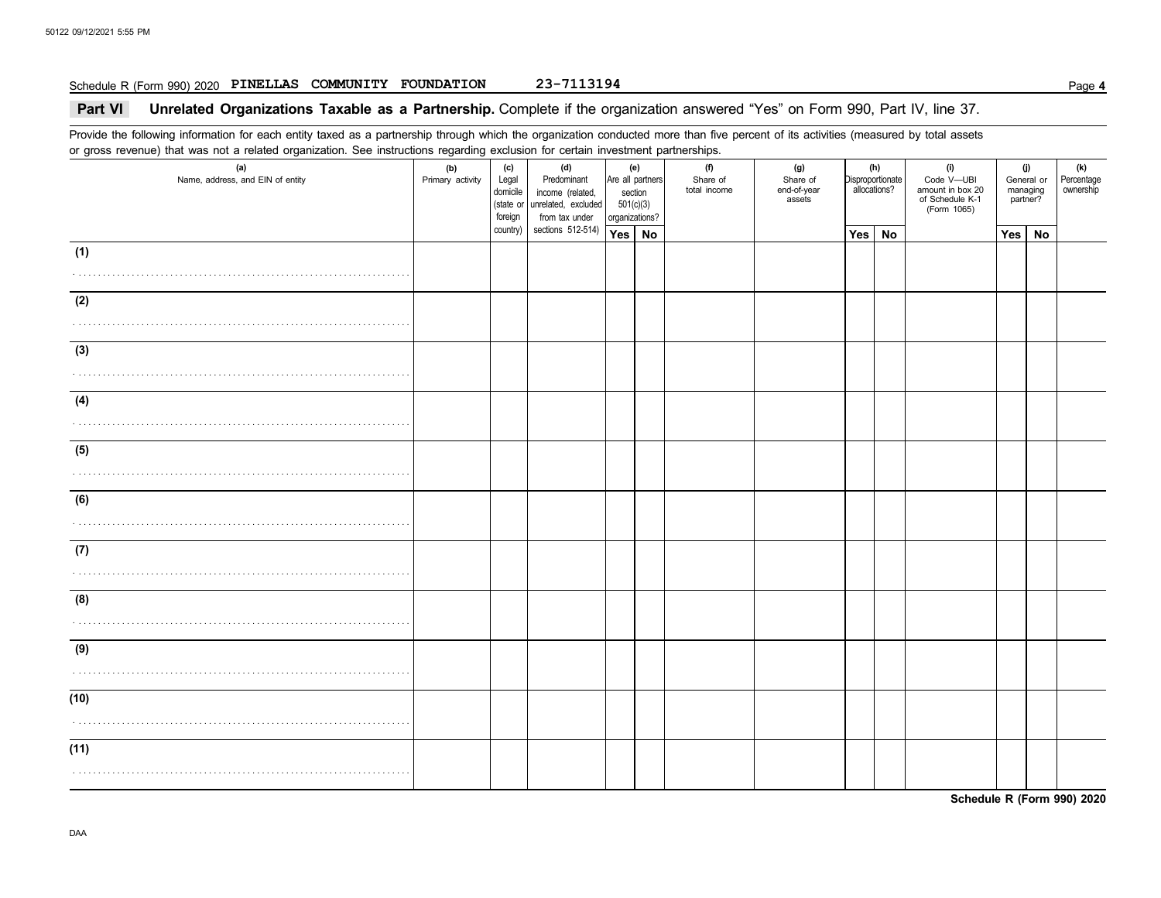### **Schedule R (Form 990) 2020 PINELLAS COMMUNITY FOUNDATION 23-7113194 Page 4**

### **Part VI** Unrelated Organizations Taxable as a Partnership. Complete if the organization answered "Yes" on Form 990, Part IV, line 37.

Provide the following information for each entity taxed as a partnership through which the organization conducted more than five percent of its activities (measured by total assets or gross revenue) that was not a related organization. See instructions regarding exclusion for certain investment partnerships.

| (a)<br>Name, address, and EIN of entity | ۔ ۔<br>(b)<br>Primary activity | (c)<br>Legal<br>domicile<br>(state or<br>foreign | (d)<br>Predominant<br>income (related,<br>unrelated, excluded<br>from tax under | (e)<br>section<br>501(c)(3)<br>organizations? | Are all partners | <br>(f)<br>Share of<br>total income | (g)<br>Share of<br>end-of-year<br>assets | Disproportionate | (h)<br>allocations? | (i)<br>Code V-UBI<br>amount in box 20<br>of Schedule K-1<br>(Form 1065) | (j)<br>General or<br>managing<br>partner? | (k)<br>Percentage<br>ownership |
|-----------------------------------------|--------------------------------|--------------------------------------------------|---------------------------------------------------------------------------------|-----------------------------------------------|------------------|-------------------------------------|------------------------------------------|------------------|---------------------|-------------------------------------------------------------------------|-------------------------------------------|--------------------------------|
|                                         |                                | country)                                         | sections 512-514)                                                               | Yes   No                                      |                  |                                     |                                          | Yes              | <b>No</b>           |                                                                         | $Yes \mid No$                             |                                |
| (1)                                     |                                |                                                  |                                                                                 |                                               |                  |                                     |                                          |                  |                     |                                                                         |                                           |                                |
|                                         |                                |                                                  |                                                                                 |                                               |                  |                                     |                                          |                  |                     |                                                                         |                                           |                                |
| (2)                                     |                                |                                                  |                                                                                 |                                               |                  |                                     |                                          |                  |                     |                                                                         |                                           |                                |
|                                         |                                |                                                  |                                                                                 |                                               |                  |                                     |                                          |                  |                     |                                                                         |                                           |                                |
|                                         |                                |                                                  |                                                                                 |                                               |                  |                                     |                                          |                  |                     |                                                                         |                                           |                                |
| (3)                                     |                                |                                                  |                                                                                 |                                               |                  |                                     |                                          |                  |                     |                                                                         |                                           |                                |
|                                         |                                |                                                  |                                                                                 |                                               |                  |                                     |                                          |                  |                     |                                                                         |                                           |                                |
| (4)                                     |                                |                                                  |                                                                                 |                                               |                  |                                     |                                          |                  |                     |                                                                         |                                           |                                |
|                                         |                                |                                                  |                                                                                 |                                               |                  |                                     |                                          |                  |                     |                                                                         |                                           |                                |
|                                         |                                |                                                  |                                                                                 |                                               |                  |                                     |                                          |                  |                     |                                                                         |                                           |                                |
| (5)                                     |                                |                                                  |                                                                                 |                                               |                  |                                     |                                          |                  |                     |                                                                         |                                           |                                |
|                                         |                                |                                                  |                                                                                 |                                               |                  |                                     |                                          |                  |                     |                                                                         |                                           |                                |
| (6)                                     |                                |                                                  |                                                                                 |                                               |                  |                                     |                                          |                  |                     |                                                                         |                                           |                                |
|                                         |                                |                                                  |                                                                                 |                                               |                  |                                     |                                          |                  |                     |                                                                         |                                           |                                |
|                                         |                                |                                                  |                                                                                 |                                               |                  |                                     |                                          |                  |                     |                                                                         |                                           |                                |
| (7)                                     |                                |                                                  |                                                                                 |                                               |                  |                                     |                                          |                  |                     |                                                                         |                                           |                                |
|                                         |                                |                                                  |                                                                                 |                                               |                  |                                     |                                          |                  |                     |                                                                         |                                           |                                |
| (8)                                     |                                |                                                  |                                                                                 |                                               |                  |                                     |                                          |                  |                     |                                                                         |                                           |                                |
|                                         |                                |                                                  |                                                                                 |                                               |                  |                                     |                                          |                  |                     |                                                                         |                                           |                                |
|                                         |                                |                                                  |                                                                                 |                                               |                  |                                     |                                          |                  |                     |                                                                         |                                           |                                |
| (9)                                     |                                |                                                  |                                                                                 |                                               |                  |                                     |                                          |                  |                     |                                                                         |                                           |                                |
|                                         |                                |                                                  |                                                                                 |                                               |                  |                                     |                                          |                  |                     |                                                                         |                                           |                                |
| (10)                                    |                                |                                                  |                                                                                 |                                               |                  |                                     |                                          |                  |                     |                                                                         |                                           |                                |
|                                         |                                |                                                  |                                                                                 |                                               |                  |                                     |                                          |                  |                     |                                                                         |                                           |                                |
|                                         |                                |                                                  |                                                                                 |                                               |                  |                                     |                                          |                  |                     |                                                                         |                                           |                                |
| (11)                                    |                                |                                                  |                                                                                 |                                               |                  |                                     |                                          |                  |                     |                                                                         |                                           |                                |
|                                         |                                |                                                  |                                                                                 |                                               |                  |                                     |                                          |                  |                     |                                                                         |                                           |                                |
|                                         |                                |                                                  |                                                                                 |                                               |                  |                                     |                                          |                  |                     |                                                                         |                                           |                                |

**Schedule R (Form 990) 2020**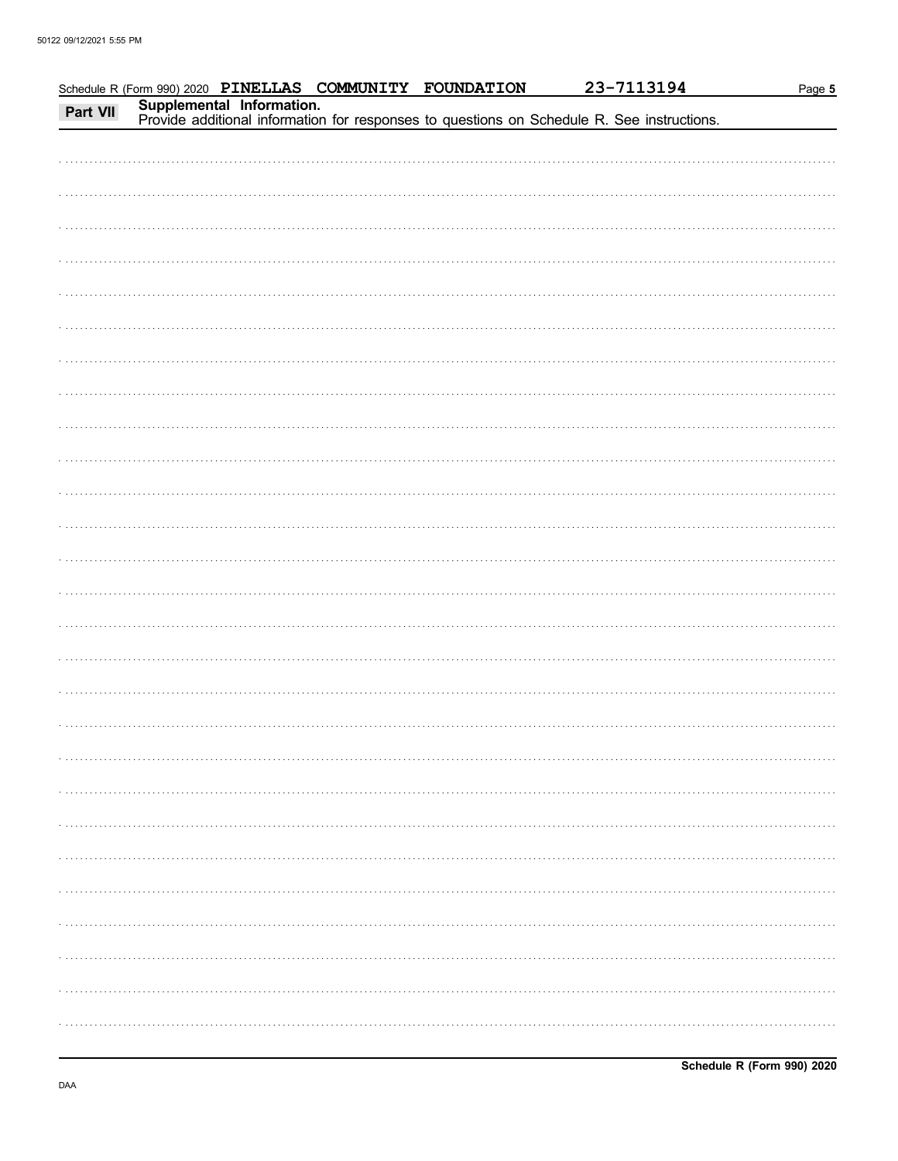|  |  | Schedule R (Form 990) 2020 PINELLAS COMMUNITY FOUNDATION 23-7113194<br>Part VII Supplemental Information.<br>Provide additional information for responses to questions on Schedule R. See instructions. | Page 5 |
|--|--|---------------------------------------------------------------------------------------------------------------------------------------------------------------------------------------------------------|--------|
|  |  |                                                                                                                                                                                                         |        |
|  |  |                                                                                                                                                                                                         |        |
|  |  |                                                                                                                                                                                                         |        |
|  |  |                                                                                                                                                                                                         |        |
|  |  |                                                                                                                                                                                                         |        |
|  |  |                                                                                                                                                                                                         |        |
|  |  |                                                                                                                                                                                                         |        |
|  |  |                                                                                                                                                                                                         |        |
|  |  |                                                                                                                                                                                                         |        |
|  |  |                                                                                                                                                                                                         |        |
|  |  |                                                                                                                                                                                                         |        |
|  |  |                                                                                                                                                                                                         |        |
|  |  |                                                                                                                                                                                                         |        |
|  |  |                                                                                                                                                                                                         |        |
|  |  |                                                                                                                                                                                                         |        |
|  |  |                                                                                                                                                                                                         |        |
|  |  |                                                                                                                                                                                                         |        |
|  |  |                                                                                                                                                                                                         |        |
|  |  |                                                                                                                                                                                                         |        |
|  |  |                                                                                                                                                                                                         |        |
|  |  |                                                                                                                                                                                                         |        |
|  |  |                                                                                                                                                                                                         |        |
|  |  |                                                                                                                                                                                                         |        |
|  |  |                                                                                                                                                                                                         |        |
|  |  |                                                                                                                                                                                                         |        |
|  |  |                                                                                                                                                                                                         |        |
|  |  |                                                                                                                                                                                                         |        |
|  |  |                                                                                                                                                                                                         |        |
|  |  |                                                                                                                                                                                                         |        |
|  |  |                                                                                                                                                                                                         |        |
|  |  |                                                                                                                                                                                                         |        |
|  |  |                                                                                                                                                                                                         |        |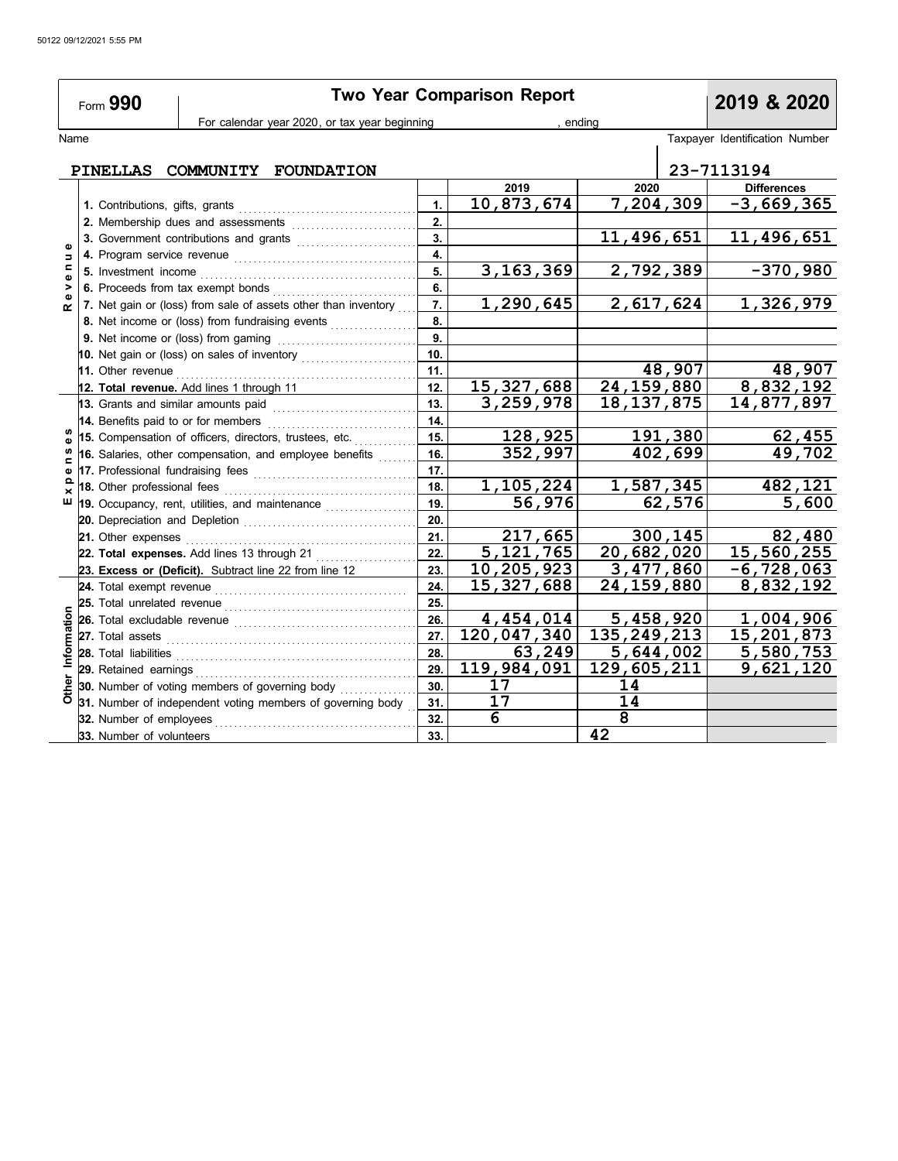|                       | 2019 & 2020                     |                                                                                                                                                          |            |                          |                            |                                |
|-----------------------|---------------------------------|----------------------------------------------------------------------------------------------------------------------------------------------------------|------------|--------------------------|----------------------------|--------------------------------|
|                       |                                 | For calendar year 2020, or tax year beginning                                                                                                            |            |                          | ending                     |                                |
| Name                  |                                 |                                                                                                                                                          |            |                          |                            | Taxpayer Identification Number |
|                       |                                 | PINELLAS COMMUNITY FOUNDATION                                                                                                                            |            |                          |                            | 23-7113194                     |
|                       |                                 |                                                                                                                                                          |            | 2019                     | 2020                       | <b>Differences</b>             |
|                       | 1. Contributions, gifts, grants |                                                                                                                                                          | 1.         | 10,873,674               | 7,204,309                  | $-3,669,365$                   |
|                       |                                 | 2. Membership dues and assessments                                                                                                                       | 2.         |                          |                            |                                |
|                       |                                 | 3. Government contributions and grants                                                                                                                   | 3.         |                          | 11,496,651                 | 11,496,651                     |
| Ξ                     |                                 |                                                                                                                                                          | 4.         |                          |                            |                                |
|                       |                                 |                                                                                                                                                          | 5.         | 3, 163, 369              | 2,792,389                  | $-370,980$                     |
| $\blacktriangleright$ |                                 |                                                                                                                                                          | 6.         |                          |                            |                                |
| œ                     |                                 | 7. Net gain or (loss) from sale of assets other than inventory                                                                                           | 7.         | 1,290,645                | 2,617,624                  | 1,326,979                      |
|                       |                                 | 8. Net income or (loss) from fundraising events                                                                                                          | 8.         |                          |                            |                                |
|                       |                                 | 9. Net income or (loss) from gaming                                                                                                                      | 9.         |                          |                            |                                |
|                       |                                 | 10. Net gain or (loss) on sales of inventory                                                                                                             | 10.        |                          |                            |                                |
|                       |                                 | 11. Other revenue <i>communication</i>                                                                                                                   | 11.        |                          | 48,907                     | 48,907                         |
|                       |                                 | 12. Total revenue. Add lines 1 through 11                                                                                                                | 12.        | 15,327,688               | $\overline{24,159,880}$    | 8,832,192                      |
|                       |                                 | 13. Grants and similar amounts paid                                                                                                                      | 13.        | 3,259,978                | 18, 137, 875               | 14,877,897                     |
|                       |                                 | 14. Benefits paid to or for members                                                                                                                      | 14.        |                          |                            |                                |
|                       |                                 | 15. Compensation of officers, directors, trustees, etc.                                                                                                  | 15.        | 128,925                  | 191,380                    | 62,455                         |
|                       |                                 | 16. Salaries, other compensation, and employee benefits                                                                                                  | 16.        | 352,997                  | 402,699                    | 49,702                         |
|                       |                                 | 17. Professional fundraising fees                                                                                                                        | 17.        |                          |                            |                                |
|                       | 18. Other professional fees     |                                                                                                                                                          | 18.        | 1,105,224                | 1,587,345                  | 482,121                        |
| ш                     |                                 | 19. Occupancy, rent, utilities, and maintenance                                                                                                          | 19.        | 56,976                   | 62,576                     | 5,600                          |
|                       |                                 |                                                                                                                                                          | 20.        |                          |                            |                                |
|                       |                                 |                                                                                                                                                          | 21.        | 217,665                  | 300,145                    | 82,480                         |
|                       |                                 | 22. Total expenses. Add lines 13 through 21                                                                                                              | 22.        | 5, 121, 765              | 20,682,020                 | 15,560,255                     |
|                       |                                 | 23. Excess or (Deficit). Subtract line 22 from line 12                                                                                                   | 23.        | 10,205,923               | 3,477,860                  | $-6,728,063$                   |
|                       |                                 |                                                                                                                                                          | 24.        | 15, 327, 688             | 24,159,880                 | 8,832,192                      |
|                       | 25. Total unrelated revenue     |                                                                                                                                                          | 25.        |                          |                            |                                |
|                       | 26. Total excludable revenue    |                                                                                                                                                          | 26.        | 4,454,014<br>120,047,340 | 5,458,920<br>135, 249, 213 | 1,004,906<br>15,201,873        |
|                       |                                 | 27. Total assets <b>constant and all assets constant and all assets</b>                                                                                  | 27.        |                          |                            |                                |
| Information           | 28. Total liabilities           |                                                                                                                                                          | 28.        | 63,249                   | 5,644,002                  | 5,580,753                      |
|                       |                                 |                                                                                                                                                          | 29.<br>30. | 119,984,091<br>17        | 129,605,211<br>14          | 9,621,120                      |
|                       |                                 |                                                                                                                                                          | 31.        | 17                       | 14                         |                                |
|                       |                                 | <b>30.</b> Number of voting members or your company of properties of governing body<br><b>31.</b> Number of independent voting members of governing body | 32.        | 6                        | 8                          |                                |
|                       | 33. Number of volunteers        |                                                                                                                                                          | 33.        |                          | 42                         |                                |
|                       |                                 |                                                                                                                                                          |            |                          |                            |                                |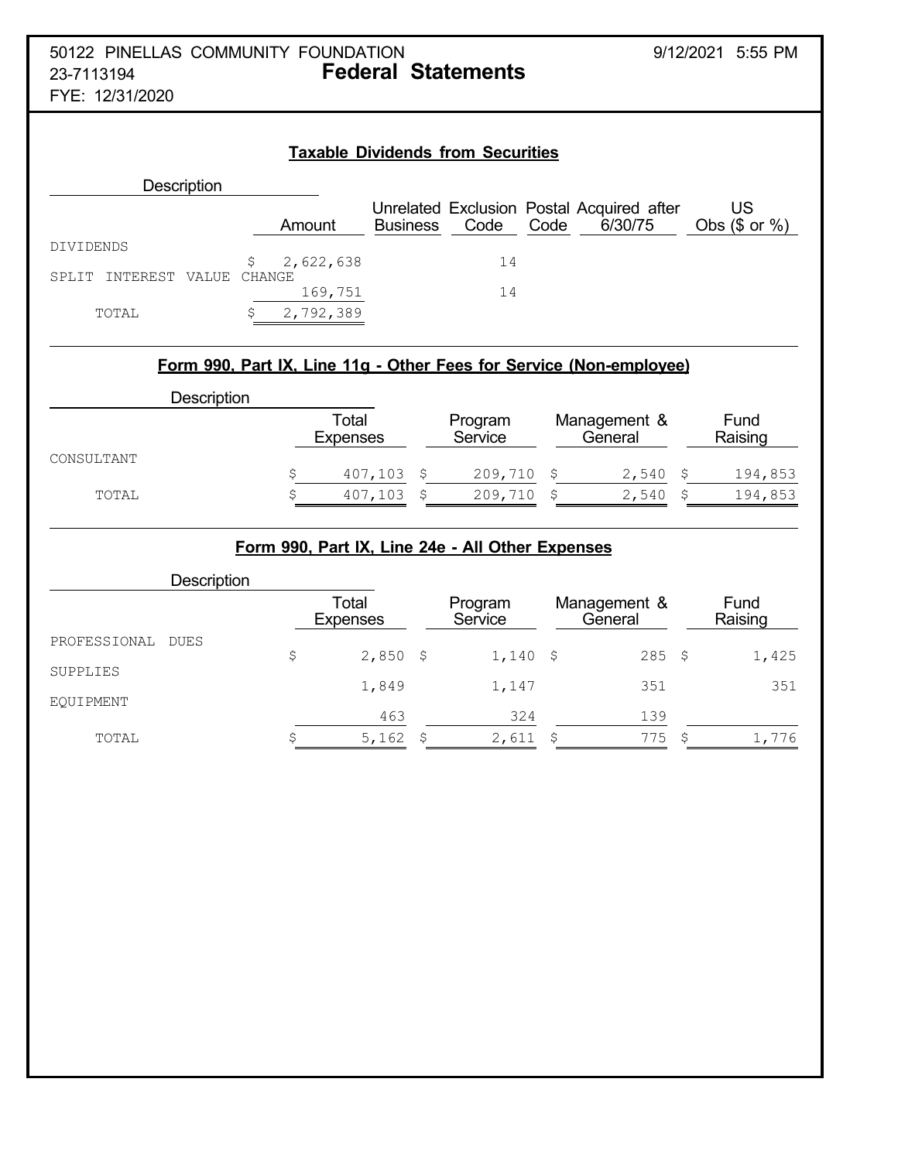## **Taxable Dividends from Securities Description** Unrelated Exclusion Postal Acquired after US Amount Business Code Code 6/30/75 Obs (\$ or %) DIVIDENDS \$ 2,622,638 14 SPLIT INTEREST VALUE CHANGE 169,751 14 TOTAL \$ 2,792,389

## **Form 990, Part IX, Line 11g - Other Fees for Service (Non-employee)**

| Description |                          |                    |                         |                 |
|-------------|--------------------------|--------------------|-------------------------|-----------------|
|             | Total<br><b>Expenses</b> | Program<br>Service | Management &<br>General | Fund<br>Raising |
| CONSULTANT  | 407,103                  | $209,710$ \$       | 2,540                   | 194,853         |
|             |                          |                    |                         |                 |
| TOTAL       | 407,103                  | 209,710            | 2,540                   | 194,853         |

## **Form 990, Part IX, Line 24e - All Other Expenses**

|              | Description |                          |                    |                         |                 |
|--------------|-------------|--------------------------|--------------------|-------------------------|-----------------|
|              |             | Total<br><b>Expenses</b> | Program<br>Service | Management &<br>General | Fund<br>Raising |
| PROFESSIONAL | DUES        |                          |                    |                         |                 |
|              |             | \$<br>$2,850$ \$         | $1,140$ \$         | $285$ \$                | 1,425           |
| SUPPLIES     |             | 1,849                    | 1,147              | 351                     | 351             |
| EOUIPMENT    |             |                          |                    |                         |                 |
|              |             | 463                      | 324                | 139                     |                 |
| TOTAL        |             | 5,162                    | 2,611              | 775                     | 1,776           |